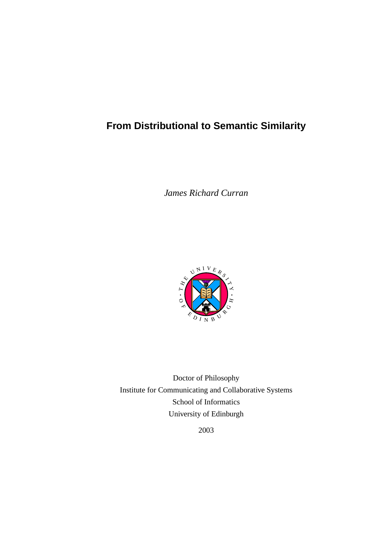## **From Distributional to Semantic Similarity**

*James Richard Curran*



Doctor of Philosophy Institute for Communicating and Collaborative Systems School of Informatics University of Edinburgh

2003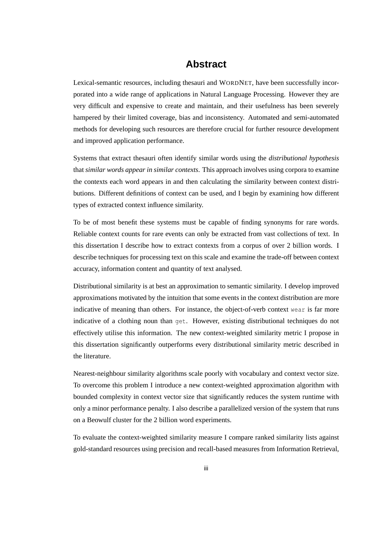### **Abstract**

Lexical-semantic resources, including thesauri and WORDNET, have been successfully incorporated into a wide range of applications in Natural Language Processing. However they are very difficult and expensive to create and maintain, and their usefulness has been severely hampered by their limited coverage, bias and inconsistency. Automated and semi-automated methods for developing such resources are therefore crucial for further resource development and improved application performance.

Systems that extract thesauri often identify similar words using the *distributional hypothesis* that *similar words appear in similar contexts*. This approach involves using corpora to examine the contexts each word appears in and then calculating the similarity between context distributions. Different definitions of context can be used, and I begin by examining how different types of extracted context influence similarity.

To be of most benefit these systems must be capable of finding synonyms for rare words. Reliable context counts for rare events can only be extracted from vast collections of text. In this dissertation I describe how to extract contexts from a corpus of over 2 billion words. I describe techniques for processing text on this scale and examine the trade-off between context accuracy, information content and quantity of text analysed.

Distributional similarity is at best an approximation to semantic similarity. I develop improved approximations motivated by the intuition that some events in the context distribution are more indicative of meaning than others. For instance, the object-of-verb context wear is far more indicative of a clothing noun than get. However, existing distributional techniques do not effectively utilise this information. The new context-weighted similarity metric I propose in this dissertation significantly outperforms every distributional similarity metric described in the literature.

Nearest-neighbour similarity algorithms scale poorly with vocabulary and context vector size. To overcome this problem I introduce a new context-weighted approximation algorithm with bounded complexity in context vector size that significantly reduces the system runtime with only a minor performance penalty. I also describe a parallelized version of the system that runs on a Beowulf cluster for the 2 billion word experiments.

To evaluate the context-weighted similarity measure I compare ranked similarity lists against gold-standard resources using precision and recall-based measures from Information Retrieval,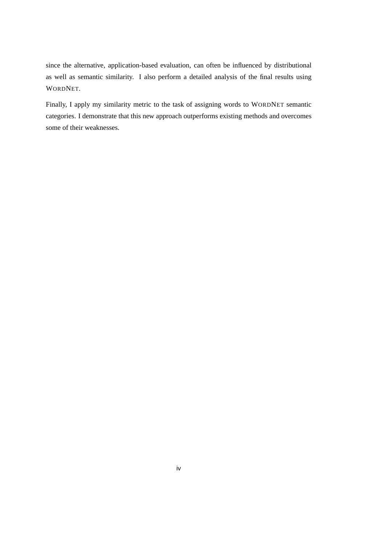since the alternative, application-based evaluation, can often be influenced by distributional as well as semantic similarity. I also perform a detailed analysis of the final results using WORDNET.

Finally, I apply my similarity metric to the task of assigning words to WORDNET semantic categories. I demonstrate that this new approach outperforms existing methods and overcomes some of their weaknesses.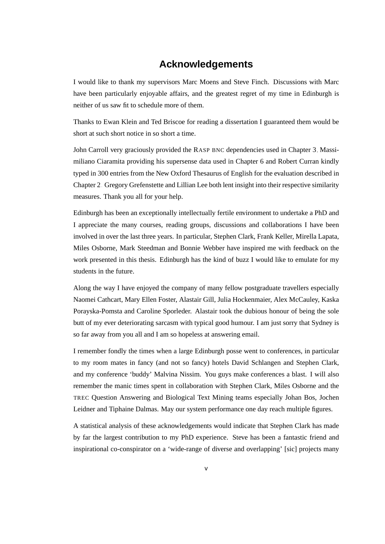### **Acknowledgements**

I would like to thank my supervisors Marc Moens and Steve Finch. Discussions with Marc have been particularly enjoyable affairs, and the greatest regret of my time in Edinburgh is neither of us saw fit to schedule more of them.

Thanks to Ewan Klein and Ted Briscoe for reading a dissertation I guaranteed them would be short at such short notice in so short a time.

John Carroll very graciously provided the RASP BNC dependencies used in Chapter [3,](#page-58-0) Massimiliano Ciaramita providing his supersense data used in Chapter [6](#page-126-0) and Robert Curran kindly typed in 300 entries from the New Oxford Thesaurus of English for the evaluation described in Chapter [2.](#page-36-0) Gregory Grefenstette and Lillian Lee both lent insight into their respective similarity measures. Thank you all for your help.

Edinburgh has been an exceptionally intellectually fertile environment to undertake a PhD and I appreciate the many courses, reading groups, discussions and collaborations I have been involved in over the last three years. In particular, Stephen Clark, Frank Keller, Mirella Lapata, Miles Osborne, Mark Steedman and Bonnie Webber have inspired me with feedback on the work presented in this thesis. Edinburgh has the kind of buzz I would like to emulate for my students in the future.

Along the way I have enjoyed the company of many fellow postgraduate travellers especially Naomei Cathcart, Mary Ellen Foster, Alastair Gill, Julia Hockenmaier, Alex McCauley, Kaska Porayska-Pomsta and Caroline Sporleder. Alastair took the dubious honour of being the sole butt of my ever deteriorating sarcasm with typical good humour. I am just sorry that Sydney is so far away from you all and I am so hopeless at answering email.

I remember fondly the times when a large Edinburgh posse went to conferences, in particular to my room mates in fancy (and not so fancy) hotels David Schlangen and Stephen Clark, and my conference 'buddy' Malvina Nissim. You guys make conferences a blast. I will also remember the manic times spent in collaboration with Stephen Clark, Miles Osborne and the TREC Question Answering and Biological Text Mining teams especially Johan Bos, Jochen Leidner and Tiphaine Dalmas. May our system performance one day reach multiple figures.

A statistical analysis of these acknowledgements would indicate that Stephen Clark has made by far the largest contribution to my PhD experience. Steve has been a fantastic friend and inspirational co-conspirator on a 'wide-range of diverse and overlapping' [sic] projects many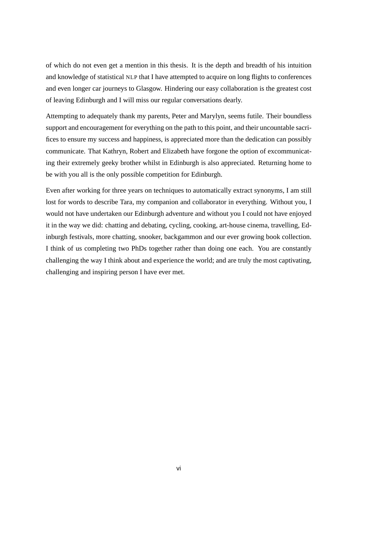of which do not even get a mention in this thesis. It is the depth and breadth of his intuition and knowledge of statistical NLP that I have attempted to acquire on long flights to conferences and even longer car journeys to Glasgow. Hindering our easy collaboration is the greatest cost of leaving Edinburgh and I will miss our regular conversations dearly.

Attempting to adequately thank my parents, Peter and Marylyn, seems futile. Their boundless support and encouragement for everything on the path to this point, and their uncountable sacrifices to ensure my success and happiness, is appreciated more than the dedication can possibly communicate. That Kathryn, Robert and Elizabeth have forgone the option of excommunicating their extremely geeky brother whilst in Edinburgh is also appreciated. Returning home to be with you all is the only possible competition for Edinburgh.

Even after working for three years on techniques to automatically extract synonyms, I am still lost for words to describe Tara, my companion and collaborator in everything. Without you, I would not have undertaken our Edinburgh adventure and without you I could not have enjoyed it in the way we did: chatting and debating, cycling, cooking, art-house cinema, travelling, Edinburgh festivals, more chatting, snooker, backgammon and our ever growing book collection. I think of us completing two PhDs together rather than doing one each. You are constantly challenging the way I think about and experience the world; and are truly the most captivating, challenging and inspiring person I have ever met.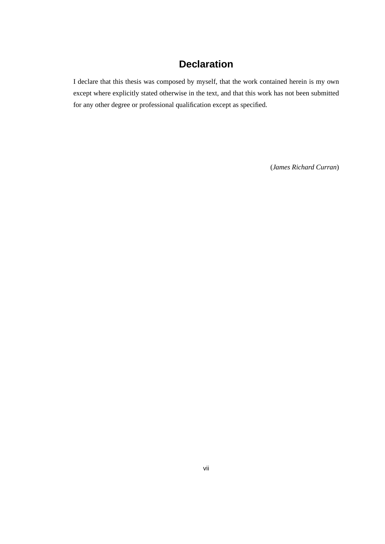### **Declaration**

I declare that this thesis was composed by myself, that the work contained herein is my own except where explicitly stated otherwise in the text, and that this work has not been submitted for any other degree or professional qualification except as specified.

(*James Richard Curran*)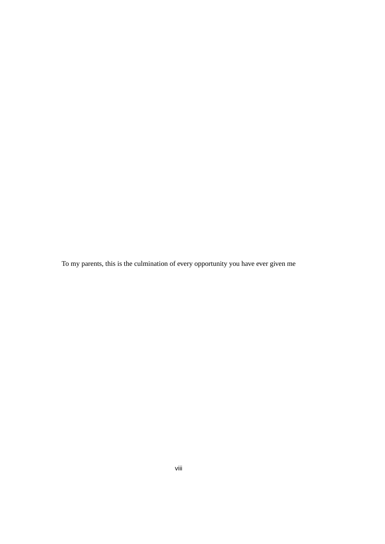To my parents, this is the culmination of every opportunity you have ever given me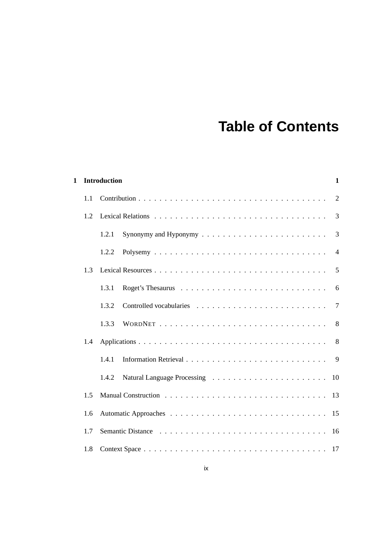## **Table of Contents**

| 1 |     | <b>Introduction</b><br>1 |                |  |  |  |  |  |
|---|-----|--------------------------|----------------|--|--|--|--|--|
|   | 1.1 |                          | $\overline{2}$ |  |  |  |  |  |
|   | 1.2 |                          | 3              |  |  |  |  |  |
|   |     | 1.2.1                    | 3              |  |  |  |  |  |
|   |     | 1.2.2                    | $\overline{4}$ |  |  |  |  |  |
|   | 1.3 |                          | 5              |  |  |  |  |  |
|   |     | 1.3.1                    | 6              |  |  |  |  |  |
|   |     | 1.3.2                    | $\overline{7}$ |  |  |  |  |  |
|   |     | 1.3.3                    |                |  |  |  |  |  |
|   | 1.4 |                          | 8 <sup>8</sup> |  |  |  |  |  |
|   |     | 141                      | 9              |  |  |  |  |  |
|   |     | 1.4.2                    |                |  |  |  |  |  |
|   | 1.5 |                          | 13             |  |  |  |  |  |
|   | 1.6 |                          |                |  |  |  |  |  |
|   | 1.7 |                          |                |  |  |  |  |  |
|   | 1.8 |                          |                |  |  |  |  |  |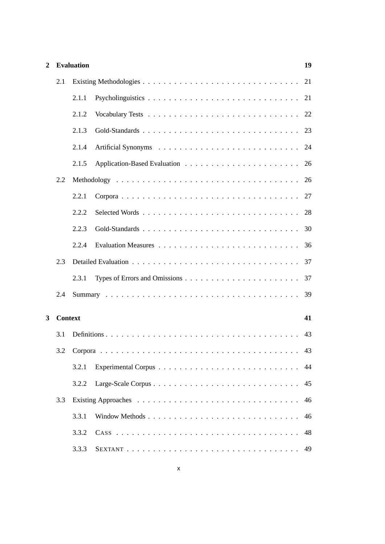| $\overline{2}$ |                | <b>Evaluation</b> |                | 19 |
|----------------|----------------|-------------------|----------------|----|
|                | 2.1            |                   |                | 21 |
|                |                | 2.1.1             |                | 21 |
|                |                | 2.1.2             |                | 22 |
|                |                | 2.1.3             | Gold-Standards | 23 |
|                |                | 2.1.4             |                | 24 |
|                |                | 2.1.5             |                | 26 |
|                | 2.2            |                   |                | 26 |
|                |                | 2.2.1             |                | 27 |
|                |                | 2.2.2             |                | 28 |
|                |                | 2.2.3             |                | 30 |
|                |                | 2.2.4             |                | 36 |
|                | 2.3            |                   |                | 37 |
|                |                | 2.3.1             |                | 37 |
|                | 2.4            |                   |                | 39 |
| 3              | <b>Context</b> |                   |                | 41 |
|                | 3.1            |                   |                | 43 |
|                |                | 3.2 Corpora       |                |    |
|                |                | 3.2.1             |                | 44 |
|                |                | 3.2.2             |                | 45 |
|                | 3.3            |                   |                | 46 |
|                |                | 3.3.1             |                | 46 |
|                |                | 3.3.2             |                | 48 |
|                |                | 3.3.3             |                | 49 |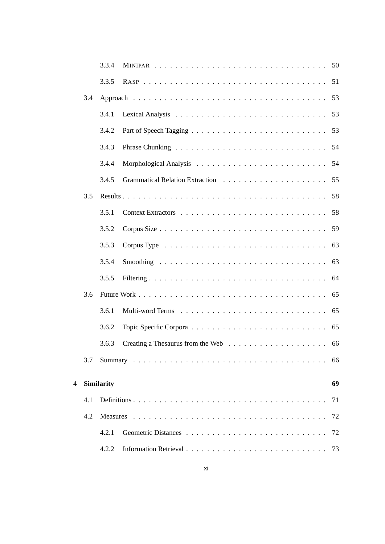|   |     | 3.3.4             |    |
|---|-----|-------------------|----|
|   |     | 3.3.5             | 51 |
|   | 3.4 |                   | 53 |
|   |     | 3.4.1             | 53 |
|   |     | 3.4.2             | 53 |
|   |     | 3.4.3             | 54 |
|   |     | 3.4.4             | 54 |
|   |     | 3.4.5             | 55 |
|   | 3.5 |                   | 58 |
|   |     | 3.5.1             | 58 |
|   |     | 3.5.2             | 59 |
|   |     | 3.5.3             | 63 |
|   |     | 3.5.4             | 63 |
|   |     | 3.5.5             | 64 |
|   | 3.6 |                   | 65 |
|   |     | 3.6.1             | 65 |
|   |     | 3.6.2             | 65 |
|   |     | 3.6.3             |    |
|   | 3.7 |                   | 66 |
| 4 |     | <b>Similarity</b> | 69 |
|   | 4.1 |                   | 71 |
|   | 4.2 | <b>Measures</b>   | 72 |
|   |     | 4.2.1             | 72 |
|   |     | 4.2.2             | 73 |
|   |     |                   |    |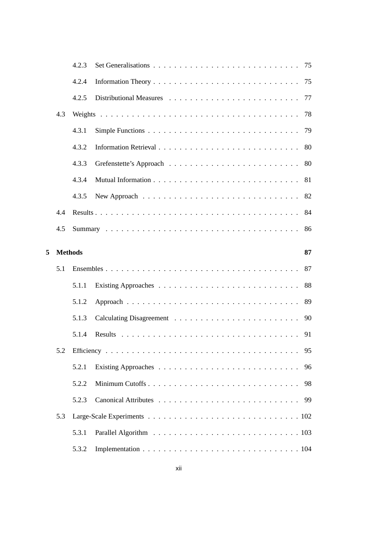|   |                | 4.2.3 |                       |    |
|---|----------------|-------|-----------------------|----|
|   |                | 4.2.4 | 75                    |    |
|   |                | 4.2.5 | 77                    |    |
|   | 4.3            |       | 78                    |    |
|   |                | 4.3.1 | 79                    |    |
|   |                | 4.3.2 | 80                    |    |
|   |                | 4.3.3 | 80                    |    |
|   |                | 4.3.4 | 81                    |    |
|   |                | 4.3.5 | 82                    |    |
|   | 4.4            |       | 84                    |    |
|   | 4.5            |       | 86                    |    |
|   |                |       |                       | 87 |
|   |                |       |                       |    |
| 5 | <b>Methods</b> |       |                       |    |
|   | 5.1            |       | 87                    |    |
|   |                | 5.1.1 | 88                    |    |
|   |                | 5.1.2 | 89                    |    |
|   |                | 5.1.3 | 90                    |    |
|   |                | 5.1.4 |                       |    |
|   |                |       | 95                    |    |
|   |                | 5.2.1 | 96                    |    |
|   |                | 5.2.2 | Minimum Cutoffs<br>98 |    |
|   |                | 5.2.3 | 99                    |    |
|   | 5.3            |       |                       |    |
|   |                | 5.3.1 |                       |    |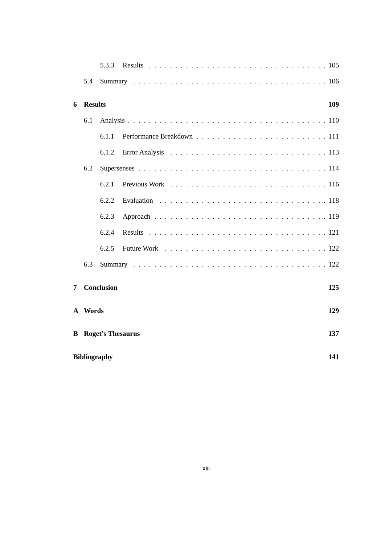|              |                | 5.3.3                    |                                                                                                      |     |
|--------------|----------------|--------------------------|------------------------------------------------------------------------------------------------------|-----|
|              | 5.4            |                          |                                                                                                      |     |
| 6            | <b>Results</b> |                          |                                                                                                      | 109 |
|              | 6.1            |                          |                                                                                                      |     |
|              |                | 6.1.1                    |                                                                                                      |     |
|              |                | 6.1.2                    | Error Analysis $\ldots \ldots \ldots \ldots \ldots \ldots \ldots \ldots \ldots \ldots \ldots \ldots$ |     |
|              | 6.2            |                          |                                                                                                      |     |
|              |                | 6.2.1                    |                                                                                                      |     |
|              |                | 6.2.2                    |                                                                                                      |     |
|              |                | 6.2.3                    |                                                                                                      |     |
|              |                | 6.2.4                    |                                                                                                      |     |
|              |                | 6.2.5                    |                                                                                                      |     |
|              | 6.3            |                          |                                                                                                      |     |
| 7            |                | <b>Conclusion</b>        |                                                                                                      | 125 |
| $\mathbf{A}$ | Words          |                          |                                                                                                      | 129 |
| B            |                | <b>Roget's Thesaurus</b> |                                                                                                      | 137 |
|              |                | <b>Bibliography</b>      |                                                                                                      | 141 |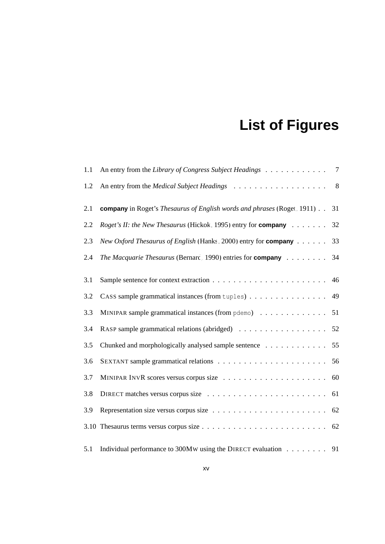# **List of Figures**

| 1.1 | An entry from the Library of Congress Subject Headings                                | 7              |
|-----|---------------------------------------------------------------------------------------|----------------|
| 1.2 |                                                                                       | 8 <sup>8</sup> |
| 2.1 | <b>company</b> in Roget's <i>Thesaurus of English words and phrases</i> (Roget, 1911) | 31             |
| 2.2 | <i>Roget's II: the New Thesaurus</i> (Hickok, 1995) entry for <b>company</b>          | 32             |
| 2.3 | <i>New Oxford Thesaurus of English</i> (Hanks, 2000) entry for <b>company</b>         | 33             |
| 2.4 | <i>The Macquarie Thesaurus</i> (Bernard, 1990) entries for <b>company</b>             | 34             |
|     |                                                                                       |                |
| 3.1 |                                                                                       | 46             |
| 3.2 | CASS sample grammatical instances (from tuples)                                       | 49             |
| 3.3 | MINIPAR sample grammatical instances (from pdemo)                                     | 51             |
| 3.4 |                                                                                       | 52             |
| 3.5 | Chunked and morphologically analysed sample sentence                                  | 55             |
| 3.6 |                                                                                       | 56             |
| 3.7 |                                                                                       | 60             |
| 3.8 |                                                                                       | 61             |
| 3.9 |                                                                                       | 62             |
|     |                                                                                       | 62             |
| 5.1 | Individual performance to 300MW using the DIRECT evaluation 91                        |                |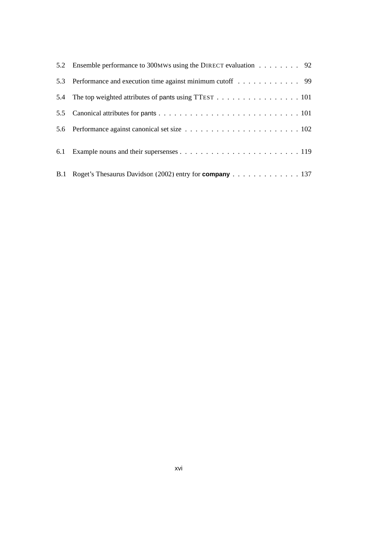| 5.2 Ensemble performance to 300MWs using the DIRECT evaluation 92  |
|--------------------------------------------------------------------|
| 5.3 Performance and execution time against minimum cutoff 99       |
| 5.4 The top weighted attributes of pants using TTEST 101           |
|                                                                    |
|                                                                    |
|                                                                    |
| B.1 Roget's Thesaurus Davidson (2002) entry for <b>company</b> 137 |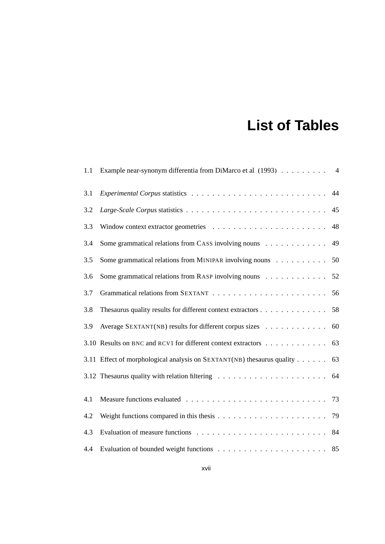## **List of Tables**

| 1.1 | Example near-synonym differentia from DiMarco et al. (1993) 4      |    |
|-----|--------------------------------------------------------------------|----|
| 3.1 |                                                                    | 44 |
| 3.2 |                                                                    | 45 |
| 3.3 |                                                                    | 48 |
| 3.4 | Some grammatical relations from CASS involving nouns               | 49 |
| 3.5 | Some grammatical relations from MINIPAR involving nouns            | 50 |
| 3.6 | Some grammatical relations from RASP involving nouns               | 52 |
| 3.7 |                                                                    | 56 |
| 3.8 | Thesaurus quality results for different context extractors         | 58 |
| 3.9 | Average SEXTANT(NB) results for different corpus sizes             | 60 |
|     | 3.10 Results on BNC and RCV1 for different context extractors      | 63 |
|     | 3.11 Effect of morphological analysis on SEXTANT(NB) these quality | 63 |
|     |                                                                    |    |
| 4.1 |                                                                    |    |
| 4.2 |                                                                    | 79 |
| 4.3 |                                                                    | 84 |
| 4.4 |                                                                    | 85 |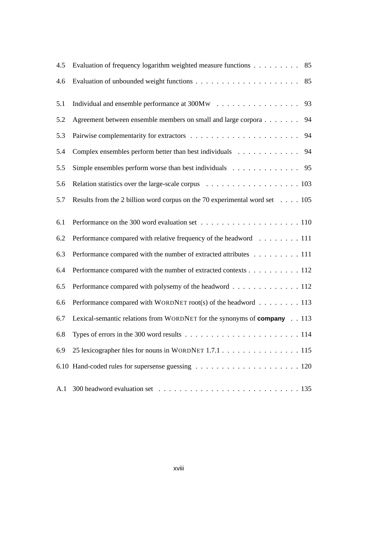| 4.5 | Evaluation of frequency logarithm weighted measure functions<br>85                    |
|-----|---------------------------------------------------------------------------------------|
| 4.6 | 85                                                                                    |
| 5.1 | 93                                                                                    |
| 5.2 | Agreement between ensemble members on small and large corpora<br>94                   |
| 5.3 | 94                                                                                    |
| 5.4 | Complex ensembles perform better than best individuals<br>94                          |
| 5.5 | Simple ensembles perform worse than best individuals $\ldots \ldots \ldots \ldots$ 95 |
| 5.6 |                                                                                       |
| 5.7 | Results from the 2 billion word corpus on the 70 experimental word set 105            |
| 6.1 |                                                                                       |
| 6.2 | Performance compared with relative frequency of the headword 111                      |
| 6.3 | Performance compared with the number of extracted attributes 111                      |
| 6.4 | Performance compared with the number of extracted contexts 112                        |
| 6.5 | Performance compared with polysemy of the headword 112                                |
| 6.6 | Performance compared with WORDNET root(s) of the headword $\ldots \ldots \ldots$ 113  |
| 6.7 | Lexical-semantic relations from WORDNET for the synonyms of company 113               |
| 6.8 |                                                                                       |
| 6.9 | 25 lexicographer files for nouns in WORDNET 1.7.1 115                                 |
|     |                                                                                       |
| A.1 |                                                                                       |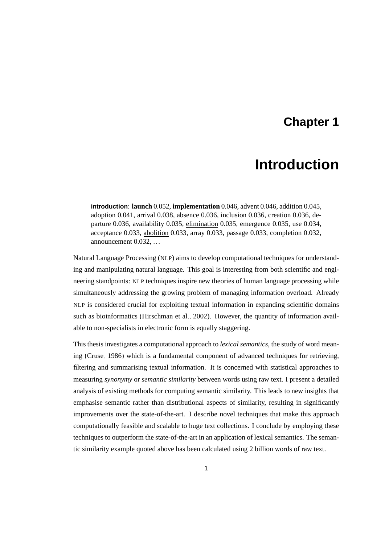## **Chapter 1**

## **Introduction**

<span id="page-18-0"></span>**introduction**: **launch** 0.052, **implementation** 0.046, advent 0.046, addition 0.045, adoption 0.041, arrival 0.038, absence 0.036, inclusion 0.036, creation 0.036, departure 0.036, availability 0.035, elimination 0.035, emergence 0.035, use 0.034, acceptance 0.033, abolition 0.033, array 0.033, passage 0.033, completion 0.032, announcement 0.032, ...

Natural Language Processing (NLP) aims to develop computational techniques for understanding and manipulating natural language. This goal is interesting from both scientific and engineering standpoints: NLP techniques inspire new theories of human language processing while simultaneously addressing the growing problem of managing information overload. Already NLP is considered crucial for exploiting textual information in expanding scientific domains such as bioinformatics [\(Hirschman et al., 2002\)](#page-166-1). However, the quantity of information available to non-specialists in electronic form is equally staggering.

This thesis investigates a computational approach to *lexical semantics*, the study of word meaning [\(Cruse, 1986\)](#page-162-0) which is a fundamental component of advanced techniques for retrieving, filtering and summarising textual information. It is concerned with statistical approaches to measuring *synonymy* or *semantic similarity* between words using raw text. I present a detailed analysis of existing methods for computing semantic similarity. This leads to new insights that emphasise semantic rather than distributional aspects of similarity, resulting in significantly improvements over the state-of-the-art. I describe novel techniques that make this approach computationally feasible and scalable to huge text collections. I conclude by employing these techniques to outperform the state-of-the-art in an application of lexical semantics. The semantic similarity example quoted above has been calculated using 2 billion words of raw text.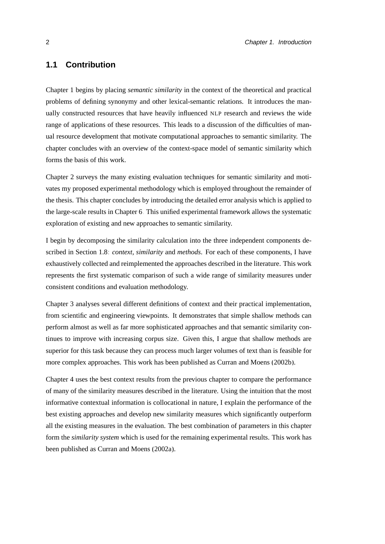#### <span id="page-19-0"></span>**1.1 Contribution**

Chapter [1](#page-18-0) begins by placing *semantic similarity* in the context of the theoretical and practical problems of defining synonymy and other lexical-semantic relations. It introduces the manually constructed resources that have heavily influenced NLP research and reviews the wide range of applications of these resources. This leads to a discussion of the difficulties of manual resource development that motivate computational approaches to semantic similarity. The chapter concludes with an overview of the context-space model of semantic similarity which forms the basis of this work.

Chapter [2](#page-36-0) surveys the many existing evaluation techniques for semantic similarity and motivates my proposed experimental methodology which is employed throughout the remainder of the thesis. This chapter concludes by introducing the detailed error analysis which is applied to the large-scale results in Chapter [6.](#page-126-0) This unified experimental framework allows the systematic exploration of existing and new approaches to semantic similarity.

I begin by decomposing the similarity calculation into the three independent components described in Section [1.8:](#page-34-0) *context*, *similarity* and *methods*. For each of these components, I have exhaustively collected and reimplemented the approaches described in the literature. This work represents the first systematic comparison of such a wide range of similarity measures under consistent conditions and evaluation methodology.

Chapter [3](#page-58-0) analyses several different definitions of context and their practical implementation, from scientific and engineering viewpoints. It demonstrates that simple shallow methods can perform almost as well as far more sophisticated approaches and that semantic similarity continues to improve with increasing corpus size. Given this, I argue that shallow methods are superior for this task because they can process much larger volumes of text than is feasible for more complex approaches. This work has been published as [Curran and Moens](#page-162-1) [\(2002b\)](#page-162-1).

Chapter [4](#page-86-0) uses the best context results from the previous chapter to compare the performance of many of the similarity measures described in the literature. Using the intuition that the most informative contextual information is collocational in nature, I explain the performance of the best existing approaches and develop new similarity measures which significantly outperform all the existing measures in the evaluation. The best combination of parameters in this chapter form the *similarity system* which is used for the remaining experimental results. This work has been published as [Curran and Moens](#page-162-2) [\(2002a\)](#page-162-2).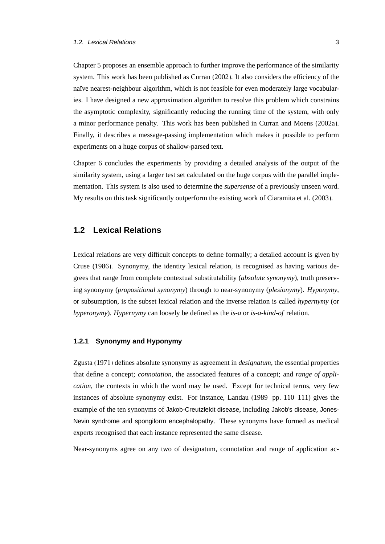Chapter [5](#page-104-0) proposes an ensemble approach to further improve the performance of the similarity system. This work has been published as [Curran \(2002\)](#page-162-3). It also considers the efficiency of the naïve nearest-neighbour algorithm, which is not feasible for even moderately large vocabularies. I have designed a new approximation algorithm to resolve this problem which constrains the asymptotic complexity, significantly reducing the running time of the system, with only a minor performance penalty. This work has been published in [Curran and Moens \(2002a\)](#page-162-2). Finally, it describes a message-passing implementation which makes it possible to perform experiments on a huge corpus of shallow-parsed text.

Chapter [6](#page-126-0) concludes the experiments by providing a detailed analysis of the output of the similarity system, using a larger test set calculated on the huge corpus with the parallel implementation. This system is also used to determine the *supersense* of a previously unseen word. My results on this task significantly outperform the existing work of [Ciaramita et al.](#page-161-0) [\(2003\)](#page-161-0).

#### <span id="page-20-0"></span>**1.2 Lexical Relations**

Lexical relations are very difficult concepts to define formally; a detailed account is given by [Cruse](#page-162-0) [\(1986\)](#page-162-0). Synonymy, the identity lexical relation, is recognised as having various degrees that range from complete contextual substitutability (*absolute synonymy*), truth preserving synonymy (*propositional synonymy*) through to near-synonymy (*plesionymy*). *Hyponymy*, or subsumption, is the subset lexical relation and the inverse relation is called *hypernymy* (or *hyperonymy*). *Hypernymy* can loosely be defined as the *is-a* or *is-a-kind-of* relation.

#### <span id="page-20-1"></span>**1.2.1 Synonymy and Hyponymy**

[Zgusta \(1971\)](#page-176-0) defines absolute synonymy as agreement in *designatum*, the essential properties that define a concept; *connotation*, the associated features of a concept; and *range of application*, the contexts in which the word may be used. Except for technical terms, very few instances of absolute synonymy exist. For instance, [Landau \(1989,](#page-167-0) pp. 110–111) gives the example of the ten synonyms of Jakob-Creutzfeldt disease, including Jakob's disease, Jones-Nevin syndrome and spongiform encephalopathy. These synonyms have formed as medical experts recognised that each instance represented the same disease.

Near-synonyms agree on any two of designatum, connotation and range of application ac-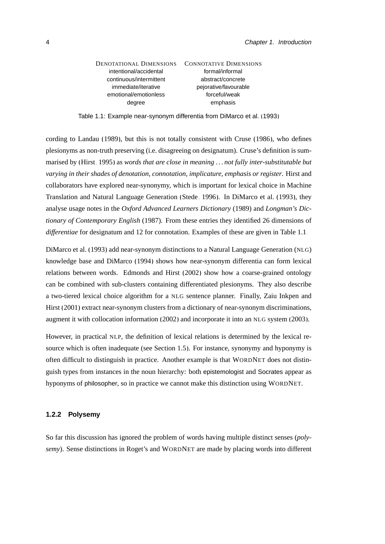| DENOTATIONAL DIMENSIONS | <b>CONNOTATIVE DIMENSIONS</b> |
|-------------------------|-------------------------------|
| intentional/accidental  | formal/informal               |
| continuous/intermittent | abstract/concrete             |
| immediate/iterative     | pejorative/favourable         |
| emotional/emotionless   | forceful/weak                 |
| degree                  | emphasis                      |
|                         |                               |

<span id="page-21-1"></span>Table 1.1: Example near-synonym differentia from [DiMarco et al. \(1993\)](#page-163-1)

cording to [Landau \(1989\)](#page-167-0), but this is not totally consistent with [Cruse](#page-162-0) [\(1986\)](#page-162-0), who defines plesionyms as non-truth preserving (i.e. disagreeing on designatum). Cruse's definition is summarised by [\(Hirst, 1995\)](#page-166-2) as *words that are close in meaning . . . not fully inter-substitutable but varying in their shades of denotation, connotation, implicature, emphasis or register*. Hirst and collaborators have explored near-synonymy, which is important for lexical choice in Machine Translation and Natural Language Generation [\(Stede, 1996\)](#page-174-0). In [DiMarco et al. \(1993\)](#page-163-1), they analyse usage notes in the *Oxford Advanced Learners Dictionary* (1989) and *Longman's Dictionary of Contemporary English* (1987). From these entries they identified 26 dimensions of *differentiae* for designatum and 12 for connotation. Examples of these are given in Table [1.1.](#page-21-1)

[DiMarco et al. \(1993\)](#page-163-1) add near-synonym distinctions to a Natural Language Generation (NLG) knowledge base and [DiMarco](#page-163-2) [\(1994\)](#page-163-2) shows how near-synonym differentia can form lexical relations between words. [Edmonds and Hirst \(2002\)](#page-164-0) show how a coarse-grained ontology can be combined with sub-clusters containing differentiated plesionyms. They also describe a two-tiered lexical choice algorithm for a NLG sentence planner. Finally, [Zaiu Inkpen and](#page-176-1) [Hirst](#page-176-1) [\(2001\)](#page-176-1) extract near-synonym clusters from a dictionary of near-synonym discriminations, augment it with collocation information [\(2002\)](#page-176-2) and incorporate it into an NLG system [\(2003\)](#page-176-3).

However, in practical NLP, the definition of lexical relations is determined by the lexical resource which is often inadequate (see Section [1.5\)](#page-30-0). For instance, synonymy and hyponymy is often difficult to distinguish in practice. Another example is that WORDNET does not distinguish types from instances in the noun hierarchy: both epistemologist and Socrates appear as hyponyms of philosopher, so in practice we cannot make this distinction using WORDNET.

#### <span id="page-21-0"></span>**1.2.2 Polysemy**

So far this discussion has ignored the problem of words having multiple distinct senses (*polysemy*). Sense distinctions in Roget's and WORDNET are made by placing words into different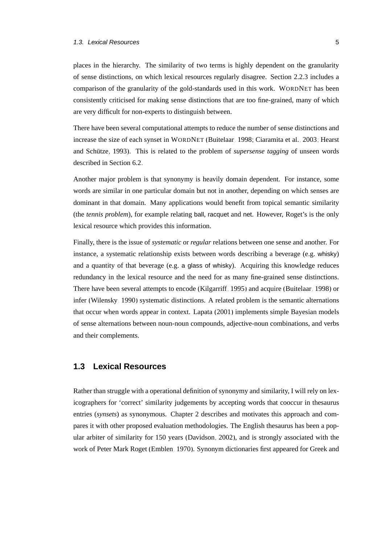places in the hierarchy. The similarity of two terms is highly dependent on the granularity of sense distinctions, on which lexical resources regularly disagree. Section [2.2.3](#page-47-0) includes a comparison of the granularity of the gold-standards used in this work. WORDNET has been consistently criticised for making sense distinctions that are too fine-grained, many of which are very difficult for non-experts to distinguish between.

There have been several computational attempts to reduce the number of sense distinctions and increase the size of each synset in WORDNET [\(Buitelaar, 1998;](#page-160-0) [Ciaramita et al., 2003;](#page-161-0) [Hearst](#page-166-3) and Schütze, 1993). This is related to the problem of *supersense tagging* of unseen words described in Section [6.2.](#page-131-0)

Another major problem is that synonymy is heavily domain dependent. For instance, some words are similar in one particular domain but not in another, depending on which senses are dominant in that domain. Many applications would benefit from topical semantic similarity (the *tennis problem*), for example relating ball, racquet and net. However, Roget's is the only lexical resource which provides this information.

Finally, there is the issue of *systematic* or *regular* relations between one sense and another. For instance, a systematic relationship exists between words describing a beverage (e.g. whisky) and a quantity of that beverage (e.g. a glass of whisky). Acquiring this knowledge reduces redundancy in the lexical resource and the need for as many fine-grained sense distinctions. There have been several attempts to encode [\(Kilgarriff, 1995\)](#page-167-1) and acquire [\(Buitelaar, 1998\)](#page-160-0) or infer [\(Wilensky, 1990\)](#page-176-4) systematic distinctions. A related problem is the semantic alternations that occur when words appear in context. [Lapata \(2001\)](#page-168-0) implements simple Bayesian models of sense alternations between noun-noun compounds, adjective-noun combinations, and verbs and their complements.

#### <span id="page-22-0"></span>**1.3 Lexical Resources**

Rather than struggle with a operational definition of synonymy and similarity, I will rely on lexicographers for 'correct' similarity judgements by accepting words that cooccur in thesaurus entries (*synsets*) as synonymous. Chapter [2](#page-36-0) describes and motivates this approach and compares it with other proposed evaluation methodologies. The English thesaurus has been a popular arbiter of similarity for 150 years [\(Davidson, 2002\)](#page-163-0), and is strongly associated with the work of Peter Mark Roget [\(Emblen, 1970\)](#page-164-1). Synonym dictionaries first appeared for Greek and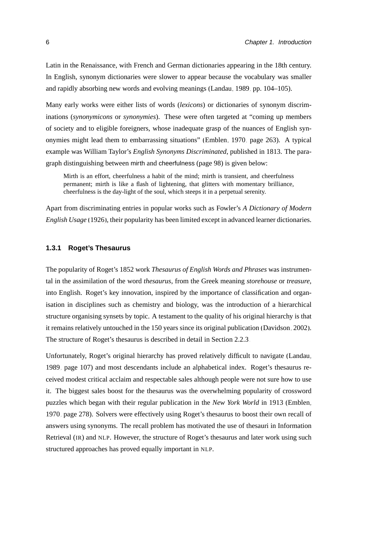Latin in the Renaissance, with French and German dictionaries appearing in the 18th century. In English, synonym dictionaries were slower to appear because the vocabulary was smaller and rapidly absorbing new words and evolving meanings [\(Landau, 1989,](#page-167-0) pp. 104–105).

Many early works were either lists of words (*lexicons*) or dictionaries of synonym discriminations (*synonymicons* or *synonymies*). These were often targeted at "coming up members of society and to eligible foreigners, whose inadequate grasp of the nuances of English synonymies might lead them to embarrassing situations" [\(Emblen, 1970,](#page-164-1) page 263). A typical example was William Taylor's *English Synonyms Discriminated*, published in 1813. The paragraph distinguishing between mirth and cheerfulness (page 98) is given below:

Mirth is an effort, cheerfulness a habit of the mind; mirth is transient, and cheerfulness permanent; mirth is like a flash of lightening, that glitters with momentary brilliance, cheerfulness is the day-light of the soul, which steeps it in a perpetual serenity.

Apart from discriminating entries in popular works such as Fowler's *A Dictionary of Modern English Usage* [\(1926\)](#page-164-2), their popularity has been limited except in advanced learner dictionaries.

#### <span id="page-23-0"></span>**1.3.1 Roget's Thesaurus**

The popularity of Roget's 1852 work *Thesaurus of English Words and Phrases* was instrumental in the assimilation of the word *thesaurus*, from the Greek meaning *storehouse* or *treasure*, into English. Roget's key innovation, inspired by the importance of classification and organisation in disciplines such as chemistry and biology, was the introduction of a hierarchical structure organising synsets by topic. A testament to the quality of his original hierarchy is that it remains relatively untouched in the 150 years since its original publication [\(Davidson, 2002\)](#page-163-0). The structure of Roget's thesaurus is described in detail in Section [2.2.3.](#page-47-0)

Unfortunately, Roget's original hierarchy has proved relatively difficult to navigate [\(Landau,](#page-167-0) [1989,](#page-167-0) page 107) and most descendants include an alphabetical index. Roget's thesaurus received modest critical acclaim and respectable sales although people were not sure how to use it. The biggest sales boost for the thesaurus was the overwhelming popularity of crossword puzzles which began with their regular publication in the *New York World* in 1913 [\(Emblen,](#page-164-1) [1970,](#page-164-1) page 278). Solvers were effectively using Roget's thesaurus to boost their own recall of answers using synonyms. The recall problem has motivated the use of thesauri in Information Retrieval (IR) and NLP. However, the structure of Roget's thesaurus and later work using such structured approaches has proved equally important in NLP.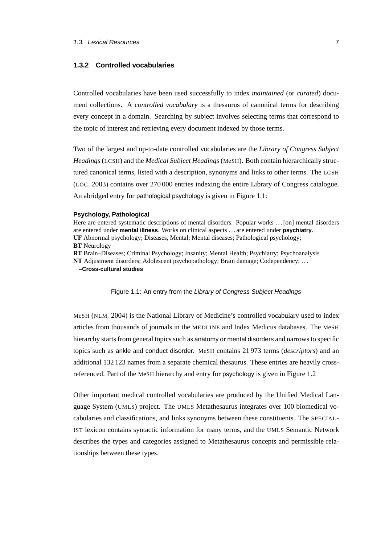#### <span id="page-24-0"></span>**1.3.2 Controlled vocabularies**

Controlled vocabularies have been used successfully to index *maintained* (or *curated*) document collections. A *controlled vocabulary* is a thesaurus of canonical terms for describing every concept in a domain. Searching by subject involves selecting terms that correspond to the topic of interest and retrieving every document indexed by those terms.

Two of the largest and up-to-date controlled vocabularies are the *Library of Congress Subject Headings* (LCSH) and the *Medical Subject Headings* (MeSH). Both contain hierarchically structured canonical terms, listed with a description, synonyms and links to other terms. The LCSH ([LOC](#page-175-0), [2003\)](#page-175-0) contains over 270 000 entries indexing the entire Library of Congress catalogue. An abridged entry for pathological psychology is given in Figure [1.1:](#page-24-1)

#### **Psychology, Pathological**

Here are entered systematic descriptions of mental disorders. Popular works . . . [on] mental disorders are entered under **mental illness**. Works on clinical aspects . . . are entered under **psychiatry**. **UF** Abnormal psychology; Diseases, Mental; Mental diseases; Pathological psychology; **BT** Neurology **RT** Brain–Diseases; Criminal Psychology; Insanity; Mental Health; Psychiatry; Psychoanalysis **NT** Adjustment disorders; Adolescent psychopathology; Brain damage; Codependency; . . . **–Cross-cultural studies** Figure 1.1: An entry from the Library of Congress Subject Headings

<span id="page-24-1"></span>MeSH ([NLM](#page-175-1), [2004\)](#page-175-1) is the National Library of Medicine's controlled vocabulary used to index articles from thousands of journals in the MEDLINE and Index Medicus databases. The MeSH hierarchy starts from general topics such as anatomy or mental disorders and narrows to specific topics such as ankle and conduct disorder. MeSH contains 21 973 terms (*descriptors*) and an additional 132 123 names from a separate chemical thesaurus. These entries are heavily crossreferenced. Part of the MeSH hierarchy and entry for psychology is given in Figure [1.2.](#page-25-2)

Other important medical controlled vocabularies are produced by the Unified Medical Language System (UMLS) project. The UMLS Metathesaurus integrates over 100 biomedical vocabularies and classifications, and links synonyms between these constituents. The SPECIAL-IST lexicon contains syntactic information for many terms, and the UMLS Semantic Network describes the types and categories assigned to Metathesaurus concepts and permissible relationships between these types.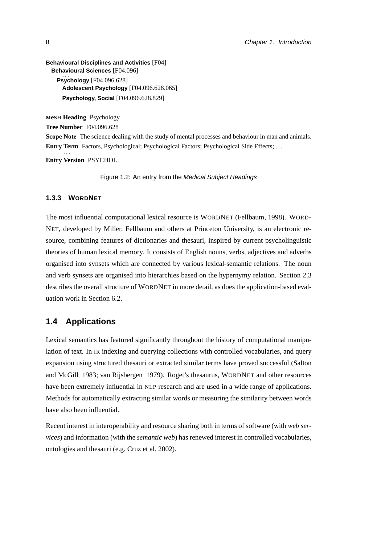```
Behavioural Disciplines and Activities [F04]
  Behavioural Sciences [F04.096]
      \mathbf{u}.
    Psychology [F04.096.628]
      Adolescent Psychology [F04.096.628.065]
. . .
      Psychology, Social [F04.096.628.829]
```
**MeSH Heading** Psychology **Tree Number** F04.096.628 **Scope Note** The science dealing with the study of mental processes and behaviour in man and animals. **Entry Term** Factors, Psychological; Psychological Factors; Psychological Side Effects; . . . . . . **Entry Version** PSYCHOL

<span id="page-25-2"></span>Figure 1.2: An entry from the Medical Subject Headings

#### <span id="page-25-0"></span>**1.3.3 WORDNET**

The most influential computational lexical resource is WORDNET [\(Fellbaum, 1998\)](#page-164-3). WORD-NET, developed by Miller, Fellbaum and others at Princeton University, is an electronic resource, combining features of dictionaries and thesauri, inspired by current psycholinguistic theories of human lexical memory. It consists of English nouns, verbs, adjectives and adverbs organised into synsets which are connected by various lexical-semantic relations. The noun and verb synsets are organised into hierarchies based on the hypernymy relation. Section [2.3](#page-54-0) describes the overall structure of WORDNET in more detail, as does the application-based evaluation work in Section [6.2.](#page-131-0)

#### <span id="page-25-1"></span>**1.4 Applications**

Lexical semantics has featured significantly throughout the history of computational manipulation of text. In IR indexing and querying collections with controlled vocabularies, and query expansion using structured thesauri or extracted similar terms have proved successful [\(Salton](#page-173-0) [and McGill, 1983;](#page-173-0) [van Rijsbergen, 1979\)](#page-175-2). Roget's thesaurus, WORDNET and other resources have been extremely influential in NLP research and are used in a wide range of applications. Methods for automatically extracting similar words or measuring the similarity between words have also been influential.

Recent interest in interoperability and resource sharing both in terms of software (with *web services*) and information (with the *semantic web*) has renewed interest in controlled vocabularies, ontologies and thesauri (e.g. [Cruz et al. 2002\)](#page-162-4).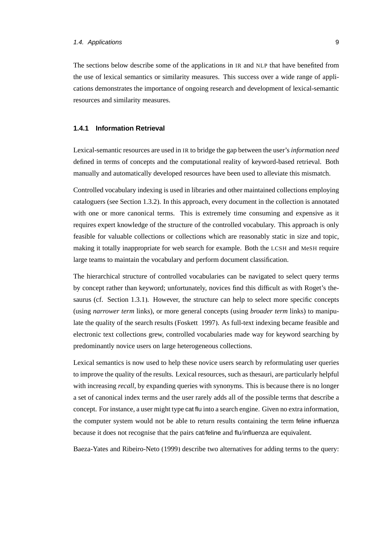The sections below describe some of the applications in IR and NLP that have benefited from the use of lexical semantics or similarity measures. This success over a wide range of applications demonstrates the importance of ongoing research and development of lexical-semantic resources and similarity measures.

#### <span id="page-26-0"></span>**1.4.1 Information Retrieval**

Lexical-semantic resources are used in IR to bridge the gap between the user's *information need* defined in terms of concepts and the computational reality of keyword-based retrieval. Both manually and automatically developed resources have been used to alleviate this mismatch.

Controlled vocabulary indexing is used in libraries and other maintained collections employing cataloguers (see Section [1.3.2\)](#page-24-0). In this approach, every document in the collection is annotated with one or more canonical terms. This is extremely time consuming and expensive as it requires expert knowledge of the structure of the controlled vocabulary. This approach is only feasible for valuable collections or collections which are reasonably static in size and topic, making it totally inappropriate for web search for example. Both the LCSH and MeSH require large teams to maintain the vocabulary and perform document classification.

The hierarchical structure of controlled vocabularies can be navigated to select query terms by concept rather than keyword; unfortunately, novices find this difficult as with Roget's thesaurus (cf. Section [1.3.1\)](#page-23-0). However, the structure can help to select more specific concepts (using *narrower term* links), or more general concepts (using *broader term* links) to manipulate the quality of the search results [\(Foskett, 1997\)](#page-164-4). As full-text indexing became feasible and electronic text collections grew, controlled vocabularies made way for keyword searching by predominantly novice users on large heterogeneous collections.

Lexical semantics is now used to help these novice users search by reformulating user queries to improve the quality of the results. Lexical resources, such as thesauri, are particularly helpful with increasing *recall*, by expanding queries with synonyms. This is because there is no longer a set of canonical index terms and the user rarely adds all of the possible terms that describe a concept. For instance, a user might type cat flu into a search engine. Given no extra information, the computer system would not be able to return results containing the term feline influenza because it does not recognise that the pairs cat/feline and flu/influenza are equivalent.

[Baeza-Yates and Ribeiro-Neto \(1999\)](#page-159-1) describe two alternatives for adding terms to the query: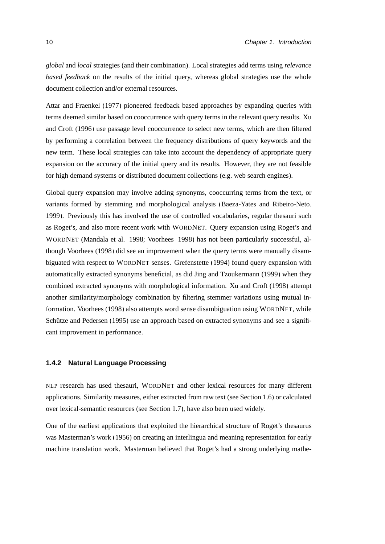*global* and *local* strategies (and their combination). Local strategies add terms using *relevance based feedback* on the results of the initial query, whereas global strategies use the whole document collection and/or external resources.

[Attar and Fraenkel \(1977\)](#page-158-1) pioneered feedback based approaches by expanding queries with terms deemed similar based on cooccurrence with query terms in the relevant query results. [Xu](#page-176-5) [and Croft \(1996\)](#page-176-5) use passage level cooccurrence to select new terms, which are then filtered by performing a correlation between the frequency distributions of query keywords and the new term. These local strategies can take into account the dependency of appropriate query expansion on the accuracy of the initial query and its results. However, they are not feasible for high demand systems or distributed document collections (e.g. web search engines).

Global query expansion may involve adding synonyms, cooccurring terms from the text, or variants formed by stemming and morphological analysis [\(Baeza-Yates and Ribeiro-Neto,](#page-159-1) [1999\)](#page-159-1). Previously this has involved the use of controlled vocabularies, regular thesauri such as Roget's, and also more recent work with WORDNET. Query expansion using Roget's and WORDNET [\(Mandala et al., 1998;](#page-170-0) [Voorhees, 1998\)](#page-175-3) has not been particularly successful, although [Voorhees \(1998\)](#page-175-3) did see an improvement when the query terms were manually disambiguated with respect to WORDNET senses. [Grefenstette](#page-165-1) [\(1994\)](#page-165-1) found query expansion with automatically extracted synonyms beneficial, as did [Jing and Tzoukermann \(1999\)](#page-167-2) when they combined extracted synonyms with morphological information. [Xu and Croft](#page-176-6) [\(1998\)](#page-176-6) attempt another similarity/morphology combination by filtering stemmer variations using mutual information. [Voorhees](#page-175-3) [\(1998\)](#page-175-3) also attempts word sense disambiguation using WORDNET, while Schütze and Pedersen (1995) use an approach based on extracted synonyms and see a significant improvement in performance.

#### <span id="page-27-0"></span>**1.4.2 Natural Language Processing**

NLP research has used thesauri, WORDNET and other lexical resources for many different applications. Similarity measures, either extracted from raw text (see Section [1.6\)](#page-32-0) or calculated over lexical-semantic resources (see Section [1.7\)](#page-33-0), have also been used widely.

One of the earliest applications that exploited the hierarchical structure of Roget's thesaurus was Masterman's work [\(1956\)](#page-170-1) on creating an interlingua and meaning representation for early machine translation work. Masterman believed that Roget's had a strong underlying mathe-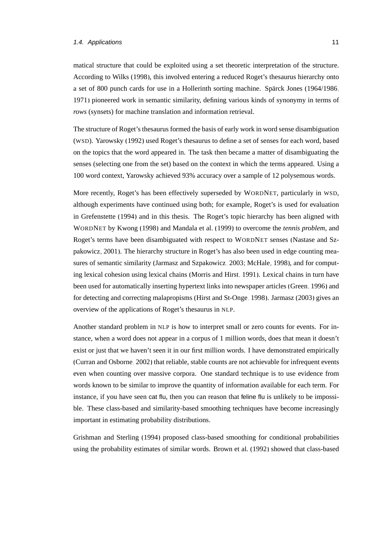#### 1.4. Applications 11

matical structure that could be exploited using a set theoretic interpretation of the structure. According to [Wilks \(1998\)](#page-176-7), this involved entering a reduced Roget's thesaurus hierarchy onto a set of 800 punch cards for use in a Hollerinth sorting machine. Spärck Jones (1964/1986, [1971\)](#page-174-1) pioneered work in semantic similarity, defining various kinds of synonymy in terms of *rows* (synsets) for machine translation and information retrieval.

The structure of Roget's thesaurus formed the basis of early work in word sense disambiguation (WSD). [Yarowsky \(1992\)](#page-176-8) used Roget's thesaurus to define a set of senses for each word, based on the topics that the word appeared in. The task then became a matter of disambiguating the senses (selecting one from the set) based on the context in which the terms appeared. Using a 100 word context, Yarowsky achieved 93% accuracy over a sample of 12 polysemous words.

More recently, Roget's has been effectively superseded by WORDNET, particularly in WSD, although experiments have continued using both; for example, Roget's is used for evaluation in [Grefenstette \(1994\)](#page-165-1) and in this thesis. The Roget's topic hierarchy has been aligned with WORDNET by [Kwong](#page-167-3) [\(1998\)](#page-167-3) and [Mandala et al. \(1999\)](#page-170-2) to overcome the *tennis problem*, and Roget's terms have been disambiguated with respect to WORDNET senses [\(Nastase and Sz](#page-171-0)[pakowicz, 2001\)](#page-171-0). The hierarchy structure in Roget's has also been used in edge counting measures of semantic similarity [\(Jarmasz and Szpakowicz, 2003;](#page-167-4) [McHale, 1998\)](#page-170-3), and for computing lexical cohesion using lexical chains [\(Morris and Hirst, 1991\)](#page-171-1). Lexical chains in turn have been used for automatically inserting hypertext links into newspaper articles [\(Green, 1996\)](#page-165-2) and for detecting and correcting malapropisms [\(Hirst and St-Onge, 1998\)](#page-166-4). [Jarmasz \(2003\)](#page-167-5) gives an overview of the applications of Roget's thesaurus in NLP.

Another standard problem in NLP is how to interpret small or zero counts for events. For instance, when a word does not appear in a corpus of 1 million words, does that mean it doesn't exist or just that we haven't seen it in our first million words. I have demonstrated empirically [\(Curran and Osborne, 2002\)](#page-162-5) that reliable, stable counts are not achievable for infrequent events even when counting over massive corpora. One standard technique is to use evidence from words known to be similar to improve the quantity of information available for each term. For instance, if you have seen cat flu, then you can reason that feline flu is unlikely to be impossible. These class-based and similarity-based smoothing techniques have become increasingly important in estimating probability distributions.

[Grishman and Sterling](#page-165-3) [\(1994\)](#page-165-3) proposed class-based smoothing for conditional probabilities using the probability estimates of similar words. [Brown et al.](#page-160-1) [\(1992\)](#page-160-1) showed that class-based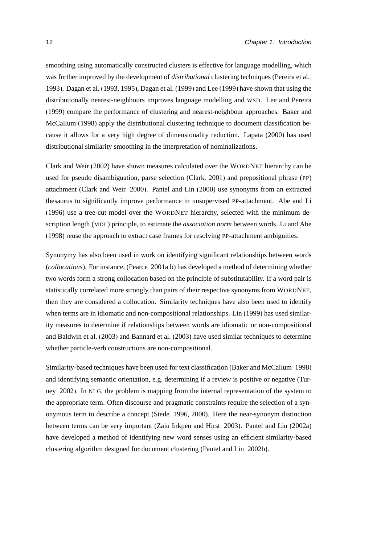smoothing using automatically constructed clusters is effective for language modelling, which was further improved by the development of *distributional* clustering techniques [\(Pereira et al.,](#page-172-1) [1993\)](#page-172-1). [Dagan et al.](#page-163-3) [\(1993,](#page-163-3) [1995\)](#page-163-4), [Dagan et al.](#page-163-5) [\(1999\)](#page-163-5) and [Lee \(1999\)](#page-168-1) have shown that using the distributionally nearest-neighbours improves language modelling and WSD. [Lee and Pereira](#page-168-2) [\(1999\)](#page-168-2) compare the performance of clustering and nearest-neighbour approaches. [Baker and](#page-159-2) [McCallum \(1998\)](#page-159-2) apply the distributional clustering technique to document classification because it allows for a very high degree of dimensionality reduction. [Lapata \(2000\)](#page-168-3) has used distributional similarity smoothing in the interpretation of nominalizations.

[Clark and Weir \(2002\)](#page-161-1) have shown measures calculated over the WORDNET hierarchy can be used for pseudo disambiguation, parse selection [\(Clark, 2001\)](#page-161-2) and prepositional phrase (PP) attachment [\(Clark and Weir, 2000\)](#page-161-3). [Pantel and Lin \(2000\)](#page-171-2) use synonyms from an extracted thesaurus to significantly improve performance in unsupervised PP-attachment. [Abe and Li](#page-158-2) [\(1996\)](#page-158-2) use a tree-cut model over the WORDNET hierarchy, selected with the minimum description length (MDL) principle, to estimate the *association norm* between words. [Li and Abe](#page-169-0) [\(1998\)](#page-169-0) reuse the approach to extract case frames for resolving PP-attachment ambiguities.

Synonymy has also been used in work on identifying significant relationships between words (*collocations*). For instance, [\(Pearce, 2001a](#page-172-2)[,b\)](#page-172-3) has developed a method of determining whether two words form a strong collocation based on the principle of substitutability. If a word pair is statistically correlated more strongly than pairs of their respective synonyms from WORDNET, then they are considered a collocation. Similarity techniques have also been used to identify when terms are in idiomatic and non-compositional relationships. [Lin \(1999\)](#page-169-1) has used similarity measures to determine if relationships between words are idiomatic or non-compositional and [Baldwin et al.](#page-159-3) [\(2003\)](#page-159-3) and [Bannard et al.](#page-159-4) [\(2003\)](#page-159-4) have used similar techniques to determine whether particle-verb constructions are non-compositional.

Similarity-based techniques have been used for text classification [\(Baker and McCallum, 1998\)](#page-159-2) and identifying semantic orientation, e.g. determining if a review is positive or negative [\(Tur](#page-175-4)[ney, 2002\)](#page-175-4). In NLG, the problem is mapping from the internal representation of the system to the appropriate term. Often discourse and pragmatic constraints require the selection of a synonymous term to describe a concept [\(Stede, 1996,](#page-174-0) [2000\)](#page-174-2). Here the near-synonym distinction between terms can be very important [\(Zaiu Inkpen and Hirst, 2003\)](#page-176-3). [Pantel and Lin](#page-171-3) [\(2002a\)](#page-171-3) have developed a method of identifying new word senses using an efficient similarity-based clustering algorithm designed for document clustering [\(Pantel and Lin, 2002b\)](#page-171-4).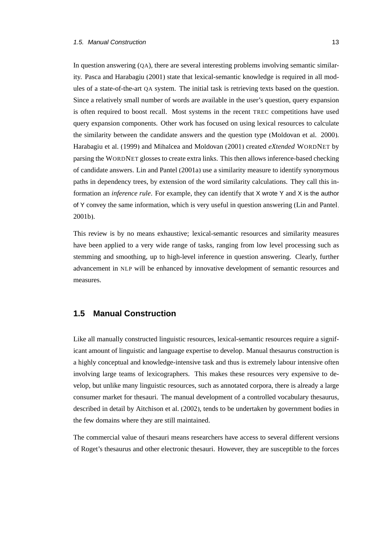In question answering (QA), there are several interesting problems involving semantic similarity. [Pasca and Harabagiu \(2001\)](#page-171-5) state that lexical-semantic knowledge is required in all modules of a state-of-the-art QA system. The initial task is retrieving texts based on the question. Since a relatively small number of words are available in the user's question, query expansion is often required to boost recall. Most systems in the recent TREC competitions have used query expansion components. Other work has focused on using lexical resources to calculate the similarity between the candidate answers and the question type [\(Moldovan et al., 2000\)](#page-171-6). [Harabagiu et al. \(1999\)](#page-165-4) and [Mihalcea and Moldovan \(2001\)](#page-170-4) created *eXtended* WORDNET by parsing the WORDNET glosses to create extra links. This then allows inference-based checking of candidate answers. [Lin and Pantel \(2001a\)](#page-169-2) use a similarity measure to identify synonymous paths in dependency trees, by extension of the word similarity calculations. They call this information an *inference rule*. For example, they can identify that X wrote Y and X is the author of Y convey the same information, which is very useful in question answering [\(Lin and Pantel,](#page-169-3) [2001b\)](#page-169-3).

This review is by no means exhaustive; lexical-semantic resources and similarity measures have been applied to a very wide range of tasks, ranging from low level processing such as stemming and smoothing, up to high-level inference in question answering. Clearly, further advancement in NLP will be enhanced by innovative development of semantic resources and measures.

#### <span id="page-30-0"></span>**1.5 Manual Construction**

Like all manually constructed linguistic resources, lexical-semantic resources require a significant amount of linguistic and language expertise to develop. Manual thesaurus construction is a highly conceptual and knowledge-intensive task and thus is extremely labour intensive often involving large teams of lexicographers. This makes these resources very expensive to develop, but unlike many linguistic resources, such as annotated corpora, there is already a large consumer market for thesauri. The manual development of a controlled vocabulary thesaurus, described in detail by [Aitchison et al. \(2002\)](#page-158-3), tends to be undertaken by government bodies in the few domains where they are still maintained.

The commercial value of thesauri means researchers have access to several different versions of Roget's thesaurus and other electronic thesauri. However, they are susceptible to the forces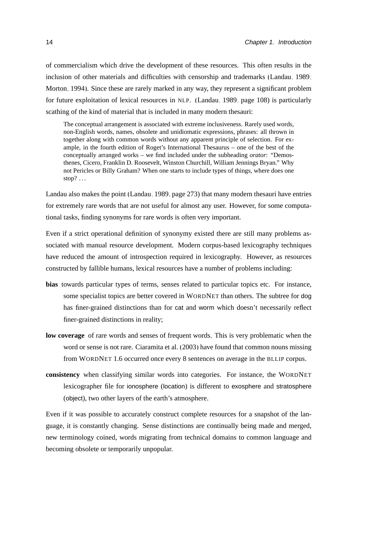of commercialism which drive the development of these resources. This often results in the inclusion of other materials and difficulties with censorship and trademarks [\(Landau, 1989;](#page-167-0) [Morton, 1994\)](#page-171-7). Since these are rarely marked in any way, they represent a significant problem for future exploitation of lexical resources in NLP. [\(Landau, 1989,](#page-167-0) page 108) is particularly scathing of the kind of material that is included in many modern thesauri:

The conceptual arrangement is associated with extreme inclusiveness. Rarely used words, non-English words, names, obsolete and unidiomatic expressions, phrases: all thrown in together along with common words without any apparent principle of selection. For example, in the fourth edition of Roget's International Thesaurus – one of the best of the conceptually arranged works – we find included under the subheading *orator*: "Demosthenes, Cicero, Franklin D. Roosevelt, Winston Churchill, William Jennings Bryan." Why not Pericles or Billy Graham? When one starts to include types of things, where does one stop? $\ldots$ 

Landau also makes the point [\(Landau, 1989,](#page-167-0) page 273) that many modern thesauri have entries for extremely rare words that are not useful for almost any user. However, for some computational tasks, finding synonyms for rare words is often very important.

Even if a strict operational definition of synonymy existed there are still many problems associated with manual resource development. Modern corpus-based lexicography techniques have reduced the amount of introspection required in lexicography. However, as resources constructed by fallible humans, lexical resources have a number of problems including:

- **bias** towards particular types of terms, senses related to particular topics etc. For instance, some specialist topics are better covered in WORDNET than others. The subtree for dog has finer-grained distinctions than for cat and worm which doesn't necessarily reflect finer-grained distinctions in reality;
- **low coverage** of rare words and senses of frequent words. This is very problematic when the word or sense is not rare. [Ciaramita et al.](#page-161-0) [\(2003\)](#page-161-0) have found that common nouns missing from WORDNET 1.6 occurred once every 8 sentences on average in the BLLIP corpus.
- **consistency** when classifying similar words into categories. For instance, the WORDNET lexicographer file for ionosphere (location) is different to exosphere and stratosphere (object), two other layers of the earth's atmosphere.

Even if it was possible to accurately construct complete resources for a snapshot of the language, it is constantly changing. Sense distinctions are continually being made and merged, new terminology coined, words migrating from technical domains to common language and becoming obsolete or temporarily unpopular.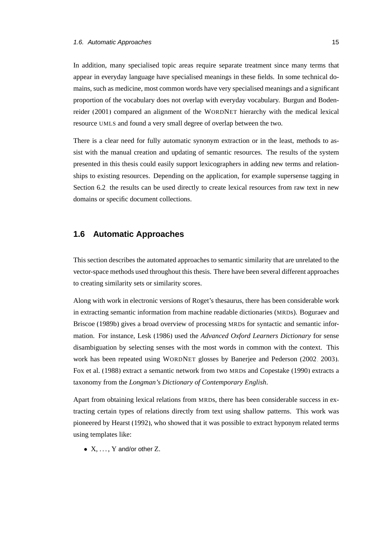In addition, many specialised topic areas require separate treatment since many terms that appear in everyday language have specialised meanings in these fields. In some technical domains, such as medicine, most common words have very specialised meanings and a significant proportion of the vocabulary does not overlap with everyday vocabulary. [Burgun and Boden](#page-160-2)[reider](#page-160-2) [\(2001\)](#page-160-2) compared an alignment of the WORDNET hierarchy with the medical lexical resource UMLS and found a very small degree of overlap between the two.

There is a clear need for fully automatic synonym extraction or in the least, methods to assist with the manual creation and updating of semantic resources. The results of the system presented in this thesis could easily support lexicographers in adding new terms and relationships to existing resources. Depending on the application, for example supersense tagging in Section [6.2,](#page-131-0) the results can be used directly to create lexical resources from raw text in new domains or specific document collections.

#### <span id="page-32-0"></span>**1.6 Automatic Approaches**

This section describes the automated approaches to semantic similarity that are unrelated to the vector-space methods used throughout this thesis. There have been several different approaches to creating similarity sets or similarity scores.

Along with work in electronic versions of Roget's thesaurus, there has been considerable work in extracting semantic information from machine readable dictionaries (MRDs). [Boguraev and](#page-160-3) [Briscoe \(1989b\)](#page-160-3) gives a broad overview of processing MRDs for syntactic and semantic information. For instance, [Lesk \(1986\)](#page-169-4) used the *Advanced Oxford Learners Dictionary* for sense disambiguation by selecting senses with the most words in common with the context. This work has been repeated using WORDNET glosses by [Banerjee and Pederson](#page-159-5) [\(2002,](#page-159-5) [2003\)](#page-159-6). [Fox et al. \(1988\)](#page-164-5) extract a semantic network from two MRDs and [Copestake \(1990\)](#page-161-4) extracts a taxonomy from the *Longman's Dictionary of Contemporary English*.

Apart from obtaining lexical relations from MRDs, there has been considerable success in extracting certain types of relations directly from text using shallow patterns. This work was pioneered by [Hearst \(1992\)](#page-166-5), who showed that it was possible to extract hyponym related terms using templates like:

•  $X, \ldots, Y$  and/or other Z.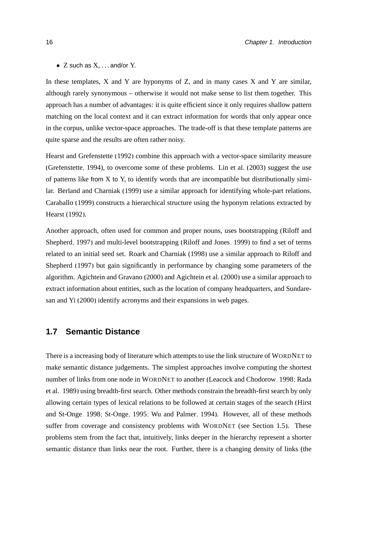$\bullet$  Z such as X,  $\dots$  and/or Y.

In these templates,  $X$  and  $Y$  are hyponyms of  $Z$ , and in many cases  $X$  and  $Y$  are similar, although rarely synonymous – otherwise it would not make sense to list them together. This approach has a number of advantages: it is quite efficient since it only requires shallow pattern matching on the local context and it can extract information for words that only appear once in the corpus, unlike vector-space approaches. The trade-off is that these template patterns are quite sparse and the results are often rather noisy.

[Hearst and Grefenstette \(1992\)](#page-166-6) combine this approach with a vector-space similarity measure [\(Grefenstette, 1994\)](#page-165-1), to overcome some of these problems. [Lin et al. \(2003\)](#page-169-5) suggest the use of patterns like from  $X$  to  $Y$ , to identify words that are incompatible but distributionally similar. [Berland and Charniak](#page-159-7) [\(1999\)](#page-159-7) use a similar approach for identifying whole-part relations. [Caraballo \(1999\)](#page-160-4) constructs a hierarchical structure using the hyponym relations extracted by [Hearst](#page-166-5) [\(1992\)](#page-166-5).

Another approach, often used for common and proper nouns, uses bootstrapping [\(Riloff and](#page-172-4) [Shepherd, 1997\)](#page-172-4) and multi-level bootstrapping [\(Riloff and Jones, 1999\)](#page-172-5) to find a set of terms related to an initial seed set. [Roark and Charniak](#page-172-6) [\(1998\)](#page-172-6) use a similar approach to [Riloff and](#page-172-4) [Shepherd](#page-172-4) [\(1997\)](#page-172-4) but gain significantly in performance by changing some parameters of the algorithm. [Agichtein and Gravano \(2000\)](#page-158-4) and [Agichtein et al.](#page-158-5) [\(2000\)](#page-158-5) use a similar approach to extract information about entities, such as the location of company headquarters, and [Sundare](#page-174-3)[san and Yi \(2000\)](#page-174-3) identify acronyms and their expansions in web pages.

#### <span id="page-33-0"></span>**1.7 Semantic Distance**

There is a increasing body of literature which attempts to use the link structure of WORDNET to make semantic distance judgements. The simplest approaches involve computing the shortest number of links from one node in WORDNET to another [\(Leacock and Chodorow, 1998;](#page-168-4) [Rada](#page-172-7) [et al., 1989\)](#page-172-7) using breadth-first search. Other methods constrain the breadth-first search by only allowing certain types of lexical relations to be followed at certain stages of the search [\(Hirst](#page-166-4) [and St-Onge, 1998;](#page-166-4) [St-Onge, 1995;](#page-174-4) [Wu and Palmer, 1994\)](#page-176-9). However, all of these methods suffer from coverage and consistency problems with WORDNET (see Section [1.5\)](#page-30-0). These problems stem from the fact that, intuitively, links deeper in the hierarchy represent a shorter semantic distance than links near the root. Further, there is a changing density of links (the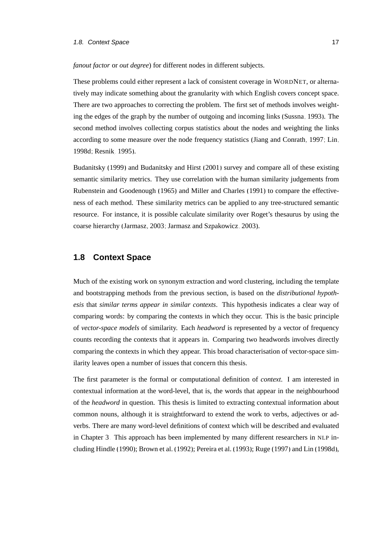#### 1.8. Context Space 17 and 17 and 17 and 17 and 17 and 17 and 17 and 17 and 17 and 17 and 17 and 17 and 17 and 17

#### *fanout factor* or *out degree*) for different nodes in different subjects.

These problems could either represent a lack of consistent coverage in WORDNET, or alternatively may indicate something about the granularity with which English covers concept space. There are two approaches to correcting the problem. The first set of methods involves weighting the edges of the graph by the number of outgoing and incoming links [\(Sussna, 1993\)](#page-174-5). The second method involves collecting corpus statistics about the nodes and weighting the links according to some measure over the node frequency statistics [\(Jiang and Conrath, 1997;](#page-167-6) [Lin,](#page-169-6) [1998d;](#page-169-6) [Resnik, 1995\)](#page-172-8).

[Budanitsky](#page-160-5) [\(1999\)](#page-160-5) and [Budanitsky and Hirst](#page-160-6) [\(2001\)](#page-160-6) survey and compare all of these existing semantic similarity metrics. They use correlation with the human similarity judgements from [Rubenstein and Goodenough \(1965\)](#page-173-3) and [Miller and Charles \(1991\)](#page-170-5) to compare the effectiveness of each method. These similarity metrics can be applied to any tree-structured semantic resource. For instance, it is possible calculate similarity over Roget's thesaurus by using the coarse hierarchy [\(Jarmasz, 2003;](#page-167-5) [Jarmasz and Szpakowicz, 2003\)](#page-167-4).

#### <span id="page-34-0"></span>**1.8 Context Space**

Much of the existing work on synonym extraction and word clustering, including the template and bootstrapping methods from the previous section, is based on the *distributional hypothesis* that *similar terms appear in similar contexts*. This hypothesis indicates a clear way of comparing words: by comparing the contexts in which they occur. This is the basic principle of *vector-space models* of similarity. Each *headword* is represented by a vector of frequency counts recording the contexts that it appears in. Comparing two headwords involves directly comparing the contexts in which they appear. This broad characterisation of vector-space similarity leaves open a number of issues that concern this thesis.

The first parameter is the formal or computational definition of *context*. I am interested in contextual information at the word-level, that is, the words that appear in the neighbourhood of the *headword* in question. This thesis is limited to extracting contextual information about common nouns, although it is straightforward to extend the work to verbs, adjectives or adverbs. There are many word-level definitions of context which will be described and evaluated in Chapter [3.](#page-58-0) This approach has been implemented by many different researchers in NLP including [Hindle \(1990\)](#page-166-7); [Brown et al. \(1992\)](#page-160-1); [Pereira et al. \(1993\)](#page-172-1); [Ruge \(1997\)](#page-173-4) and [Lin](#page-169-6) [\(1998d\)](#page-169-6),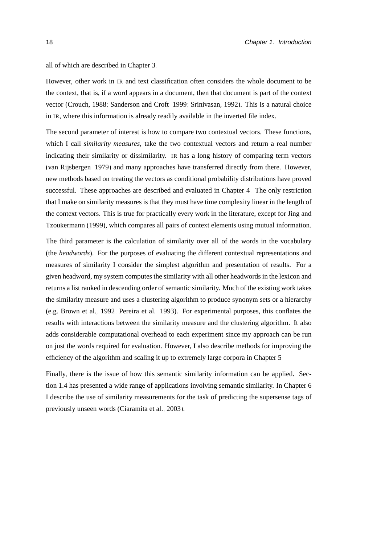all of which are described in Chapter [3.](#page-58-0)

However, other work in IR and text classification often considers the whole document to be the context, that is, if a word appears in a document, then that document is part of the context vector [\(Crouch, 1988;](#page-162-6) [Sanderson and Croft, 1999;](#page-173-5) [Srinivasan, 1992\)](#page-174-6). This is a natural choice in IR, where this information is already readily available in the inverted file index.

The second parameter of interest is how to compare two contextual vectors. These functions, which I call *similarity measures*, take the two contextual vectors and return a real number indicating their similarity or dissimilarity. IR has a long history of comparing term vectors [\(van Rijsbergen, 1979\)](#page-175-2) and many approaches have transferred directly from there. However, new methods based on treating the vectors as conditional probability distributions have proved successful. These approaches are described and evaluated in Chapter [4.](#page-86-0) The only restriction that I make on similarity measures is that they must have time complexity linear in the length of the context vectors. This is true for practically every work in the literature, except for [Jing and](#page-167-2) [Tzoukermann](#page-167-2) [\(1999\)](#page-167-2), which compares all pairs of context elements using mutual information.

The third parameter is the calculation of similarity over all of the words in the vocabulary (the *headwords*). For the purposes of evaluating the different contextual representations and measures of similarity I consider the simplest algorithm and presentation of results. For a given headword, my system computes the similarity with all other headwords in the lexicon and returns a list ranked in descending order of semantic similarity. Much of the existing work takes the similarity measure and uses a clustering algorithm to produce synonym sets or a hierarchy (e.g. [Brown et al., 1992;](#page-160-1) [Pereira et al., 1993\)](#page-172-1). For experimental purposes, this conflates the results with interactions between the similarity measure and the clustering algorithm. It also adds considerable computational overhead to each experiment since my approach can be run on just the words required for evaluation. However, I also describe methods for improving the efficiency of the algorithm and scaling it up to extremely large corpora in Chapter [5.](#page-104-0)

Finally, there is the issue of how this semantic similarity information can be applied. Section [1.4](#page-25-1) has presented a wide range of applications involving semantic similarity. In Chapter [6](#page-126-0) I describe the use of similarity measurements for the task of predicting the supersense tags of previously unseen words [\(Ciaramita et al., 2003\)](#page-161-0).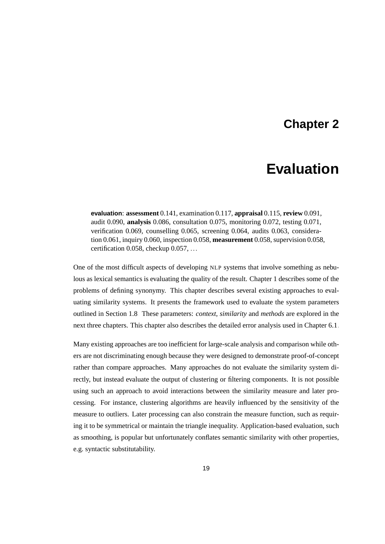# **Chapter 2**

# **Evaluation**

**evaluation**: **assessment** 0.141, examination 0.117, **appraisal** 0.115, **review** 0.091, audit 0.090, **analysis** 0.086, consultation 0.075, monitoring 0.072, testing 0.071, verification 0.069, counselling 0.065, screening 0.064, audits 0.063, consideration 0.061, inquiry 0.060, inspection 0.058, **measurement** 0.058, supervision 0.058, certification 0.058, checkup 0.057, ...

One of the most difficult aspects of developing NLP systems that involve something as nebulous as lexical semantics is evaluating the quality of the result. Chapter [1](#page-18-0) describes some of the problems of defining synonymy. This chapter describes several existing approaches to evaluating similarity systems. It presents the framework used to evaluate the system parameters outlined in Section [1.8.](#page-34-0) These parameters: *context*, *similarity* and *methods* are explored in the next three chapters. This chapter also describes the detailed error analysis used in Chapter [6.1.](#page-127-0)

Many existing approaches are too inefficient for large-scale analysis and comparison while others are not discriminating enough because they were designed to demonstrate proof-of-concept rather than compare approaches. Many approaches do not evaluate the similarity system directly, but instead evaluate the output of clustering or filtering components. It is not possible using such an approach to avoid interactions between the similarity measure and later processing. For instance, clustering algorithms are heavily influenced by the sensitivity of the measure to outliers. Later processing can also constrain the measure function, such as requiring it to be symmetrical or maintain the triangle inequality. Application-based evaluation, such as smoothing, is popular but unfortunately conflates semantic similarity with other properties, e.g. syntactic substitutability.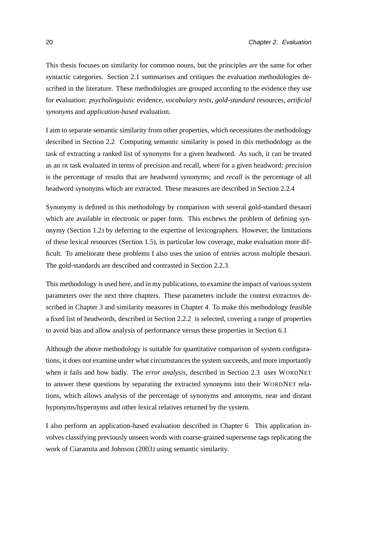This thesis focuses on similarity for common nouns, but the principles are the same for other syntactic categories. Section [2.1](#page-38-0) summarises and critiques the evaluation methodologies described in the literature. These methodologies are grouped according to the evidence they use for evaluation: *psycholinguistic* evidence, *vocabulary tests*, *gold-standard* resources, *artificial synonyms* and *application-based* evaluation.

I aim to separate semantic similarity from other properties, which necessitates the methodology described in Section [2.2.](#page-43-0) Computing semantic similarity is posed in this methodology as the task of extracting a ranked list of synonyms for a given headword. As such, it can be treated as an IR task evaluated in terms of precision and recall, where for a given headword: *precision* is the percentage of results that are headword synonyms; and *recall* is the percentage of all headword synonyms which are extracted. These measures are described in Section [2.2.4.](#page-53-0)

Synonymy is defined in this methodology by comparison with several gold-standard thesauri which are available in electronic or paper form. This eschews the problem of defining synonymy (Section [1.2\)](#page-20-0) by deferring to the expertise of lexicographers. However, the limitations of these lexical resources (Section [1.5\)](#page-30-0), in particular low coverage, make evaluation more difficult. To ameliorate these problems I also uses the union of entries across multiple thesauri. The gold-standards are described and contrasted in Section [2.2.3.](#page-47-0)

This methodology is used here, and in my publications, to examine the impact of various system parameters over the next three chapters. These parameters include the context extractors described in Chapter [3](#page-58-0) and similarity measures in Chapter [4.](#page-86-0) To make this methodology feasible a fixed list of headwords, described in Section [2.2.2,](#page-45-0) is selected, covering a range of properties to avoid bias and allow analysis of performance versus these properties in Section [6.1.](#page-127-0)

Although the above methodology is suitable for quantitative comparison of system configurations, it does not examine under what circumstances the system succeeds, and more importantly when it fails and how badly. The *error analysis*, described in Section [2.3,](#page-54-0) uses WORDNET to answer these questions by separating the extracted synonyms into their WORDNET relations, which allows analysis of the percentage of synonyms and antonyms, near and distant hyponyms/hypernyms and other lexical relatives returned by the system.

I also perform an application-based evaluation described in Chapter [6.](#page-126-0) This application involves classifying previously unseen words with coarse-grained supersense tags replicating the work of [Ciaramita and Johnson \(2003\)](#page-161-0) using semantic similarity.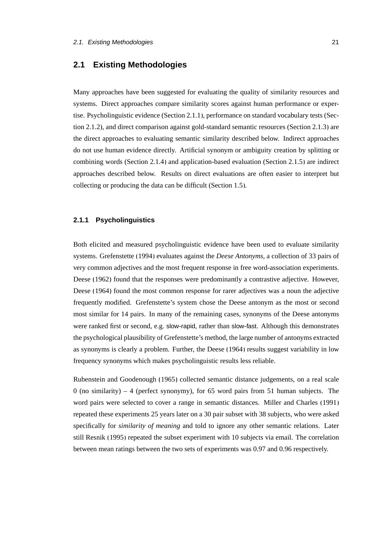## <span id="page-38-0"></span>**2.1 Existing Methodologies**

Many approaches have been suggested for evaluating the quality of similarity resources and systems. Direct approaches compare similarity scores against human performance or expertise. Psycholinguistic evidence (Section [2.1.1\)](#page-38-1), performance on standard vocabulary tests (Section [2.1.2\)](#page-39-0), and direct comparison against gold-standard semantic resources (Section [2.1.3\)](#page-40-0) are the direct approaches to evaluating semantic similarity described below. Indirect approaches do not use human evidence directly. Artificial synonym or ambiguity creation by splitting or combining words (Section [2.1.4\)](#page-41-0) and application-based evaluation (Section [2.1.5\)](#page-43-1) are indirect approaches described below. Results on direct evaluations are often easier to interpret but collecting or producing the data can be difficult (Section [1.5\)](#page-30-0).

#### <span id="page-38-1"></span>**2.1.1 Psycholinguistics**

Both elicited and measured psycholinguistic evidence have been used to evaluate similarity systems. [Grefenstette](#page-165-0) [\(1994\)](#page-165-0) evaluates against the *Deese Antonyms*, a collection of 33 pairs of very common adjectives and the most frequent response in free word-association experiments. [Deese \(1962\)](#page-163-0) found that the responses were predominantly a contrastive adjective. However, [Deese \(1964\)](#page-163-1) found the most common response for rarer adjectives was a noun the adjective frequently modified. Grefenstette's system chose the Deese antonym as the most or second most similar for 14 pairs. In many of the remaining cases, synonyms of the Deese antonyms were ranked first or second, e.g. slow-rapid, rather than slow-fast. Although this demonstrates the psychological plausibility of Grefenstette's method, the large number of antonyms extracted as synonyms is clearly a problem. Further, the [Deese](#page-163-1) [\(1964\)](#page-163-1) results suggest variability in low frequency synonyms which makes psycholinguistic results less reliable.

[Rubenstein and Goodenough \(1965\)](#page-173-0) collected semantic distance judgements, on a real scale 0 (no similarity) – 4 (perfect synonymy), for 65 word pairs from 51 human subjects. The word pairs were selected to cover a range in semantic distances. [Miller and Charles \(1991\)](#page-170-0) repeated these experiments 25 years later on a 30 pair subset with 38 subjects, who were asked specifically for *similarity of meaning* and told to ignore any other semantic relations. Later still [Resnik](#page-172-0) [\(1995\)](#page-172-0) repeated the subset experiment with 10 subjects via email. The correlation between mean ratings between the two sets of experiments was 0.97 and 0.96 respectively.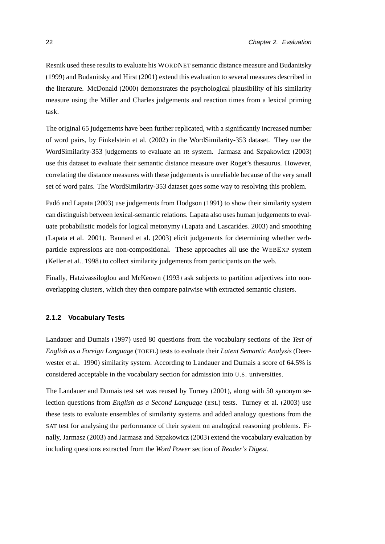[Resnik](#page-172-0) used these results to evaluate his WORDNET semantic distance measure and [Budanitsky](#page-160-0) [\(1999\)](#page-160-0) and [Budanitsky and Hirst \(2001\)](#page-160-1) extend this evaluation to several measures described in the literature. [McDonald](#page-170-1) [\(2000\)](#page-170-1) demonstrates the psychological plausibility of his similarity measure using the [Miller and Charles](#page-170-0) judgements and reaction times from a lexical priming task.

The original 65 judgements have been further replicated, with a significantly increased number of word pairs, by [Finkelstein et al. \(2002\)](#page-164-0) in the WordSimilarity-353 dataset. They use the WordSimilarity-353 judgements to evaluate an IR system. [Jarmasz and Szpakowicz \(2003\)](#page-167-0) use this dataset to evaluate their semantic distance measure over Roget's thesaurus. However, correlating the distance measures with these judgements is unreliable because of the very small set of word pairs. The WordSimilarity-353 dataset goes some way to resolving this problem.

Padó and Lapata (2003) use judgements from [Hodgson](#page-166-0) [\(1991\)](#page-166-0) to show their similarity system can distinguish between lexical-semantic relations. Lapata also uses human judgements to evaluate probabilistic models for logical metonymy [\(Lapata and Lascarides, 2003\)](#page-168-0) and smoothing [\(Lapata et al., 2001\)](#page-168-1). [Bannard et al.](#page-159-0) [\(2003\)](#page-159-0) elicit judgements for determining whether verbparticle expressions are non-compositional. These approaches all use the WEBEXP system [\(Keller et al., 1998\)](#page-167-1) to collect similarity judgements from participants on the web.

Finally, [Hatzivassiloglou and McKeown \(1993\)](#page-166-1) ask subjects to partition adjectives into nonoverlapping clusters, which they then compare pairwise with extracted semantic clusters.

#### <span id="page-39-0"></span>**2.1.2 Vocabulary Tests**

[Landauer and Dumais](#page-167-2) [\(1997\)](#page-167-2) used 80 questions from the vocabulary sections of the *Test of English as a Foreign Language* (TOEFL) tests to evaluate their *Latent Semantic Analysis* [\(Deer](#page-163-2)[wester et al., 1990\)](#page-163-2) similarity system. According to [Landauer and Dumais](#page-167-2) a score of 64.5% is considered acceptable in the vocabulary section for admission into U.S. universities.

The [Landauer and Dumais](#page-167-2) test set was reused by [Turney](#page-175-0) [\(2001\)](#page-175-0), along with 50 synonym selection questions from *English as a Second Language* (ESL) tests. [Turney et al. \(2003\)](#page-175-1) use these tests to evaluate ensembles of similarity systems and added analogy questions from the SAT test for analysing the performance of their system on analogical reasoning problems. Finally, [Jarmasz \(2003\)](#page-167-3) and [Jarmasz and Szpakowicz \(2003\)](#page-167-0) extend the vocabulary evaluation by including questions extracted from the *Word Power* section of *Reader's Digest*.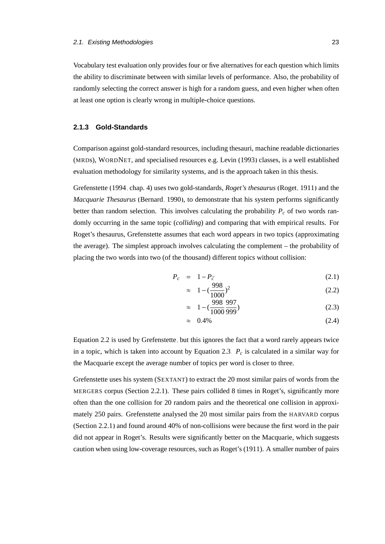Vocabulary test evaluation only provides four or five alternatives for each question which limits the ability to discriminate between with similar levels of performance. Also, the probability of randomly selecting the correct answer is high for a random guess, and even higher when often at least one option is clearly wrong in multiple-choice questions.

#### <span id="page-40-0"></span>**2.1.3 Gold-Standards**

Comparison against gold-standard resources, including thesauri, machine readable dictionaries (MRDs), WORDNET, and specialised resources e.g. [Levin \(1993\)](#page-169-0) classes, is a well established evaluation methodology for similarity systems, and is the approach taken in this thesis.

[Grefenstette \(1994,](#page-165-0) chap. 4) uses two gold-standards, *Roget's thesaurus* [\(Roget, 1911\)](#page-172-1) and the *Macquarie Thesaurus* [\(Bernard, 1990\)](#page-159-1), to demonstrate that his system performs significantly better than random selection. This involves calculating the probability  $P_c$  of two words randomly occurring in the same topic (*colliding*) and comparing that with empirical results. For Roget's thesaurus, [Grefenstette](#page-165-0) assumes that each word appears in two topics (approximating the average). The simplest approach involves calculating the complement – the probability of placing the two words into two (of the thousand) different topics without collision:

 $009$ 

<span id="page-40-1"></span>
$$
P_c = 1 - P_{\bar{c}} \tag{2.1}
$$

$$
\approx 1 - \left(\frac{998}{1000}\right)^2 \tag{2.2}
$$

$$
\approx 1 - \left(\frac{998}{1000}\frac{997}{999}\right) \tag{2.3}
$$

$$
\approx 0.4\% \tag{2.4}
$$

Equation [2.2](#page-40-1) is used by [Grefenstette,](#page-165-0) but this ignores the fact that a word rarely appears twice in a topic, which is taken into account by Equation [2.3.](#page-40-1)  $P_c$  is calculated in a similar way for the Macquarie except the average number of topics per word is closer to three.

[Grefenstette](#page-165-0) uses his system (SEXTANT) to extract the 20 most similar pairs of words from the MERGERS corpus (Section [2.2.1\)](#page-44-0). These pairs collided 8 times in Roget's, significantly more often than the one collision for 20 random pairs and the theoretical one collision in approximately 250 pairs. Grefenstette analysed the 20 most similar pairs from the HARVARD corpus (Section [2.2.1\)](#page-44-0) and found around 40% of non-collisions were because the first word in the pair did not appear in Roget's. Results were significantly better on the Macquarie, which suggests caution when using low-coverage resources, such as Roget's (1911). A smaller number of pairs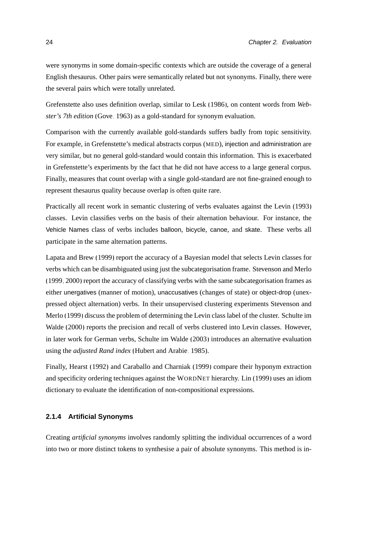were synonyms in some domain-specific contexts which are outside the coverage of a general English thesaurus. Other pairs were semantically related but not synonyms. Finally, there were the several pairs which were totally unrelated.

[Grefenstette](#page-165-0) also uses definition overlap, similar to [Lesk](#page-169-1) [\(1986\)](#page-169-1), on content words from *Webster's 7th edition* [\(Gove, 1963\)](#page-165-1) as a gold-standard for synonym evaluation.

Comparison with the currently available gold-standards suffers badly from topic sensitivity. For example, in Grefenstette's medical abstracts corpus (MED), injection and administration are very similar, but no general gold-standard would contain this information. This is exacerbated in Grefenstette's experiments by the fact that he did not have access to a large general corpus. Finally, measures that count overlap with a single gold-standard are not fine-grained enough to represent thesaurus quality because overlap is often quite rare.

Practically all recent work in semantic clustering of verbs evaluates against the [Levin \(1993\)](#page-169-0) classes. Levin classifies verbs on the basis of their alternation behaviour. For instance, the Vehicle Names class of verbs includes balloon, bicycle, canoe, and skate. These verbs all participate in the same alternation patterns.

[Lapata and Brew \(1999\)](#page-168-2) report the accuracy of a Bayesian model that selects Levin classes for verbs which can be disambiguated using just the subcategorisation frame. [Stevenson and Merlo](#page-174-0) [\(1999,](#page-174-0) [2000\)](#page-174-1) report the accuracy of classifying verbs with the same subcategorisation frames as either unergatives (manner of motion), unaccusatives (changes of state) or object-drop (unexpressed object alternation) verbs. In their unsupervised clustering experiments [Stevenson and](#page-174-0) [Merlo \(1999\)](#page-174-0) discuss the problem of determining the Levin class label of the cluster. [Schulte im](#page-173-1) [Walde \(2000\)](#page-173-1) reports the precision and recall of verbs clustered into Levin classes. However, in later work for German verbs, [Schulte im Walde \(2003\)](#page-173-2) introduces an alternative evaluation using the *adjusted Rand index* [\(Hubert and Arabie, 1985\)](#page-166-2).

Finally, [Hearst \(1992\)](#page-166-3) and [Caraballo and Charniak](#page-161-1) [\(1999\)](#page-161-1) compare their hyponym extraction and specificity ordering techniques against the WORDNET hierarchy. [Lin](#page-169-2) [\(1999\)](#page-169-2) uses an idiom dictionary to evaluate the identification of non-compositional expressions.

#### <span id="page-41-0"></span>**2.1.4 Artificial Synonyms**

Creating *artificial synonyms* involves randomly splitting the individual occurrences of a word into two or more distinct tokens to synthesise a pair of absolute synonyms. This method is in-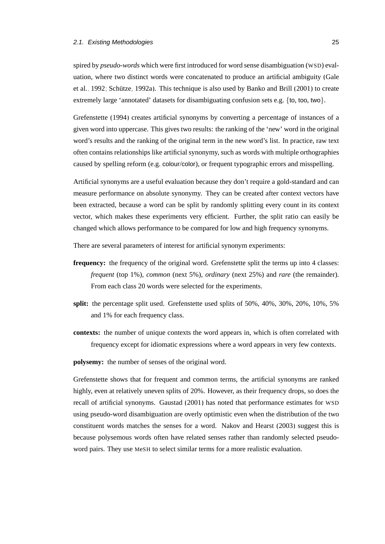#### 2.1. Existing Methodologies 25

spired by *pseudo-words* which were first introduced for word sense disambiguation (WSD) evaluation, where two distinct words were concatenated to produce an artificial ambiguity [\(Gale](#page-164-1) [et al., 1992;](#page-164-1) Schütze, 1992a). This technique is also used by [Banko and Brill \(2001\)](#page-159-2) to create extremely large 'annotated' datasets for disambiguating confusion sets e.g. {to, too, two}.

[Grefenstette \(1994\)](#page-165-0) creates artificial synonyms by converting a percentage of instances of a given word into uppercase. This gives two results: the ranking of the 'new' word in the original word's results and the ranking of the original term in the new word's list. In practice, raw text often contains relationships like artificial synonymy, such as words with multiple orthographies caused by spelling reform (e.g. colour/color), or frequent typographic errors and misspelling.

Artificial synonyms are a useful evaluation because they don't require a gold-standard and can measure performance on absolute synonymy. They can be created after context vectors have been extracted, because a word can be split by randomly splitting every count in its context vector, which makes these experiments very efficient. Further, the split ratio can easily be changed which allows performance to be compared for low and high frequency synonyms.

There are several parameters of interest for artificial synonym experiments:

- **frequency:** the frequency of the original word. Grefenstette split the terms up into 4 classes: *frequent* (top 1%), *common* (next 5%), *ordinary* (next 25%) and *rare* (the remainder). From each class 20 words were selected for the experiments.
- **split:** the percentage split used. Grefenstette used splits of 50%, 40%, 30%, 20%, 10%, 5% and 1% for each frequency class.
- **contexts:** the number of unique contexts the word appears in, which is often correlated with frequency except for idiomatic expressions where a word appears in very few contexts.

**polysemy:** the number of senses of the original word.

Grefenstette shows that for frequent and common terms, the artificial synonyms are ranked highly, even at relatively uneven splits of 20%. However, as their frequency drops, so does the recall of artificial synonyms. [Gaustad \(2001\)](#page-164-2) has noted that performance estimates for WSD using pseudo-word disambiguation are overly optimistic even when the distribution of the two constituent words matches the senses for a word. [Nakov and Hearst \(2003\)](#page-171-1) suggest this is because polysemous words often have related senses rather than randomly selected pseudoword pairs. They use MeSH to select similar terms for a more realistic evaluation.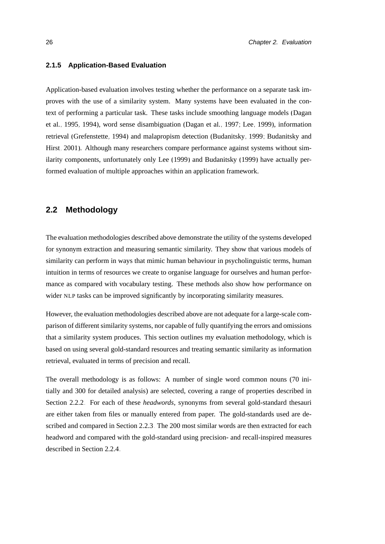#### <span id="page-43-1"></span>**2.1.5 Application-Based Evaluation**

Application-based evaluation involves testing whether the performance on a separate task improves with the use of a similarity system. Many systems have been evaluated in the context of performing a particular task. These tasks include smoothing language models [\(Dagan](#page-163-3) [et al., 1995,](#page-163-3) [1994\)](#page-163-4), word sense disambiguation [\(Dagan et al., 1997;](#page-163-5) [Lee, 1999\)](#page-168-3), information retrieval [\(Grefenstette, 1994\)](#page-165-0) and malapropism detection [\(Budanitsky, 1999;](#page-160-0) [Budanitsky and](#page-160-1) [Hirst, 2001\)](#page-160-1). Although many researchers compare performance against systems without similarity components, unfortunately only [Lee](#page-168-3) [\(1999\)](#page-168-3) and [Budanitsky](#page-160-0) [\(1999\)](#page-160-0) have actually performed evaluation of multiple approaches within an application framework.

## <span id="page-43-0"></span>**2.2 Methodology**

The evaluation methodologies described above demonstrate the utility of the systems developed for synonym extraction and measuring semantic similarity. They show that various models of similarity can perform in ways that mimic human behaviour in psycholinguistic terms, human intuition in terms of resources we create to organise language for ourselves and human performance as compared with vocabulary testing. These methods also show how performance on wider NLP tasks can be improved significantly by incorporating similarity measures.

However, the evaluation methodologies described above are not adequate for a large-scale comparison of different similarity systems, nor capable of fully quantifying the errors and omissions that a similarity system produces. This section outlines my evaluation methodology, which is based on using several gold-standard resources and treating semantic similarity as information retrieval, evaluated in terms of precision and recall.

The overall methodology is as follows: A number of single word common nouns (70 initially and 300 for detailed analysis) are selected, covering a range of properties described in Section [2.2.2.](#page-45-0) For each of these *headwords*, synonyms from several gold-standard thesauri are either taken from files or manually entered from paper. The gold-standards used are described and compared in Section [2.2.3.](#page-47-0) The 200 most similar words are then extracted for each headword and compared with the gold-standard using precision- and recall-inspired measures described in Section [2.2.4.](#page-53-0)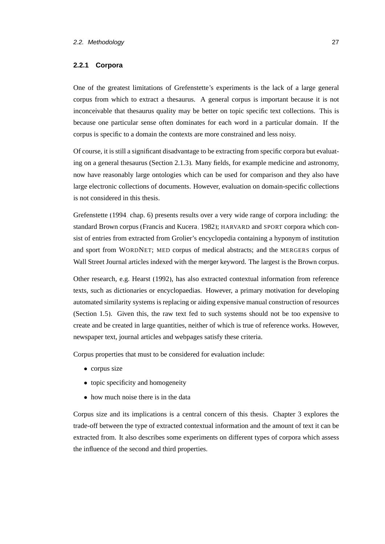#### <span id="page-44-0"></span>**2.2.1 Corpora**

One of the greatest limitations of [Grefenstette'](#page-165-0)s experiments is the lack of a large general corpus from which to extract a thesaurus. A general corpus is important because it is not inconceivable that thesaurus quality may be better on topic specific text collections. This is because one particular sense often dominates for each word in a particular domain. If the corpus is specific to a domain the contexts are more constrained and less noisy.

Of course, it is still a significant disadvantage to be extracting from specific corpora but evaluating on a general thesaurus (Section [2.1.3\)](#page-40-0). Many fields, for example medicine and astronomy, now have reasonably large ontologies which can be used for comparison and they also have large electronic collections of documents. However, evaluation on domain-specific collections is not considered in this thesis.

[Grefenstette \(1994,](#page-165-0) chap. 6) presents results over a very wide range of corpora including: the standard Brown corpus [\(Francis and Kucera, 1982\)](#page-164-3); HARVARD and SPORT corpora which consist of entries from extracted from Grolier's encyclopedia containing a hyponym of institution and sport from WORDNET; MED corpus of medical abstracts; and the MERGERS corpus of Wall Street Journal articles indexed with the merger keyword. The largest is the Brown corpus.

Other research, e.g. [Hearst \(1992\)](#page-166-3), has also extracted contextual information from reference texts, such as dictionaries or encyclopaedias. However, a primary motivation for developing automated similarity systems is replacing or aiding expensive manual construction of resources (Section [1.5\)](#page-30-0). Given this, the raw text fed to such systems should not be too expensive to create and be created in large quantities, neither of which is true of reference works. However, newspaper text, journal articles and webpages satisfy these criteria.

Corpus properties that must to be considered for evaluation include:

- corpus size
- topic specificity and homogeneity
- how much noise there is in the data

Corpus size and its implications is a central concern of this thesis. Chapter [3](#page-58-0) explores the trade-off between the type of extracted contextual information and the amount of text it can be extracted from. It also describes some experiments on different types of corpora which assess the influence of the second and third properties.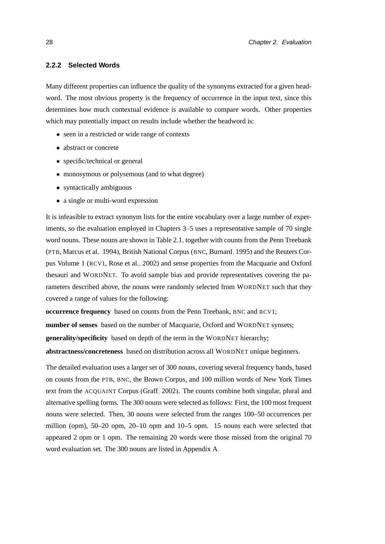#### <span id="page-45-0"></span>**2.2.2 Selected Words**

Many different properties can influence the quality of the synonyms extracted for a given headword. The most obvious property is the frequency of occurrence in the input text, since this determines how much contextual evidence is available to compare words. Other properties which may potentially impact on results include whether the headword is:

- seen in a restricted or wide range of contexts
- abstract or concrete
- specific/technical or general
- monosymous or polysemous (and to what degree)
- syntactically ambiguous
- a single or multi-word expression

It is infeasible to extract synonym lists for the entire vocabulary over a large number of experiments, so the evaluation employed in Chapters [3](#page-58-0)[–5](#page-104-0) uses a representative sample of 70 single word nouns. These nouns are shown in Table [2.1,](#page-45-1) together with counts from the Penn Treebank (PTB, [Marcus et al., 1994\)](#page-170-2), British National Corpus (BNC, [Burnard, 1995\)](#page-160-2) and the Reuters Corpus Volume 1 (RCV1, [Rose et al., 2002\)](#page-173-4) and sense properties from the Macquarie and Oxford thesauri and WORDNET. To avoid sample bias and provide representatives covering the parameters described above, the nouns were randomly selected from WORDNET such that they covered a range of values for the following:

**occurrence frequency** based on counts from the Penn Treebank, BNC and RCV1;

**number of senses** based on the number of Macquarie, Oxford and WORDNET synsets;

**generality/specificity** based on depth of the term in the WORDNET hierarchy;

**abstractness/concreteness** based on distribution across all WORDNET unique beginners.

<span id="page-45-1"></span>The detailed evaluation uses a larger set of 300 nouns, covering several frequency bands, based on counts from the PTB, BNC, the Brown Corpus, and 100 million words of New York Times text from the ACQUAINT Corpus [\(Graff, 2002\)](#page-165-2). The counts combine both singular, plural and alternative spelling forms. The 300 nouns were selected as follows: First, the 100 most frequent nouns were selected. Then, 30 nouns were selected from the ranges 100–50 occurrences per million (opm), 50–20 opm, 20–10 opm and 10–5 opm. 15 nouns each were selected that appeared 2 opm or 1 opm. The remaining 20 words were those missed from the original 70 word evaluation set. The 300 nouns are listed in Appendix [A.](#page-146-0)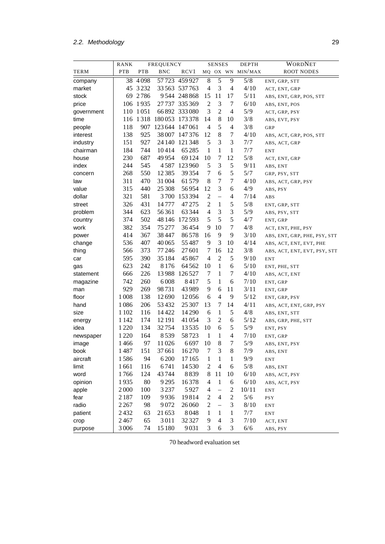# 2.2. Methodology 29

|            | RANK       | <b>FREQUENCY</b> |                 | <b>SENSES</b>  |                          | <b>DEPTH</b>             | WORDNET          |                  |                              |
|------------|------------|------------------|-----------------|----------------|--------------------------|--------------------------|------------------|------------------|------------------------------|
| TERM       | <b>PTB</b> | PTB              | <b>BNC</b>      | RCV1           |                          |                          |                  | MQ OX WN MIN/MAX | ROOT NODES                   |
| company    | 38         | 4098             | 57723           | 459 927        | 8                        | $\overline{5}$           | 9                | 5/8              | ENT, GRP, STT                |
| market     |            | 45 3 2 3 2       |                 | 33 563 537 763 | $\overline{4}$           | 3                        | 4                | 4/10             | ACT, ENT, GRP                |
| stock      | 69         | 2786             |                 | 9544 248 868   | 15                       | 11                       | 17               | 5/11             | ABS, ENT, GRP, POS, STT      |
| price      | 106        | 1935             |                 | 27737 335 369  | $\overline{2}$           | 3                        | 7                | 6/10             | ABS, ENT, POS                |
| government | 110        | 1051             |                 | 66 892 333 080 | 3                        | $\overline{2}$           | 4                | 5/9              | ACT, GRP, PSY                |
| time       |            | 116 1318         | 180053 173378   |                | 14                       | 8                        | 10               | 3/8              | ABS, EVT, PSY                |
| people     | 118        | 907              | 123 644 147 061 |                | $\overline{4}$           | 5                        | $\overline{4}$   | 3/8              | GRP                          |
| interest   | 138        | 925              |                 | 38 007 147 376 | 12                       | $\,$ 8 $\,$              | $\tau$           | 4/10             | ABS, ACT, GRP, POS, STT      |
| industry   | 151        | 927              |                 | 24 140 121 348 | 5                        | 3                        | 3                | 7/7              | ABS, ACT, GRP                |
| chairman   | 184        | 744              | 10414           | 65 28 5        | 1                        | 1                        | 1                | 7/7              | <b>ENT</b>                   |
| house      | 230        | 687              | 49954           | 69 1 24        | 10                       | 7                        | 12               | 5/8              | ACT, ENT, GRP                |
| index      | 244        | 545              | 4587            | 123 960        | 5                        | 3                        | 5                | 9/11             | ABS, ENT                     |
| concern    | 268        | 550              | 12385           | 39 3 54        | $\tau$                   | 6                        | 5                | 5/7              | GRP, PSY, STT                |
| law        | 311        | 470              | 31 004          | 61 579         | 8                        | 7                        | $\tau$           | 4/10             | ABS, ACT, GRP, PSY           |
| value      | 315        | 440              | 25 308          | 56954          | 12                       | 3                        | 6                | 4/9              | ABS, PSY                     |
| dollar     | 321        | 581              | 3700            | 153 394        | $\overline{2}$           | $\overline{\phantom{0}}$ | $\overline{4}$   | 7/14             | ABS                          |
| street     | 326        | 431              | 14777           | 47 27 5        | $\overline{2}$           | 1                        | 5                | 5/8              | ENT, GRP, STT                |
| problem    | 344        | 623              | 56361           | 63 3 44        | $\overline{4}$           | 3                        | 3                | 5/9              | ABS, PSY, STT                |
| country    | 374        | 502              | 48 14 6         | 172 593        | 5                        | 5                        | 5                | 4/7              | ENT, GRP                     |
| work       | 382        | 354              | 75 277          | 36454          | 9                        | 10                       | 7                | 4/8              | ACT, ENT, PHE, PSY           |
| power      | 414        | 367              | 38447           | 86578          | 16                       | 9                        | 9                | 3/10             | ABS, ENT, GRP, PHE, PSY, STT |
| change     | 536        | 407              | 40065           | 55487          | 9                        | 3                        | 10               | 4/14             | ABS, ACT, ENT, EVT, PHE      |
| thing      | 566        | 373              | 77246           | 27 601         | 7                        | 16                       | 12               | 3/8              | ABS, ACT, ENT, EVT, PSY, STT |
| car        | 595        | 390              | 35184           | 45 867         | $\overline{4}$           | $\overline{c}$           | $\mathfrak s$    | 9/10             | <b>ENT</b>                   |
| gas        | 623        | 242              | 8176            | 64 5 62        | 10                       | 1                        | 6                | 5/10             | ENT, PHE, STT                |
| statement  | 666        | 226              | 13988           | 126527         | 7                        | 1                        | 7                | 4/10             | ABS, ACT, ENT                |
| magazine   | 742        | 260              | 6008            | 8417           | 5                        | 1                        | 6                | 7/10             | ENT, GRP                     |
| man        | 929        | 269              | 98731           | 43989          | 9                        | 6                        | 11               | 3/11             | ENT, GRP                     |
| floor      | 1008       | 138              | 12690           | 12056          | 6                        | $\overline{4}$           | 9                | 5/12             | ENT, GRP, PSY                |
| hand       | 1086       | 206              | 53432           | 25 307         | 13                       | 7                        | 14               | 4/11             | ABS, ACT, ENT, GRP, PSY      |
| size       | 1 1 0 2    | 116              | 14422           | 14 2 9 0       | 6                        | 1                        | 5                | 4/8              | ABS, ENT, STT                |
| energy     | 1 1 4 2    | 174              | 12 19 1         | 41 0 54        | 3                        | $\overline{c}$           | 6                | 5/12             | ABS, GRP, PHE, STT           |
| idea       | 1220       | 134              | 32754           | 13535          | 10                       | 6                        | $\mathfrak s$    | 5/9              | ENT, PSY                     |
| newspaper  | 1220       | 164              | 8539            | 58723          | 1                        | 1                        | 4                | 7/10             | ENT, GRP                     |
| image      | 1466       | 97               | 11026           | 6697           | 10                       | 8                        | 7                | 5/9              | ABS, ENT, PSY                |
| book       | 1487       | 151              | 37661           | 16270          | 7                        | 3                        | 8                | 7/9              | ABS, ENT                     |
| aircraft   | 1586       | 94               | 6200            | 17165          | 1                        | 1                        | 1                | 9/9              | <b>ENT</b>                   |
| limit      | 1661       | 116              | 6741            | 14530          | 2                        | 4                        | 6                | 5/8              | ABS, ENT                     |
| word       | 1766       | 124              | 43744           | 8839           | 8                        | 11                       | 10               | 6/10             | ABS, ACT, PSY                |
| opinion    | 1935       | 80               | 9295            | 16378          | $\overline{\mathcal{A}}$ | $\mathbf{1}$             | $\boldsymbol{6}$ | 6/10             | ABS, ACT, PSY                |
| apple      | 2000       | 100              | 3237            | 5927           | 4                        | $\overline{\phantom{0}}$ | $\mathfrak{2}$   | 10/11            | <b>ENT</b>                   |
| fear       | 2187       | 109              | 9936            | 19814          | 2                        | $\overline{4}$           | $\boldsymbol{2}$ | 5/6              | PSY                          |
| radio      | 2 2 6 7    | 98               | 9072            | 26 060         | $\mathbf{2}$             | $\overline{\phantom{0}}$ | 3                | 8/10             | <b>ENT</b>                   |
| patient    | 2432       | 63               | 21653           | 8048           | $\mathbf{1}$             | 1                        | $\mathbf{1}$     | 7/7              | <b>ENT</b>                   |
| crop       | 2467       | 65               | 3011            | 32 3 27        | 9                        | 4                        | $\mathfrak{Z}$   | $7/10$           | ACT, ENT                     |
| purpose    | 3006       | 74               | 15 180          | 9031           | 3                        | 6                        | $\mathfrak{Z}$   | 6/6              | ABS, PSY                     |

70 headword evaluation set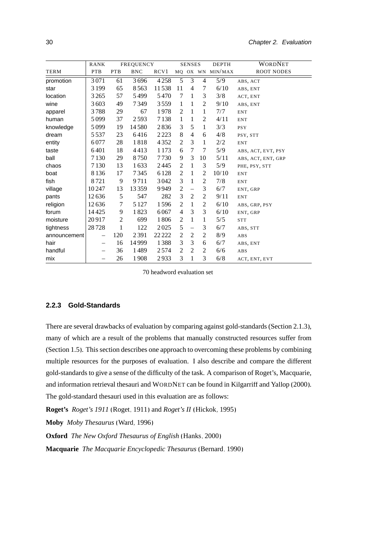|              | <b>RANK</b> |                | <b>FREQUENCY</b> |          |                | <b>SENSES</b>            |                | <b>DEPTH</b>     | WORDNET            |
|--------------|-------------|----------------|------------------|----------|----------------|--------------------------|----------------|------------------|--------------------|
| <b>TERM</b>  | <b>PTB</b>  | <b>PTB</b>     | <b>BNC</b>       | RCV1     |                |                          |                | MQ OX WN MIN/MAX | <b>ROOT NODES</b>  |
| promotion    | 3071        | 61             | 3696             | 4258     | 5              | 3                        | 4              | 5/9              | ABS, ACT           |
| star         | 3 1 9 9     | 65             | 8563             | 11538    | 11             | $\overline{4}$           | 7              | 6/10             | ABS, ENT           |
| location     | 3 2 6 5     | 57             | 5499             | 5470     | 7              | 1                        | 3              | 3/8              | ACT, ENT           |
| wine         | 3603        | 49             | 7349             | 3559     | 1              | 1                        | 2              | 9/10             | ABS, ENT           |
| apparel      | 3788        | 29             | 67               | 1978     | 2              | 1                        | $\mathbf{1}$   | 7/7              | <b>ENT</b>         |
| human        | 5099        | 37             | 2593             | 7138     | $\mathbf{1}$   | 1                        | $\mathfrak{2}$ | 4/11             | <b>ENT</b>         |
| knowledge    | 5099        | 19             | 14580            | 2836     | $\mathfrak{Z}$ | 5                        | $\mathbf{1}$   | 3/3              | <b>PSY</b>         |
| dream        | 5537        | 23             | 6416             | 2223     | 8              | $\overline{\mathcal{A}}$ | 6              | 4/8              | PSY, STT           |
| entity       | 6077        | 28             | 1818             | 4352     | 2              | 3                        | $\mathbf{1}$   | 2/2              | <b>ENT</b>         |
| taste        | 6401        | 18             | 4413             | 1 1 7 3  | 6              | 7                        | 7              | 5/9              | ABS, ACT, EVT, PSY |
| ball         | 7 1 3 0     | 29             | 8750             | 7730     | 9              | 3                        | 10             | 5/11             | ABS, ACT, ENT, GRP |
| chaos        | 7 1 3 0     | 13             | 1633             | 2445     | 2              | 1                        | 3              | 5/9              | PHE, PSY, STT      |
| boat         | 8136        | 17             | 7345             | 6128     | $\mathfrak{2}$ | 1                        | 2              | 10/10            | <b>ENT</b>         |
| fish         | 8721        | 9              | 9711             | 3042     | 3              | $\mathbf{1}$             | $\mathbf{2}$   | 7/8              | <b>ENT</b>         |
| village      | 10247       | 13             | 13359            | 9949     | $\sqrt{2}$     |                          | 3              | 6/7              | ENT, GRP           |
| pants        | 12636       | 5              | 547              | 282      | $\mathfrak{Z}$ | 2                        | $\mathfrak{2}$ | 9/11             | <b>ENT</b>         |
| religion     | 12636       | 7              | 5 1 2 7          | 1596     | $\overline{c}$ | 1                        | $\overline{c}$ | 6/10             | ABS, GRP, PSY      |
| forum        | 14425       | 9              | 1823             | 6067     | $\overline{4}$ | 3                        | 3              | 6/10             | ENT, GRP           |
| moisture     | 20917       | $\mathfrak{2}$ | 699              | 1806     | $\overline{c}$ | 1                        | 1              | 5/5              | <b>STT</b>         |
| tightness    | 28728       | $\mathbf{1}$   | 122              | 2025     | $\sqrt{5}$     | $\overline{\phantom{0}}$ | 3              | 6/7              | ABS, STT           |
| announcement | —           | 120            | 2391             | 22 2 2 2 | $\sqrt{2}$     | $\overline{2}$           | $\overline{c}$ | 8/9              | ABS                |
| hair         | -           | 16             | 14999            | 1388     | 3              | 3                        | 6              | 6/7              | ABS, ENT           |
| handful      | -           | 36             | 1489             | 2574     | $\mathfrak{2}$ | $\overline{2}$           | 2              | 6/6              | ABS                |
| mix          | -           | 26             | 1908             | 2933     | 3              | 1                        | 3              | 6/8              | ACT, ENT, EVT      |

70 headword evaluation set

#### <span id="page-47-0"></span>**2.2.3 Gold-Standards**

There are several drawbacks of evaluation by comparing against gold-standards (Section [2.1.3\)](#page-40-0), many of which are a result of the problems that manually constructed resources suffer from (Section [1.5\)](#page-30-0). This section describes one approach to overcoming these problems by combining multiple resources for the purposes of evaluation. I also describe and compare the different gold-standards to give a sense of the difficulty of the task. A comparison of Roget's, Macquarie, and information retrieval thesauri and WORDNET can be found in [Kilgarriff and Yallop](#page-167-4) [\(2000\)](#page-167-4). The gold-standard thesauri used in this evaluation are as follows:

**Roget's** *Roget's 1911* [\(Roget, 1911\)](#page-172-1) and *Roget's II* [\(Hickok, 1995\)](#page-166-4)

**Moby** *Moby Thesaurus* [\(Ward, 1996\)](#page-175-2)

**Oxford** *The New Oxford Thesaurus of English* [\(Hanks, 2000\)](#page-165-3)

**Macquarie** *The Macquarie Encyclopedic Thesaurus* [\(Bernard, 1990\)](#page-159-1)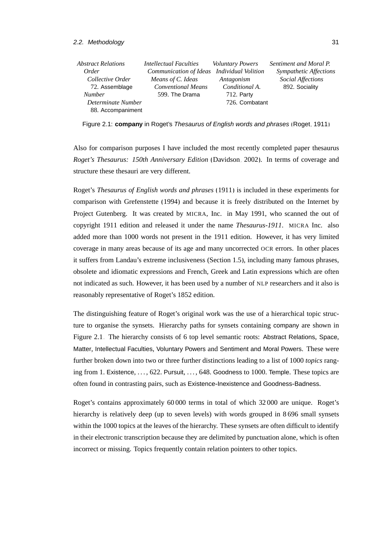#### 2.2. Methodology 31

| Abstract Relations | Intellectual Faculties    | <b>Voluntary Powers</b> | Sentiment and Moral P. |
|--------------------|---------------------------|-------------------------|------------------------|
| <i>Order</i>       | Communication of Ideas    | Individual Volition     | Sympathetic Affections |
| Collective Order   | Means of C. Ideas         | Antagonism              | Social Affections      |
| 72. Assemblage     | <b>Conventional Means</b> | Conditional A.          | 892. Sociality         |
| <b>Number</b>      | 599. The Drama            | $712.$ Party            |                        |
| Determinate Number |                           | 726. Combatant          |                        |
| 88. Accompaniment  |                           |                         |                        |

<span id="page-48-0"></span>Figure 2.1: **company** in Roget's Thesaurus of English words and phrases [\(Roget, 1911\)](#page-172-1)

Also for comparison purposes I have included the most recently completed paper thesaurus *Roget's Thesaurus: 150th Anniversary Edition* [\(Davidson, 2002\)](#page-163-6). In terms of coverage and structure these thesauri are very different.

Roget's *Thesaurus of English words and phrases* [\(1911\)](#page-172-1) is included in these experiments for comparison with [Grefenstette \(1994\)](#page-165-0) and because it is freely distributed on the Internet by Project Gutenberg. It was created by MICRA, Inc. in May 1991, who scanned the out of copyright 1911 edition and released it under the name *Thesaurus-1911*. MICRA Inc. also added more than 1000 words not present in the 1911 edition. However, it has very limited coverage in many areas because of its age and many uncorrected OCR errors. In other places it suffers from Landau's extreme inclusiveness (Section [1.5\)](#page-30-0), including many famous phrases, obsolete and idiomatic expressions and French, Greek and Latin expressions which are often not indicated as such. However, it has been used by a number of NLP researchers and it also is reasonably representative of Roget's 1852 edition.

The distinguishing feature of Roget's original work was the use of a hierarchical topic structure to organise the synsets. Hierarchy paths for synsets containing company are shown in Figure [2.1.](#page-48-0) The hierarchy consists of 6 top level semantic roots: Abstract Relations, Space, Matter, Intellectual Faculties, Voluntary Powers and Sentiment and Moral Powers. These were further broken down into two or three further distinctions leading to a list of 1000 *topics* ranging from 1. Existence, ..., 622. Pursuit, ..., 648. Goodness to 1000. Temple. These topics are often found in contrasting pairs, such as Existence-Inexistence and Goodness-Badness.

Roget's contains approximately 60 000 terms in total of which 32 000 are unique. Roget's hierarchy is relatively deep (up to seven levels) with words grouped in 8 696 small synsets within the 1000 topics at the leaves of the hierarchy. These synsets are often difficult to identify in their electronic transcription because they are delimited by punctuation alone, which is often incorrect or missing. Topics frequently contain relation pointers to other topics.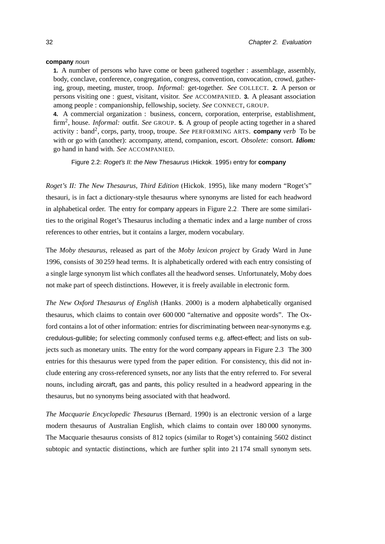#### **company** *noun*

**1.** A number of persons who have come or been gathered together : assemblage, assembly, body, conclave, conference, congregation, congress, convention, convocation, crowd, gathering, group, meeting, muster, troop. *Informal:* get-together. *See* COLLECT. **2.** A person or persons visiting one : guest, visitant, visitor. *See* ACCOMPANIED. **3.** A pleasant association among people : companionship, fellowship, society. *See* CONNECT, GROUP.

**4.** A commercial organization : business, concern, corporation, enterprise, establishment, firm<sup>2</sup> , house. *Informal:* outfit. *See* GROUP. **5.** A group of people acting together in a shared activity : band<sup>2</sup>, corps, party, troop, troupe. *See* PERFORMING ARTS. **company** *verb* To be with or go with (another): accompany, attend, companion, escort. *Obsolete:* consort. *Idiom:* go hand in hand with. *See* ACCOMPANIED.

<span id="page-49-0"></span>Figure 2.2: Roget's II: the New Thesaurus [\(Hickok, 1995\)](#page-166-4) entry for **company**

*Roget's II: The New Thesaurus, Third Edition* [\(Hickok, 1995\)](#page-166-4), like many modern "Roget's" thesauri, is in fact a dictionary-style thesaurus where synonyms are listed for each headword in alphabetical order. The entry for company appears in Figure [2.2.](#page-49-0) There are some similarities to the original Roget's Thesaurus including a thematic index and a large number of cross references to other entries, but it contains a larger, modern vocabulary.

The *Moby thesaurus*, released as part of the *Moby lexicon project* by Grady Ward in June 1996, consists of 30 259 head terms. It is alphabetically ordered with each entry consisting of a single large synonym list which conflates all the headword senses. Unfortunately, Moby does not make part of speech distinctions. However, it is freely available in electronic form.

*The New Oxford Thesaurus of English* [\(Hanks, 2000\)](#page-165-3) is a modern alphabetically organised thesaurus, which claims to contain over 600 000 "alternative and opposite words". The Oxford contains a lot of other information: entries for discriminating between near-synonyms e.g. credulous-gullible; for selecting commonly confused terms e.g. affect-effect; and lists on subjects such as monetary units. The entry for the word company appears in Figure [2.3.](#page-50-0) The 300 entries for this thesaurus were typed from the paper edition. For consistency, this did not include entering any cross-referenced synsets, nor any lists that the entry referred to. For several nouns, including aircraft, gas and pants, this policy resulted in a headword appearing in the thesaurus, but no synonyms being associated with that headword.

*The Macquarie Encyclopedic Thesaurus* [\(Bernard, 1990\)](#page-159-1) is an electronic version of a large modern thesaurus of Australian English, which claims to contain over 180 000 synonyms. The Macquarie thesaurus consists of 812 topics (similar to Roget's) containing 5602 distinct subtopic and syntactic distinctions, which are further split into 21 174 small synonym sets.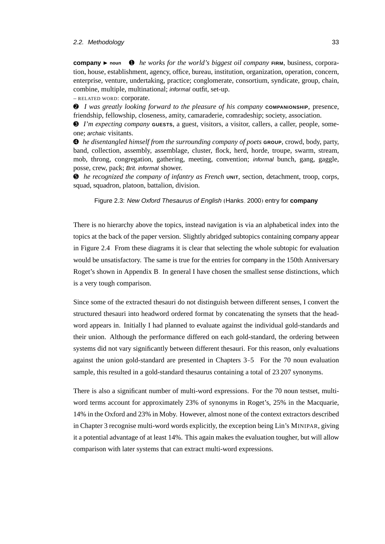#### 2.2. Methodology 33

**company**  $\triangleright$  **noun**  $\bullet$  *he works for the world's biggest oil company* **FIRM**, business, corporation, house, establishment, agency, office, bureau, institution, organization, operation, concern, enterprise, venture, undertaking, practice; conglomerate, consortium, syndicate, group, chain, combine, multiple, multinational; informal outfit, set-up.

– RELATED WORD: corporate.

➋ *I was greatly looking forward to the pleasure of his company* **COMPANIONSHIP**, presence, friendship, fellowship, closeness, amity, camaraderie, comradeship; society, association.

➌ *I'm expecting company* **GUESTS**, a guest, visitors, a visitor, callers, a caller, people, someone; archaic visitants.

➍ *he disentangled himself from the surrounding company of poets* **GROUP**, crowd, body, party, band, collection, assembly, assemblage, cluster, flock, herd, horde, troupe, swarm, stream, mob, throng, congregation, gathering, meeting, convention; informal bunch, gang, gaggle, posse, crew, pack; Brit. informal shower.

➎ *he recognized the company of infantry as French* **UNIT**, section, detachment, troop, corps, squad, squadron, platoon, battalion, division.

<span id="page-50-0"></span>Figure 2.3: New Oxford Thesaurus of English [\(Hanks, 2000\)](#page-165-3) entry for **company**

There is no hierarchy above the topics, instead navigation is via an alphabetical index into the topics at the back of the paper version. Slightly abridged subtopics containing company appear in Figure [2.4.](#page-51-0) From these diagrams it is clear that selecting the whole subtopic for evaluation would be unsatisfactory. The same is true for the entries for company in the 150th Anniversary Roget's shown in Appendix [B.](#page-154-0) In general I have chosen the smallest sense distinctions, which is a very tough comparison.

Since some of the extracted thesauri do not distinguish between different senses, I convert the structured thesauri into headword ordered format by concatenating the synsets that the headword appears in. Initially I had planned to evaluate against the individual gold-standards and their union. Although the performance differed on each gold-standard, the ordering between systems did not vary significantly between different thesauri. For this reason, only evaluations against the union gold-standard are presented in Chapters [3](#page-58-0)[–5.](#page-104-0) For the 70 noun evaluation sample, this resulted in a gold-standard thesaurus containing a total of 23 207 synonyms.

There is also a significant number of multi-word expressions. For the 70 noun testset, multiword terms account for approximately 23% of synonyms in Roget's, 25% in the Macquarie, 14% in the Oxford and 23% in Moby. However, almost none of the context extractors described in Chapter [3](#page-58-0) recognise multi-word words explicitly, the exception being Lin's MINIPAR, giving it a potential advantage of at least 14%. This again makes the evaluation tougher, but will allow comparison with later systems that can extract multi-word expressions.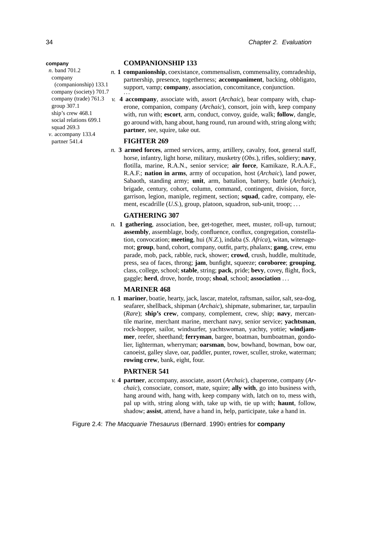#### **COMPANIONSHIP 133**

- *n.* **1 companionship**, coexistance, commensalism, commensality, comradeship, partnership, presence, togetherness; **accompaniment**, backing, obbligato, support, vamp; **company**, association, concomitance, conjunction. ···
- *v.* **4 accompany**, associate with, assort (*Archaic*), bear company with, chaperone, companion, company (*Archaic*), consort, join with, keep company with, run with; **escort**, arm, conduct, convoy, guide, walk; **follow**, dangle, go around with, hang about, hang round, run around with, string along with; **partner**, see, squire, take out.

#### **FIGHTER 269**

*n.* **3 armed forces**, armed services, army, artillery, cavalry, foot, general staff, horse, infantry, light horse, military, musketry (*Obs.*), rifles, soldiery; **navy**, flotilla, marine, R.A.N., senior service; **air force**, Kamikaze, R.A.A.F., R.A.F.; **nation in arms**, army of occupation, host (*Archaic*), land power, Sabaoth, standing army; **unit**, arm, battalion, battery, battle (*Archaic*), brigade, century, cohort, column, command, contingent, division, force, garrison, legion, maniple, regiment, section; **squad**, cadre, company, element, escadrille (*U.S.*), group, platoon, squadron, sub-unit, troop; ...

#### **GATHERING 307**

*n.* **1 gathering**, association, bee, get-together, meet, muster, roll-up, turnout; **assembly**, assemblage, body, confluence, conflux, congregation, constellation, convocation; **meeting**, hui (*N.Z.*), indaba (*S. Africa*), witan, witenagemot; **group**, band, cohort, company, outfit, party, phalanx; **gang**, crew, emu parade, mob, pack, rabble, ruck, shower; **crowd**, crush, huddle, multitude, press, sea of faces, throng; **jam**, bunfight, squeeze; **coroboree**; **grouping**, class, college, school; **stable**, string; **pack**, pride; **bevy**, covey, flight, flock, gaggle; **herd**, drove, horde, troop; **shoal**, school; **association** . . .

#### **MARINER 468**

*n.* **1 mariner**, boatie, hearty, jack, lascar, matelot, raftsman, sailor, salt, sea-dog, seafarer, shellback, shipman (*Archaic*), shipmate, submariner, tar, tarpaulin (*Rare*); **ship's crew**, company, complement, crew, ship; **navy**, mercantile marine, merchant marine, merchant navy, senior service; **yachtsman**, rock-hopper, sailor, windsurfer, yachtswoman, yachty, yottie; **windjammer**, reefer, sheethand; **ferryman**, bargee, boatman, bumboatman, gondolier, lighterman, wherryman; **oarsman**, bow, bowhand, bowman, bow oar, canoeist, galley slave, oar, paddler, punter, rower, sculler, stroke, waterman; **rowing crew**, bank, eight, four.

#### **PARTNER 541**

*v.* **4 partner**, accompany, associate, assort (*Archaic*), chaperone, company (*Archaic*), consociate, consort, mate, squire; **ally with**, go into business with, hang around with, hang with, keep company with, latch on to, mess with, pal up with, string along with, take up with, tie up with; **haunt**, follow, shadow; **assist**, attend, have a hand in, help, participate, take a hand in.

#### <span id="page-51-0"></span>Figure 2.4: The Macquarie Thesaurus [\(Bernard, 1990\)](#page-159-1) entries for **company**

*n*. band 701.2 company (companionship) 133.1 company (society) 701.7 company (trade) 761.3 group 307.1 ship's crew 468.1 social relations 699.1 squad 269.3 *v*. accompany 133.4 partner 541.4

#### **company**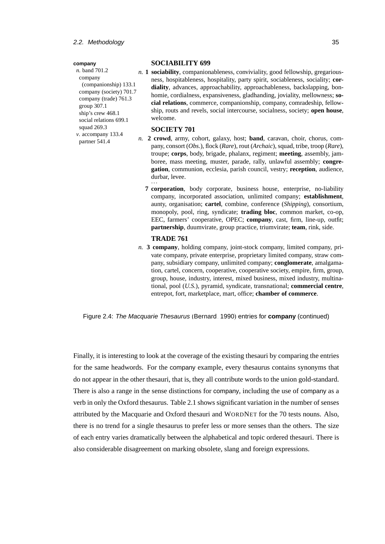#### **company**

*n*. band 701.2 company (companionship) 133.1 company (society) 701.7 company (trade) 761.3 group 307.1 ship's crew 468.1 social relations 699.1 squad 269.3 *v*. accompany 133.4 partner 541.4

#### **SOCIABILITY 699**

*n.* **1 sociability**, companionableness, conviviality, good fellowship, gregariousness, hospitableness, hospitality, party spirit, sociableness, sociality; **cordiality**, advances, approachability, approachableness, backslapping, bonhomie, cordialness, expansiveness, gladhanding, joviality, mellowness; **social relations**, commerce, companionship, company, comradeship, fellowship, routs and revels, social intercourse, socialness, society; **open house**, welcome.

#### **SOCIETY 701**

- *n.* **2 crowd**, army, cohort, galaxy, host; **band**, caravan, choir, chorus, company, consort (*Obs.*), flock (*Rare*), rout (*Archaic*), squad, tribe, troop (*Rare*), troupe; **corps**, body, brigade, phalanx, regiment; **meeting**, assembly, jamboree, mass meeting, muster, parade, rally, unlawful assembly; **congregation**, communion, ecclesia, parish council, vestry; **reception**, audience, durbar, levee. ···
	- **7 corporation**, body corporate, business house, enterprise, no-liability company, incorporated association, unlimited company; **establishment**, aunty, organisation; **cartel**, combine, conference (*Shipping*), consortium, monopoly, pool, ring, syndicate; **trading bloc**, common market, co-op, EEC, farmers' cooperative, OPEC; **company**, cast, firm, line-up, outfit; **partnership**, duumvirate, group practice, triumvirate; **team**, rink, side.

#### **TRADE 761**

*n.* **3 company**, holding company, joint-stock company, limited company, private company, private enterprise, proprietary limited company, straw company, subsidiary company, unlimited company; **conglomerate**, amalgamation, cartel, concern, cooperative, cooperative society, empire, firm, group, group, house, industry, interest, mixed business, mixed industry, multinational, pool (*U.S.*), pyramid, syndicate, transnational; **commercial centre**, entrepot, fort, marketplace, mart, office; **chamber of commerce**.

Figure 2.4: The Macquarie Thesaurus [\(Bernard, 1990\)](#page-159-1) entries for **company** (continued)

Finally, it is interesting to look at the coverage of the existing thesauri by comparing the entries for the same headwords. For the company example, every thesaurus contains synonyms that do not appear in the other thesauri, that is, they all contribute words to the union gold-standard. There is also a range in the sense distinctions for company, including the use of company as a verb in only the Oxford thesaurus. Table [2.1](#page-45-1) shows significant variation in the number of senses attributed by the Macquarie and Oxford thesauri and WORDNET for the 70 tests nouns. Also, there is no trend for a single thesaurus to prefer less or more senses than the others. The size of each entry varies dramatically between the alphabetical and topic ordered thesauri. There is also considerable disagreement on marking obsolete, slang and foreign expressions.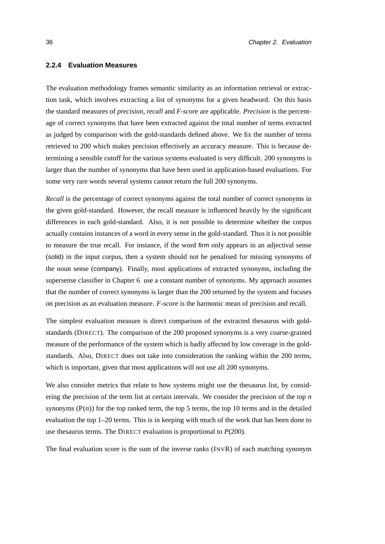#### <span id="page-53-0"></span>**2.2.4 Evaluation Measures**

The evaluation methodology frames semantic similarity as an information retrieval or extraction task, which involves extracting a list of synonyms for a given headword. On this basis the standard measures of *precision*, *recall* and *F-score* are applicable. *Precision* is the percentage of correct synonyms that have been extracted against the total number of terms extracted as judged by comparison with the gold-standards defined above. We fix the number of terms retrieved to 200 which makes precision effectively an accuracy measure. This is because determining a sensible cutoff for the various systems evaluated is very difficult. 200 synonyms is larger than the number of synonyms that have been used in application-based evaluations. For some very rare words several systems cannot return the full 200 synonyms.

*Recall* is the percentage of correct synonyms against the total number of correct synonyms in the given gold-standard. However, the recall measure is influenced heavily by the significant differences in each gold-standard. Also, it is not possible to determine whether the corpus actually contains instances of a word in every sense in the gold-standard. Thus it is not possible to measure the true recall. For instance, if the word firm only appears in an adjectival sense (solid) in the input corpus, then a system should not be penalised for missing synonyms of the noun sense (company). Finally, most applications of extracted synonyms, including the supersense classifier in Chapter [6,](#page-126-0) use a constant number of synonyms. My approach assumes that the number of correct synonyms is larger than the 200 returned by the system and focuses on precision as an evaluation measure. *F-score* is the harmonic mean of precision and recall.

The simplest evaluation measure is direct comparison of the extracted thesaurus with goldstandards (DIRECT). The comparison of the 200 proposed synonyms is a very coarse-grained measure of the performance of the system which is badly affected by low coverage in the goldstandards. Also, DIRECT does not take into consideration the ranking within the 200 terms, which is important, given that most applications will not use all 200 synonyms.

We also consider metrics that relate to how systems might use the thesaurus list, by considering the precision of the term list at certain intervals. We consider the precision of the top *n* synonyms  $(P(n))$  for the top ranked term, the top 5 terms, the top 10 terms and in the detailed evaluation the top 1–20 terms. This is in keeping with much of the work that has been done to use thesaurus terms. The DIRECT evaluation is proportional to *P*(200).

The final evaluation score is the sum of the inverse ranks (INVR) of each matching synonym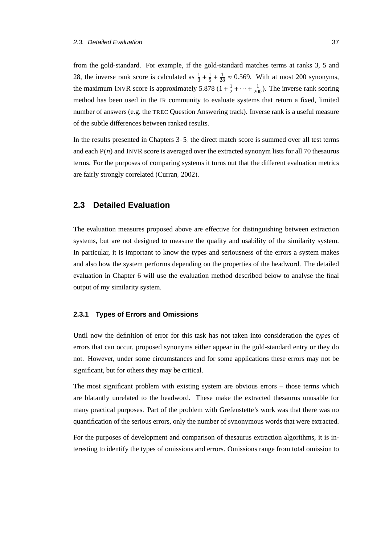from the gold-standard. For example, if the gold-standard matches terms at ranks 3, 5 and 28, the inverse rank score is calculated as  $\frac{1}{3} + \frac{1}{5}$  $\frac{1}{5} + \frac{1}{28} \approx 0.569$ . With at most 200 synonyms, the maximum INVR score is approximately 5.878  $(1 + \frac{1}{2})$  $\frac{1}{2} + \cdots + \frac{1}{200}$ ). The inverse rank scoring method has been used in the IR community to evaluate systems that return a fixed, limited number of answers (e.g. the TREC Question Answering track). Inverse rank is a useful measure of the subtle differences between ranked results.

In the results presented in Chapters [3–](#page-58-0)[5,](#page-104-0) the direct match score is summed over all test terms and each P(*n*) and INVR score is averaged over the extracted synonym lists for all 70 thesaurus terms. For the purposes of comparing systems it turns out that the different evaluation metrics are fairly strongly correlated [\(Curran, 2002\)](#page-162-0).

## <span id="page-54-0"></span>**2.3 Detailed Evaluation**

The evaluation measures proposed above are effective for distinguishing between extraction systems, but are not designed to measure the quality and usability of the similarity system. In particular, it is important to know the types and seriousness of the errors a system makes and also how the system performs depending on the properties of the headword. The detailed evaluation in Chapter [6](#page-126-0) will use the evaluation method described below to analyse the final output of my similarity system.

#### **2.3.1 Types of Errors and Omissions**

Until now the definition of error for this task has not taken into consideration the *types* of errors that can occur, proposed synonyms either appear in the gold-standard entry or they do not. However, under some circumstances and for some applications these errors may not be significant, but for others they may be critical.

The most significant problem with existing system are obvious errors – those terms which are blatantly unrelated to the headword. These make the extracted thesaurus unusable for many practical purposes. Part of the problem with Grefenstette's work was that there was no quantification of the serious errors, only the number of synonymous words that were extracted.

For the purposes of development and comparison of thesaurus extraction algorithms, it is interesting to identify the types of omissions and errors. Omissions range from total omission to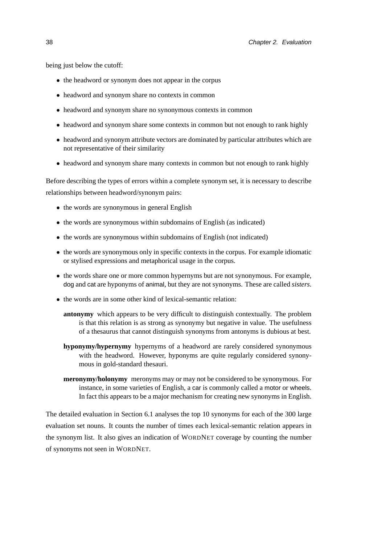being just below the cutoff:

- the headword or synonym does not appear in the corpus
- headword and synonym share no contexts in common
- headword and synonym share no synonymous contexts in common
- headword and synonym share some contexts in common but not enough to rank highly
- headword and synonym attribute vectors are dominated by particular attributes which are not representative of their similarity
- headword and synonym share many contexts in common but not enough to rank highly

Before describing the types of errors within a complete synonym set, it is necessary to describe relationships between headword/synonym pairs:

- the words are synonymous in general English
- the words are synonymous within subdomains of English (as indicated)
- the words are synonymous within subdomains of English (not indicated)
- the words are synonymous only in specific contexts in the corpus. For example idiomatic or stylised expressions and metaphorical usage in the corpus.
- the words share one or more common hypernyms but are not synonymous. For example, dog and cat are hyponyms of animal, but they are not synonyms. These are called *sisters*.
- the words are in some other kind of lexical-semantic relation:
	- **antonymy** which appears to be very difficult to distinguish contextually. The problem is that this relation is as strong as synonymy but negative in value. The usefulness of a thesaurus that cannot distinguish synonyms from antonyms is dubious at best.
	- **hyponymy/hypernymy** hypernyms of a headword are rarely considered synonymous with the headword. However, hyponyms are quite regularly considered synonymous in gold-standard thesauri.
	- **meronymy/holonymy** meronyms may or may not be considered to be synonymous. For instance, in some varieties of English, a car is commonly called a motor or wheels. In fact this appears to be a major mechanism for creating new synonyms in English.

The detailed evaluation in Section [6.1](#page-127-0) analyses the top 10 synonyms for each of the 300 large evaluation set nouns. It counts the number of times each lexical-semantic relation appears in the synonym list. It also gives an indication of WORDNET coverage by counting the number of synonyms not seen in WORDNET.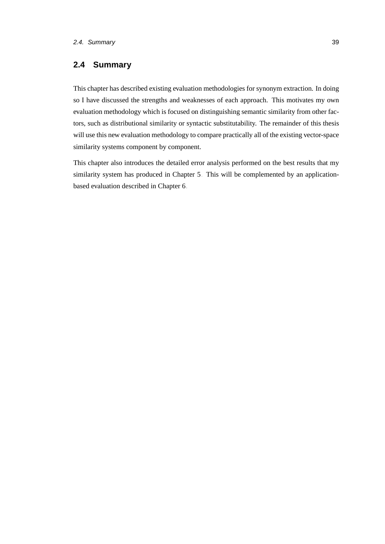# **2.4 Summary**

This chapter has described existing evaluation methodologies for synonym extraction. In doing so I have discussed the strengths and weaknesses of each approach. This motivates my own evaluation methodology which is focused on distinguishing semantic similarity from other factors, such as distributional similarity or syntactic substitutability. The remainder of this thesis will use this new evaluation methodology to compare practically all of the existing vector-space similarity systems component by component.

This chapter also introduces the detailed error analysis performed on the best results that my similarity system has produced in Chapter [5.](#page-104-0) This will be complemented by an applicationbased evaluation described in Chapter [6.](#page-126-0)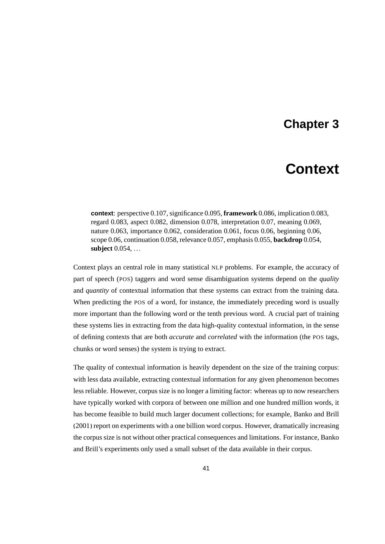# **Chapter 3**

# **Context**

<span id="page-58-0"></span>**context**: perspective 0.107, significance 0.095, **framework** 0.086, implication 0.083, regard 0.083, aspect 0.082, dimension 0.078, interpretation 0.07, meaning 0.069, nature 0.063, importance 0.062, consideration 0.061, focus 0.06, beginning 0.06, scope 0.06, continuation 0.058, relevance 0.057, emphasis 0.055, **backdrop** 0.054, **subject** 0.054, ...

Context plays an central role in many statistical NLP problems. For example, the accuracy of part of speech (POS) taggers and word sense disambiguation systems depend on the *quality* and *quantity* of contextual information that these systems can extract from the training data. When predicting the POS of a word, for instance, the immediately preceding word is usually more important than the following word or the tenth previous word. A crucial part of training these systems lies in extracting from the data high-quality contextual information, in the sense of defining contexts that are both *accurate* and *correlated* with the information (the POS tags, chunks or word senses) the system is trying to extract.

The quality of contextual information is heavily dependent on the size of the training corpus: with less data available, extracting contextual information for any given phenomenon becomes less reliable. However, corpus size is no longer a limiting factor: whereas up to now researchers have typically worked with corpora of between one million and one hundred million words, it has become feasible to build much larger document collections; for example, [Banko and Brill](#page-159-2) [\(2001\)](#page-159-2) report on experiments with a one billion word corpus. However, dramatically increasing the corpus size is not without other practical consequences and limitations. For instance, [Banko](#page-159-2) [and Brill'](#page-159-2)s experiments only used a small subset of the data available in their corpus.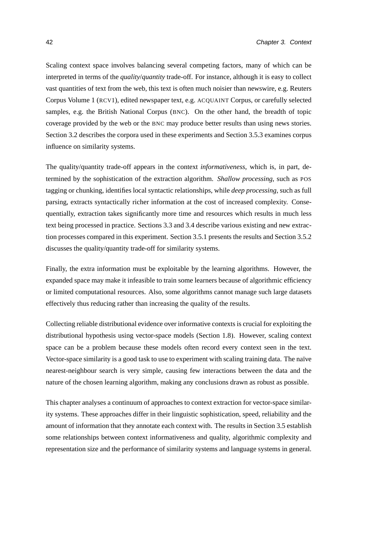Scaling context space involves balancing several competing factors, many of which can be interpreted in terms of the *quality*/*quantity* trade-off. For instance, although it is easy to collect vast quantities of text from the web, this text is often much noisier than newswire, e.g. Reuters Corpus Volume 1 (RCV1), edited newspaper text, e.g. ACQUAINT Corpus, or carefully selected samples, e.g. the British National Corpus (BNC). On the other hand, the breadth of topic coverage provided by the web or the BNC may produce better results than using news stories. Section [3.2](#page-60-0) describes the corpora used in these experiments and Section [3.5.3](#page-80-0) examines corpus influence on similarity systems.

The quality/quantity trade-off appears in the context *informativeness*, which is, in part, determined by the sophistication of the extraction algorithm. *Shallow processing*, such as POS tagging or chunking, identifies local syntactic relationships, while *deep processing*, such as full parsing, extracts syntactically richer information at the cost of increased complexity. Consequentially, extraction takes significantly more time and resources which results in much less text being processed in practice. Sections [3.3](#page-63-0) and [3.4](#page-70-0) describe various existing and new extraction processes compared in this experiment. Section [3.5.1](#page-75-0) presents the results and Section [3.5.2](#page-76-0) discusses the quality/quantity trade-off for similarity systems.

Finally, the extra information must be exploitable by the learning algorithms. However, the expanded space may make it infeasible to train some learners because of algorithmic efficiency or limited computational resources. Also, some algorithms cannot manage such large datasets effectively thus reducing rather than increasing the quality of the results.

Collecting reliable distributional evidence over informative contexts is crucial for exploiting the distributional hypothesis using vector-space models (Section [1.8\)](#page-34-0). However, scaling context space can be a problem because these models often record every context seen in the text. Vector-space similarity is a good task to use to experiment with scaling training data. The naïve nearest-neighbour search is very simple, causing few interactions between the data and the nature of the chosen learning algorithm, making any conclusions drawn as robust as possible.

This chapter analyses a continuum of approaches to context extraction for vector-space similarity systems. These approaches differ in their linguistic sophistication, speed, reliability and the amount of information that they annotate each context with. The results in Section [3.5](#page-75-1) establish some relationships between context informativeness and quality, algorithmic complexity and representation size and the performance of similarity systems and language systems in general.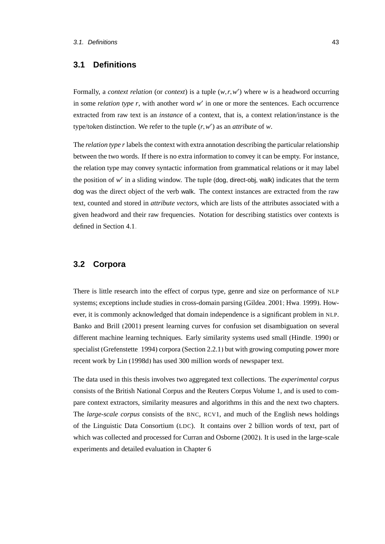# **3.1 Definitions**

Formally, a *context relation* (or *context*) is a tuple  $(w, r, w')$  where *w* is a headword occurring in some *relation type*  $r$ , with another word  $w'$  in one or more the sentences. Each occurrence extracted from raw text is an *instance* of a context, that is, a context relation/instance is the type/token distinction. We refer to the tuple  $(r, w')$  as an *attribute* of *w*.

The *relation type r* labels the context with extra annotation describing the particular relationship between the two words. If there is no extra information to convey it can be empty. For instance, the relation type may convey syntactic information from grammatical relations or it may label the position of w' in a sliding window. The tuple (dog, direct-obj, walk) indicates that the term dog was the direct object of the verb walk. The context instances are extracted from the raw text, counted and stored in *attribute vectors*, which are lists of the attributes associated with a given headword and their raw frequencies. Notation for describing statistics over contexts is defined in Section [4.1.](#page-88-0)

## <span id="page-60-0"></span>**3.2 Corpora**

There is little research into the effect of corpus type, genre and size on performance of NLP systems; exceptions include studies in cross-domain parsing [\(Gildea, 2001;](#page-164-4) [Hwa, 1999\)](#page-166-5). However, it is commonly acknowledged that domain independence is a significant problem in NLP. [Banko and Brill](#page-159-2) [\(2001\)](#page-159-2) present learning curves for confusion set disambiguation on several different machine learning techniques. Early similarity systems used small [\(Hindle, 1990\)](#page-166-6) or specialist [\(Grefenstette, 1994\)](#page-165-0) corpora (Section [2.2.1\)](#page-44-0) but with growing computing power more recent work by [Lin \(1998d\)](#page-169-3) has used 300 million words of newspaper text.

The data used in this thesis involves two aggregated text collections. The *experimental corpus* consists of the British National Corpus and the Reuters Corpus Volume 1, and is used to compare context extractors, similarity measures and algorithms in this and the next two chapters. The *large-scale corpus* consists of the BNC, RCV1, and much of the English news holdings of the Linguistic Data Consortium (LDC). It contains over 2 billion words of text, part of which was collected and processed for [Curran and Osborne \(2002\)](#page-162-1). It is used in the large-scale experiments and detailed evaluation in Chapter [6.](#page-126-0)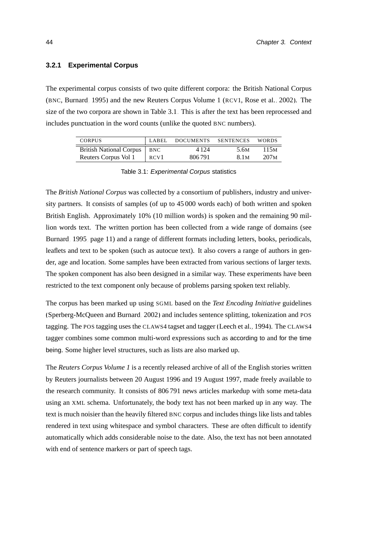#### <span id="page-61-1"></span>**3.2.1 Experimental Corpus**

The experimental corpus consists of two quite different corpora: the British National Corpus (BNC, [Burnard, 1995\)](#page-160-2) and the new Reuters Corpus Volume 1 (RCV1, [Rose et al., 2002\)](#page-173-4). The size of the two corpora are shown in Table [3.1.](#page-61-0) This is after the text has been reprocessed and includes punctuation in the word counts (unlike the quoted BNC numbers).

| <b>CORPUS</b>                 | LABEL            | DOCUMENTS | SENTENCES        | <b>WORDS</b>     |
|-------------------------------|------------------|-----------|------------------|------------------|
| British National Corpus   BNC |                  | 4 1 2 4   | .5.6M            | 115 <sub>M</sub> |
| Reuters Corpus Vol 1          | RCV <sub>1</sub> | 806791    | 8.1 <sub>M</sub> | 207 <sub>M</sub> |

<span id="page-61-0"></span>

| Table 3.1: Experimental Corpus statistics |
|-------------------------------------------|
|-------------------------------------------|

The *British National Corpus* was collected by a consortium of publishers, industry and university partners. It consists of samples (of up to 45 000 words each) of both written and spoken British English. Approximately 10% (10 million words) is spoken and the remaining 90 million words text. The written portion has been collected from a wide range of domains (see [Burnard, 1995,](#page-160-2) page 11) and a range of different formats including letters, books, periodicals, leaflets and text to be spoken (such as autocue text). It also covers a range of authors in gender, age and location. Some samples have been extracted from various sections of larger texts. The spoken component has also been designed in a similar way. These experiments have been restricted to the text component only because of problems parsing spoken text reliably.

The corpus has been marked up using SGML based on the *Text Encoding Initiative* guidelines [\(Sperberg-McQueen and Burnard, 2002\)](#page-174-2) and includes sentence splitting, tokenization and POS tagging. The POS tagging uses the CLAWS4 tagset and tagger [\(Leech et al., 1994\)](#page-168-4). The CLAWS4 tagger combines some common multi-word expressions such as according to and for the time being. Some higher level structures, such as lists are also marked up.

The *Reuters Corpus Volume 1* is a recently released archive of all of the English stories written by Reuters journalists between 20 August 1996 and 19 August 1997, made freely available to the research community. It consists of 806 791 news articles markedup with some meta-data using an XML schema. Unfortunately, the body text has not been marked up in any way. The text is much noisier than the heavily filtered BNC corpus and includes things like lists and tables rendered in text using whitespace and symbol characters. These are often difficult to identify automatically which adds considerable noise to the date. Also, the text has not been annotated with end of sentence markers or part of speech tags.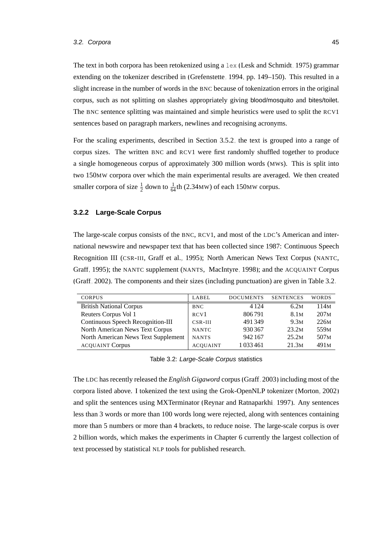The text in both corpora has been retokenized using a  $l$ ex [\(Lesk and Schmidt, 1975\)](#page-168-5) grammar extending on the tokenizer described in [\(Grefenstette, 1994,](#page-165-0) pp. 149–150). This resulted in a slight increase in the number of words in the BNC because of tokenization errors in the original corpus, such as not splitting on slashes appropriately giving blood/mosquito and bites/toilet. The BNC sentence splitting was maintained and simple heuristics were used to split the RCV1 sentences based on paragraph markers, newlines and recognising acronyms.

For the scaling experiments, described in Section [3.5.2,](#page-76-0) the text is grouped into a range of corpus sizes. The written BNC and RCV1 were first randomly shuffled together to produce a single homogeneous corpus of approximately 300 million words (MWs). This is split into two 150MW corpora over which the main experimental results are averaged. We then created smaller corpora of size  $\frac{1}{2}$  down to  $\frac{1}{64}$ th (2.34MW) of each 150MW corpus.

#### <span id="page-62-1"></span>**3.2.2 Large-Scale Corpus**

The large-scale corpus consists of the BNC, RCV1, and most of the LDC's American and international newswire and newspaper text that has been collected since 1987: Continuous Speech Recognition III (CSR-III, [Graff et al., 1995\)](#page-165-4); North American News Text Corpus (NANTC, [Graff, 1995\)](#page-165-5); the NANTC supplement (NANTS, [MacIntyre, 1998\)](#page-170-3); and the ACQUAINT Corpus [\(Graff, 2002\)](#page-165-2). The components and their sizes (including punctuation) are given in Table [3.2.](#page-62-0)

| <b>CORPUS</b>                       | LABEL           | <b>DOCUMENTS</b> | <b>SENTENCES</b> | <b>WORDS</b>     |
|-------------------------------------|-----------------|------------------|------------------|------------------|
| <b>British National Corpus</b>      | <b>BNC</b>      | 4 1 2 4          | 6.2M             | 114м             |
| Reuters Corpus Vol 1                | RCV1            | 806791           | 8.1 <sub>M</sub> | 207M             |
| Continuous Speech Recognition-III   | $CSR-III$       | 491349           | 9.3M             | 226M             |
| North American News Text Corpus     | <b>NANTC</b>    | 930367           | 23.2M            | 559 <sub>M</sub> |
| North American News Text Supplement | <b>NANTS</b>    | 942 167          | 25.2M            | 507 <sub>M</sub> |
| <b>ACQUAINT Corpus</b>              | <b>ACOUAINT</b> | 1 0 3 3 4 6 1    | 21.3M            | 491 <sub>M</sub> |
|                                     |                 |                  |                  |                  |

<span id="page-62-0"></span>Table 3.2: Large-Scale Corpus statistics

The LDC has recently released the *English Gigaword* corpus [\(Graff, 2003\)](#page-165-6) including most of the corpora listed above. I tokenized the text using the Grok-OpenNLP tokenizer [\(Morton, 2002\)](#page-171-2) and split the sentences using MXTerminator [\(Reynar and Ratnaparkhi, 1997\)](#page-172-2). Any sentences less than 3 words or more than 100 words long were rejected, along with sentences containing more than 5 numbers or more than 4 brackets, to reduce noise. The large-scale corpus is over 2 billion words, which makes the experiments in Chapter [6](#page-126-0) currently the largest collection of text processed by statistical NLP tools for published research.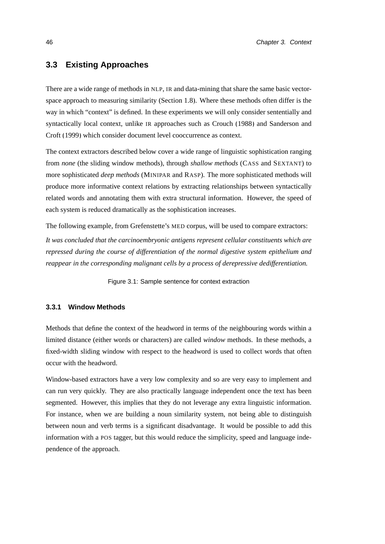# <span id="page-63-0"></span>**3.3 Existing Approaches**

There are a wide range of methods in NLP, IR and data-mining that share the same basic vectorspace approach to measuring similarity (Section [1.8\)](#page-34-0). Where these methods often differ is the way in which "context" is defined. In these experiments we will only consider sententially and syntactically local context, unlike IR approaches such as [Crouch](#page-162-2) [\(1988\)](#page-162-2) and [Sanderson and](#page-173-5) [Croft \(1999\)](#page-173-5) which consider document level cooccurrence as context.

The context extractors described below cover a wide range of linguistic sophistication ranging from *none* (the sliding window methods), through *shallow methods* (CASS and SEXTANT) to more sophisticated *deep methods* (MINIPAR and RASP). The more sophisticated methods will produce more informative context relations by extracting relationships between syntactically related words and annotating them with extra structural information. However, the speed of each system is reduced dramatically as the sophistication increases.

The following example, from Grefenstette's MED corpus, will be used to compare extractors:

*It was concluded that the carcinoembryonic antigens represent cellular constituents which are repressed during the course of differentiation of the normal digestive system epithelium and reappear in the corresponding malignant cells by a process of derepressive dedifferentiation.*

Figure 3.1: Sample sentence for context extraction

#### **3.3.1 Window Methods**

Methods that define the context of the headword in terms of the neighbouring words within a limited distance (either words or characters) are called *window* methods. In these methods, a fixed-width sliding window with respect to the headword is used to collect words that often occur with the headword.

Window-based extractors have a very low complexity and so are very easy to implement and can run very quickly. They are also practically language independent once the text has been segmented. However, this implies that they do not leverage any extra linguistic information. For instance, when we are building a noun similarity system, not being able to distinguish between noun and verb terms is a significant disadvantage. It would be possible to add this information with a POS tagger, but this would reduce the simplicity, speed and language independence of the approach.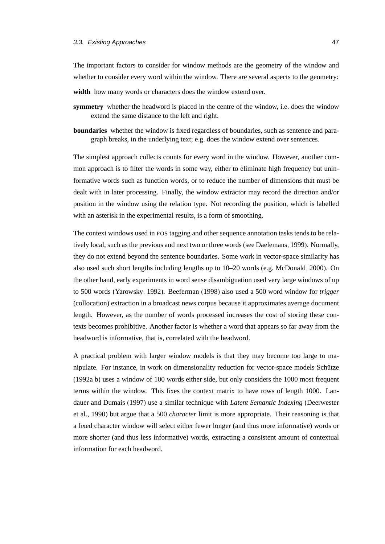The important factors to consider for window methods are the geometry of the window and whether to consider every word within the window. There are several aspects to the geometry:

- **width** how many words or characters does the window extend over.
- **symmetry** whether the headword is placed in the centre of the window, i.e. does the window extend the same distance to the left and right.
- **boundaries** whether the window is fixed regardless of boundaries, such as sentence and paragraph breaks, in the underlying text; e.g. does the window extend over sentences.

The simplest approach collects counts for every word in the window. However, another common approach is to filter the words in some way, either to eliminate high frequency but uninformative words such as function words, or to reduce the number of dimensions that must be dealt with in later processing. Finally, the window extractor may record the direction and/or position in the window using the relation type. Not recording the position, which is labelled with an asterisk in the experimental results, is a form of smoothing.

The context windows used in POS tagging and other sequence annotation tasks tends to be relatively local, such as the previous and next two or three words (see [Daelemans, 1999\)](#page-162-3). Normally, they do not extend beyond the sentence boundaries. Some work in vector-space similarity has also used such short lengths including lengths up to 10–20 words (e.g. [McDonald, 2000\)](#page-170-1). On the other hand, early experiments in word sense disambiguation used very large windows of up to 500 words [\(Yarowsky, 1992\)](#page-176-0). [Beeferman](#page-159-3) [\(1998\)](#page-159-3) also used a 500 word window for *trigger* (collocation) extraction in a broadcast news corpus because it approximates average document length. However, as the number of words processed increases the cost of storing these contexts becomes prohibitive. Another factor is whether a word that appears so far away from the headword is informative, that is, correlated with the headword.

A practical problem with larger window models is that they may become too large to manipulate. For instance, in work on dimensionality reduction for vector-space models Schütze [\(1992a](#page-173-3)[,b\)](#page-173-6) uses a window of 100 words either side, but only considers the 1000 most frequent terms within the window. This fixes the context matrix to have rows of length 1000. [Lan](#page-167-2)[dauer and Dumais \(1997\)](#page-167-2) use a similar technique with *Latent Semantic Indexing* [\(Deerwester](#page-163-2) [et al., 1990\)](#page-163-2) but argue that a 500 *character* limit is more appropriate. Their reasoning is that a fixed character window will select either fewer longer (and thus more informative) words or more shorter (and thus less informative) words, extracting a consistent amount of contextual information for each headword.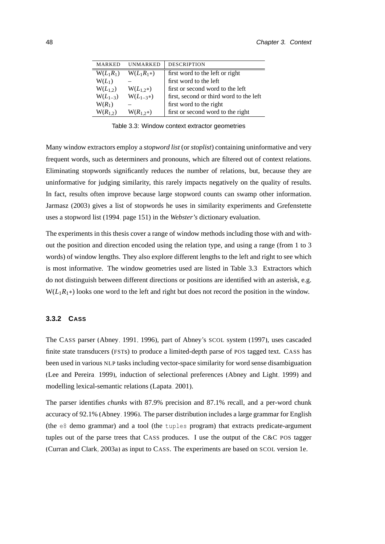| MARKED       | <b>UNMARKED</b> | <b>DESCRIPTION</b>                      |
|--------------|-----------------|-----------------------------------------|
| $W(L_1R_1)$  | $W(L_1R_1*)$    | first word to the left or right         |
| $W(L_1)$     |                 | first word to the left                  |
| $W(L_{1,2})$ | $W(L_{1,2}*)$   | first or second word to the left        |
| $W(L_{1-3})$ | $W(L_{1-3}*)$   | first, second or third word to the left |
| $W(R_1)$     |                 | first word to the right                 |
| $W(R_{12})$  | $W(R_{1,2^*})$  | first or second word to the right       |
|              |                 |                                         |

<span id="page-65-0"></span>Table 3.3: Window context extractor geometries

Many window extractors employ a *stopword list* (or *stoplist*) containing uninformative and very frequent words, such as determiners and pronouns, which are filtered out of context relations. Eliminating stopwords significantly reduces the number of relations, but, because they are uninformative for judging similarity, this rarely impacts negatively on the quality of results. In fact, results often improve because large stopword counts can swamp other information. [Jarmasz](#page-167-3) [\(2003\)](#page-167-3) gives a list of stopwords he uses in similarity experiments and [Grefenstette](#page-165-0) uses a stopword list [\(1994,](#page-165-0) page 151) in the *Webster's* dictionary evaluation.

The experiments in this thesis cover a range of window methods including those with and without the position and direction encoded using the relation type, and using a range (from 1 to 3 words) of window lengths. They also explore different lengths to the left and right to see which is most informative. The window geometries used are listed in Table [3.3.](#page-65-0) Extractors which do not distinguish between different directions or positions are identified with an asterisk, e.g. W(*L*1*R*1∗) looks one word to the left and right but does not record the position in the window.

#### **3.3.2 CASS**

The CASS parser [\(Abney, 1991,](#page-158-0) [1996\)](#page-158-1), part of [Abney'](#page-158-2)s SCOL system [\(1997\)](#page-158-2), uses cascaded finite state transducers (FSTs) to produce a limited-depth parse of POS tagged text. CASS has been used in various NLP tasks including vector-space similarity for word sense disambiguation [\(Lee and Pereira, 1999\)](#page-168-6), induction of selectional preferences [\(Abney and Light, 1999\)](#page-158-3) and modelling lexical-semantic relations [\(Lapata, 2001\)](#page-168-7).

The parser identifies *chunks* with 87.9% precision and 87.1% recall, and a per-word chunk accuracy of 92.1% [\(Abney, 1996\)](#page-158-1). The parser distribution includes a large grammar for English (the  $e8$  demo grammar) and a tool (the tuples program) that extracts predicate-argument tuples out of the parse trees that CASS produces. I use the output of the C&C POS tagger [\(Curran and Clark, 2003a\)](#page-162-4) as input to CASS. The experiments are based on SCOL version 1e.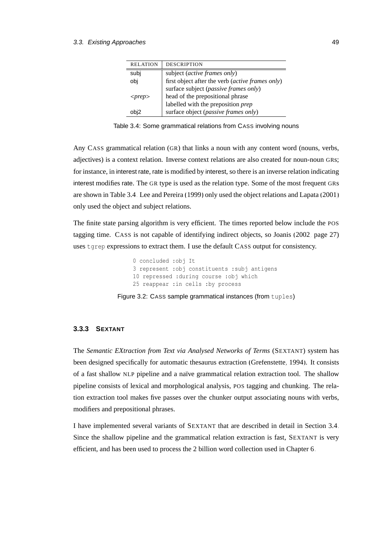| <b>RELATION</b> | <b>DESCRIPTION</b>                               |
|-----------------|--------------------------------------------------|
| subj            | subject ( <i>active frames only</i> )            |
| obj             | first object after the verb (active frames only) |
|                 | surface subject (passive frames only)            |
| $<$ prep $>$    | head of the prepositional phrase                 |
|                 | labelled with the preposition prep               |
| bi2             | surface object (passive frames only)             |

<span id="page-66-0"></span>Table 3.4: Some grammatical relations from CASS involving nouns

Any CASS grammatical relation (GR) that links a noun with any content word (nouns, verbs, adjectives) is a context relation. Inverse context relations are also created for noun-noun GRs; for instance, in interest rate, rate is modified by interest, so there is an inverse relation indicating interest modifies rate. The GR type is used as the relation type. Some of the most frequent GRs are shown in Table [3.4.](#page-66-0) [Lee and Pereira \(1999\)](#page-168-6) only used the object relations and [Lapata \(2001\)](#page-168-7) only used the object and subject relations.

The finite state parsing algorithm is very efficient. The times reported below include the POS tagging time. CASS is not capable of identifying indirect objects, so [Joanis \(2002,](#page-167-5) page 27) uses tgrep expressions to extract them. I use the default CASS output for consistency.

```
0 concluded :obj It
3 represent :obj constituents :subj antigens
10 repressed :during course :obj which
25 reappear :in cells :by process
```
Figure 3.2: CASS sample grammatical instances (from tuples)

#### <span id="page-66-1"></span>**3.3.3 SEXTANT**

The *Semantic EXtraction from Text via Analysed Networks of Terms* (SEXTANT) system has been designed specifically for automatic thesaurus extraction [\(Grefenstette, 1994\)](#page-165-0). It consists of a fast shallow NLP pipeline and a naïve grammatical relation extraction tool. The shallow pipeline consists of lexical and morphological analysis, POS tagging and chunking. The relation extraction tool makes five passes over the chunker output associating nouns with verbs, modifiers and prepositional phrases.

I have implemented several variants of SEXTANT that are described in detail in Section [3.4.](#page-70-0) Since the shallow pipeline and the grammatical relation extraction is fast, SEXTANT is very efficient, and has been used to process the 2 billion word collection used in Chapter [6.](#page-126-0)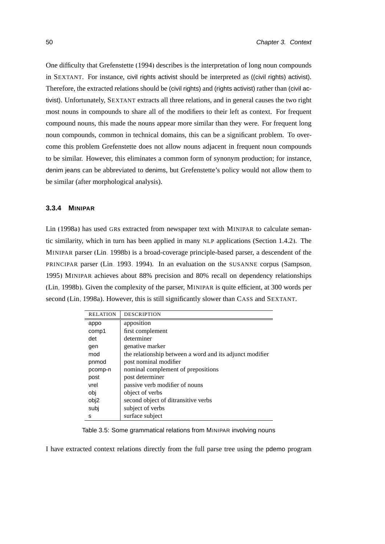One difficulty that [Grefenstette \(1994\)](#page-165-0) describes is the interpretation of long noun compounds in SEXTANT. For instance, civil rights activist should be interpreted as ((civil rights) activist). Therefore, the extracted relations should be (civil rights) and (rights activist) rather than (civil activist). Unfortunately, SEXTANT extracts all three relations, and in general causes the two right most nouns in compounds to share all of the modifiers to their left as context. For frequent compound nouns, this made the nouns appear more similar than they were. For frequent long noun compounds, common in technical domains, this can be a significant problem. To overcome this problem Grefenstette does not allow nouns adjacent in frequent noun compounds to be similar. However, this eliminates a common form of synonym production; for instance, denim jeans can be abbreviated to denims, but Grefenstette's policy would not allow them to be similar (after morphological analysis).

#### **3.3.4 MINIPAR**

[Lin \(1998a\)](#page-169-4) has used GRs extracted from newspaper text with MINIPAR to calculate semantic similarity, which in turn has been applied in many NLP applications (Section [1.4.2\)](#page-27-0). The MINIPAR parser [\(Lin, 1998b\)](#page-169-5) is a broad-coverage principle-based parser, a descendent of the PRINCIPAR parser [\(Lin, 1993,](#page-169-6) [1994\)](#page-169-7). In an evaluation on the SUSANNE corpus [\(Sampson,](#page-173-7) [1995\)](#page-173-7) MINIPAR achieves about 88% precision and 80% recall on dependency relationships [\(Lin, 1998b\)](#page-169-5). Given the complexity of the parser, MINIPAR is quite efficient, at 300 words per second [\(Lin, 1998a\)](#page-169-4). However, this is still significantly slower than CASS and SEXTANT.

| <b>RELATION</b> | <b>DESCRIPTION</b>                                       |
|-----------------|----------------------------------------------------------|
| appo            | apposition                                               |
| comp1           | first complement                                         |
| det             | determiner                                               |
| gen             | genative marker                                          |
| mod             | the relationship between a word and its adjunct modifier |
| pnmod           | post nominal modifier                                    |
| pcomp-n         | nominal complement of prepositions                       |
| post            | post determiner                                          |
| vrel            | passive verb modifier of nouns                           |
| obj             | object of verbs                                          |
| obj2            | second object of ditransitive verbs                      |
| subi            | subject of verbs                                         |
| s               | surface subject                                          |

<span id="page-67-0"></span>Table 3.5: Some grammatical relations from MINIPAR involving nouns

I have extracted context relations directly from the full parse tree using the pdemo program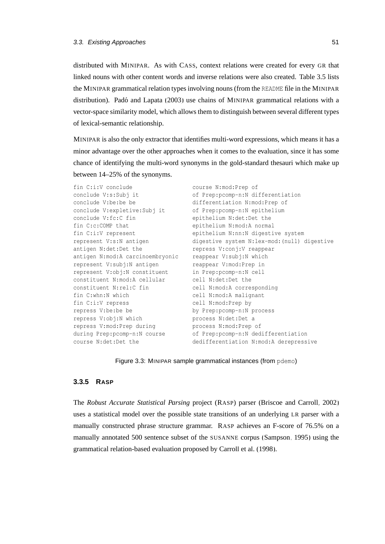distributed with MINIPAR. As with CASS, context relations were created for every GR that linked nouns with other content words and inverse relations were also created. Table [3.5](#page-67-0) lists the MINIPAR grammatical relation types involving nouns (from the README file in the MINIPAR distribution). Padó and Lapata [\(2003\)](#page-171-0) use chains of MINIPAR grammatical relations with a vector-space similarity model, which allows them to distinguish between several different types of lexical-semantic relationship.

MINIPAR is also the only extractor that identifies multi-word expressions, which means it has a minor advantage over the other approaches when it comes to the evaluation, since it has some chance of identifying the multi-word synonyms in the gold-standard thesauri which make up between 14–25% of the synonyms.

```
fin C:i:V conclude
conclude V:s:Subj it
conclude V:be:be be
conclude V:expletive:Subj it
of Prep:pcomp-n:N epithelium
conclude V:fc:C fin
fin C:c:COMP that
fin C:i:V represent
represent V:s:N antigen
antigen N:det:Det the
antigen N:mod:A carcinoembryonic
represent V:subj:N antigen
represent V:obj:N constituent
constituent N:mod:A cellular
represent V:obj:N constituent<br>constituent N:mod:A cellular<br>constituent N:rel:C fin
fin C:whn:N which
fin C:i:V repress
repress V:be:be be
repress V:obj:N which
repress V:mod:Prep during
during Prep:pcomp-n:N course
course N:det:Det the
                                    course N:mod:Prep of
                                    of Prep:pcomp-n:N differentiation
                                    differentiation N:mod:Prep of
                                   epithelium N:det:Det the
                                   epithelium N:mod:A normal
                                     epithelium N:nn:N digestive system
                                     digestive system N:lex-mod:(null) digestive
                                     repress V:conj:V reappear
                                     reappear V:subj:N which
                                     reappear V:mod:Prep in
                                     in Prep:pcomp-n:N cell
                                     cell N:det:Det the
                                    cell N:mod:A corresponding
                                   cell N:mod:A malignant
                                   cell N:mod:Prep by
                                   by Prep:pcomp-n:N process
                                   process N:det:Det a
                                     process N:mod:Prep of
                                     of Prep:pcomp-n:N dedifferentiation
                                    dedifferentiation N:mod:A derepressive
```
#### Figure 3.3: MINIPAR sample grammatical instances (from pdemo)

#### **3.3.5 RASP**

The *Robust Accurate Statistical Parsing* project (RASP) parser [\(Briscoe and Carroll, 2002\)](#page-160-3) uses a statistical model over the possible state transitions of an underlying LR parser with a manually constructed phrase structure grammar. RASP achieves an F-score of 76.5% on a manually annotated 500 sentence subset of the SUSANNE corpus [\(Sampson, 1995\)](#page-173-7) using the grammatical relation-based evaluation proposed by [Carroll et al. \(1998\)](#page-161-2).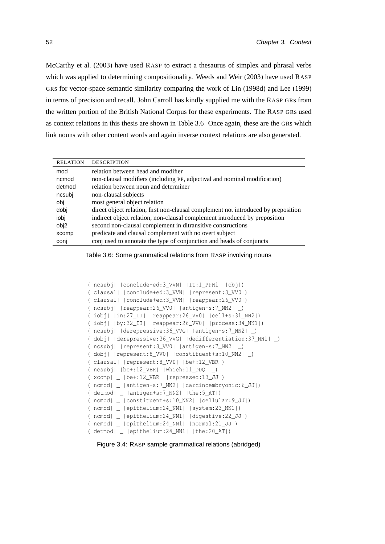[McCarthy et al. \(2003\)](#page-170-4) have used RASP to extract a thesaurus of simplex and phrasal verbs which was applied to determining compositionality. [Weeds and Weir \(2003\)](#page-175-3) have used RASP GRs for vector-space semantic similarity comparing the work of [Lin](#page-169-3) [\(1998d\)](#page-169-3) and [Lee \(1999\)](#page-168-3) in terms of precision and recall. John Carroll has kindly supplied me with the RASP GRs from the written portion of the British National Corpus for these experiments. The RASP GRs used as context relations in this thesis are shown in Table [3.6.](#page-69-0) Once again, these are the GRs which link nouns with other content words and again inverse context relations are also generated.

| <b>RELATION</b> | <b>DESCRIPTION</b>                                                                 |
|-----------------|------------------------------------------------------------------------------------|
| mod             | relation between head and modifier                                                 |
| ncmod           | non-clausal modifiers (including PP, adjectival and nominal modification)          |
| detmod          | relation between noun and determiner                                               |
| ncsubj          | non-clausal subjects                                                               |
| obi             | most general object relation                                                       |
| dobj            | direct object relation, first non-clausal complement not introduced by preposition |
| iobj            | indirect object relation, non-clausal complement introduced by preposition         |
| obj2            | second non-clausal complement in ditransitive constructions                        |
| xcomp           | predicate and clausal complement with no overt subject                             |
| conj            | conjust to annotate the type of conjunction and heads of conjuncts                 |

<span id="page-69-0"></span>Table 3.6: Some grammatical relations from RASP involving nouns

```
(|ncsubj| |conclude+ed:3_VVN| |It:1_PPH1| |obj|)
(|clausal| |conclude+ed:3_VVN| |represent:8_VV0|)
(|clausal| |conclude+ed:3_VVN| |reappear:26_VV0|)
(|ncsubj| |reappear:26_VV0| |antigen+s:7_NN2| _)
(|iobj| |in:27_II| |reappear:26_VV0| |cell+s:31_NN2|)
(|iobj| |by:32_II| |reappear:26_VV0| |process:34_NN1|)
(|ncsubj| |derepressive:36_VVG| |antigen+s:7_NN2| _)
(|dobj| |derepressive:36_VVG| |dedifferentiation:37_NN1| _)
(|ncsubj| |represent:8_VV0| |antigen+s:7_NN2| _)
(|dobj| |represent:8_VV0| |constituent+s:10_NN2| _)
(|clausal| |represent:8_VV0| |be+:12_VBR|)
(|ncsubj| |be+:12_VBR| |which:11_DDQ| _)
(|xcomp| _ |be+:12_VBR| |repressed:13_JJ|)
(|ncmod| _ |antigen+s:7_NN2| |carcinoembryonic:6_JJ|)
(|detmod| _ |antigen+s:7_NN2| |the:5_AT|)
(|ncmod| _ |constituent+s:10_NN2| |cellular:9_JJ|)
(|ncmod| _ |epithelium:24_NN1| |system:23_NN1|)
(|ncmod| _ |epithelium:24_NN1| |digestive:22_JJ|)
(|ncmod| _ |epithelium:24_NN1| |normal:21_JJ|)
(|detmod| _ |epithelium:24_NN1| |the:20_AT|)
```
Figure 3.4: RASP sample grammatical relations (abridged)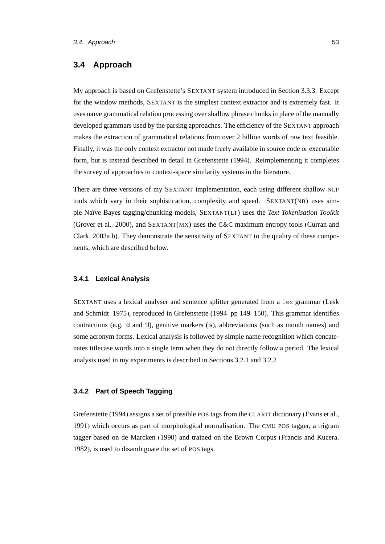# <span id="page-70-0"></span>**3.4 Approach**

My approach is based on Grefenstette's SEXTANT system introduced in Section [3.3.3.](#page-66-1) Except for the window methods, SEXTANT is the simplest context extractor and is extremely fast. It uses naïve grammatical relation processing over shallow phrase chunks in place of the manually developed grammars used by the parsing approaches. The efficiency of the SEXTANT approach makes the extraction of grammatical relations from over 2 billion words of raw text feasible. Finally, it was the only context extractor not made freely available in source code or executable form, but is instead described in detail in [Grefenstette](#page-165-0) [\(1994\)](#page-165-0). Reimplementing it completes the survey of approaches to context-space similarity systems in the literature.

There are three versions of my SEXTANT implementation, each using different shallow NLP tools which vary in their sophistication, complexity and speed. SEXTANT(NB) uses simple Na¨ıve Bayes tagging/chunking models, SEXTANT(LT) uses the *Text Tokenisation Toolkit* [\(Grover et al., 2000\)](#page-165-7), and SEXTANT(MX) uses the C&C maximum entropy tools [\(Curran and](#page-162-4) [Clark, 2003a,](#page-162-4)[b\)](#page-162-5). They demonstrate the sensitivity of SEXTANT to the quality of these components, which are described below.

#### **3.4.1 Lexical Analysis**

SEXTANT uses a lexical analyser and sentence splitter generated from a lex grammar [\(Lesk](#page-168-5) [and Schmidt, 1975\)](#page-168-5), reproduced in [Grefenstette \(1994,](#page-165-0) pp 149–150). This grammar identifies contractions (e.g. 'd and 'll), genitive markers ('s), abbreviations (such as month names) and some acronym forms. Lexical analysis is followed by simple name recognition which concatenates titlecase words into a single term when they do not directly follow a period. The lexical analysis used in my experiments is described in Sections [3.2.1](#page-61-1) and [3.2.2.](#page-62-1)

#### **3.4.2 Part of Speech Tagging**

[Grefenstette](#page-165-0) [\(1994\)](#page-165-0) assigns a set of possible POS tags from the CLARIT dictionary [\(Evans et al.,](#page-164-5) [1991\)](#page-164-5) which occurs as part of morphological normalisation. The CMU POS tagger, a trigram tagger based on [de Marcken \(1990\)](#page-163-7) and trained on the Brown Corpus [\(Francis and Kucera,](#page-164-3) [1982\)](#page-164-3), is used to disambiguate the set of POS tags.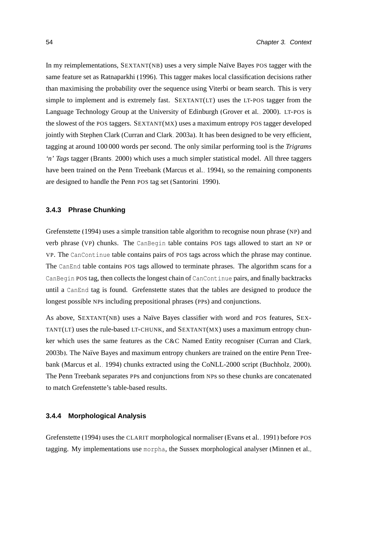In my reimplementations,  $SexTANT(NB)$  uses a very simple Naïve Bayes POS tagger with the same feature set as [Ratnaparkhi \(1996\)](#page-172-3). This tagger makes local classification decisions rather than maximising the probability over the sequence using Viterbi or beam search. This is very simple to implement and is extremely fast. SEXTANT(LT) uses the LT-POS tagger from the Language Technology Group at the University of Edinburgh [\(Grover et al., 2000\)](#page-165-7). LT-POS is the slowest of the POS taggers. SEXTANT(MX) uses a maximum entropy POS tagger developed jointly with Stephen Clark [\(Curran and Clark, 2003a\)](#page-162-4). It has been designed to be very efficient, tagging at around 100 000 words per second. The only similar performing tool is the *Trigrams 'n' Tags* tagger [\(Brants, 2000\)](#page-160-4) which uses a much simpler statistical model. All three taggers have been trained on the Penn Treebank [\(Marcus et al., 1994\)](#page-170-2), so the remaining components are designed to handle the Penn POS tag set [\(Santorini, 1990\)](#page-173-8).

#### **3.4.3 Phrase Chunking**

[Grefenstette](#page-165-0) [\(1994\)](#page-165-0) uses a simple transition table algorithm to recognise noun phrase (NP) and verb phrase (VP) chunks. The CanBegin table contains POS tags allowed to start an NP or VP. The CanContinue table contains pairs of POS tags across which the phrase may continue. The CanEnd table contains POS tags allowed to terminate phrases. The algorithm scans for a CanBegin POS tag, then collects the longest chain of CanContinue pairs, and finally backtracks until a CanEnd tag is found. Grefenstette states that the tables are designed to produce the longest possible NPs including prepositional phrases (PPs) and conjunctions.

As above, SEXTANT(NB) uses a Naïve Bayes classifier with word and POS features, SEX-TANT(LT) uses the rule-based LT-CHUNK, and SEXTANT(MX) uses a maximum entropy chunker which uses the same features as the C&C Named Entity recogniser [\(Curran and Clark,](#page-162-5) [2003b\)](#page-162-5). The Naïve Bayes and maximum entropy chunkers are trained on the entire Penn Treebank [\(Marcus et al., 1994\)](#page-170-2) chunks extracted using the CoNLL-2000 script [\(Buchholz, 2000\)](#page-160-5). The Penn Treebank separates PPs and conjunctions from NPs so these chunks are concatenated to match Grefenstette's table-based results.

#### **3.4.4 Morphological Analysis**

[Grefenstette \(1994\)](#page-165-0) uses the CLARIT morphological normaliser [\(Evans et al., 1991\)](#page-164-5) before POS tagging. My implementations use morpha, the Sussex morphological analyser [\(Minnen et al.,](#page-170-5)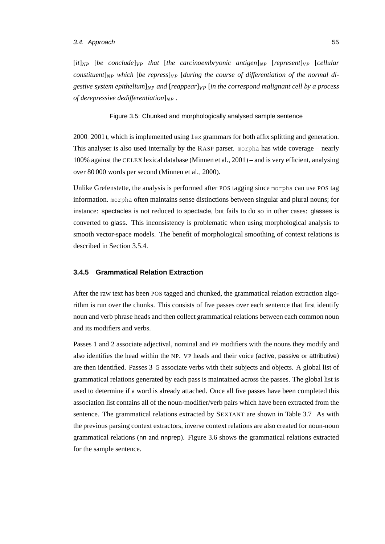#### 3.4. Approach 55

 $[it]_{NP}$  [*be conclude*] $VP$  *that* [*the carcinoembryonic antigen*] $NP$  [*represent*] $VP$  [*cellular constituent*]*NP which* [*be repress*]*VP* [*during the course of differentiation of the normal digestive system epithelium*] $_{NP}$  *and* [*reappear*] $_{VP}$  [*in the correspond malignant cell by a process of derepressive dedifferentiation*]*NP .*

Figure 3.5: Chunked and morphologically analysed sample sentence

[2000,](#page-170-0) [2001\)](#page-170-1), which is implemented using lex grammars for both affix splitting and generation. This analyser is also used internally by the RASP parser. morpha has wide coverage – nearly 100% against the CELEX lexical database [\(Minnen et al., 2001\)](#page-170-1) – and is very efficient, analysing over 80 000 words per second [\(Minnen et al., 2000\)](#page-170-0).

Unlike Grefenstette, the analysis is performed after POS tagging since morpha can use POS tag information. morpha often maintains sense distinctions between singular and plural nouns; for instance: spectacles is not reduced to spectacle, but fails to do so in other cases: glasses is converted to glass. This inconsistency is problematic when using morphological analysis to smooth vector-space models. The benefit of morphological smoothing of context relations is described in Section [3.5.4.](#page-80-0)

## **3.4.5 Grammatical Relation Extraction**

After the raw text has been POS tagged and chunked, the grammatical relation extraction algorithm is run over the chunks. This consists of five passes over each sentence that first identify noun and verb phrase heads and then collect grammatical relations between each common noun and its modifiers and verbs.

Passes 1 and 2 associate adjectival, nominal and PP modifiers with the nouns they modify and also identifies the head within the NP. VP heads and their voice (active, passive or attributive) are then identified. Passes 3–5 associate verbs with their subjects and objects. A global list of grammatical relations generated by each pass is maintained across the passes. The global list is used to determine if a word is already attached. Once all five passes have been completed this association list contains all of the noun-modifier/verb pairs which have been extracted from the sentence. The grammatical relations extracted by SEXTANT are shown in Table [3.7.](#page-73-0) As with the previous parsing context extractors, inverse context relations are also created for noun-noun grammatical relations (nn and nnprep). Figure [3.6](#page-73-1) shows the grammatical relations extracted for the sample sentence.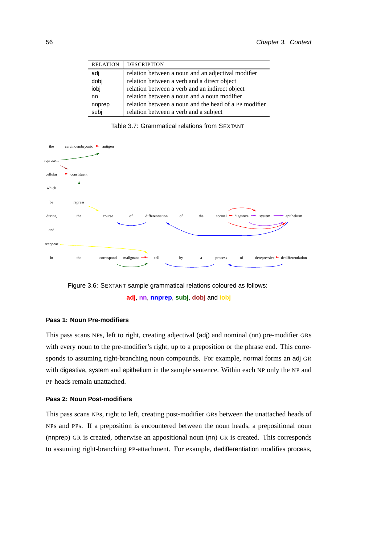| <b>RELATION</b> | <b>DESCRIPTION</b>                                    |
|-----------------|-------------------------------------------------------|
| adj             | relation between a noun and an adjectival modifier    |
| dobj            | relation between a verb and a direct object           |
| iobj            | relation between a verb and an indirect object        |
| nn              | relation between a noun and a noun modifier           |
| nnprep          | relation between a noun and the head of a PP modifier |
| subj            | relation between a verb and a subject                 |

<span id="page-73-0"></span>Table 3.7: Grammatical relations from SEXTANT



<span id="page-73-1"></span>Figure 3.6: SEXTANT sample grammatical relations coloured as follows: **adj**, **nn**, **nnprep**, **subj**, **dobj** and **iobj**

## **Pass 1: Noun Pre-modifiers**

This pass scans NPs, left to right, creating adjectival (adj) and nominal (nn) pre-modifier GRs with every noun to the pre-modifier's right, up to a preposition or the phrase end. This corresponds to assuming right-branching noun compounds. For example, normal forms an adj GR with digestive, system and epithelium in the sample sentence. Within each NP only the NP and PP heads remain unattached.

#### **Pass 2: Noun Post-modifiers**

This pass scans NPs, right to left, creating post-modifier GRs between the unattached heads of NPs and PPs. If a preposition is encountered between the noun heads, a prepositional noun (nnprep) GR is created, otherwise an appositional noun (nn) GR is created. This corresponds to assuming right-branching PP-attachment. For example, dedifferentiation modifies process,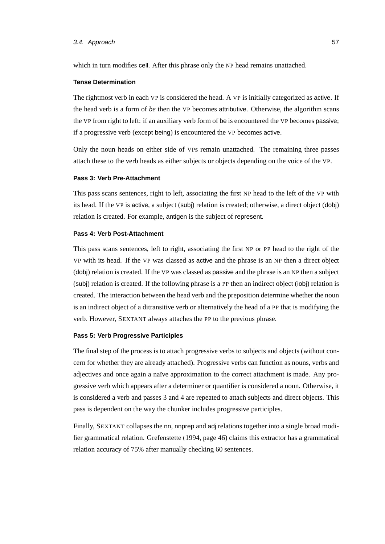#### 3.4. Approach 57

which in turn modifies cell. After this phrase only the NP head remains unattached.

#### **Tense Determination**

The rightmost verb in each VP is considered the head. A VP is initially categorized as active. If the head verb is a form of *be* then the VP becomes attributive. Otherwise, the algorithm scans the VP from right to left: if an auxiliary verb form of be is encountered the VP becomes passive; if a progressive verb (except being) is encountered the VP becomes active.

Only the noun heads on either side of VPs remain unattached. The remaining three passes attach these to the verb heads as either subjects or objects depending on the voice of the VP.

#### **Pass 3: Verb Pre-Attachment**

This pass scans sentences, right to left, associating the first NP head to the left of the VP with its head. If the VP is active, a subject (subj) relation is created; otherwise, a direct object (dobj) relation is created. For example, antigen is the subject of represent.

#### **Pass 4: Verb Post-Attachment**

This pass scans sentences, left to right, associating the first NP or PP head to the right of the VP with its head. If the VP was classed as active and the phrase is an NP then a direct object (dobj) relation is created. If the VP was classed as passive and the phrase is an NP then a subject (subj) relation is created. If the following phrase is a PP then an indirect object (iobj) relation is created. The interaction between the head verb and the preposition determine whether the noun is an indirect object of a ditransitive verb or alternatively the head of a PP that is modifying the verb. However, SEXTANT always attaches the PP to the previous phrase.

#### **Pass 5: Verb Progressive Participles**

The final step of the process is to attach progressive verbs to subjects and objects (without concern for whether they are already attached). Progressive verbs can function as nouns, verbs and adjectives and once again a naïve approximation to the correct attachment is made. Any progressive verb which appears after a determiner or quantifier is considered a noun. Otherwise, it is considered a verb and passes 3 and 4 are repeated to attach subjects and direct objects. This pass is dependent on the way the chunker includes progressive participles.

Finally, SEXTANT collapses the nn, nnprep and adj relations together into a single broad modifier grammatical relation. [Grefenstette](#page-165-0) [\(1994,](#page-165-0) page 46) claims this extractor has a grammatical relation accuracy of 75% after manually checking 60 sentences.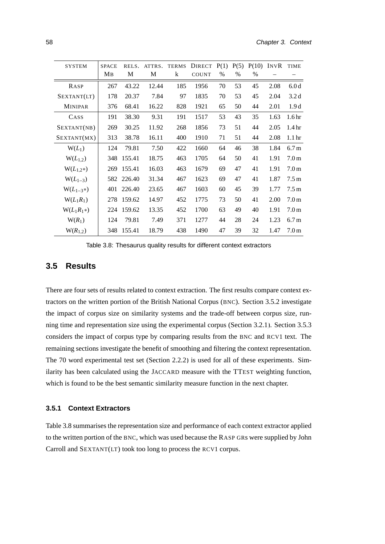| <b>SYSTEM</b>  | <b>SPACE</b> | RELS.  | ATTRS. | <b>TERMS</b> | <b>DIRECT</b> | P(1) | P(5) | P(10) | INVR | <b>TIME</b>       |
|----------------|--------------|--------|--------|--------------|---------------|------|------|-------|------|-------------------|
|                | Mв           | M      | M      | $\bf k$      | <b>COUNT</b>  | $\%$ | $\%$ | %     |      |                   |
| RASP           | 267          | 43.22  | 12.44  | 185          | 1956          | 70   | 53   | 45    | 2.08 | 6.0d              |
| SEXTANT(LT)    | 178          | 20.37  | 7.84   | 97           | 1835          | 70   | 53   | 45    | 2.04 | 3.2 <sub>d</sub>  |
| <b>MINIPAR</b> | 376          | 68.41  | 16.22  | 828          | 1921          | 65   | 50   | 44    | 2.01 | 1.9d              |
| CASS           | 191          | 38.30  | 9.31   | 191          | 1517          | 53   | 43   | 35    | 1.63 | 1.6 <sub>hr</sub> |
| SEXTANT(NB)    | 269          | 30.25  | 11.92  | 268          | 1856          | 73   | 51   | 44    | 2.05 | 1.4 <sub>hr</sub> |
| SEXTANT(MX)    | 313          | 38.78  | 16.11  | 400          | 1910          | 71   | 51   | 44    | 2.08 | 1.1 <sub>hr</sub> |
| $W(L_1)$       | 124          | 79.81  | 7.50   | 422          | 1660          | 64   | 46   | 38    | 1.84 | 6.7 <sub>m</sub>  |
| $W(L_{1,2})$   | 348          | 155.41 | 18.75  | 463          | 1705          | 64   | 50   | 41    | 1.91 | 7.0 <sub>m</sub>  |
| $W(L_{1,2}*)$  | 269          | 155.41 | 16.03  | 463          | 1679          | 69   | 47   | 41    | 1.91 | 7.0 <sub>m</sub>  |
| $W(L_{1-3})$   | 582          | 226.40 | 31.34  | 467          | 1623          | 69   | 47   | 41    | 1.87 | 7.5 <sub>m</sub>  |
| $W(L_{1-3}*)$  | 401          | 226.40 | 23.65  | 467          | 1603          | 60   | 45   | 39    | 1.77 | 7.5 <sub>m</sub>  |
| $W(L_1R_1)$    | 278          | 159.62 | 14.97  | 452          | 1775          | 73   | 50   | 41    | 2.00 | 7.0 <sub>m</sub>  |
| $W(L_1R_1*)$   | 224          | 159.62 | 13.35  | 452          | 1700          | 63   | 49   | 40    | 1.91 | 7.0 <sub>m</sub>  |
| $W(R_1)$       | 124          | 79.81  | 7.49   | 371          | 1277          | 44   | 28   | 24    | 1.23 | 6.7 <sub>m</sub>  |
| $W(R_{1,2})$   | 348          | 155.41 | 18.79  | 438          | 1490          | 47   | 39   | 32    | 1.47 | 7.0 <sub>m</sub>  |

<span id="page-75-0"></span>Table 3.8: Thesaurus quality results for different context extractors

## **3.5 Results**

There are four sets of results related to context extraction. The first results compare context extractors on the written portion of the British National Corpus (BNC). Section [3.5.2](#page-76-0) investigate the impact of corpus size on similarity systems and the trade-off between corpus size, running time and representation size using the experimental corpus (Section [3.2.1\)](#page-61-0). Section [3.5.3](#page-80-1) considers the impact of corpus type by comparing results from the BNC and RCV1 text. The remaining sections investigate the benefit of smoothing and filtering the context representation. The 70 word experimental test set (Section [2.2.2\)](#page-45-0) is used for all of these experiments. Similarity has been calculated using the JACCARD measure with the TTEST weighting function, which is found to be the best semantic similarity measure function in the next chapter.

#### **3.5.1 Context Extractors**

Table [3.8](#page-75-0) summarises the representation size and performance of each context extractor applied to the written portion of the BNC, which was used because the RASP GRs were supplied by John Carroll and SEXTANT(LT) took too long to process the RCV1 corpus.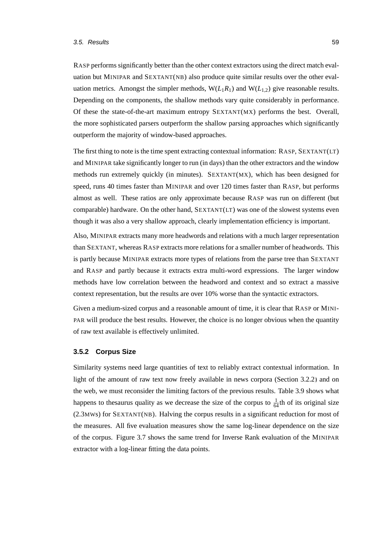RASP performs significantly better than the other context extractors using the direct match evaluation but MINIPAR and SEXTANT(NB) also produce quite similar results over the other evaluation metrics. Amongst the simpler methods,  $W(L_1R_1)$  and  $W(L_{1,2})$  give reasonable results. Depending on the components, the shallow methods vary quite considerably in performance. Of these the state-of-the-art maximum entropy SEXTANT(MX) performs the best. Overall, the more sophisticated parsers outperform the shallow parsing approaches which significantly outperform the majority of window-based approaches.

The first thing to note is the time spent extracting contextual information: RASP, SEXTANT(LT) and MINIPAR take significantly longer to run (in days) than the other extractors and the window methods run extremely quickly (in minutes). SEXTANT(MX), which has been designed for speed, runs 40 times faster than MINIPAR and over 120 times faster than RASP, but performs almost as well. These ratios are only approximate because RASP was run on different (but comparable) hardware. On the other hand, SEXTANT(LT) was one of the slowest systems even though it was also a very shallow approach, clearly implementation efficiency is important.

Also, MINIPAR extracts many more headwords and relations with a much larger representation than SEXTANT, whereas RASP extracts more relations for a smaller number of headwords. This is partly because MINIPAR extracts more types of relations from the parse tree than SEXTANT and RASP and partly because it extracts extra multi-word expressions. The larger window methods have low correlation between the headword and context and so extract a massive context representation, but the results are over 10% worse than the syntactic extractors.

Given a medium-sized corpus and a reasonable amount of time, it is clear that RASP or MINI-PAR will produce the best results. However, the choice is no longer obvious when the quantity of raw text available is effectively unlimited.

#### <span id="page-76-0"></span>**3.5.2 Corpus Size**

Similarity systems need large quantities of text to reliably extract contextual information. In light of the amount of raw text now freely available in news corpora (Section [3.2.2\)](#page-62-0) and on the web, we must reconsider the limiting factors of the previous results. Table [3.9](#page-77-0) shows what happens to the saurus quality as we decrease the size of the corpus to  $\frac{1}{64}$ th of its original size (2.3MWs) for SEXTANT(NB). Halving the corpus results in a significant reduction for most of the measures. All five evaluation measures show the same log-linear dependence on the size of the corpus. Figure [3.7](#page-77-1) shows the same trend for Inverse Rank evaluation of the MINIPAR extractor with a log-linear fitting the data points.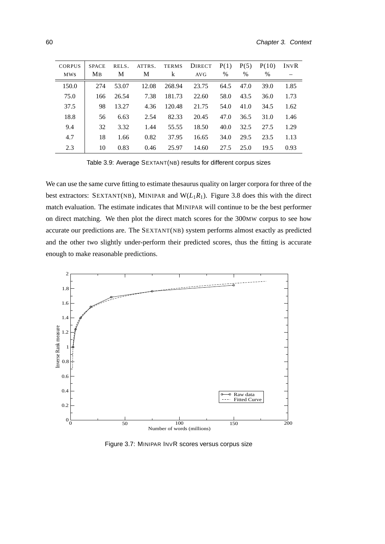| <b>CORPUS</b> | <b>SPACE</b><br>MB | RELS.<br>М | ATTRS.<br>M | <b>TERMS</b><br>k | <b>DIRECT</b> | P(1)<br>$\%$ | P(5)<br>$\frac{0}{0}$ | P(10)<br>$\%$ | INVR |
|---------------|--------------------|------------|-------------|-------------------|---------------|--------------|-----------------------|---------------|------|
| <b>MWS</b>    |                    |            |             |                   | <b>AVG</b>    |              |                       |               |      |
| 150.0         | 274                | 53.07      | 12.08       | 268.94            | 23.75         | 64.5         | 47.0                  | 39.0          | 1.85 |
| 75.0          | 166                | 26.54      | 7.38        | 181.73            | 22.60         | 58.0         | 43.5                  | 36.0          | 1.73 |
| 37.5          | 98                 | 13.27      | 4.36        | 120.48            | 21.75         | 54.0         | 41.0                  | 34.5          | 1.62 |
| 18.8          | 56                 | 6.63       | 2.54        | 82.33             | 20.45         | 47.0         | 36.5                  | 31.0          | 1.46 |
| 9.4           | 32                 | 3.32       | 1.44        | 55.55             | 18.50         | 40.0         | 32.5                  | 27.5          | 1.29 |
| 4.7           | 18                 | 1.66       | 0.82        | 37.95             | 16.65         | 34.0         | 29.5                  | 23.5          | 1.13 |
| 2.3           | 10                 | 0.83       | 0.46        | 25.97             | 14.60         | 27.5         | 25.0                  | 19.5          | 0.93 |

<span id="page-77-0"></span>Table 3.9: Average SEXTANT(NB) results for different corpus sizes

We can use the same curve fitting to estimate thesaurus quality on larger corpora for three of the best extractors: SEXTANT(NB), MINIPAR and  $W(L_1R_1)$ . Figure [3.8](#page-78-0) does this with the direct match evaluation. The estimate indicates that MINIPAR will continue to be the best performer on direct matching. We then plot the direct match scores for the 300MW corpus to see how accurate our predictions are. The SEXTANT(NB) system performs almost exactly as predicted and the other two slightly under-perform their predicted scores, thus the fitting is accurate enough to make reasonable predictions.



<span id="page-77-1"></span>Figure 3.7: MINIPAR INVR scores versus corpus size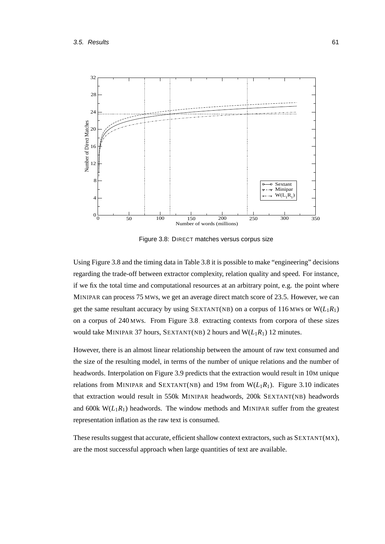

<span id="page-78-0"></span>Figure 3.8: DIRECT matches versus corpus size

Using Figure [3.8](#page-78-0) and the timing data in Table [3.8](#page-75-0) it is possible to make "engineering" decisions regarding the trade-off between extractor complexity, relation quality and speed. For instance, if we fix the total time and computational resources at an arbitrary point, e.g. the point where MINIPAR can process 75 MWs, we get an average direct match score of 23.5. However, we can get the same resultant accuracy by using SEXTANT(NB) on a corpus of 116 MWs or  $W(L_1R_1)$ on a corpus of 240 MWs. From Figure [3.8,](#page-75-0) extracting contexts from corpora of these sizes would take MINIPAR 37 hours, SEXTANT(NB) 2 hours and  $W(L_1R_1)$  12 minutes.

However, there is an almost linear relationship between the amount of raw text consumed and the size of the resulting model, in terms of the number of unique relations and the number of headwords. Interpolation on Figure [3.9](#page-79-0) predicts that the extraction would result in 10M unique relations from MINIPAR and SEXTANT(NB) and 19M from  $W(L_1R_1)$ . Figure [3.10](#page-79-1) indicates that extraction would result in 550k MINIPAR headwords, 200k SEXTANT(NB) headwords and 600k  $W(L_1R_1)$  headwords. The window methods and MINIPAR suffer from the greatest representation inflation as the raw text is consumed.

These results suggest that accurate, efficient shallow context extractors, such as SEXTANT(MX), are the most successful approach when large quantities of text are available.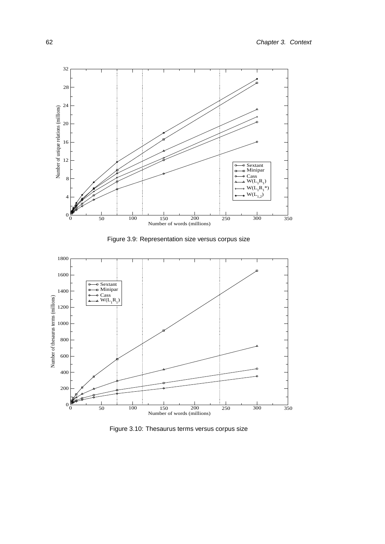

<span id="page-79-0"></span>Figure 3.9: Representation size versus corpus size



<span id="page-79-1"></span>Figure 3.10: Thesaurus terms versus corpus size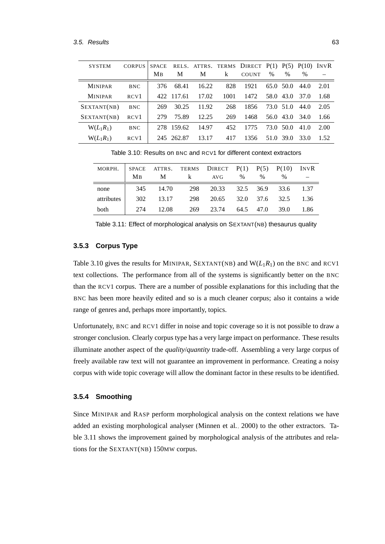| <b>SYSTEM</b>  | <b>CORPUS</b>    | <b>SPACE</b> |            |       |      | RELS. ATTRS. TERMS DIRECT $P(1) P(5) P(10) INVR$ |           |           |      |      |
|----------------|------------------|--------------|------------|-------|------|--------------------------------------------------|-----------|-----------|------|------|
|                |                  | <b>MB</b>    | M          | M     | k    | <b>COUNT</b>                                     | $\%$      | $\%$      | $\%$ |      |
| <b>MINIPAR</b> | <b>BNC</b>       | 376          | 68.41      | 16.22 | 828  | 1921                                             | 65.0 50.0 |           | 44.0 | 2.01 |
| <b>MINIPAR</b> | RCV1             |              | 422 117.61 | 17.02 | 1001 | 1472                                             |           | 58.0 43.0 | 37.0 | 1.68 |
| SEXTANT(NB)    | <b>BNC</b>       | 269          | 30.25      | 11.92 | 268  | 1856                                             | 73.0 51.0 |           | 44.0 | 2.05 |
| SEXTANT(NB)    | RCV <sub>1</sub> | 279          | 75.89      | 12.25 | 269  | 1468                                             |           | 56.0 43.0 | 34.0 | 1.66 |
| $W(L_1R_1)$    | <b>BNC</b>       | 278          | 159.62     | 14.97 | 452  | 1775                                             | 73.0 50.0 |           | 41.0 | 2.00 |
| $W(L_1R_1)$    | RCV <sub>1</sub> |              | 245 262.87 | 13.17 | 417  | 1356                                             | 51.0      | 39.0      | 33.0 | 1.52 |

<span id="page-80-2"></span>Table 3.10: Results on BNC and RCV1 for different context extractors

| MORPH.     | <b>MB</b> |       | SPACE ATTRS. TERMS DIRECT $P(1)$ $P(5)$ $P(10)$ INVR<br>M k AVG | $\%$ | $\%$           | $\%$ |      |
|------------|-----------|-------|-----------------------------------------------------------------|------|----------------|------|------|
| none       | 345       | 14.70 | 298 20.33 32.5 36.9 33.6 1.37                                   |      |                |      |      |
| attributes | 302       | 13.17 | 298 20.65 32.0 37.6 32.5 1.36                                   |      |                |      |      |
| both       | 274       | 12.08 | 269 23.74                                                       |      | 64.5 47.0 39.0 |      | 1.86 |

<span id="page-80-3"></span>Table 3.11: Effect of morphological analysis on SEXTANT(NB) thesaurus quality

## <span id="page-80-1"></span>**3.5.3 Corpus Type**

Table [3.10](#page-80-2) gives the results for MINIPAR, SEXTANT(NB) and  $W(L_1R_1)$  on the BNC and RCV1 text collections. The performance from all of the systems is significantly better on the BNC than the RCV1 corpus. There are a number of possible explanations for this including that the BNC has been more heavily edited and so is a much cleaner corpus; also it contains a wide range of genres and, perhaps more importantly, topics.

Unfortunately, BNC and RCV1 differ in noise and topic coverage so it is not possible to draw a stronger conclusion. Clearly corpus type has a very large impact on performance. These results illuminate another aspect of the *quality*/*quantity* trade-off. Assembling a very large corpus of freely available raw text will not guarantee an improvement in performance. Creating a noisy corpus with wide topic coverage will allow the dominant factor in these results to be identified.

#### <span id="page-80-0"></span>**3.5.4 Smoothing**

Since MINIPAR and RASP perform morphological analysis on the context relations we have added an existing morphological analyser [\(Minnen et al., 2000\)](#page-170-0) to the other extractors. Table [3.11](#page-80-3) shows the improvement gained by morphological analysis of the attributes and relations for the SEXTANT(NB) 150MW corpus.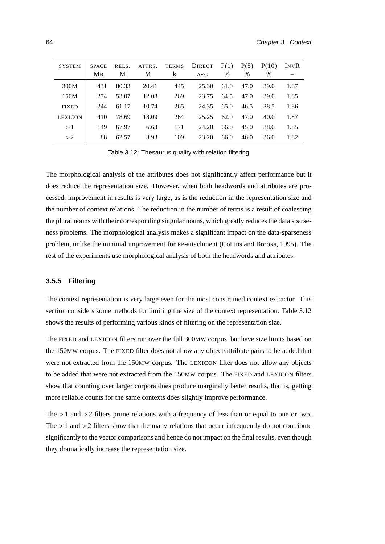| <b>SYSTEM</b>  | <b>SPACE</b> | RELS. | ATTRS. | <b>TERMS</b> | <b>DIRECT</b> | P(1) | P(5) | P(10) | INVR |
|----------------|--------------|-------|--------|--------------|---------------|------|------|-------|------|
|                | MB           | M     | M      | k            | AVG           | $\%$ | $\%$ | $\%$  |      |
| 300M           | 431          | 80.33 | 20.41  | 445          | 25.30         | 61.0 | 47.0 | 39.0  | 1.87 |
| 150M           | 274          | 53.07 | 12.08  | 269          | 23.75         | 64.5 | 47.0 | 39.0  | 1.85 |
| <b>FIXED</b>   | 244          | 61.17 | 10.74  | 265          | 24.35         | 65.0 | 46.5 | 38.5  | 1.86 |
| <b>LEXICON</b> | 410          | 78.69 | 18.09  | 264          | 25.25         | 62.0 | 47.0 | 40.0  | 1.87 |
| >1             | 149          | 67.97 | 6.63   | 171          | 24.20         | 66.0 | 45.0 | 38.0  | 1.85 |
| >2             | 88           | 62.57 | 3.93   | 109          | 23.20         | 66.0 | 46.0 | 36.0  | 1.82 |
|                |              |       |        |              |               |      |      |       |      |

<span id="page-81-0"></span>Table 3.12: Thesaurus quality with relation filtering

The morphological analysis of the attributes does not significantly affect performance but it does reduce the representation size. However, when both headwords and attributes are processed, improvement in results is very large, as is the reduction in the representation size and the number of context relations. The reduction in the number of terms is a result of coalescing the plural nouns with their corresponding singular nouns, which greatly reduces the data sparseness problems. The morphological analysis makes a significant impact on the data-sparseness problem, unlike the minimal improvement for PP-attachment [\(Collins and Brooks, 1995\)](#page-161-0). The rest of the experiments use morphological analysis of both the headwords and attributes.

#### **3.5.5 Filtering**

The context representation is very large even for the most constrained context extractor. This section considers some methods for limiting the size of the context representation. Table [3.12](#page-81-0) shows the results of performing various kinds of filtering on the representation size.

The FIXED and LEXICON filters run over the full 300MW corpus, but have size limits based on the 150MW corpus. The FIXED filter does not allow any object/attribute pairs to be added that were not extracted from the 150MW corpus. The LEXICON filter does not allow any objects to be added that were not extracted from the 150MW corpus. The FIXED and LEXICON filters show that counting over larger corpora does produce marginally better results, that is, getting more reliable counts for the same contexts does slightly improve performance.

The  $>1$  and  $>2$  filters prune relations with a frequency of less than or equal to one or two. The  $>1$  and  $>2$  filters show that the many relations that occur infrequently do not contribute significantly to the vector comparisons and hence do not impact on the final results, even though they dramatically increase the representation size.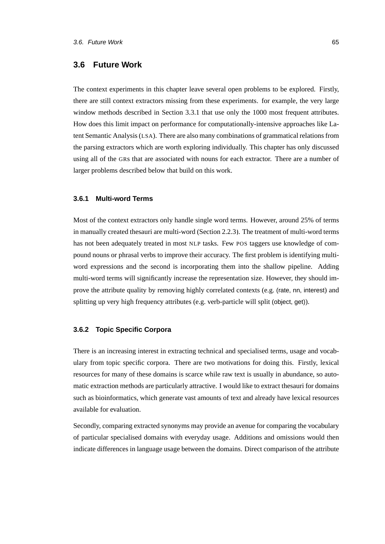## **3.6 Future Work**

The context experiments in this chapter leave several open problems to be explored. Firstly, there are still context extractors missing from these experiments. for example, the very large window methods described in Section [3.3.1](#page-63-0) that use only the 1000 most frequent attributes. How does this limit impact on performance for computationally-intensive approaches like Latent Semantic Analysis (LSA). There are also many combinations of grammatical relations from the parsing extractors which are worth exploring individually. This chapter has only discussed using all of the GRs that are associated with nouns for each extractor. There are a number of larger problems described below that build on this work.

#### **3.6.1 Multi-word Terms**

Most of the context extractors only handle single word terms. However, around 25% of terms in manually created thesauri are multi-word (Section [2.2.3\)](#page-47-0). The treatment of multi-word terms has not been adequately treated in most NLP tasks. Few POS taggers use knowledge of compound nouns or phrasal verbs to improve their accuracy. The first problem is identifying multiword expressions and the second is incorporating them into the shallow pipeline. Adding multi-word terms will significantly increase the representation size. However, they should improve the attribute quality by removing highly correlated contexts (e.g. (rate, nn, interest) and splitting up very high frequency attributes (e.g. verb-particle will split (object, get)).

## **3.6.2 Topic Specific Corpora**

There is an increasing interest in extracting technical and specialised terms, usage and vocabulary from topic specific corpora. There are two motivations for doing this. Firstly, lexical resources for many of these domains is scarce while raw text is usually in abundance, so automatic extraction methods are particularly attractive. I would like to extract thesauri for domains such as bioinformatics, which generate vast amounts of text and already have lexical resources available for evaluation.

Secondly, comparing extracted synonyms may provide an avenue for comparing the vocabulary of particular specialised domains with everyday usage. Additions and omissions would then indicate differences in language usage between the domains. Direct comparison of the attribute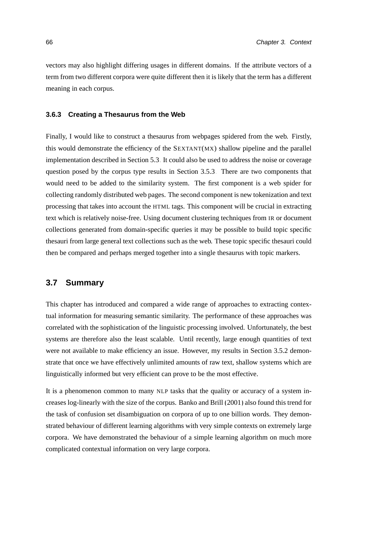vectors may also highlight differing usages in different domains. If the attribute vectors of a term from two different corpora were quite different then it is likely that the term has a different meaning in each corpus.

#### **3.6.3 Creating a Thesaurus from the Web**

Finally, I would like to construct a thesaurus from webpages spidered from the web. Firstly, this would demonstrate the efficiency of the SEXTANT(MX) shallow pipeline and the parallel implementation described in Section [5.3.](#page-119-0) It could also be used to address the noise or coverage question posed by the corpus type results in Section [3.5.3.](#page-80-1) There are two components that would need to be added to the similarity system. The first component is a web spider for collecting randomly distributed web pages. The second component is new tokenization and text processing that takes into account the HTML tags. This component will be crucial in extracting text which is relatively noise-free. Using document clustering techniques from IR or document collections generated from domain-specific queries it may be possible to build topic specific thesauri from large general text collections such as the web. These topic specific thesauri could then be compared and perhaps merged together into a single thesaurus with topic markers.

## **3.7 Summary**

This chapter has introduced and compared a wide range of approaches to extracting contextual information for measuring semantic similarity. The performance of these approaches was correlated with the sophistication of the linguistic processing involved. Unfortunately, the best systems are therefore also the least scalable. Until recently, large enough quantities of text were not available to make efficiency an issue. However, my results in Section [3.5.2](#page-76-0) demonstrate that once we have effectively unlimited amounts of raw text, shallow systems which are linguistically informed but very efficient can prove to be the most effective.

It is a phenomenon common to many NLP tasks that the quality or accuracy of a system increases log-linearly with the size of the corpus. [Banko and Brill \(2001\)](#page-159-0) also found this trend for the task of confusion set disambiguation on corpora of up to one billion words. They demonstrated behaviour of different learning algorithms with very simple contexts on extremely large corpora. We have demonstrated the behaviour of a simple learning algorithm on much more complicated contextual information on very large corpora.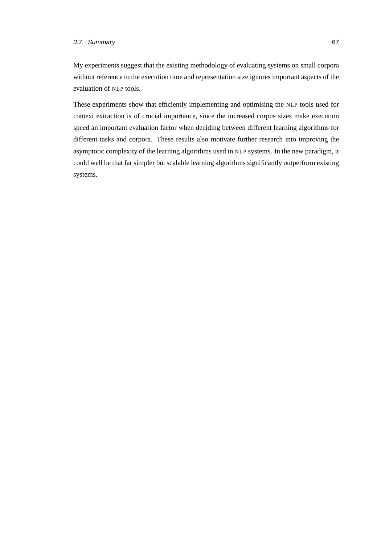## 3.7. Summary 67

My experiments suggest that the existing methodology of evaluating systems on small corpora without reference to the execution time and representation size ignores important aspects of the evaluation of NLP tools.

These experiments show that efficiently implementing and optimising the NLP tools used for context extraction is of crucial importance, since the increased corpus sizes make execution speed an important evaluation factor when deciding between different learning algorithms for different tasks and corpora. These results also motivate further research into improving the asymptotic complexity of the learning algorithms used in NLP systems. In the new paradigm, it could well be that far simpler but scalable learning algorithms significantly outperform existing systems.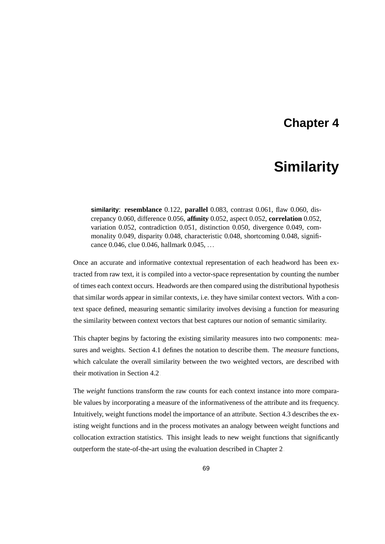## **Chapter 4**

# **Similarity**

**similarity**: **resemblance** 0.122, **parallel** 0.083, contrast 0.061, flaw 0.060, discrepancy 0.060, difference 0.056, **affinity** 0.052, aspect 0.052, **correlation** 0.052, variation 0.052, contradiction 0.051, distinction 0.050, divergence 0.049, commonality 0.049, disparity 0.048, characteristic 0.048, shortcoming 0.048, significance 0.046, clue 0.046, hallmark 0.045, ...

Once an accurate and informative contextual representation of each headword has been extracted from raw text, it is compiled into a vector-space representation by counting the number of times each context occurs. Headwords are then compared using the distributional hypothesis that similar words appear in similar contexts, i.e. they have similar context vectors. With a context space defined, measuring semantic similarity involves devising a function for measuring the similarity between context vectors that best captures our notion of semantic similarity.

This chapter begins by factoring the existing similarity measures into two components: measures and weights. Section [4.1](#page-88-0) defines the notation to describe them. The *measure* functions, which calculate the overall similarity between the two weighted vectors, are described with their motivation in Section [4.2.](#page-89-0)

The *weight* functions transform the raw counts for each context instance into more comparable values by incorporating a measure of the informativeness of the attribute and its frequency. Intuitively, weight functions model the importance of an attribute. Section [4.3](#page-95-0) describes the existing weight functions and in the process motivates an analogy between weight functions and collocation extraction statistics. This insight leads to new weight functions that significantly outperform the state-of-the-art using the evaluation described in Chapter [2.](#page-36-0)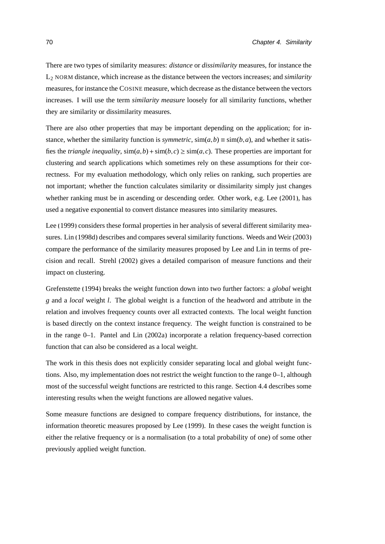There are two types of similarity measures: *distance* or *dissimilarity* measures, for instance the L<sup>2</sup> NORM distance, which increase as the distance between the vectors increases; and *similarity* measures, for instance the COSINE measure, which decrease as the distance between the vectors increases. I will use the term *similarity measure* loosely for all similarity functions, whether they are similarity or dissimilarity measures.

There are also other properties that may be important depending on the application; for instance, whether the similarity function is *symmetric*,  $\text{sim}(a,b) \equiv \text{sim}(b,a)$ , and whether it satisfies the *triangle inequality*,  $\sin(a, b) + \sin(b, c) \geq \sin(a, c)$ . These properties are important for clustering and search applications which sometimes rely on these assumptions for their correctness. For my evaluation methodology, which only relies on ranking, such properties are not important; whether the function calculates similarity or dissimilarity simply just changes whether ranking must be in ascending or descending order. Other work, e.g. [Lee](#page-168-0) [\(2001\)](#page-168-0), has used a negative exponential to convert distance measures into similarity measures.

[Lee \(1999\)](#page-168-1) considers these formal properties in her analysis of several different similarity measures. [Lin \(1998d\)](#page-169-0) describes and compares several similarity functions. [Weeds and Weir \(2003\)](#page-175-0) compare the performance of the similarity measures proposed by Lee and Lin in terms of precision and recall. [Strehl \(2002\)](#page-174-0) gives a detailed comparison of measure functions and their impact on clustering.

[Grefenstette](#page-165-0) [\(1994\)](#page-165-0) breaks the weight function down into two further factors: a *global* weight *g* and a *local* weight *l*. The global weight is a function of the headword and attribute in the relation and involves frequency counts over all extracted contexts. The local weight function is based directly on the context instance frequency. The weight function is constrained to be in the range 0–1. [Pantel and Lin \(2002a\)](#page-171-0) incorporate a relation frequency-based correction function that can also be considered as a local weight.

The work in this thesis does not explicitly consider separating local and global weight functions. Also, my implementation does not restrict the weight function to the range 0–1, although most of the successful weight functions are restricted to this range. Section [4.4](#page-101-0) describes some interesting results when the weight functions are allowed negative values.

Some measure functions are designed to compare frequency distributions, for instance, the information theoretic measures proposed by [Lee \(1999\)](#page-168-1). In these cases the weight function is either the relative frequency or is a normalisation (to a total probability of one) of some other previously applied weight function.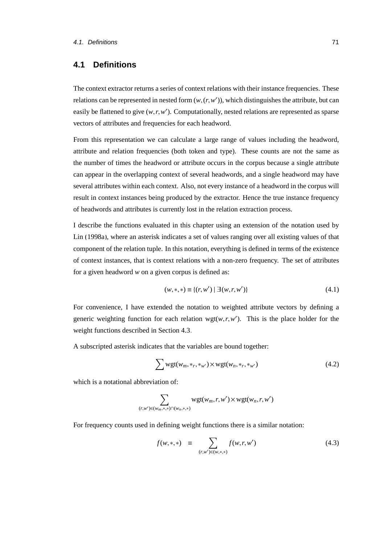## <span id="page-88-0"></span>**4.1 Definitions**

The context extractor returns a series of context relations with their instance frequencies. These relations can be represented in nested form  $(w, (r, w'))$ , which distinguishes the attribute, but can easily be flattened to give  $(w, r, w')$ . Computationally, nested relations are represented as sparse vectors of attributes and frequencies for each headword.

From this representation we can calculate a large range of values including the headword, attribute and relation frequencies (both token and type). These counts are not the same as the number of times the headword or attribute occurs in the corpus because a single attribute can appear in the overlapping context of several headwords, and a single headword may have several attributes within each context. Also, not every instance of a headword in the corpus will result in context instances being produced by the extractor. Hence the true instance frequency of headwords and attributes is currently lost in the relation extraction process.

I describe the functions evaluated in this chapter using an extension of the notation used by [Lin \(1998a\)](#page-169-1), where an asterisk indicates a set of values ranging over all existing values of that component of the relation tuple. In this notation, everything is defined in terms of the existence of context instances, that is context relations with a non-zero frequency. The set of attributes for a given headword *w* on a given corpus is defined as:

$$
(w,*,*) \equiv \{(r,w') \mid \exists (w,r,w')\}
$$
\n(4.1)

For convenience, I have extended the notation to weighted attribute vectors by defining a generic weighting function for each relation wgt( $w, r, w'$ ). This is the place holder for the weight functions described in Section [4.3.](#page-95-0)

A subscripted asterisk indicates that the variables are bound together:

$$
\sum \text{wgt}(w_m, *_{r}, *_{w'}) \times \text{wgt}(w_n, *_{r}, *_{w'})
$$
\n(4.2)

which is a notational abbreviation of:

$$
\sum_{(r,w')\in(w_m,*,*)\cap(w_n,*,*)}\text{wgt}(w_m,r,w')\times\text{wgt}(w_n,r,w')
$$

For frequency counts used in defining weight functions there is a similar notation:

$$
f(w,*,*) \equiv \sum_{(r,w') \in (w,*,*)} f(w,r,w') \tag{4.3}
$$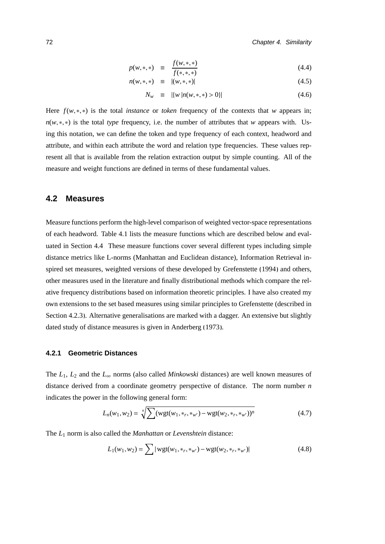$$
p(w, *, *) \equiv \frac{f(w, *, *)}{f(*, *, *)}
$$
\n
$$
p(w, *, *) \equiv |(w, *, *)|
$$
\n(4.4)

$$
n(w,*,*) \equiv |(w,*,*)| \tag{4.5}
$$

$$
N_w \equiv |\{w \, | n(w, \ast, \ast) > 0\}| \tag{4.6}
$$

Here *<sup>f</sup>*(*w*,∗,∗) is the total *instance* or *token* frequency of the contexts that *<sup>w</sup>* appears in; *n*(*w*,∗,∗) is the total *type* frequency, i.e. the number of attributes that *w* appears with. Using this notation, we can define the token and type frequency of each context, headword and attribute, and within each attribute the word and relation type frequencies. These values represent all that is available from the relation extraction output by simple counting. All of the measure and weight functions are defined in terms of these fundamental values.

## <span id="page-89-0"></span>**4.2 Measures**

Measure functions perform the high-level comparison of weighted vector-space representations of each headword. Table [4.1](#page-90-0) lists the measure functions which are described below and evaluated in Section [4.4.](#page-101-0) These measure functions cover several different types including simple distance metrics like L-norms (Manhattan and Euclidean distance), Information Retrieval inspired set measures, weighted versions of these developed by [Grefenstette \(1994\)](#page-165-0) and others, other measures used in the literature and finally distributional methods which compare the relative frequency distributions based on information theoretic principles. I have also created my own extensions to the set based measures using similar principles to Grefenstette (described in Section [4.2.3\)](#page-92-0). Alternative generalisations are marked with a dagger. An extensive but slightly dated study of distance measures is given in [Anderberg](#page-158-0) [\(1973\)](#page-158-0).

#### <span id="page-89-1"></span>**4.2.1 Geometric Distances**

The  $L_1$ ,  $L_2$  and the  $L_\infty$  norms (also called *Minkowski* distances) are well known measures of distance derived from a coordinate geometry perspective of distance. The norm number *n* indicates the power in the following general form:

$$
L_n(w_1, w_2) = \sqrt[n]{\sum (wgt(w_1, *_{r}, *_{w'}) - wgt(w_2, *_{r}, *_{w'}))^n}
$$
(4.7)

The *L*<sup>1</sup> norm is also called the *Manhattan* or *Levenshtein* distance:

$$
L_1(w_1, w_2) = \sum |wgt(w_1, *_{r}, *_{w'}) - wgt(w_2, *_{r}, *_{w'})|
$$
\n(4.8)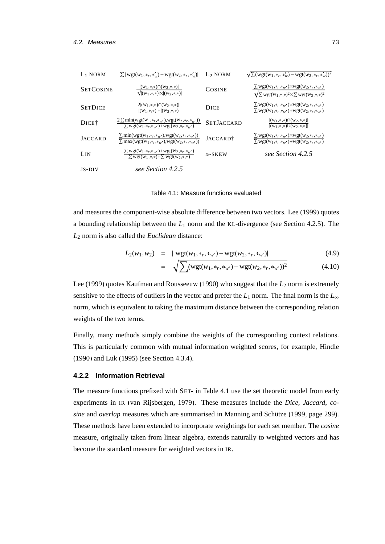| $L_1$ NORM        | $\sum  {\rm wgt}(w_1, *_{r}, *_{w}') - {\rm wgt}(w_2, *_{r}, *_{w}') $                                                                                      | $L_2$ NORM           | $\sqrt{\sum}(\text{wgt}(w_1,*,*,*,\cdot)) - \text{wgt}(w_2,*,*,*,\cdot))^2$                                                                                                                  |
|-------------------|-------------------------------------------------------------------------------------------------------------------------------------------------------------|----------------------|----------------------------------------------------------------------------------------------------------------------------------------------------------------------------------------------|
| <b>SETCOSINE</b>  | $ (w_1,*,*) \cap (w_2,*,*) $<br>$\sqrt{ (W_1,*,*)  \times  (W_2,*,*) }$                                                                                     | <b>COSINE</b>        | $\sum \text{wgt}(w_1,*_r,*_{w'}) \times \text{wgt}(w_2,*_r,*_{w'})$<br>$\sqrt{\sum wgt(w_1,*,*)^2 \times \sum wgt(w_2,*,*)^2}$                                                               |
| <b>SETDICE</b>    | $2 (w_1,*,*) \cap (w_2,*,*) $<br>$ (w_1,*,*) + (w_2,*,*) $                                                                                                  | DICE                 | $\sum$ wgt(w <sub>1</sub> ,* <sub>r</sub> ,* <sub>w</sub> /)×wgt(w <sub>2</sub> ,* <sub>r</sub> ,* <sub>w</sub> /)<br>$\sum \text{wgt}(W_1, *_{r}, *_{w'}) + \text{wgt}(W_2, *_{r}, *_{w'})$ |
| DICE <sup>†</sup> | $2 \sum \min(wgt(w_1, *_{r}, *_{w'}), wgt(w_2, *_{r}, *_{w'}))$<br>$\sum$ wgt(W <sub>1</sub> ,*r,* <sub>w</sub> /)+wgt(W <sub>2</sub> ,*r,* <sub>w</sub> /) | <b>SETJACCARD</b>    | $ (w_1,*,*) \cap (w_2,*,*) $<br>$ (W_1,*,*)\cup(W_2,*,*) $                                                                                                                                   |
| <b>JACCARD</b>    | $\frac{\sum \min(wgt(w_1,*_r,*_{w'}),wgt(w_2,*_r,*_{w'}))}{\sum \max(wgt(w_1,*_r,*_{w'}),wgt(w_2,*_r,*_{w'}))}$                                             | JACCARD <sup>†</sup> | $\sum\text{wgt}(w_1,\ast_r,\ast_{w'})\times\text{wgt}(w_2,\ast_r,\ast_{w'})$<br>$\sum \text{wgt}(W_1, *_{r}, *_{w'}) + \text{wgt}(W_2, *_{r}, *_{w'})$                                       |
| LIN               | $\sum$ wgt(w <sub>1</sub> ,*r,* <sub>w'</sub> )+wgt(w <sub>2</sub> ,*r,* <sub>w'</sub> )<br>$\sum \text{wgt}(w_1,*,*) + \sum \text{wgt}(w_2,*,*)$           | $\alpha$ -SKEW       | see Section 4.2.5                                                                                                                                                                            |
| $JS-DIV$          | see Section 4.2.5                                                                                                                                           |                      |                                                                                                                                                                                              |

<span id="page-90-0"></span>Table 4.1: Measure functions evaluated

and measures the component-wise absolute difference between two vectors. [Lee \(1999\)](#page-168-1) quotes a bounding relationship between the *L*<sup>1</sup> norm and the KL-divergence (see Section [4.2.5\)](#page-94-0). The *L*<sup>2</sup> norm is also called the *Euclidean* distance:

$$
L_2(w_1, w_2) = ||\mathbf{wgt}(w_1, \ast_r, \ast_{w'}) - \mathbf{wgt}(w_2, \ast_r, \ast_{w'})||
$$
\n(4.9)

$$
= \sqrt{\sum (wgt(w_1, *_{r}, *_{w'}) - wgt(w_2, *_{r}, *_{w'}))^2}
$$
(4.10)

[Lee \(1999\)](#page-168-1) quotes [Kaufman and Rousseeuw \(1990\)](#page-167-0) who suggest that the  $L_2$  norm is extremely sensitive to the effects of outliers in the vector and prefer the  $L_1$  norm. The final norm is the  $L_\infty$ norm, which is equivalent to taking the maximum distance between the corresponding relation weights of the two terms.

Finally, many methods simply combine the weights of the corresponding context relations. This is particularly common with mutual information weighted scores, for example, [Hindle](#page-166-0) [\(1990\)](#page-166-0) and [Luk](#page-170-2) [\(1995\)](#page-170-2) (see Section [4.3.4\)](#page-98-0).

#### **4.2.2 Information Retrieval**

The measure functions prefixed with SET- in Table [4.1](#page-90-0) use the set theoretic model from early experiments in IR [\(van Rijsbergen, 1979\)](#page-175-1). These measures include the *Dice*, *Jaccard*, *cosine* and *overlap* measures which are summarised in Manning and Schütze (1999, page 299). These methods have been extended to incorporate weightings for each set member. The *cosine* measure, originally taken from linear algebra, extends naturally to weighted vectors and has become the standard measure for weighted vectors in IR.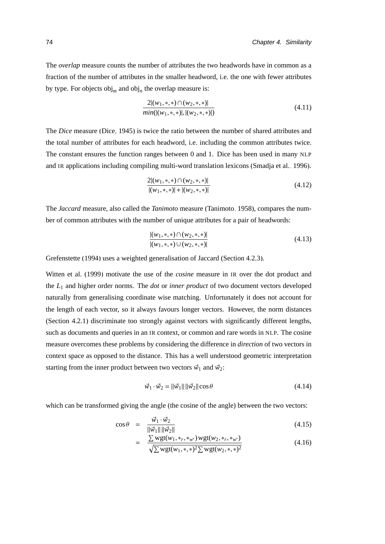The *overlap* measure counts the number of attributes the two headwords have in common as a fraction of the number of attributes in the smaller headword, i.e. the one with fewer attributes by type. For objects  $obj_m$  and  $obj_n$  the overlap measure is:

$$
\frac{2| (w_1,*,*) \cap (w_2,*,*) |}{\min(| (w_1,*,*)|, | (w_2,*,*) |)}
$$
(4.11)

The *Dice* measure [\(Dice, 1945\)](#page-163-0) is twice the ratio between the number of shared attributes and the total number of attributes for each headword, i.e. including the common attributes twice. The constant ensures the function ranges between 0 and 1. Dice has been used in many NLP and IR applications including compiling multi-word translation lexicons [\(Smadja et al., 1996\)](#page-173-0).

$$
\frac{2| (w_1, * , * ) \cap (w_2, * , *)|}{|(w_1, * , *)| + | (w_2, * , *)|}
$$
\n(4.12)

The *Jaccard* measure, also called the *Tanimoto* measure [\(Tanimoto, 1958\)](#page-175-2), compares the number of common attributes with the number of unique attributes for a pair of headwords:

$$
\frac{|(w_1,*,*) \cap (w_2,*,*)|}{|(w_1,*,*) \cup (w_2,*,*)|}
$$
\n(4.13)

[Grefenstette](#page-165-0) [\(1994\)](#page-165-0) uses a weighted generalisation of Jaccard (Section [4.2.3\)](#page-92-0).

[Witten et al. \(1999\)](#page-176-0) motivate the use of the *cosine* measure in IR over the dot product and the *L*<sup>1</sup> and higher order norms. The *dot* or *inner product* of two document vectors developed naturally from generalising coordinate wise matching. Unfortunately it does not account for the length of each vector, so it always favours longer vectors. However, the norm distances (Section [4.2.1\)](#page-89-1) discriminate too strongly against vectors with significantly different lengths, such as documents and queries in an IR context, or common and rare words in NLP. The cosine measure overcomes these problems by considering the difference in *direction* of two vectors in context space as opposed to the distance. This has a well understood geometric interpretation starting from the inner product between two vectors  $\vec{w}_1$  and  $\vec{w}_2$ :

$$
\vec{w}_1 \cdot \vec{w}_2 = ||\vec{w}_1|| ||\vec{w}_2|| \cos \theta \tag{4.14}
$$

which can be transformed giving the angle (the cosine of the angle) between the two vectors:

$$
\cos \theta = \frac{\vec{w}_1 \cdot \vec{w}_2}{\|\vec{w}_1\| \|\vec{w}_2\|}
$$
(4.15)

$$
= \frac{\sum \text{wgt}(w_1, *_{r}, *_{w'}) \text{wgt}(w_2, *_{r}, *_{w'})}{\sqrt{\sum \text{wgt}(w_1, *_{r}, *)^2 \sum \text{wgt}(w_2, *_{r}, *)^2}}
$$
(4.16)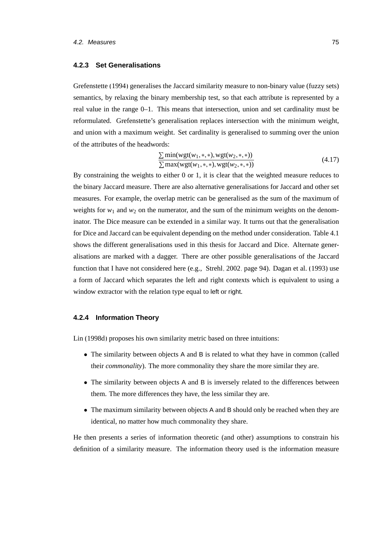#### <span id="page-92-0"></span>**4.2.3 Set Generalisations**

[Grefenstette \(1994\)](#page-165-0) generalises the Jaccard similarity measure to non-binary value (fuzzy sets) semantics, by relaxing the binary membership test, so that each attribute is represented by a real value in the range 0–1. This means that intersection, union and set cardinality must be reformulated. Grefenstette's generalisation replaces intersection with the minimum weight, and union with a maximum weight. Set cardinality is generalised to summing over the union of the attributes of the headwords:

$$
\frac{\sum \min(wgt(w_1, *, *), wgt(w_2, *, *))}{\sum \max(wgt(w_1, *, *), wgt(w_2, *, *))}
$$
\n(4.17)

 $\sum \max(wgt(w_1, *, *), wgt(w_2, *, *))$ <br>By constraining the weights to either 0 or 1, it is clear that the weighted measure reduces to the binary Jaccard measure. There are also alternative generalisations for Jaccard and other set measures. For example, the overlap metric can be generalised as the sum of the maximum of weights for  $w_1$  and  $w_2$  on the numerator, and the sum of the minimum weights on the denominator. The Dice measure can be extended in a similar way. It turns out that the generalisation for Dice and Jaccard can be equivalent depending on the method under consideration. Table [4.1](#page-90-0) shows the different generalisations used in this thesis for Jaccard and Dice. Alternate generalisations are marked with a dagger. There are other possible generalisations of the Jaccard function that I have not considered here (e.g., [Strehl, 2002,](#page-174-0) page 94). [Dagan et al.](#page-163-1) [\(1993\)](#page-163-1) use a form of Jaccard which separates the left and right contexts which is equivalent to using a window extractor with the relation type equal to left or right.

#### **4.2.4 Information Theory**

[Lin](#page-169-0) [\(1998d\)](#page-169-0) proposes his own similarity metric based on three intuitions:

- The similarity between objects A and B is related to what they have in common (called their *commonality*). The more commonality they share the more similar they are.
- The similarity between objects A and B is inversely related to the differences between them. The more differences they have, the less similar they are.
- The maximum similarity between objects A and B should only be reached when they are identical, no matter how much commonality they share.

He then presents a series of information theoretic (and other) assumptions to constrain his definition of a similarity measure. The information theory used is the information measure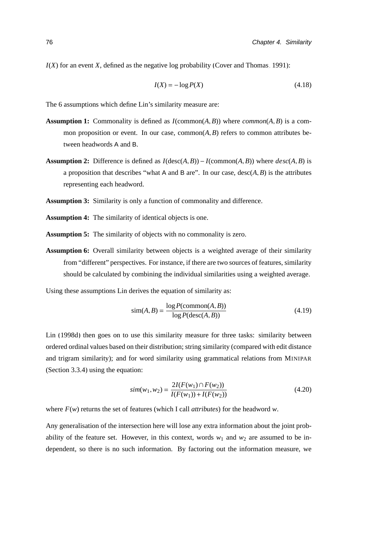$I(X)$  for an event *X*, defined as the negative log probability [\(Cover and Thomas, 1991\)](#page-162-0):

$$
I(X) = -\log P(X) \tag{4.18}
$$

The 6 assumptions which define Lin's similarity measure are:

- **Assumption 1:** Commonality is defined as  $I$ (common $(A, B)$ ) where  $common(A, B)$  is a common proposition or event. In our case, common(*A*,*B*) refers to common attributes between headwords A and B.
- **Assumption 2:** Difference is defined as  $I$ (desc( $A$ , $B$ ))  $I$ (common( $A$ , $B$ )) where  $desc(A, B)$  is a proposition that describes "what A and B are". In our case,  $\text{desc}(A, B)$  is the attributes representing each headword.
- **Assumption 3:** Similarity is only a function of commonality and difference.
- **Assumption 4:** The similarity of identical objects is one.
- **Assumption 5:** The similarity of objects with no commonality is zero.
- **Assumption 6:** Overall similarity between objects is a weighted average of their similarity from "different" perspectives. For instance, if there are two sources of features, similarity should be calculated by combining the individual similarities using a weighted average.

Using these assumptions Lin derives the equation of similarity as:

$$
\text{sim}(A, B) = \frac{\log P(\text{common}(A, B))}{\log P(\text{desc}(A, B))}
$$
\n(4.19)

[Lin](#page-169-0) [\(1998d\)](#page-169-0) then goes on to use this similarity measure for three tasks: similarity between ordered ordinal values based on their distribution; string similarity (compared with edit distance and trigram similarity); and for word similarity using grammatical relations from MINIPAR (Section [3.3.4\)](#page-67-0) using the equation:

$$
sim(w_1, w_2) = \frac{2I(F(w_1) \cap F(w_2))}{I(F(w_1)) + I(F(w_2))}
$$
\n(4.20)

where *F*(*w*) returns the set of features (which I call *attributes*) for the headword *w*.

Any generalisation of the intersection here will lose any extra information about the joint probability of the feature set. However, in this context, words  $w_1$  and  $w_2$  are assumed to be independent, so there is no such information. By factoring out the information measure, we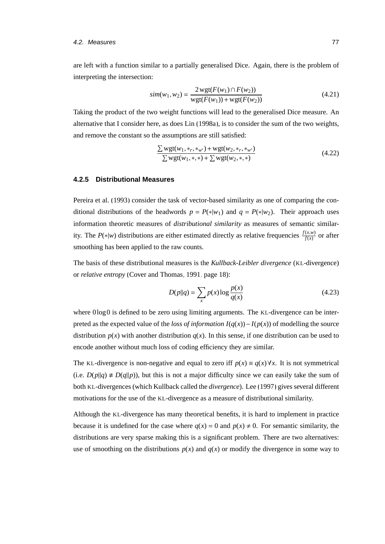#### 4.2. Measures 77

are left with a function similar to a partially generalised Dice. Again, there is the problem of interpreting the intersection:

$$
sim(w_1, w_2) = \frac{2 \text{ wgt}(F(w_1) \cap F(w_2))}{\text{ wgt}(F(w_1)) + \text{ wgt}(F(w_2))}
$$
\n(4.21)

Taking the product of the two weight functions will lead to the generalised Dice measure. An alternative that I consider here, as does [Lin \(1998a\)](#page-169-1), is to consider the sum of the two weights, and remove the constant so the assumptions are still satisfied:

$$
\frac{\sum \text{wgt}(w_1, *_{r}, *_{w'}) + \text{wgt}(w_2, *_{r}, *_{w'})}{\sum \text{wgt}(w_1, *, *) + \sum \text{wgt}(w_2, *, *)}
$$
\n(4.22)

#### <span id="page-94-0"></span>**4.2.5 Distributional Measures**

[Pereira et al. \(1993\)](#page-172-0) consider the task of vector-based similarity as one of comparing the conditional distributions of the headwords  $p = P(*)w_1$  and  $q = P(*)w_2$ . Their approach uses information theoretic measures of *distributional similarity* as measures of semantic similarity. The *P*(\*|*w*) distributions are either estimated directly as relative frequencies  $\frac{f(x,w)}{f(x)}$  or after smoothing has been applied to the raw counts.

The basis of these distributional measures is the *Kullback-Leibler divergence* (KL-divergence) or *relative entropy* [\(Cover and Thomas, 1991,](#page-162-0) page 18):

$$
D(p||q) = \sum_{x} p(x) \log \frac{p(x)}{q(x)}
$$
 (4.23)

where  $0\log 0$  is defined to be zero using limiting arguments. The KL-divergence can be interpreted as the expected value of the *loss of information*  $I(q(x)) - I(p(x))$  of modelling the source distribution  $p(x)$  with another distribution  $q(x)$ . In this sense, if one distribution can be used to encode another without much loss of coding efficiency they are similar.

The KL-divergence is non-negative and equal to zero iff  $p(x) \equiv q(x) \forall x$ . It is not symmetrical (i.e.  $D(p||q) \neq D(q||p)$ ), but this is not a major difficulty since we can easily take the sum of both KL-divergences (which Kullback called the *divergence*). [Lee \(1997\)](#page-168-2) gives several different motivations for the use of the KL-divergence as a measure of distributional similarity.

Although the KL-divergence has many theoretical benefits, it is hard to implement in practice because it is undefined for the case where  $q(x) = 0$  and  $p(x) \neq 0$ . For semantic similarity, the distributions are very sparse making this is a significant problem. There are two alternatives: use of smoothing on the distributions  $p(x)$  and  $q(x)$  or modify the divergence in some way to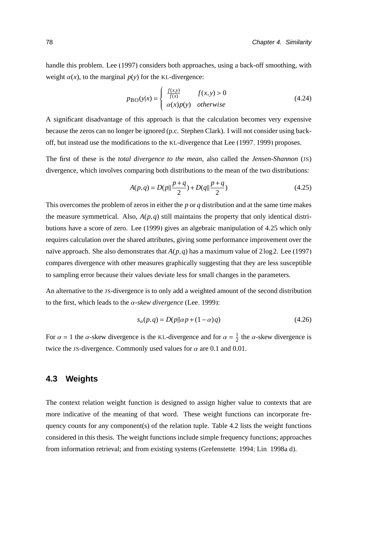handle this problem. [Lee \(1997\)](#page-168-2) considers both approaches, using a back-off smoothing, with weight  $\alpha(x)$ , to the marginal  $p(y)$  for the KL-divergence:

$$
p_{\text{BO}}(y|x) = \begin{cases} \frac{f(x,y)}{f(x)} & f(x,y) > 0\\ \alpha(x)p(y) & otherwise \end{cases}
$$
(4.24)

A significant disadvantage of this approach is that the calculation becomes very expensive because the zeros can no longer be ignored (p.c. Stephen Clark). I will not consider using backoff, but instead use the modifications to the KL-divergence that [Lee](#page-168-2) [\(1997,](#page-168-2) [1999\)](#page-168-1) proposes.

The first of these is the *total divergence to the mean*, also called the *Jensen-Shannon* (JS) divergence, which involves comparing both distributions to the mean of the two distributions:

<span id="page-95-1"></span>
$$
A(p,q) = D(p||\frac{p+q}{2}) + D(q||\frac{p+q}{2})
$$
\n(4.25)

This overcomes the problem of zeros in either the *p* or *q* distribution and at the same time makes the measure symmetrical. Also,  $A(p,q)$  still maintains the property that only identical distributions have a score of zero. [Lee](#page-168-1) [\(1999\)](#page-168-1) gives an algebraic manipulation of [4.25](#page-95-1) which only requires calculation over the shared attributes, giving some performance improvement over the naïve approach. She also demonstrates that  $A(p,q)$  has a maximum value of  $2\log 2$ . [Lee \(1997\)](#page-168-2) compares divergence with other measures graphically suggesting that they are less susceptible to sampling error because their values deviate less for small changes in the parameters.

An alternative to the JS-divergence is to only add a weighted amount of the second distribution to the first, which leads to the α*-skew divergence* [\(Lee, 1999\)](#page-168-1):

$$
s_{\alpha}(p,q) = D(p||\alpha p + (1-\alpha)q)
$$
\n(4.26)

For  $\alpha = 1$  the  $\alpha$ -skew divergence is the KL-divergence and for  $\alpha = \frac{1}{2}$  $\frac{1}{2}$  the *α*-skew divergence is twice the JS-divergence. Commonly used values for  $\alpha$  are 0.1 and 0.01.

## <span id="page-95-0"></span>**4.3 Weights**

The context relation weight function is designed to assign higher value to contexts that are more indicative of the meaning of that word. These weight functions can incorporate frequency counts for any component(s) of the relation tuple. Table [4.2](#page-96-0) lists the weight functions considered in this thesis. The weight functions include simple frequency functions; approaches from information retrieval; and from existing systems [\(Grefenstette, 1994;](#page-165-0) [Lin, 1998a](#page-169-1)[,d\)](#page-169-0).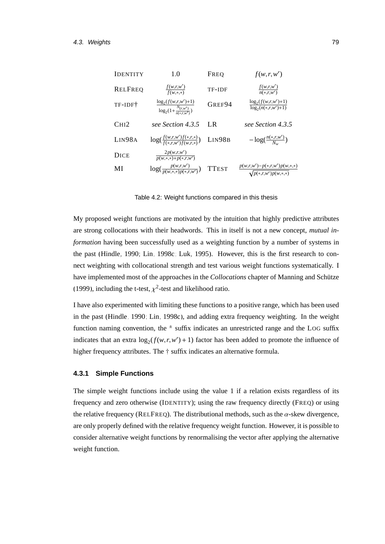| 1.0                                                              | FREQ         | f(w,r,w')                                                      |
|------------------------------------------------------------------|--------------|----------------------------------------------------------------|
| $\frac{f(w,r,w')}{f(w,*)}$                                       | TF-IDF       | $\frac{f(w,r,w')}{n(*,r,w')}$                                  |
| $\frac{\log_2(f(w,r,w')+1)}{\log_2(1+\frac{N(r,w')}{n(*r,w')})}$ | GREF94       | $\log_2(f(w,r,w')+1)$<br>$log_2(n(*, r, w') + 1)$              |
| see Section 4.3.5                                                | LR.          | see Section 4.3.5                                              |
| $\log(\frac{f(w,r,w')f(*,r,*)}{f(*,rw')f(w,r*)})$                | LIN98B       | $-\log(\frac{n(*,r,w')}{N})$                                   |
| $\frac{2p(w,r,w')}{p(w,*,*)+p(*,r,w')}$                          |              |                                                                |
| $\log(\frac{p(w,r,w')}{p(w**p)(r,w')} )$                         | <b>TTEST</b> | $\frac{p(w,r,w')-p(*,r,w')p(w,*,*)}{\sqrt{p(*,r,w')p(w,*,*)}}$ |
|                                                                  |              |                                                                |

<span id="page-96-0"></span>Table 4.2: Weight functions compared in this thesis

My proposed weight functions are motivated by the intuition that highly predictive attributes are strong collocations with their headwords. This in itself is not a new concept, *mutual information* having been successfully used as a weighting function by a number of systems in the past [\(Hindle, 1990;](#page-166-0) [Lin, 1998c;](#page-169-2) [Luk, 1995\)](#page-170-2). However, this is the first research to connect weighting with collocational strength and test various weight functions systematically. I have implemented most of the approaches in the *Collocations* chapter of Manning and Schütze [\(1999\)](#page-170-3), including the t-test,  $\chi^2$ -test and likelihood ratio.

I have also experimented with limiting these functions to a positive range, which has been used in the past [\(Hindle, 1990;](#page-166-0) [Lin, 1998c\)](#page-169-2), and adding extra frequency weighting. In the weight function naming convention, the  $\pm$  suffix indicates an unrestricted range and the LOG suffix indicates that an extra  $\log_2(f(w,r,w')+1)$  factor has been added to promote the influence of higher frequency attributes. The  $\dagger$  suffix indicates an alternative formula.

## **4.3.1 Simple Functions**

The simple weight functions include using the value 1 if a relation exists regardless of its frequency and zero otherwise (IDENTITY); using the raw frequency directly (FREQ) or using the relative frequency (RELFREQ). The distributional methods, such as the  $\alpha$ -skew divergence, are only properly defined with the relative frequency weight function. However, it is possible to consider alternative weight functions by renormalising the vector after applying the alternative weight function.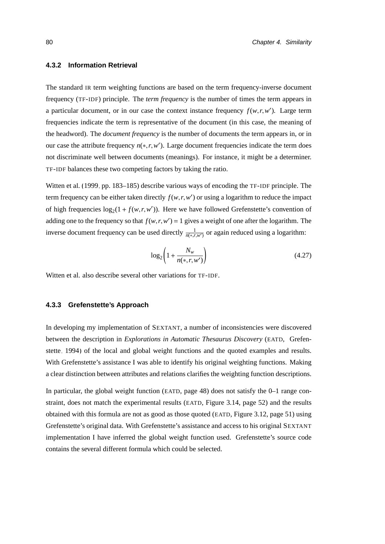#### **4.3.2 Information Retrieval**

The standard IR term weighting functions are based on the term frequency-inverse document frequency (TF-IDF) principle. The *term frequency* is the number of times the term appears in a particular document, or in our case the context instance frequency  $f(w,r,w')$ . Large term frequencies indicate the term is representative of the document (in this case, the meaning of the headword). The *document frequency* is the number of documents the term appears in, or in our case the attribute frequency  $n(*,r,w')$ . Large document frequencies indicate the term does not discriminate well between documents (meanings). For instance, it might be a determiner. TF-IDF balances these two competing factors by taking the ratio.

[Witten et al. \(1999,](#page-176-0) pp. 183–185) describe various ways of encoding the TF-IDF principle. The term frequency can be either taken directly  $f(w,r,w')$  or using a logarithm to reduce the impact of high frequencies  $\log_2(1 + f(w, r, w'))$ . Here we have followed Grefenstette's convention of adding one to the frequency so that  $f(w, r, w') = 1$  gives a weight of one after the logarithm. The inverse document frequency can be used directly  $\frac{1}{n(*,r,w')}$  or again reduced using a logarithm:

$$
\log_2\left(1 + \frac{N_w}{n(*, r, w')}\right) \tag{4.27}
$$

[Witten et al.](#page-176-0) also describe several other variations for TF-IDF.

#### **4.3.3 Grefenstette's Approach**

In developing my implementation of SEXTANT, a number of inconsistencies were discovered between the description in *Explorations in Automatic Thesaurus Discovery* (EATD, [Grefen](#page-165-0)[stette, 1994\)](#page-165-0) of the local and global weight functions and the quoted examples and results. With Grefenstette's assistance I was able to identify his original weighting functions. Making a clear distinction between attributes and relations clarifies the weighting function descriptions.

In particular, the global weight function (EATD, page 48) does not satisfy the 0–1 range constraint, does not match the experimental results (EATD, Figure 3.14, page 52) and the results obtained with this formula are not as good as those quoted (EATD, Figure 3.12, page 51) using Grefenstette's original data. With Grefenstette's assistance and access to his original SEXTANT implementation I have inferred the global weight function used. Grefenstette's source code contains the several different formula which could be selected.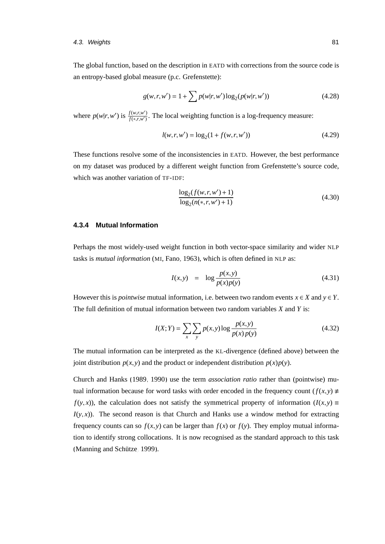#### 4.3. Weights 81

The global function, based on the description in EATD with corrections from the source code is an entropy-based global measure (p.c. Grefenstette):

$$
g(w,r,w') = 1 + \sum p(w|r,w') \log_2(p(w|r,w')) \tag{4.28}
$$

where  $p(w|r, w')$  is  $\frac{f(w,r,w')}{f(*,r,w')}$  $f(x, r, w)$ . The local weighting function is a log-frequency measure:

$$
l(w,r,w') = \log_2(1 + f(w,r,w')) \tag{4.29}
$$

These functions resolve some of the inconsistencies in EATD. However, the best performance on my dataset was produced by a different weight function from Grefenstette's source code, which was another variation of TF-IDF:

$$
\frac{\log_2(f(w,r,w')+1)}{\log_2(n(*,r,w')+1)}
$$
\n(4.30)

## <span id="page-98-0"></span>**4.3.4 Mutual Information**

Perhaps the most widely-used weight function in both vector-space similarity and wider NLP tasks is *mutual information* (MI, [Fano, 1963\)](#page-164-0), which is often defined in NLP as:

$$
I(x, y) = \log \frac{p(x, y)}{p(x)p(y)}
$$
 (4.31)

However this is *pointwise* mutual information, i.e. between two random events  $x \in X$  and  $y \in Y$ . The full definition of mutual information between two random variables *X* and *Y* is:

$$
I(X;Y) = \sum_{x} \sum_{y} p(x,y) \log \frac{p(x,y)}{p(x)p(y)}
$$
(4.32)

The mutual information can be interpreted as the KL-divergence (defined above) between the joint distribution  $p(x, y)$  and the product or independent distribution  $p(x)p(y)$ .

[Church and Hanks](#page-161-1) [\(1989,](#page-161-1) [1990\)](#page-161-2) use the term *association ratio* rather than (pointwise) mutual information because for word tasks with order encoded in the frequency count  $(f(x, y) \neq$ *f*(*y*, *x*)), the calculation does not satisfy the symmetrical property of information ( $I(x, y) \equiv$  $I(y, x)$ ). The second reason is that Church and Hanks use a window method for extracting frequency counts can so  $f(x, y)$  can be larger than  $f(x)$  or  $f(y)$ . They employ mutual information to identify strong collocations. It is now recognised as the standard approach to this task (Manning and Schütze, 1999).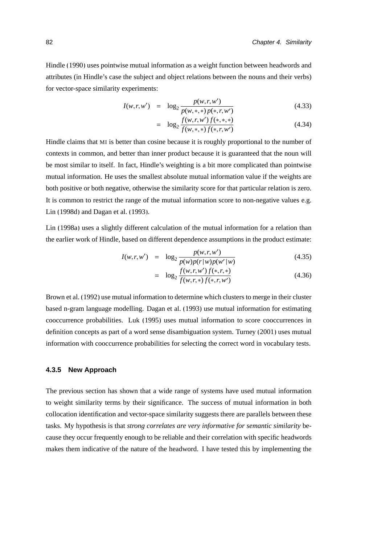[Hindle](#page-166-0) [\(1990\)](#page-166-0) uses pointwise mutual information as a weight function between headwords and attributes (in Hindle's case the subject and object relations between the nouns and their verbs) for vector-space similarity experiments:

$$
I(w,r,w') = \log_2 \frac{p(w,r,w')}{p(w,*,*)\,p(*,r,w')} \tag{4.33}
$$

$$
= \log_2 \frac{f(w,r,w')f(*,*,*)}{f(w,*,*)f(*,r,w')} \tag{4.34}
$$

Hindle claims that MI is better than cosine because it is roughly proportional to the number of contexts in common, and better than inner product because it is guaranteed that the noun will be most similar to itself. In fact, Hindle's weighting is a bit more complicated than pointwise mutual information. He uses the smallest absolute mutual information value if the weights are both positive or both negative, otherwise the similarity score for that particular relation is zero. It is common to restrict the range of the mutual information score to non-negative values e.g. [Lin \(1998d\)](#page-169-0) and [Dagan et al. \(1993\)](#page-163-1).

[Lin \(1998a\)](#page-169-1) uses a slightly different calculation of the mutual information for a relation than the earlier work of Hindle, based on different dependence assumptions in the product estimate:

$$
I(w,r,w') = \log_2 \frac{p(w,r,w')}{p(w)p(r|w)p(w'|w)}
$$
(4.35)

$$
= \log_2 \frac{f(w,r,w')f(*,r,*)}{f(w,r,*)f(*,r,w')} \tag{4.36}
$$

[Brown et al.](#page-160-0) [\(1992\)](#page-160-0) use mutual information to determine which clusters to merge in their cluster based n-gram language modelling. [Dagan et al.](#page-163-1) [\(1993\)](#page-163-1) use mutual information for estimating cooccurrence probabilities. [Luk](#page-170-2) [\(1995\)](#page-170-2) uses mutual information to score cooccurrences in definition concepts as part of a word sense disambiguation system. [Turney \(2001\)](#page-175-3) uses mutual information with cooccurrence probabilities for selecting the correct word in vocabulary tests.

#### <span id="page-99-0"></span>**4.3.5 New Approach**

The previous section has shown that a wide range of systems have used mutual information to weight similarity terms by their significance. The success of mutual information in both collocation identification and vector-space similarity suggests there are parallels between these tasks. My hypothesis is that *strong correlates are very informative for semantic similarity* because they occur frequently enough to be reliable and their correlation with specific headwords makes them indicative of the nature of the headword. I have tested this by implementing the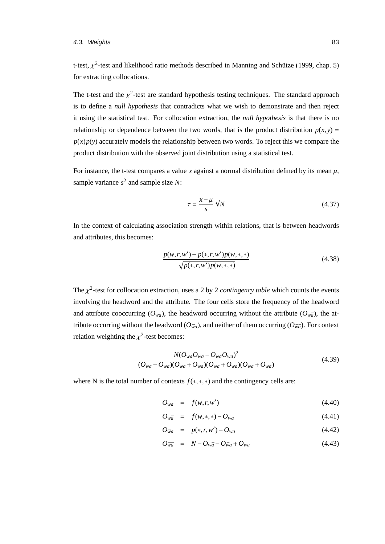#### 4.3. Weights 83

t-test,  $\chi^2$ -test and likelihood ratio methods described in Manning and Schütze (1999, chap. 5) for extracting collocations.

The t-test and the  $\chi^2$ -test are standard hypothesis testing techniques. The standard approach is to define a *null hypothesis* that contradicts what we wish to demonstrate and then reject it using the statistical test. For collocation extraction, the *null hypothesis* is that there is no relationship or dependence between the two words, that is the product distribution  $p(x, y) =$  $p(x)p(y)$  accurately models the relationship between two words. To reject this we compare the product distribution with the observed joint distribution using a statistical test.

For instance, the t-test compares a value *x* against a normal distribution defined by its mean  $\mu$ , sample variance  $s^2$  and sample size  $N$ :

$$
\tau = \frac{x - \mu}{s} \sqrt{N} \tag{4.37}
$$

In the context of calculating association strength within relations, that is between headwords and attributes, this becomes:

<span id="page-100-0"></span>
$$
\frac{p(w,r,w') - p(*,r,w')p(w,*,*)}{\sqrt{p(*,r,w')p(w,*,*)}}
$$
\n(4.38)

The  $\chi^2$ -test for collocation extraction, uses a 2 by 2 *contingency table* which counts the events involving the headword and the attribute. The four cells store the frequency of the headword and attribute cooccurring ( $O_{wa}$ ), the headword occurring without the attribute ( $O_{w\bar{a}}$ ), the attribute occurring without the headword ( $O_{\bar{w}a}$ ), and neither of them occurring ( $O_{\bar{w}\bar{a}}$ ). For context relation weighting the  $\chi^2$ -test becomes:

$$
\frac{N(O_{wa}O_{\bar{wa}}-O_{w\bar{a}}O_{\bar{w}a})^2}{(O_{wa}+O_{w\bar{a}})(O_{wa}+O_{\bar{w}a})(O_{w\bar{a}}+O_{\bar{w}\bar{a}})(O_{\bar{w}a}+O_{\bar{w}\bar{a}})}
$$
(4.39)

where N is the total number of contexts *<sup>f</sup>*(∗,∗,∗) and the contingency cells are:

$$
O_{wa} = f(w, r, w') \tag{4.40}
$$

$$
O_{w\bar{a}} = f(w,*,*) - O_{wa}
$$
 (4.41)

$$
O_{\bar{w}a} = p(*, r, w') - O_{wa}
$$
\n(4.42)

$$
O_{\bar{w}\bar{a}} = N - O_{w\bar{a}} - O_{\bar{w}a} + O_{wa}
$$
\n
$$
(4.43)
$$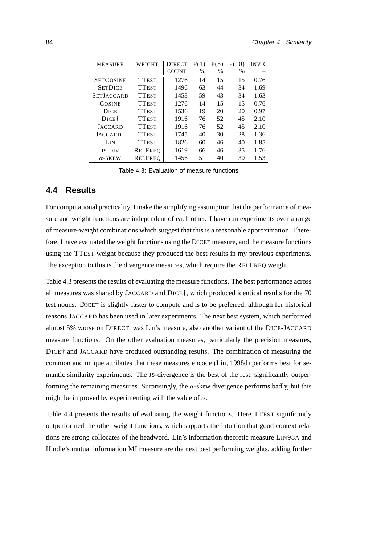| <b>MEASURE</b>       | WEIGHT         | <b>DIRECT</b> | P(1) | P(5) | P(10) | INVR |
|----------------------|----------------|---------------|------|------|-------|------|
|                      |                | <b>COUNT</b>  | $\%$ | $\%$ | $\%$  |      |
| <b>SETCOSINE</b>     | <b>TTEST</b>   | 1276          | 14   | 15   | 15    | 0.76 |
| <b>SETDICE</b>       | <b>TTEST</b>   | 1496          | 63   | 44   | 34    | 1.69 |
| <b>SETJACCARD</b>    | <b>TTEST</b>   | 1458          | 59   | 43   | 34    | 1.63 |
| <b>COSINE</b>        | <b>TTEST</b>   | 1276          | 14   | 15   | 15    | 0.76 |
| DICE                 | <b>TTEST</b>   | 1536          | 19   | 20   | 20    | 0.97 |
| DICE <sup>†</sup>    | <b>TTEST</b>   | 1916          | 76   | 52   | 45    | 2.10 |
| <b>JACCARD</b>       | <b>TTEST</b>   | 1916          | 76   | 52   | 45    | 2.10 |
| JACCARD <sup>†</sup> | <b>TTEST</b>   | 1745          | 40   | 30   | 28    | 1.36 |
| Lin                  | <b>TTEST</b>   | 1826          | 60   | 46   | 40    | 1.85 |
| <b>JS-DIV</b>        | <b>RELFREO</b> | 1619          | 66   | 46   | 35    | 1.76 |
| $\alpha$ -SKEW       | <b>RELFREQ</b> | 1456          | 51   | 40   | 30    | 1.53 |
|                      |                |               |      |      |       |      |

<span id="page-101-1"></span>Table 4.3: Evaluation of measure functions

## <span id="page-101-0"></span>**4.4 Results**

For computational practicality, I make the simplifying assumption that the performance of measure and weight functions are independent of each other. I have run experiments over a range of measure-weight combinations which suggest that this is a reasonable approximation. Therefore, I have evaluated the weight functions using the DICE† measure, and the measure functions using the TTEST weight because they produced the best results in my previous experiments. The exception to this is the divergence measures, which require the RELFREQ weight.

Table [4.3](#page-101-1) presents the results of evaluating the measure functions. The best performance across all measures was shared by JACCARD and DICE†, which produced identical results for the 70 test nouns. DICE† is slightly faster to compute and is to be preferred, although for historical reasons JACCARD has been used in later experiments. The next best system, which performed almost 5% worse on DIRECT, was Lin's measure, also another variant of the DICE-JACCARD measure functions. On the other evaluation measures, particularly the precision measures, DICE† and JACCARD have produced outstanding results. The combination of measuring the common and unique attributes that these measures encode [\(Lin, 1998d\)](#page-169-0) performs best for semantic similarity experiments. The JS-divergence is the best of the rest, significantly outperforming the remaining measures. Surprisingly, the  $\alpha$ -skew divergence performs badly, but this might be improved by experimenting with the value of  $\alpha$ .

Table [4.4](#page-102-0) presents the results of evaluating the weight functions. Here TTEST significantly outperformed the other weight functions, which supports the intuition that good context relations are strong collocates of the headword. Lin's information theoretic measure LIN98A and Hindle's mutual information MI measure are the next best performing weights, adding further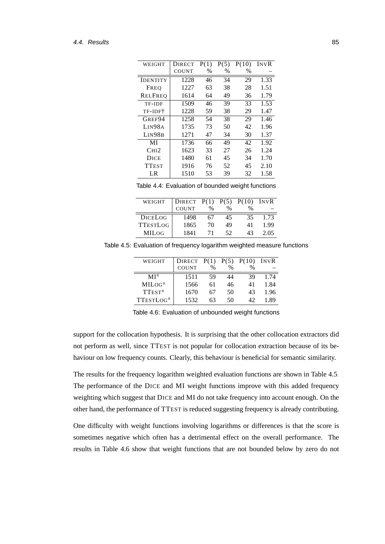| WEIGHT             | <b>DIRECT</b> | P(1) | P(5) | P(10) | <b>INVR</b> |
|--------------------|---------------|------|------|-------|-------------|
|                    | COUNT         | $\%$ | $\%$ | %     |             |
| IDENTITY           | 1228          | 46   | 34   | 29    | 1.33        |
| FREO               | 1227          | 63   | 38   | 28    | 1.51        |
| RELFREO            | 1614          | 64   | 49   | 36    | 1.79        |
| TF-IDF             | 1509          | 46   | 39   | 33    | 1.53        |
| TF-IDF†            | 1228          | 59   | 38   | 29    | 1.47        |
| GREF94             | 1258          | 54   | 38   | 29    | 1.46        |
| LIN98A             | 1735          | 73   | 50   | 42    | 1.96        |
| LIN98 <sub>B</sub> | 1271          | 47   | 34   | 30    | 1.37        |
| MI                 | 1736          | 66   | 49   | 42    | 1.92        |
| CHI2               | 1623          | 33   | 27   | 26    | 1.24        |
| DICE               | 1480          | 61   | 45   | 34    | 1.70        |
| <b>TTEST</b>       | 1916          | 76   | 52   | 45    | 2.10        |
| LR                 | 1510          | 53   | 39   | 32    | 1.58        |

<span id="page-102-0"></span>

|  | Table 4.4: Evaluation of bounded weight functions |  |
|--|---------------------------------------------------|--|
|  |                                                   |  |

| WEIGHT          | DIRECT       | P(1) |               | $P(5) \overline{P(10)}$ | INVR |
|-----------------|--------------|------|---------------|-------------------------|------|
|                 | <b>COUNT</b> | $\%$ | $\frac{0}{0}$ |                         |      |
| <b>DICELOG</b>  | 1498         | 67   | 45            | 35                      | 1 73 |
| <b>TTESTLOG</b> | 1865         | 70   | 49            | 41                      | 1.99 |
| <b>MILOG</b>    | 1841         |      | 52            | 43                      | 2.05 |

Table 4.5: Evaluation of frequency logarithm weighted measure functions

<span id="page-102-1"></span>

| WEIGHT                              | DIRECT $P(1)$ $P(5)$ |      |      | P(10) | INVR |
|-------------------------------------|----------------------|------|------|-------|------|
|                                     | <b>COUNT</b>         | $\%$ | $\%$ | $\%$  |      |
| $MI^{\pm}$                          | 1511                 | 59   | 14   | 39    | 1 74 |
| $MILOG^{\pm}$                       | 1566                 | 61   | 46   | 41    | 1.84 |
| $T$ EST <sup><math>\pm</math></sup> | 1670                 | 67   | 50   | 43    | 1.96 |
| $TTESTLOG^{\pm}$                    | 1532                 | 63   | 50   | 42    | 1 89 |

<span id="page-102-2"></span>Table 4.6: Evaluation of unbounded weight functions

support for the collocation hypothesis. It is surprising that the other collocation extractors did not perform as well, since TTEST is not popular for collocation extraction because of its behaviour on low frequency counts. Clearly, this behaviour is beneficial for semantic similarity.

The results for the frequency logarithm weighted evaluation functions are shown in Table [4.5.](#page-102-1) The performance of the DICE and MI weight functions improve with this added frequency weighting which suggest that DICE and MI do not take frequency into account enough. On the other hand, the performance of TTEST is reduced suggesting frequency is already contributing.

One difficulty with weight functions involving logarithms or differences is that the score is sometimes negative which often has a detrimental effect on the overall performance. The results in Table [4.6](#page-102-2) show that weight functions that are not bounded below by zero do not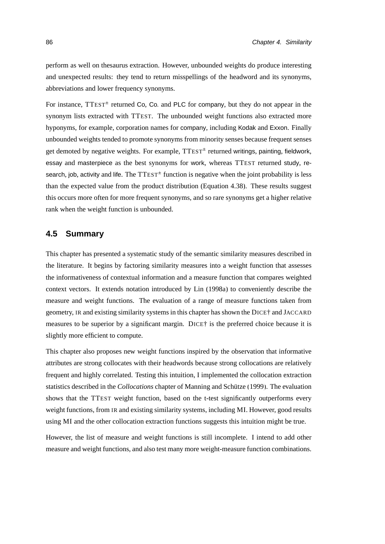perform as well on thesaurus extraction. However, unbounded weights do produce interesting and unexpected results: they tend to return misspellings of the headword and its synonyms, abbreviations and lower frequency synonyms.

For instance, TTEST<sup>+</sup> returned Co, Co. and PLC for company, but they do not appear in the synonym lists extracted with TTEST. The unbounded weight functions also extracted more hyponyms, for example, corporation names for company, including Kodak and Exxon. Finally unbounded weights tended to promote synonyms from minority senses because frequent senses get demoted by negative weights. For example, TTEST<sup>+</sup> returned writings, painting, fieldwork, essay and masterpiece as the best synonyms for work, whereas TTEST returned study, research, job, activity and life. The  $TTEST^{\pm}$  function is negative when the joint probability is less than the expected value from the product distribution (Equation [4.38\)](#page-100-0). These results suggest this occurs more often for more frequent synonyms, and so rare synonyms get a higher relative rank when the weight function is unbounded.

## **4.5 Summary**

This chapter has presented a systematic study of the semantic similarity measures described in the literature. It begins by factoring similarity measures into a weight function that assesses the informativeness of contextual information and a measure function that compares weighted context vectors. It extends notation introduced by [Lin \(1998a\)](#page-169-1) to conveniently describe the measure and weight functions. The evaluation of a range of measure functions taken from geometry, IR and existing similarity systems in this chapter has shown the DICE† and JACCARD measures to be superior by a significant margin. DICE† is the preferred choice because it is slightly more efficient to compute.

This chapter also proposes new weight functions inspired by the observation that informative attributes are strong collocates with their headwords because strong collocations are relatively frequent and highly correlated. Testing this intuition, I implemented the collocation extraction statistics described in the *Collocations* chapter of Manning and Schütze (1999). The evaluation shows that the TTEST weight function, based on the t-test significantly outperforms every weight functions, from IR and existing similarity systems, including MI. However, good results using MI and the other collocation extraction functions suggests this intuition might be true.

However, the list of measure and weight functions is still incomplete. I intend to add other measure and weight functions, and also test many more weight-measure function combinations.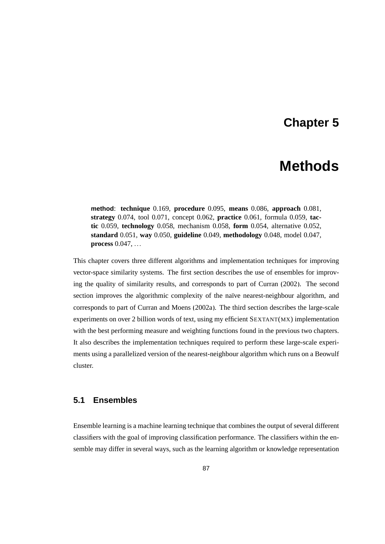## **Chapter 5**

# **Methods**

**method**: **technique** 0.169, **procedure** 0.095, **means** 0.086, **approach** 0.081, **strategy** 0.074, tool 0.071, concept 0.062, **practice** 0.061, formula 0.059, **tactic** 0.059, **technology** 0.058, mechanism 0.058, **form** 0.054, alternative 0.052, **standard** 0.051, **way** 0.050, **guideline** 0.049, **methodology** 0.048, model 0.047, **process** 0.047, ...

This chapter covers three different algorithms and implementation techniques for improving vector-space similarity systems. The first section describes the use of ensembles for improving the quality of similarity results, and corresponds to part of [Curran \(2002\)](#page-162-1). The second section improves the algorithmic complexity of the naïve nearest-neighbour algorithm, and corresponds to part of [Curran and Moens](#page-162-2) [\(2002a\)](#page-162-2). The third section describes the large-scale experiments on over 2 billion words of text, using my efficient SEXTANT(MX) implementation with the best performing measure and weighting functions found in the previous two chapters. It also describes the implementation techniques required to perform these large-scale experiments using a parallelized version of the nearest-neighbour algorithm which runs on a Beowulf cluster.

## **5.1 Ensembles**

Ensemble learning is a machine learning technique that combines the output of several different classifiers with the goal of improving classification performance. The classifiers within the ensemble may differ in several ways, such as the learning algorithm or knowledge representation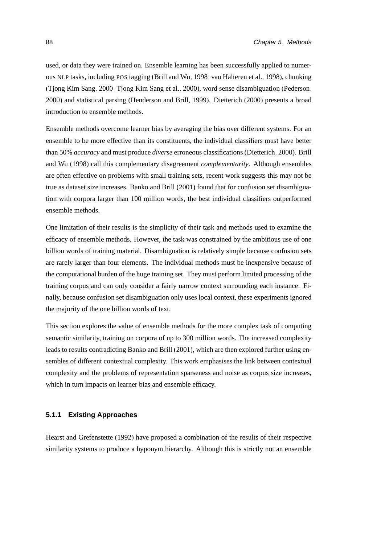used, or data they were trained on. Ensemble learning has been successfully applied to numerous NLP tasks, including POS tagging [\(Brill and Wu, 1998;](#page-160-1) [van Halteren et al., 1998\)](#page-175-4), chunking [\(Tjong Kim Sang, 2000;](#page-175-5) [Tjong Kim Sang et al., 2000\)](#page-175-6), word sense disambiguation [\(Pederson,](#page-172-1) [2000\)](#page-172-1) and statistical parsing [\(Henderson and Brill, 1999\)](#page-166-1). [Dietterich \(2000\)](#page-163-2) presents a broad introduction to ensemble methods.

Ensemble methods overcome learner bias by averaging the bias over different systems. For an ensemble to be more effective than its constituents, the individual classifiers must have better than 50% *accuracy* and must produce *diverse* erroneous classifications [\(Dietterich, 2000\)](#page-163-2). [Brill](#page-160-1) [and Wu \(1998\)](#page-160-1) call this complementary disagreement *complementarity*. Although ensembles are often effective on problems with small training sets, recent work suggests this may not be true as dataset size increases. [Banko and Brill](#page-159-0) [\(2001\)](#page-159-0) found that for confusion set disambiguation with corpora larger than 100 million words, the best individual classifiers outperformed ensemble methods.

One limitation of their results is the simplicity of their task and methods used to examine the efficacy of ensemble methods. However, the task was constrained by the ambitious use of one billion words of training material. Disambiguation is relatively simple because confusion sets are rarely larger than four elements. The individual methods must be inexpensive because of the computational burden of the huge training set. They must perform limited processing of the training corpus and can only consider a fairly narrow context surrounding each instance. Finally, because confusion set disambiguation only uses local context, these experiments ignored the majority of the one billion words of text.

This section explores the value of ensemble methods for the more complex task of computing semantic similarity, training on corpora of up to 300 million words. The increased complexity leads to results contradicting [Banko and Brill](#page-159-0) [\(2001\)](#page-159-0), which are then explored further using ensembles of different contextual complexity. This work emphasises the link between contextual complexity and the problems of representation sparseness and noise as corpus size increases, which in turn impacts on learner bias and ensemble efficacy.

#### **5.1.1 Existing Approaches**

[Hearst and Grefenstette](#page-166-2) [\(1992\)](#page-166-2) have proposed a combination of the results of their respective similarity systems to produce a hyponym hierarchy. Although this is strictly not an ensemble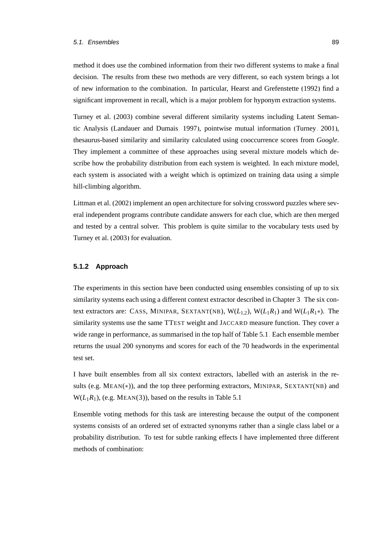#### 5.1. Ensembles 89

method it does use the combined information from their two different systems to make a final decision. The results from these two methods are very different, so each system brings a lot of new information to the combination. In particular, [Hearst and Grefenstette](#page-166-2) [\(1992\)](#page-166-2) find a significant improvement in recall, which is a major problem for hyponym extraction systems.

[Turney et al.](#page-175-7) [\(2003\)](#page-175-7) combine several different similarity systems including Latent Semantic Analysis [\(Landauer and Dumais, 1997\)](#page-167-1), pointwise mutual information [\(Turney, 2001\)](#page-175-3), thesaurus-based similarity and similarity calculated using cooccurrence scores from *Google*. They implement a committee of these approaches using several mixture models which describe how the probability distribution from each system is weighted. In each mixture model, each system is associated with a weight which is optimized on training data using a simple hill-climbing algorithm.

[Littman et al.](#page-169-3) [\(2002\)](#page-169-3) implement an open architecture for solving crossword puzzles where several independent programs contribute candidate answers for each clue, which are then merged and tested by a central solver. This problem is quite similar to the vocabulary tests used by [Turney et al.](#page-175-7) [\(2003\)](#page-175-7) for evaluation.

#### **5.1.2 Approach**

The experiments in this section have been conducted using ensembles consisting of up to six similarity systems each using a different context extractor described in Chapter [3.](#page-58-0) The six context extractors are: CASS, MINIPAR, SEXTANT(NB),  $W(L_{1,2})$ ,  $W(L_1R_1)$  and  $W(L_1R_1*)$ . The similarity systems use the same TTEST weight and JACCARD measure function. They cover a wide range in performance, as summarised in the top half of Table [5.1.](#page-110-0) Each ensemble member returns the usual 200 synonyms and scores for each of the 70 headwords in the experimental test set.

I have built ensembles from all six context extractors, labelled with an asterisk in the results (e.g. MEAN(∗)), and the top three performing extractors, MINIPAR, SEXTANT(NB) and  $W(L_1R_1)$ , (e.g. MEAN(3)), based on the results in Table [5.1.](#page-110-0)

Ensemble voting methods for this task are interesting because the output of the component systems consists of an ordered set of extracted synonyms rather than a single class label or a probability distribution. To test for subtle ranking effects I have implemented three different methods of combination: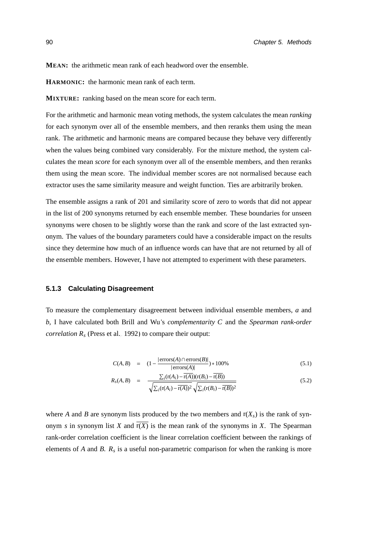**MEAN:** the arithmetic mean rank of each headword over the ensemble.

**HARMONIC:** the harmonic mean rank of each term.

**MIXTURE:** ranking based on the mean score for each term.

For the arithmetic and harmonic mean voting methods, the system calculates the mean *ranking* for each synonym over all of the ensemble members, and then reranks them using the mean rank. The arithmetic and harmonic means are compared because they behave very differently when the values being combined vary considerably. For the mixture method, the system calculates the mean *score* for each synonym over all of the ensemble members, and then reranks them using the mean score. The individual member scores are not normalised because each extractor uses the same similarity measure and weight function. Ties are arbitrarily broken.

The ensemble assigns a rank of 201 and similarity score of zero to words that did not appear in the list of 200 synonyms returned by each ensemble member. These boundaries for unseen synonyms were chosen to be slightly worse than the rank and score of the last extracted synonym. The values of the boundary parameters could have a considerable impact on the results since they determine how much of an influence words can have that are not returned by all of the ensemble members. However, I have not attempted to experiment with these parameters.

#### **5.1.3 Calculating Disagreement**

To measure the complementary disagreement between individual ensemble members, *a* and *b*, I have calculated both [Brill and Wu'](#page-160-1)s *complementarity C* and the *Spearman rank-order correlation*  $R_s$  [\(Press et al., 1992\)](#page-172-2) to compare their output:

$$
C(A, B) = (1 - \frac{|\text{errors}(A) \cap \text{errors}(B)|}{|\text{errors}(A)|}) * 100\%
$$
\n(5.1)

$$
R_{s}(A,B) = \frac{\sum_{i}(\mathbf{r}(A_{i}) - \mathbf{r}(A))(\mathbf{r}(B_{i}) - \mathbf{r}(B))}{\sqrt{\sum_{i}(\mathbf{r}(A_{i}) - \mathbf{r}(A))^{2}}\sqrt{\sum_{i}(\mathbf{r}(B_{i}) - \mathbf{r}(B))^{2}}}
$$
(5.2)

where *A* and *B* are synonym lists produced by the two members and  $r(X_s)$  is the rank of synonym *s* in synonym list *X* and  $\overline{r(X)}$  is the mean rank of the synonyms in *X*. The Spearman rank-order correlation coefficient is the linear correlation coefficient between the rankings of elements of *A* and *B*. *R<sup>s</sup>* is a useful non-parametric comparison for when the ranking is more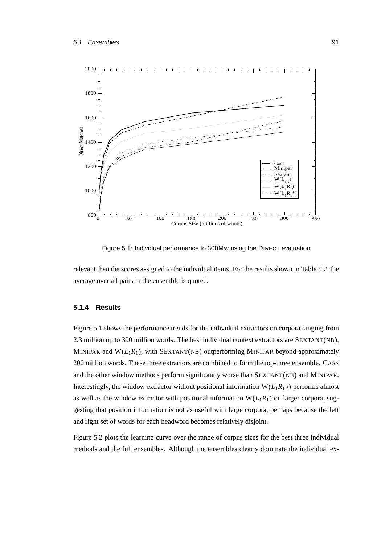

<span id="page-108-0"></span>Figure 5.1: Individual performance to 300MW using the DIRECT evaluation

relevant than the scores assigned to the individual items. For the results shown in Table [5.2,](#page-111-0) the average over all pairs in the ensemble is quoted.

## **5.1.4 Results**

Figure [5.1](#page-108-0) shows the performance trends for the individual extractors on corpora ranging from 2.3 million up to 300 million words. The best individual context extractors are SEXTANT(NB), MINIPAR and  $W(L_1R_1)$ , with SEXTANT(NB) outperforming MINIPAR beyond approximately 200 million words. These three extractors are combined to form the top-three ensemble. CASS and the other window methods perform significantly worse than SEXTANT(NB) and MINIPAR. Interestingly, the window extractor without positional information  $W(L_1R_1*)$  performs almost as well as the window extractor with positional information  $W(L_1R_1)$  on larger corpora, suggesting that position information is not as useful with large corpora, perhaps because the left and right set of words for each headword becomes relatively disjoint.

Figure [5.2](#page-109-0) plots the learning curve over the range of corpus sizes for the best three individual methods and the full ensembles. Although the ensembles clearly dominate the individual ex-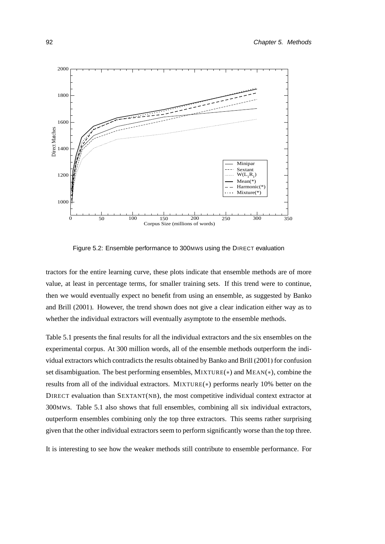

<span id="page-109-0"></span>Figure 5.2: Ensemble performance to 300MWs using the DIRECT evaluation

tractors for the entire learning curve, these plots indicate that ensemble methods are of more value, at least in percentage terms, for smaller training sets. If this trend were to continue, then we would eventually expect no benefit from using an ensemble, as suggested by [Banko](#page-159-0) [and Brill \(2001\)](#page-159-0). However, the trend shown does not give a clear indication either way as to whether the individual extractors will eventually asymptote to the ensemble methods.

Table [5.1](#page-110-0) presents the final results for all the individual extractors and the six ensembles on the experimental corpus. At 300 million words, all of the ensemble methods outperform the individual extractors which contradicts the results obtained by [Banko and Brill](#page-159-0) [\(2001\)](#page-159-0) for confusion set disambiguation. The best performing ensembles, MIXTURE(∗) and MEAN(∗), combine the results from all of the individual extractors. MIXTURE(∗) performs nearly 10% better on the DIRECT evaluation than SEXTANT(NB), the most competitive individual context extractor at 300MWs. Table [5.1](#page-110-0) also shows that full ensembles, combining all six individual extractors, outperform ensembles combining only the top three extractors. This seems rather surprising given that the other individual extractors seem to perform significantly worse than the top three.

It is interesting to see how the weaker methods still contribute to ensemble performance. For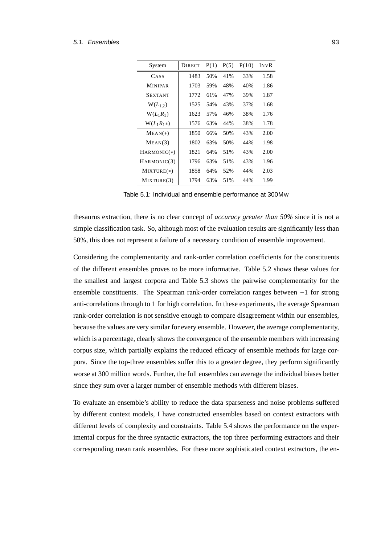#### 5.1. Ensembles 93

| System                  | <b>DIRECT</b> | P(1) | P(5) | P(10) | INVR |
|-------------------------|---------------|------|------|-------|------|
| CASS                    | 1483          | 50%  | 41%  | 33%   | 1.58 |
| <b>MINIPAR</b>          | 1703          | 59%  | 48%  | 40%   | 1.86 |
| <b>SEXTANT</b>          | 1772          | 61%  | 47%  | 39%   | 1.87 |
| $W(L_{1,2})$            | 1525          | 54%  | 43%  | 37%   | 1.68 |
| $W(L_1R_1)$             | 1623          | 57%  | 46%  | 38%   | 1.76 |
| $W(L_1R_1*)$            | 1576          | 63%  | 44%  | 38%   | 1.78 |
| $MEAN(*)$               | 1850          | 66%  | 50%  | 43%   | 2.00 |
| MEAN(3)                 | 1802          | 63%  | 50%  | 44%   | 1.98 |
| $HARMONIC(*)$           | 1821          | 64%  | 51%  | 43%   | 2.00 |
| HARMONIC <sub>(3)</sub> | 1796          | 63%  | 51%  | 43%   | 1.96 |
| $MIXTURE(*)$            | 1858          | 64%  | 52%  | 44%   | 2.03 |
| MIXTURE(3)              | 1794          | 63%  | 51%  | 44%   | 1.99 |

<span id="page-110-0"></span>Table 5.1: Individual and ensemble performance at 300MW

thesaurus extraction, there is no clear concept of *accuracy greater than 50%* since it is not a simple classification task. So, although most of the evaluation results are significantly less than 50%, this does not represent a failure of a necessary condition of ensemble improvement.

Considering the complementarity and rank-order correlation coefficients for the constituents of the different ensembles proves to be more informative. Table [5.2](#page-111-0) shows these values for the smallest and largest corpora and Table [5.3](#page-111-1) shows the pairwise complementarity for the ensemble constituents. The Spearman rank-order correlation ranges between −1 for strong anti-correlations through to 1 for high correlation. In these experiments, the average Spearman rank-order correlation is not sensitive enough to compare disagreement within our ensembles, because the values are very similar for every ensemble. However, the average complementarity, which is a percentage, clearly shows the convergence of the ensemble members with increasing corpus size, which partially explains the reduced efficacy of ensemble methods for large corpora. Since the top-three ensembles suffer this to a greater degree, they perform significantly worse at 300 million words. Further, the full ensembles can average the individual biases better since they sum over a larger number of ensemble methods with different biases.

To evaluate an ensemble's ability to reduce the data sparseness and noise problems suffered by different context models, I have constructed ensembles based on context extractors with different levels of complexity and constraints. Table [5.4](#page-111-2) shows the performance on the experimental corpus for the three syntactic extractors, the top three performing extractors and their corresponding mean rank ensembles. For these more sophisticated context extractors, the en-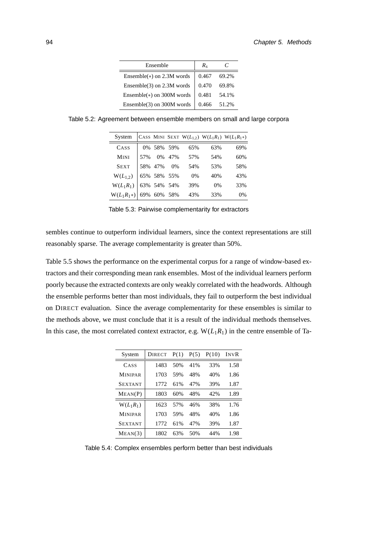| Ensemble                      | R.    |       |
|-------------------------------|-------|-------|
| Ensemble( $*$ ) on 2.3M words | 0.467 | 69.2% |
| Ensemble(3) on 2.3M words     | 0.470 | 69.8% |
| Ensemble(*) on 300M words     | 0.481 | 54.1% |
| Ensemble(3) on 300M words     | 0.466 | 51.2% |

Table 5.2: Agreement between ensemble members on small and large corpora

<span id="page-111-0"></span>

| System       |     |             |     |      |     | CASS MINI SEXT W( $L_{1,2}$ ) W( $L_1R_1$ ) W( $L_1R_1*$ ) |
|--------------|-----|-------------|-----|------|-----|------------------------------------------------------------|
| CASS         |     | 0% 58% 59%  |     | 65%  | 63% | 69%                                                        |
| <b>MINI</b>  | 57% | 0%          | 47% | 57%  | 54% | 60%                                                        |
| <b>SEXT</b>  |     | 58% 47%     | 0%  | 54%  | 53% | 58%                                                        |
| $W(L_{1,2})$ |     | 65% 58% 55% |     | - 0% | 40% | 43%                                                        |
| $W(L_1R_1)$  |     | 63% 54% 54% |     | 39%  | 0%  | 33%                                                        |
| $W(L_1R_1*)$ |     | 69% 60% 58% |     | 43%  | 33% | $0\%$                                                      |

<span id="page-111-1"></span>Table 5.3: Pairwise complementarity for extractors

sembles continue to outperform individual learners, since the context representations are still reasonably sparse. The average complementarity is greater than 50%.

Table [5.5](#page-112-0) shows the performance on the experimental corpus for a range of window-based extractors and their corresponding mean rank ensembles. Most of the individual learners perform poorly because the extracted contexts are only weakly correlated with the headwords. Although the ensemble performs better than most individuals, they fail to outperform the best individual on DIRECT evaluation. Since the average complementarity for these ensembles is similar to the methods above, we must conclude that it is a result of the individual methods themselves. In this case, the most correlated context extractor, e.g.  $W(L_1R_1)$  in the centre ensemble of Ta-

| System         | <b>DIRECT</b> | P(1) | P(5) | P(10) | INVR |
|----------------|---------------|------|------|-------|------|
| CASS           | 1483          | 50%  | 41%  | 33%   | 1.58 |
| <b>MINIPAR</b> | 1703          | 59%  | 48%  | 40%   | 1.86 |
| <b>SEXTANT</b> | 1772          | 61%  | 47%  | 39%   | 1.87 |
| MEAN(P)        | 1803          | 60%  | 48%  | 42%   | 1.89 |
| $W(L_1R_1)$    | 1623          | 57%  | 46%  | 38%   | 1.76 |
| <b>MINIPAR</b> | 1703          | 59%  | 48%  | 40%   | 1.86 |
| <b>SEXTANT</b> | 1772          | 61%  | 47%  | 39%   | 1.87 |
| MEAN(3)        | 1802          | 63%  | 50%  | 44%   | 1.98 |

<span id="page-111-2"></span>Table 5.4: Complex ensembles perform better than best individuals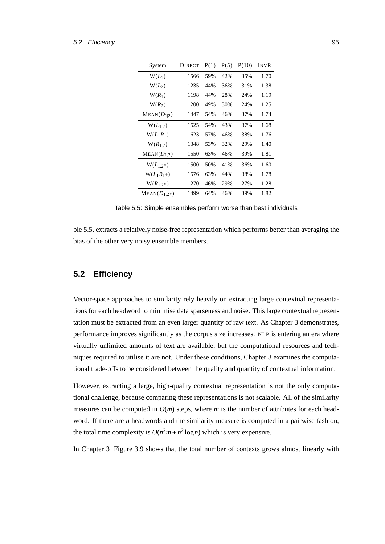#### 5.2. Efficiency 95

| System           | <b>DIRECT</b> | P(1) | P(5) | P(10) | INVR |
|------------------|---------------|------|------|-------|------|
| $W(L_1)$         | 1566          | 59%  | 42%  | 35%   | 1.70 |
| $W(L_2)$         | 1235          | 44%  | 36%  | 31%   | 1.38 |
| $W(R_1)$         | 1198          | 44%  | 28%  | 24%   | 1.19 |
| $W(R_2)$         | 1200          | 49%  | 30%  | 24%   | 1.25 |
| $MEAN(D_{1 2})$  | 1447          | 54%  | 46%  | 37%   | 1.74 |
| $W(L_{1,2})$     | 1525          | 54%  | 43%  | 37%   | 1.68 |
| $W(L_1R_1)$      | 1623          | 57%  | 46%  | 38%   | 1.76 |
| $W(R_{1,2})$     | 1348          | 53%  | 32%  | 29%   | 1.40 |
| $MEAN(D_{1,2})$  | 1550          | 63%  | 46%  | 39%   | 1.81 |
| $W(L_{1,2^*})$   | 1500          | 50%  | 41%  | 36%   | 1.60 |
| $W(L_1R_1*)$     | 1576          | 63%  | 44%  | 38%   | 1.78 |
| $W(R_{1,2})$     | 1270          | 46%  | 29%  | 27%   | 1.28 |
| $MEAN(D_{1.2}*)$ | 1499          | 64%  | 46%  | 39%   | 1.82 |
|                  |               |      |      |       |      |

<span id="page-112-0"></span>Table 5.5: Simple ensembles perform worse than best individuals

ble [5.5,](#page-112-0) extracts a relatively noise-free representation which performs better than averaging the bias of the other very noisy ensemble members.

## **5.2 Efficiency**

Vector-space approaches to similarity rely heavily on extracting large contextual representations for each headword to minimise data sparseness and noise. This large contextual representation must be extracted from an even larger quantity of raw text. As Chapter [3](#page-58-0) demonstrates, performance improves significantly as the corpus size increases. NLP is entering an era where virtually unlimited amounts of text are available, but the computational resources and techniques required to utilise it are not. Under these conditions, Chapter [3](#page-58-0) examines the computational trade-offs to be considered between the quality and quantity of contextual information.

However, extracting a large, high-quality contextual representation is not the only computational challenge, because comparing these representations is not scalable. All of the similarity measures can be computed in  $O(m)$  steps, where *m* is the number of attributes for each headword. If there are *n* headwords and the similarity measure is computed in a pairwise fashion, the total time complexity is  $O(n^2m + n^2 \log n)$  which is very expensive.

In Chapter [3,](#page-58-0) Figure [3.9](#page-79-0) shows that the total number of contexts grows almost linearly with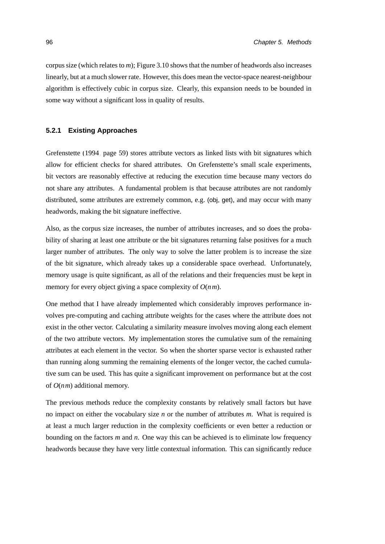corpus size (which relates to *m*); Figure [3.10](#page-79-1) shows that the number of headwords also increases linearly, but at a much slower rate. However, this does mean the vector-space nearest-neighbour algorithm is effectively cubic in corpus size. Clearly, this expansion needs to be bounded in some way without a significant loss in quality of results.

## **5.2.1 Existing Approaches**

[Grefenstette \(1994,](#page-165-0) page 59) stores attribute vectors as linked lists with bit signatures which allow for efficient checks for shared attributes. On Grefenstette's small scale experiments, bit vectors are reasonably effective at reducing the execution time because many vectors do not share any attributes. A fundamental problem is that because attributes are not randomly distributed, some attributes are extremely common, e.g. (obj, get), and may occur with many headwords, making the bit signature ineffective.

Also, as the corpus size increases, the number of attributes increases, and so does the probability of sharing at least one attribute or the bit signatures returning false positives for a much larger number of attributes. The only way to solve the latter problem is to increase the size of the bit signature, which already takes up a considerable space overhead. Unfortunately, memory usage is quite significant, as all of the relations and their frequencies must be kept in memory for every object giving a space complexity of *O*(*nm*).

One method that I have already implemented which considerably improves performance involves pre-computing and caching attribute weights for the cases where the attribute does not exist in the other vector. Calculating a similarity measure involves moving along each element of the two attribute vectors. My implementation stores the cumulative sum of the remaining attributes at each element in the vector. So when the shorter sparse vector is exhausted rather than running along summing the remaining elements of the longer vector, the cached cumulative sum can be used. This has quite a significant improvement on performance but at the cost of *O*(*nm*) additional memory.

The previous methods reduce the complexity constants by relatively small factors but have no impact on either the vocabulary size *n* or the number of attributes *m*. What is required is at least a much larger reduction in the complexity coefficients or even better a reduction or bounding on the factors *m* and *n*. One way this can be achieved is to eliminate low frequency headwords because they have very little contextual information. This can significantly reduce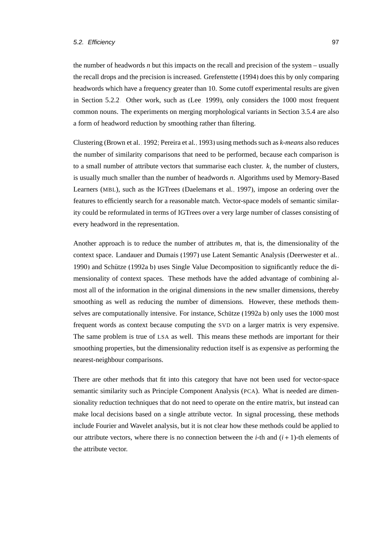the number of headwords *n* but this impacts on the recall and precision of the system – usually the recall drops and the precision is increased. [Grefenstette \(1994\)](#page-165-0) does this by only comparing headwords which have a frequency greater than 10. Some cutoff experimental results are given in Section [5.2.2.](#page-115-0) Other work, such as [\(Lee, 1999\)](#page-168-0), only considers the 1000 most frequent common nouns. The experiments on merging morphological variants in Section [3.5.4](#page-80-0) are also a form of headword reduction by smoothing rather than filtering.

Clustering [\(Brown et al., 1992;](#page-160-0) [Pereira et al., 1993\)](#page-172-0) using methods such as *k-means* also reduces the number of similarity comparisons that need to be performed, because each comparison is to a small number of attribute vectors that summarise each cluster. *k*, the number of clusters, is usually much smaller than the number of headwords *n*. Algorithms used by Memory-Based Learners (MBL), such as the IGTrees [\(Daelemans et al., 1997\)](#page-162-0), impose an ordering over the features to efficiently search for a reasonable match. Vector-space models of semantic similarity could be reformulated in terms of IGTrees over a very large number of classes consisting of every headword in the representation.

Another approach is to reduce the number of attributes *m*, that is, the dimensionality of the context space. [Landauer and Dumais](#page-167-0) [\(1997\)](#page-167-0) use Latent Semantic Analysis [\(Deerwester et al.,](#page-163-0) [1990\)](#page-163-0) and [Schutze \(1992a,](#page-173-0)[b\)](#page-173-1) uses Single Value Decomposition to significantly reduce the di- ¨ mensionality of context spaces. These methods have the added advantage of combining almost all of the information in the original dimensions in the new smaller dimensions, thereby smoothing as well as reducing the number of dimensions. However, these methods themselves are computationally intensive. For instance, Schütze  $(1992a,b)$  $(1992a,b)$  only uses the 1000 most frequent words as context because computing the SVD on a larger matrix is very expensive. The same problem is true of LSA as well. This means these methods are important for their smoothing properties, but the dimensionality reduction itself is as expensive as performing the nearest-neighbour comparisons.

There are other methods that fit into this category that have not been used for vector-space semantic similarity such as Principle Component Analysis (PCA). What is needed are dimensionality reduction techniques that do not need to operate on the entire matrix, but instead can make local decisions based on a single attribute vector. In signal processing, these methods include Fourier and Wavelet analysis, but it is not clear how these methods could be applied to our attribute vectors, where there is no connection between the *i*-th and  $(i + 1)$ -th elements of the attribute vector.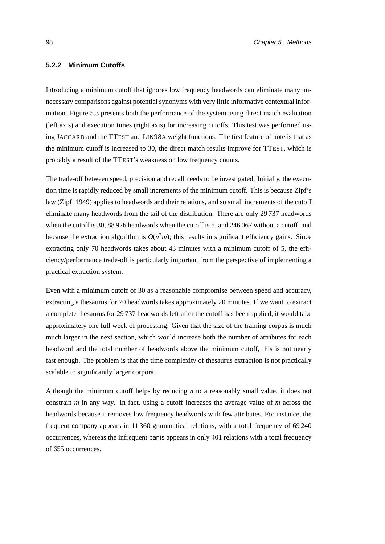## <span id="page-115-0"></span>**5.2.2 Minimum Cutoffs**

Introducing a minimum cutoff that ignores low frequency headwords can eliminate many unnecessary comparisons against potential synonyms with very little informative contextual information. Figure [5.3](#page-116-0) presents both the performance of the system using direct match evaluation (left axis) and execution times (right axis) for increasing cutoffs. This test was performed using JACCARD and the TTEST and LIN98A weight functions. The first feature of note is that as the minimum cutoff is increased to 30, the direct match results improve for TTEST, which is probably a result of the TTEST's weakness on low frequency counts.

The trade-off between speed, precision and recall needs to be investigated. Initially, the execution time is rapidly reduced by small increments of the minimum cutoff. This is because Zipf's law [\(Zipf, 1949\)](#page-176-0) applies to headwords and their relations, and so small increments of the cutoff eliminate many headwords from the tail of the distribution. There are only 29 737 headwords when the cutoff is 30, 88 926 headwords when the cutoff is 5, and 246 067 without a cutoff, and because the extraction algorithm is  $O(n^2m)$ ; this results in significant efficiency gains. Since extracting only 70 headwords takes about 43 minutes with a minimum cutoff of 5, the efficiency/performance trade-off is particularly important from the perspective of implementing a practical extraction system.

Even with a minimum cutoff of 30 as a reasonable compromise between speed and accuracy, extracting a thesaurus for 70 headwords takes approximately 20 minutes. If we want to extract a complete thesaurus for 29 737 headwords left after the cutoff has been applied, it would take approximately one full week of processing. Given that the size of the training corpus is much much larger in the next section, which would increase both the number of attributes for each headword and the total number of headwords above the minimum cutoff, this is not nearly fast enough. The problem is that the time complexity of thesaurus extraction is not practically scalable to significantly larger corpora.

Although the minimum cutoff helps by reducing *n* to a reasonably small value, it does not constrain *m* in any way. In fact, using a cutoff increases the average value of *m* across the headwords because it removes low frequency headwords with few attributes. For instance, the frequent company appears in 11 360 grammatical relations, with a total frequency of 69 240 occurrences, whereas the infrequent pants appears in only 401 relations with a total frequency of 655 occurrences.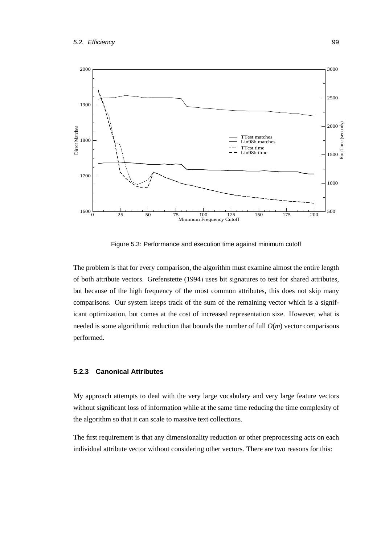

<span id="page-116-0"></span>Figure 5.3: Performance and execution time against minimum cutoff

The problem is that for every comparison, the algorithm must examine almost the entire length of both attribute vectors. [Grefenstette](#page-165-0) [\(1994\)](#page-165-0) uses bit signatures to test for shared attributes, but because of the high frequency of the most common attributes, this does not skip many comparisons. Our system keeps track of the sum of the remaining vector which is a significant optimization, but comes at the cost of increased representation size. However, what is needed is some algorithmic reduction that bounds the number of full *O*(*m*) vector comparisons performed.

## **5.2.3 Canonical Attributes**

My approach attempts to deal with the very large vocabulary and very large feature vectors without significant loss of information while at the same time reducing the time complexity of the algorithm so that it can scale to massive text collections.

The first requirement is that any dimensionality reduction or other preprocessing acts on each individual attribute vector without considering other vectors. There are two reasons for this: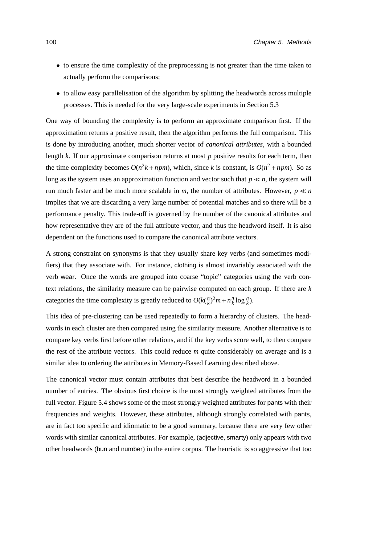- to ensure the time complexity of the preprocessing is not greater than the time taken to actually perform the comparisons;
- to allow easy parallelisation of the algorithm by splitting the headwords across multiple processes. This is needed for the very large-scale experiments in Section [5.3.](#page-119-0)

One way of bounding the complexity is to perform an approximate comparison first. If the approximation returns a positive result, then the algorithm performs the full comparison. This is done by introducing another, much shorter vector of *canonical attributes*, with a bounded length *k*. If our approximate comparison returns at most *p* positive results for each term, then the time complexity becomes  $O(n^2k + npm)$ , which, since *k* is constant, is  $O(n^2 + npm)$ . So as long as the system uses an approximation function and vector such that  $p \ll n$ , the system will run much faster and be much more scalable in *m*, the number of attributes. However,  $p \ll n$ implies that we are discarding a very large number of potential matches and so there will be a performance penalty. This trade-off is governed by the number of the canonical attributes and how representative they are of the full attribute vector, and thus the headword itself. It is also dependent on the functions used to compare the canonical attribute vectors.

A strong constraint on synonyms is that they usually share key verbs (and sometimes modifiers) that they associate with. For instance, clothing is almost invariably associated with the verb wear. Once the words are grouped into coarse "topic" categories using the verb context relations, the similarity measure can be pairwise computed on each group. If there are *k* categories the time complexity is greatly reduced to  $O(k(\frac{n}{k}))$  $(\frac{n}{k})^2 m + n \frac{n}{k}$  $\frac{n}{k} \log \frac{n}{k}$ ).

This idea of pre-clustering can be used repeatedly to form a hierarchy of clusters. The headwords in each cluster are then compared using the similarity measure. Another alternative is to compare key verbs first before other relations, and if the key verbs score well, to then compare the rest of the attribute vectors. This could reduce *m* quite considerably on average and is a similar idea to ordering the attributes in Memory-Based Learning described above.

The canonical vector must contain attributes that best describe the headword in a bounded number of entries. The obvious first choice is the most strongly weighted attributes from the full vector. Figure [5.4](#page-118-0) shows some of the most strongly weighted attributes for pants with their frequencies and weights. However, these attributes, although strongly correlated with pants, are in fact too specific and idiomatic to be a good summary, because there are very few other words with similar canonical attributes. For example, (adjective, smarty) only appears with two other headwords (bun and number) in the entire corpus. The heuristic is so aggressive that too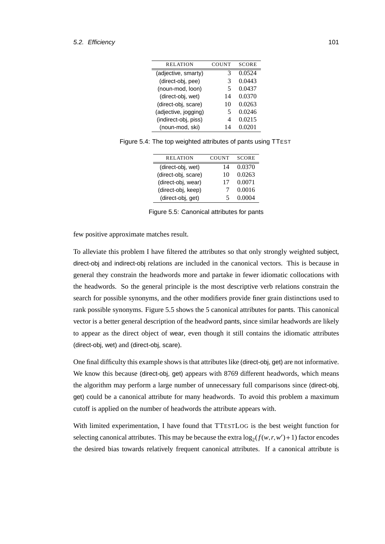| RELATION             | COUNT | <b>SCORE</b> |
|----------------------|-------|--------------|
| (adjective, smarty)  | 3     | 0.0524       |
| (direct-obj, pee)    | 3     | 0.0443       |
| (noun-mod, loon)     | 5     | 0.0437       |
| (direct-obj, wet)    | 14    | 0.0370       |
| (direct-obj, scare)  | 10    | 0.0263       |
| (adjective, jogging) | 5     | 0.0246       |
| (indirect-obj, piss) | 4     | 0.0215       |
| (noun-mod, ski)      | 14    | 0.0201       |

Figure 5.4: The top weighted attributes of pants using TTEST

<span id="page-118-0"></span>

| <b>RELATION</b>     | <b>COUNT</b> | <b>SCORE</b> |
|---------------------|--------------|--------------|
| (direct-obj, wet)   | 14           | 0.0370       |
| (direct-obj, scare) | 10           | 0.0263       |
| (direct-obj, wear)  | 17           | 0.0071       |
| (direct-obj, keep)  |              | 0.0016       |
| (direct-obj, get)   | 5            | 0.0004       |
|                     |              |              |

<span id="page-118-1"></span>Figure 5.5: Canonical attributes for pants

few positive approximate matches result.

To alleviate this problem I have filtered the attributes so that only strongly weighted subject, direct-obj and indirect-obj relations are included in the canonical vectors. This is because in general they constrain the headwords more and partake in fewer idiomatic collocations with the headwords. So the general principle is the most descriptive verb relations constrain the search for possible synonyms, and the other modifiers provide finer grain distinctions used to rank possible synonyms. Figure [5.5](#page-118-1) shows the 5 canonical attributes for pants. This canonical vector is a better general description of the headword pants, since similar headwords are likely to appear as the direct object of wear, even though it still contains the idiomatic attributes (direct-obj, wet) and (direct-obj, scare).

One final difficulty this example shows is that attributes like (direct-obj, get) are not informative. We know this because (direct-obj, get) appears with 8769 different headwords, which means the algorithm may perform a large number of unnecessary full comparisons since (direct-obj, get) could be a canonical attribute for many headwords. To avoid this problem a maximum cutoff is applied on the number of headwords the attribute appears with.

With limited experimentation, I have found that TTESTLOG is the best weight function for selecting canonical attributes. This may be because the extra  $log_2(f(w,r,w')+1)$  factor encodes the desired bias towards relatively frequent canonical attributes. If a canonical attribute is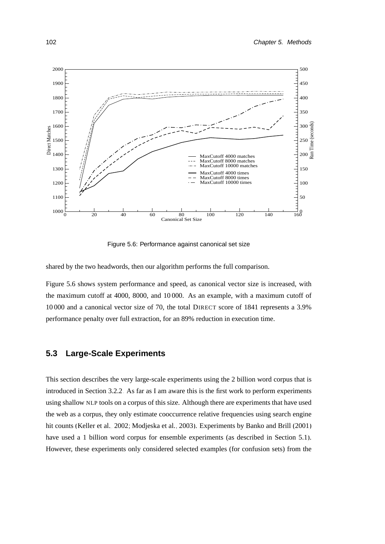

<span id="page-119-1"></span>Figure 5.6: Performance against canonical set size

shared by the two headwords, then our algorithm performs the full comparison.

Figure [5.6](#page-119-1) shows system performance and speed, as canonical vector size is increased, with the maximum cutoff at 4000, 8000, and 10 000. As an example, with a maximum cutoff of 10 000 and a canonical vector size of 70, the total DIRECT score of 1841 represents a 3.9% performance penalty over full extraction, for an 89% reduction in execution time.

## <span id="page-119-0"></span>**5.3 Large-Scale Experiments**

This section describes the very large-scale experiments using the 2 billion word corpus that is introduced in Section [3.2.2.](#page-62-0) As far as I am aware this is the first work to perform experiments using shallow NLP tools on a corpus of this size. Although there are experiments that have used the web as a corpus, they only estimate cooccurrence relative frequencies using search engine hit counts [\(Keller et al., 2002;](#page-167-1) [Modjeska et al., 2003\)](#page-171-0). Experiments by [Banko and Brill \(2001\)](#page-159-0) have used a 1 billion word corpus for ensemble experiments (as described in Section [5.1\)](#page-104-0). However, these experiments only considered selected examples (for confusion sets) from the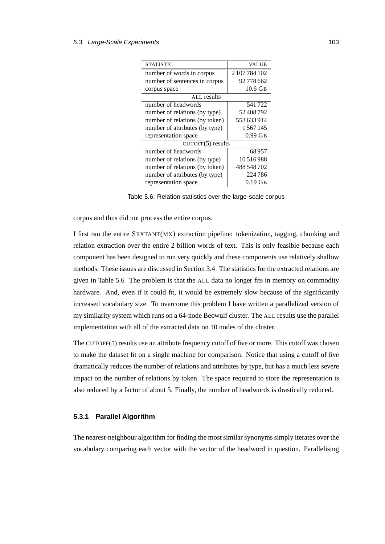| STATISTIC                      | <b>VALUE</b>  |
|--------------------------------|---------------|
| number of words in corpus      | 2 107 784 102 |
| number of sentences in corpus  | 92778662      |
| corpus space                   | 10.6 GB       |
| <b>ALL</b> results             |               |
| number of headwords            | 541722        |
| number of relations (by type)  | 52408792      |
| number of relations (by token) | 553633914     |
| number of attributes (by type) | 1567145       |
| representation space           | $0.99$ GB     |
| $CUTOFF(5)$ results            |               |
| number of headwords            | 68957         |
| number of relations (by type)  | 10516988      |
| number of relations (by token) | 488 548 702   |
| number of attributes (by type) | 224786        |
| representation space           | 0.19 GB       |

<span id="page-120-0"></span>Table 5.6: Relation statistics over the large-scale corpus

corpus and thus did not process the entire corpus.

I first ran the entire SEXTANT(MX) extraction pipeline: tokenization, tagging, chunking and relation extraction over the entire 2 billion words of text. This is only feasible because each component has been designed to run very quickly and these components use relatively shallow methods. These issues are discussed in Section [3.4.](#page-70-0) The statistics for the extracted relations are given in Table [5.6.](#page-120-0) The problem is that the ALL data no longer fits in memory on commodity hardware. And, even if it could fit, it would be extremely slow because of the significantly increased vocabulary size. To overcome this problem I have written a parallelized version of my similarity system which runs on a 64-node Beowulf cluster. The ALL results use the parallel implementation with all of the extracted data on 10 nodes of the cluster.

The CUTOFF(5) results use an attribute frequency cutoff of five or more. This cutoff was chosen to make the dataset fit on a single machine for comparison. Notice that using a cutoff of five dramatically reduces the number of relations and attributes by type, but has a much less severe impact on the number of relations by token. The space required to store the representation is also reduced by a factor of about 5. Finally, the number of headwords is drastically reduced.

## **5.3.1 Parallel Algorithm**

The nearest-neighbour algorithm for finding the most similar synonyms simply iterates over the vocabulary comparing each vector with the vector of the headword in question. Parallelising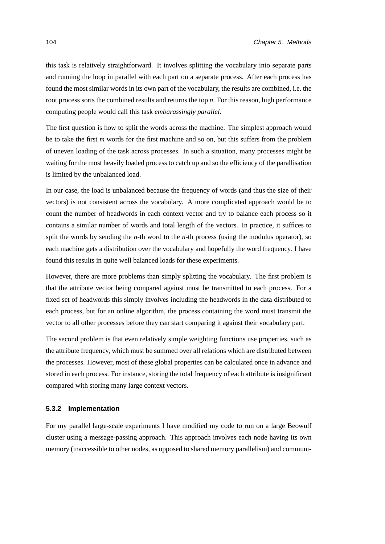this task is relatively straightforward. It involves splitting the vocabulary into separate parts and running the loop in parallel with each part on a separate process. After each process has found the most similar words in its own part of the vocabulary, the results are combined, i.e. the root process sorts the combined results and returns the top *n*. For this reason, high performance computing people would call this task *embarassingly parallel*.

The first question is how to split the words across the machine. The simplest approach would be to take the first *m* words for the first machine and so on, but this suffers from the problem of uneven loading of the task across processes. In such a situation, many processes might be waiting for the most heavily loaded process to catch up and so the efficiency of the parallisation is limited by the unbalanced load.

In our case, the load is unbalanced because the frequency of words (and thus the size of their vectors) is not consistent across the vocabulary. A more complicated approach would be to count the number of headwords in each context vector and try to balance each process so it contains a similar number of words and total length of the vectors. In practice, it suffices to split the words by sending the *n*-th word to the *n*-th process (using the modulus operator), so each machine gets a distribution over the vocabulary and hopefully the word frequency. I have found this results in quite well balanced loads for these experiments.

However, there are more problems than simply splitting the vocabulary. The first problem is that the attribute vector being compared against must be transmitted to each process. For a fixed set of headwords this simply involves including the headwords in the data distributed to each process, but for an online algorithm, the process containing the word must transmit the vector to all other processes before they can start comparing it against their vocabulary part.

The second problem is that even relatively simple weighting functions use properties, such as the attribute frequency, which must be summed over all relations which are distributed between the processes. However, most of these global properties can be calculated once in advance and stored in each process. For instance, storing the total frequency of each attribute is insignificant compared with storing many large context vectors.

#### **5.3.2 Implementation**

For my parallel large-scale experiments I have modified my code to run on a large Beowulf cluster using a message-passing approach. This approach involves each node having its own memory (inaccessible to other nodes, as opposed to shared memory parallelism) and communi-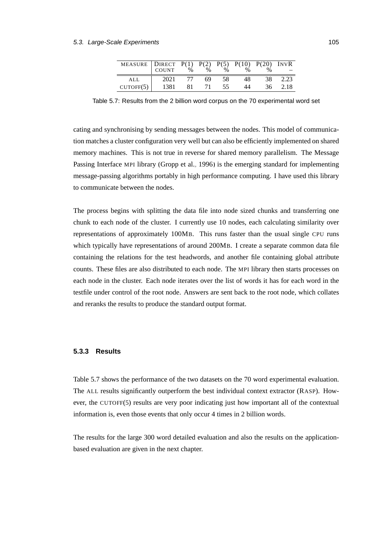| MEASURE DIRECT P(1) P(2) P(5) P(10) P(20) INVR<br>COUNT % % % % % = |      |     |    |     |    |     |        |
|---------------------------------------------------------------------|------|-----|----|-----|----|-----|--------|
| ALL                                                                 | 2021 |     | 69 | -58 | 48 | 38. | 2.23   |
| CUTOFF(5)                                                           | 1381 | 81. | 71 | 55  | 44 | 36  | - 2.18 |

<span id="page-122-0"></span>Table 5.7: Results from the 2 billion word corpus on the 70 experimental word set

cating and synchronising by sending messages between the nodes. This model of communication matches a cluster configuration very well but can also be efficiently implemented on shared memory machines. This is not true in reverse for shared memory parallelism. The Message Passing Interface MPI library [\(Gropp et al., 1996\)](#page-165-1) is the emerging standard for implementing message-passing algorithms portably in high performance computing. I have used this library to communicate between the nodes.

The process begins with splitting the data file into node sized chunks and transferring one chunk to each node of the cluster. I currently use 10 nodes, each calculating similarity over representations of approximately 100MB. This runs faster than the usual single CPU runs which typically have representations of around 200MB. I create a separate common data file containing the relations for the test headwords, and another file containing global attribute counts. These files are also distributed to each node. The MPI library then starts processes on each node in the cluster. Each node iterates over the list of words it has for each word in the testfile under control of the root node. Answers are sent back to the root node, which collates and reranks the results to produce the standard output format.

### **5.3.3 Results**

Table [5.7](#page-122-0) shows the performance of the two datasets on the 70 word experimental evaluation. The ALL results significantly outperform the best individual context extractor (RASP). However, the CUTOFF(5) results are very poor indicating just how important all of the contextual information is, even those events that only occur 4 times in 2 billion words.

The results for the large 300 word detailed evaluation and also the results on the applicationbased evaluation are given in the next chapter.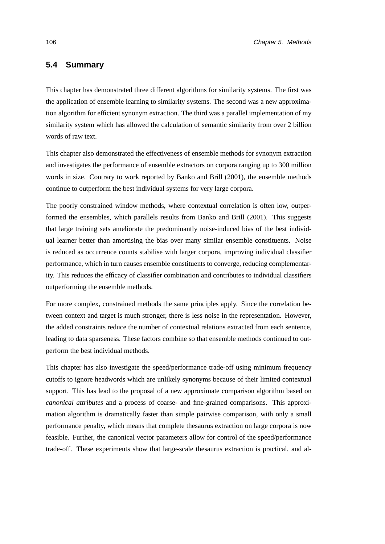## **5.4 Summary**

This chapter has demonstrated three different algorithms for similarity systems. The first was the application of ensemble learning to similarity systems. The second was a new approximation algorithm for efficient synonym extraction. The third was a parallel implementation of my similarity system which has allowed the calculation of semantic similarity from over 2 billion words of raw text.

This chapter also demonstrated the effectiveness of ensemble methods for synonym extraction and investigates the performance of ensemble extractors on corpora ranging up to 300 million words in size. Contrary to work reported by [Banko and Brill \(2001\)](#page-159-0), the ensemble methods continue to outperform the best individual systems for very large corpora.

The poorly constrained window methods, where contextual correlation is often low, outperformed the ensembles, which parallels results from [Banko and Brill](#page-159-0) [\(2001\)](#page-159-0). This suggests that large training sets ameliorate the predominantly noise-induced bias of the best individual learner better than amortising the bias over many similar ensemble constituents. Noise is reduced as occurrence counts stabilise with larger corpora, improving individual classifier performance, which in turn causes ensemble constituents to converge, reducing complementarity. This reduces the efficacy of classifier combination and contributes to individual classifiers outperforming the ensemble methods.

For more complex, constrained methods the same principles apply. Since the correlation between context and target is much stronger, there is less noise in the representation. However, the added constraints reduce the number of contextual relations extracted from each sentence, leading to data sparseness. These factors combine so that ensemble methods continued to outperform the best individual methods.

This chapter has also investigate the speed/performance trade-off using minimum frequency cutoffs to ignore headwords which are unlikely synonyms because of their limited contextual support. This has lead to the proposal of a new approximate comparison algorithm based on *canonical attributes* and a process of coarse- and fine-grained comparisons. This approximation algorithm is dramatically faster than simple pairwise comparison, with only a small performance penalty, which means that complete thesaurus extraction on large corpora is now feasible. Further, the canonical vector parameters allow for control of the speed/performance trade-off. These experiments show that large-scale thesaurus extraction is practical, and al-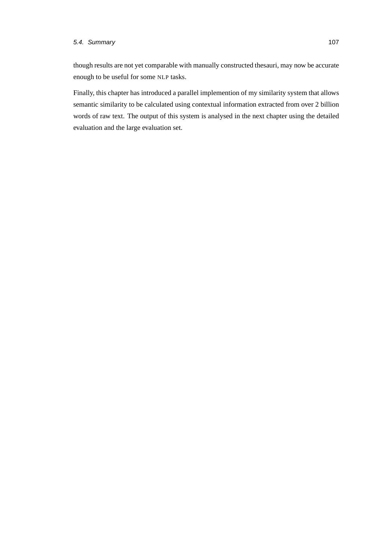## 5.4. Summary 107

though results are not yet comparable with manually constructed thesauri, may now be accurate enough to be useful for some NLP tasks.

Finally, this chapter has introduced a parallel implemention of my similarity system that allows semantic similarity to be calculated using contextual information extracted from over 2 billion words of raw text. The output of this system is analysed in the next chapter using the detailed evaluation and the large evaluation set.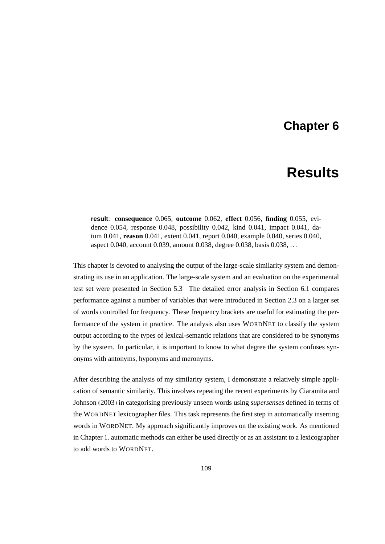## **Chapter 6**

# **Results**

<span id="page-126-0"></span>**result**: **consequence** 0.065, **outcome** 0.062, **effect** 0.056, **finding** 0.055, evidence 0.054, response 0.048, possibility 0.042, kind 0.041, impact 0.041, datum 0.041, **reason** 0.041, extent 0.041, report 0.040, example 0.040, series 0.040, aspect 0.040, account 0.039, amount 0.038, degree 0.038, basis 0.038, ...

This chapter is devoted to analysing the output of the large-scale similarity system and demonstrating its use in an application. The large-scale system and an evaluation on the experimental test set were presented in Section [5.3.](#page-119-0) The detailed error analysis in Section [6.1](#page-127-0) compares performance against a number of variables that were introduced in Section [2.3](#page-54-0) on a larger set of words controlled for frequency. These frequency brackets are useful for estimating the performance of the system in practice. The analysis also uses WORDNET to classify the system output according to the types of lexical-semantic relations that are considered to be synonyms by the system. In particular, it is important to know to what degree the system confuses synonyms with antonyms, hyponyms and meronyms.

After describing the analysis of my similarity system, I demonstrate a relatively simple application of semantic similarity. This involves repeating the recent experiments by [Ciaramita and](#page-161-0) [Johnson \(2003\)](#page-161-0) in categorising previously unseen words using *supersenses* defined in terms of the WORDNET lexicographer files. This task represents the first step in automatically inserting words in WORDNET. My approach significantly improves on the existing work. As mentioned in Chapter [1,](#page-18-0) automatic methods can either be used directly or as an assistant to a lexicographer to add words to WORDNET.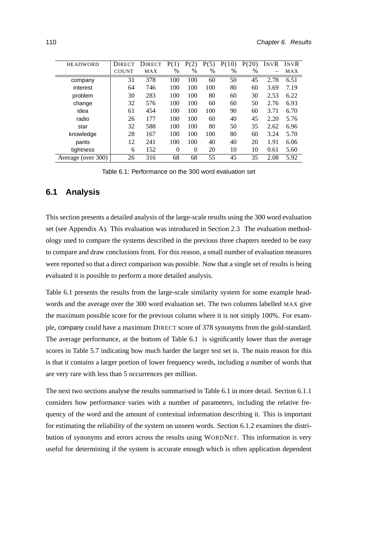| <b>HEADWORD</b>    | <b>DIRECT</b> | <b>DIRECT</b> | P(1)          | P(2)     | P(5) | P(10) | P(20)         | INVR | <b>INVR</b> |
|--------------------|---------------|---------------|---------------|----------|------|-------|---------------|------|-------------|
|                    | <b>COUNT</b>  | MAX           | $\frac{0}{0}$ | %        | $\%$ | %     | $\frac{0}{0}$ |      | MAX         |
| company            | 31            | 378           | 100           | 100      | 60   | 50    | 45            | 2.78 | 6.51        |
| interest           | 64            | 746           | 100           | 100      | 100  | 80    | 60            | 3.69 | 7.19        |
| problem            | 30            | 283           | 100           | 100      | 80   | 60    | 30            | 2.53 | 6.22        |
| change             | 32            | 576           | 100           | 100      | 60   | 60    | 50            | 2.76 | 6.93        |
| idea               | 61            | 454           | 100           | 100      | 100  | 90    | 60            | 3.71 | 6.70        |
| radio              | 26            | 177           | 100           | 100      | 60   | 40    | 45            | 2.20 | 5.76        |
| star               | 32            | 588           | 100           | 100      | 80   | 50    | 35            | 2.62 | 6.96        |
| knowledge          | 28            | 167           | 100           | 100      | 100  | 80    | 60            | 3.24 | 5.70        |
| pants              | 12            | 241           | 100           | 100      | 40   | 40    | 20            | 1.91 | 6.06        |
| tightness          | 6             | 152           | $\Omega$      | $\theta$ | 20   | 10    | 10            | 0.61 | 5.60        |
| Average (over 300) | 26            | 316           | 68            | 68       | 55   | 45    | 35            | 2.08 | 5.92        |

<span id="page-127-1"></span>Table 6.1: Performance on the 300 word evaluation set

## <span id="page-127-0"></span>**6.1 Analysis**

This section presents a detailed analysis of the large-scale results using the 300 word evaluation set (see Appendix [A\)](#page-146-0). This evaluation was introduced in Section [2.3.](#page-54-0) The evaluation methodology used to compare the systems described in the previous three chapters needed to be easy to compare and draw conclusions from. For this reason, a small number of evaluation measures were reported so that a direct comparison was possible. Now that a single set of results is being evaluated it is possible to perform a more detailed analysis.

Table [6.1](#page-127-1) presents the results from the large-scale similarity system for some example headwords and the average over the 300 word evaluation set. The two columns labelled MAX give the maximum possible score for the previous column where it is not simply 100%. For example, company could have a maximum DIRECT score of 378 synonyms from the gold-standard. The average performance, at the bottom of Table [6.1,](#page-127-1) is significantly lower than the average scores in Table [5.7](#page-122-0) indicating how much harder the larger test set is. The main reason for this is that it contains a larger portion of lower frequency words, including a number of words that are very rare with less than 5 occurrences per million.

The next two sections analyse the results summarised in Table [6.1](#page-127-1) in more detail. Section [6.1.1](#page-128-0) considers how performance varies with a number of parameters, including the relative frequency of the word and the amount of contextual information describing it. This is important for estimating the reliability of the system on unseen words. Section [6.1.2](#page-130-0) examines the distribution of synonyms and errors across the results using WORDNET. This information is very useful for determining if the system is accurate enough which is often application dependent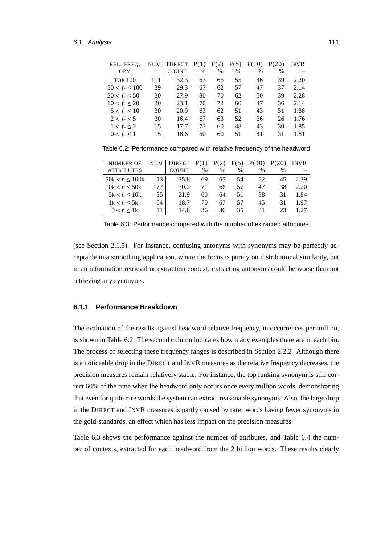| REL. FREO.          | <b>NUM</b> | <b>DIRECT</b> | P(1) | P(2) | P(5) | P(10) | P(20) | INVR |
|---------------------|------------|---------------|------|------|------|-------|-------|------|
| <b>OPM</b>          |            | <b>COUNT</b>  | $\%$ | $\%$ | $\%$ | $\%$  | $\%$  |      |
| <b>TOP 100</b>      | 111        | 32.3          | 67   | 66   | 55   | 46    | 39    | 2.20 |
| $50 < f_r \leq 100$ | 39         | 29.3          | 67   | 62   | 57   | 47    | 37    | 2.14 |
| $20 < f_r \leq 50$  | 30         | 27.9          | 80   | 70   | 62   | 50    | 39    | 2.28 |
| $10 < f_r \leq 20$  | 30         | 23.1          | 70   | 72   | 60   | 47    | 36    | 2.14 |
| $5 < f_r \le 10$    | 30         | 20.9          | 63   | 62   | 51   | 43    | 31    | 1.88 |
| $2 < f_r \leq 5$    | 30         | 16.4          | 67   | 63   | 52   | 36    | 26    | 1.76 |
| $1 < f_r \leq 2$    | 15         | 17.7          | 73   | 60   | 48   | 43    | 30    | 1.85 |
| $0 < f_r \leq 1$    | 15         | 18.6          | 60   | 60   | 51   | 41    | 31    | 1.81 |
|                     |            |               |      |      |      |       |       |      |

<span id="page-128-1"></span>Table 6.2: Performance compared with relative frequency of the headword

| <b>NUMBER OF</b>  | <b>NUM</b> | <b>DIRECT</b> | P(1) |      | P(   | P(10) | P(20) | INVR |
|-------------------|------------|---------------|------|------|------|-------|-------|------|
| <b>ATTRIBUTES</b> |            | COUNT         | $\%$ | $\%$ | $\%$ | $\%$  | %     |      |
| 50k < n < 100k    | 13         | 35.8          | 69   | 65   | 54   | 52    | 45    | 2.39 |
| 10k < n < 50k     | 177        | 30.2          | 71   | 66   | 57   | 47    | 38    | 2.20 |
| $5k < n \leq 10k$ | 35         | 21.9          | 60   | 64   | 51   | 38    | 31    | 1.84 |
| 1k < n < 5k       | 64         | 18.7          | 70   | 67   | 57   | 45    | 31    | 1.97 |
| $0 < n < 1$ k     |            | 14.8          | 36   | 36   | 35   | 31    | 23    | 127  |
|                   |            |               |      |      |      |       |       |      |

<span id="page-128-2"></span>Table 6.3: Performance compared with the number of extracted attributes

(see Section [2.1.5\)](#page-43-0). For instance, confusing antonyms with synonyms may be perfectly acceptable in a smoothing application, where the focus is purely on distributional similarity, but in an information retrieval or extraction context, extracting antonyms could be worse than not retrieving any synonyms.

## <span id="page-128-0"></span>**6.1.1 Performance Breakdown**

The evaluation of the results against headword relative frequency, in occurrences per million, is shown in Table [6.2.](#page-128-1) The second column indicates how many examples there are in each bin. The process of selecting these frequency ranges is described in Section [2.2.2.](#page-45-0) Although there is a noticeable drop in the DIRECT and INVR measures as the relative frequency decreases, the precision measures remain relatively stable. For instance, the top ranking synonym is still correct 60% of the time when the headword only occurs once every million words, demonstrating that even for quite rare words the system can extract reasonable synonyms. Also, the large drop in the DIRECT and INVR measures is partly caused by rarer words having fewer synonyms in the gold-standards, an effect which has less impact on the precision measures.

Table [6.3](#page-128-2) shows the performance against the number of attributes, and Table [6.4](#page-129-0) the number of contexts, extracted for each headword from the 2 billion words. These results clearly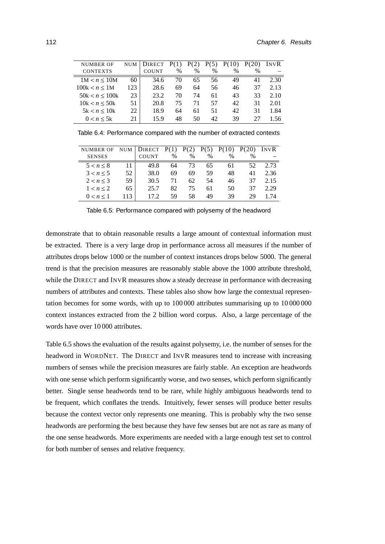| <b>NUMBER OF</b>  | NUM | <b>DIRECT</b> |      |      | P(5) | P(10) | P(20) | INVR |
|-------------------|-----|---------------|------|------|------|-------|-------|------|
| <b>CONTEXTS</b>   |     | <b>COUNT</b>  | $\%$ | $\%$ | %    | $\%$  | $\%$  |      |
| $1M < n \leq 10M$ | 60  | 34.6          | 70   | 65   | 56   | 49    | 41    | 2.30 |
| 100k < n < 1M     | 123 | 28.6          | 69   | 64   | 56   | 46    | 37    | 2.13 |
| 50k < n < 100k    | 23  | 23.2          | 70   | 74   | 61   | 43    | 33    | 2.10 |
| 10k < n < 50k     | 51  | 20.8          | 75   | 71   | 57   | 42    | 31    | 2.01 |
| 5k < n < 10k      | 22  | 18.9          | 64   | 61   | 51   | 42    | 31    | 1.84 |
| 0 < n < 5k        | 21  | 15.9          | 48   | 50   | 42   | 39    | 27    | 1.56 |
|                   |     |               |      |      |      |       |       |      |

<span id="page-129-0"></span>Table 6.4: Performance compared with the number of extracted contexts

| <b>NUMBER OF</b> | <b>NUM</b> | <b>DIRECT</b> | P(1) | P(2) | P(5) | P(10) | P(20) | INVR |
|------------------|------------|---------------|------|------|------|-------|-------|------|
| <b>SENSES</b>    |            | <b>COUNT</b>  | $\%$ | %    | $\%$ | $\%$  | $\%$  |      |
| $5 < n \leq 8$   |            | 49.8          | 64   | 73   | 65   | 61    | 52    | 2.73 |
| 3 < n < 5        | 52         | 38.0          | 69   | 69   | 59   | 48    | 41    | 2.36 |
| 2 < n < 3        | 59         | 30.5          | 71   | 62   | 54   | 46    | 37    | 2.15 |
| $1 < n \leq 2$   | 65         | 25.7          | 82   | 75   | 61   | 50    | 37    | 2.29 |
| 0 < n < 1        | 113        | 17 2          | 59   | 58   | 49   | 39    | 29    | l 74 |
|                  |            |               |      |      |      |       |       |      |

<span id="page-129-1"></span>Table 6.5: Performance compared with polysemy of the headword

demonstrate that to obtain reasonable results a large amount of contextual information must be extracted. There is a very large drop in performance across all measures if the number of attributes drops below 1000 or the number of context instances drops below 5000. The general trend is that the precision measures are reasonably stable above the 1000 attribute threshold, while the DIRECT and INVR measures show a steady decrease in performance with decreasing numbers of attributes and contexts. These tables also show how large the contextual representation becomes for some words, with up to 100 000 attributes summarising up to 10 000 000 context instances extracted from the 2 billion word corpus. Also, a large percentage of the words have over 10 000 attributes.

Table [6.5](#page-129-1) shows the evaluation of the results against polysemy, i.e. the number of senses for the headword in WORDNET. The DIRECT and INVR measures tend to increase with increasing numbers of senses while the precision measures are fairly stable. An exception are headwords with one sense which perform significantly worse, and two senses, which perform significantly better. Single sense headwords tend to be rare, while highly ambiguous headwords tend to be frequent, which conflates the trends. Intuitively, fewer senses will produce better results because the context vector only represents one meaning. This is probably why the two sense headwords are performing the best because they have few senses but are not as rare as many of the one sense headwords. More experiments are needed with a large enough test set to control for both number of senses and relative frequency.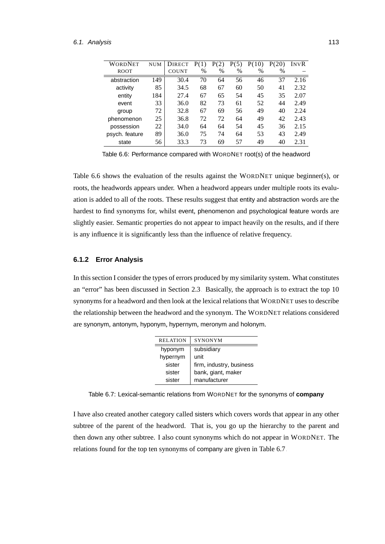| WORDNET        | <b>NUM</b> | <b>DIRECT</b> | P(1) | P(2) | P(5) | P(10) | P(20) | INVR |
|----------------|------------|---------------|------|------|------|-------|-------|------|
| <b>ROOT</b>    |            | <b>COUNT</b>  | $\%$ | $\%$ | $\%$ | $\%$  | $\%$  |      |
| abstraction    | 149        | 30.4          | 70   | 64   | 56   | 46    | 37    | 2.16 |
| activity       | 85         | 34.5          | 68   | 67   | 60   | 50    | 41    | 2.32 |
| entity         | 184        | 27.4          | 67   | 65   | 54   | 45    | 35    | 2.07 |
| event          | 33         | 36.0          | 82   | 73   | 61   | 52    | 44    | 2.49 |
| group          | 72         | 32.8          | 67   | 69   | 56   | 49    | 40    | 2.24 |
| phenomenon     | 25         | 36.8          | 72   | 72   | 64   | 49    | 42    | 2.43 |
| possession     | 22         | 34.0          | 64   | 64   | 54   | 45    | 36    | 2.15 |
| psych. feature | 89         | 36.0          | 75   | 74   | 64   | 53    | 43    | 2.49 |
| state          | 56         | 33.3          | 73   | 69   | 57   | 49    | 40    | 2.31 |

<span id="page-130-1"></span>Table 6.6: Performance compared with WORDNET root(s) of the headword

Table [6.6](#page-130-1) shows the evaluation of the results against the WORDNET unique beginner(s), or roots, the headwords appears under. When a headword appears under multiple roots its evaluation is added to all of the roots. These results suggest that entity and abstraction words are the hardest to find synonyms for, whilst event, phenomenon and psychological feature words are slightly easier. Semantic properties do not appear to impact heavily on the results, and if there is any influence it is significantly less than the influence of relative frequency.

## <span id="page-130-0"></span>**6.1.2 Error Analysis**

In this section I consider the types of errors produced by my similarity system. What constitutes an "error" has been discussed in Section [2.3.](#page-54-0) Basically, the approach is to extract the top 10 synonyms for a headword and then look at the lexical relations that WORDNET uses to describe the relationship between the headword and the synonym. The WORDNET relations considered are synonym, antonym, hyponym, hypernym, meronym and holonym.

| <b>RELATION</b> | <b>SYNONYM</b>           |
|-----------------|--------------------------|
| hyponym         | subsidiary               |
| hypernym        | unit                     |
| sister          | firm, industry, business |
| sister          | bank, giant, maker       |
| sister          | manufacturer             |

<span id="page-130-2"></span>Table 6.7: Lexical-semantic relations from WORDNET for the synonyms of **company**

I have also created another category called sisters which covers words that appear in any other subtree of the parent of the headword. That is, you go up the hierarchy to the parent and then down any other subtree. I also count synonyms which do not appear in WORDNET. The relations found for the top ten synonyms of company are given in Table [6.7.](#page-130-2)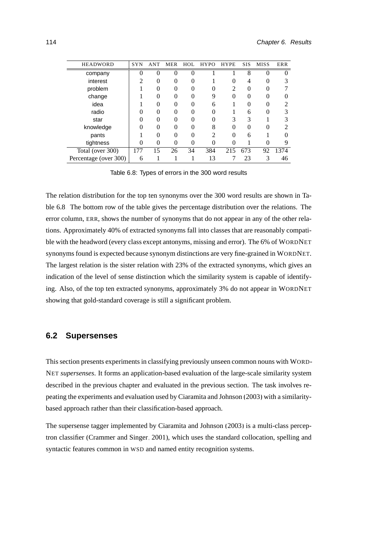| <b>HEADWORD</b>       | <b>SYN</b> | <b>ANT</b> | <b>MER</b>    | HOL      | <b>HYPO</b>    | <b>HYPE</b> | <b>SIS</b> | <b>MISS</b> | ERR  |
|-----------------------|------------|------------|---------------|----------|----------------|-------------|------------|-------------|------|
| company               |            | $\Omega$   | $\Omega$      | $\theta$ |                |             | 8          | 0           |      |
| interest              |            | 0          |               | 0        |                | $\theta$    | 4          |             |      |
| problem               |            | 0          |               |          |                | 2           | $\theta$   |             |      |
| change                |            | 0          | 0             | 0        | q              | 0           | 0          |             |      |
| idea                  |            | 0          | $\Omega$      | 0        | 6              |             | $\Omega$   | $\Omega$    | 2    |
| radio                 |            | 0          | 0             | 0        | $\mathbf{0}$   |             | 6          | $\theta$    | 3    |
| star                  |            | 0          |               | 0        |                | 3           | 3          |             | 3    |
| knowledge             |            | 0          |               |          | 8              | $\theta$    |            |             |      |
| pants                 |            | ∩          | $\mathcal{O}$ | 0        | $\mathfrak{D}$ | 0           | 6          |             |      |
| tightness             | 0          | 0          | 0             | 0        | 0              | 0           |            |             | 9    |
| Total (over 300)      | 177        | 15         | 26            | 34       | 384            | 215         | 673        | 92          | 1374 |
| Percentage (over 300) | 6          |            |               |          | 13             |             | 23         |             | 46   |

<span id="page-131-0"></span>Table 6.8: Types of errors in the 300 word results

The relation distribution for the top ten synonyms over the 300 word results are shown in Table [6.8.](#page-131-0) The bottom row of the table gives the percentage distribution over the relations. The error column, ERR, shows the number of synonyms that do not appear in any of the other relations. Approximately 40% of extracted synonyms fall into classes that are reasonably compatible with the headword (every class except antonyms, missing and error). The 6% of WORDNET synonyms found is expected because synonym distinctions are very fine-grained in WORDNET. The largest relation is the sister relation with 23% of the extracted synonyms, which gives an indication of the level of sense distinction which the similarity system is capable of identifying. Also, of the top ten extracted synonyms, approximately 3% do not appear in WORDNET showing that gold-standard coverage is still a significant problem.

## **6.2 Supersenses**

This section presents experiments in classifying previously unseen common nouns with WORD-NET *supersenses*. It forms an application-based evaluation of the large-scale similarity system described in the previous chapter and evaluated in the previous section. The task involves repeating the experiments and evaluation used by [Ciaramita and Johnson \(2003\)](#page-161-0) with a similaritybased approach rather than their classification-based approach.

The supersense tagger implemented by [Ciaramita and Johnson \(2003\)](#page-161-0) is a multi-class perceptron classifier [\(Crammer and Singer, 2001\)](#page-162-1), which uses the standard collocation, spelling and syntactic features common in WSD and named entity recognition systems.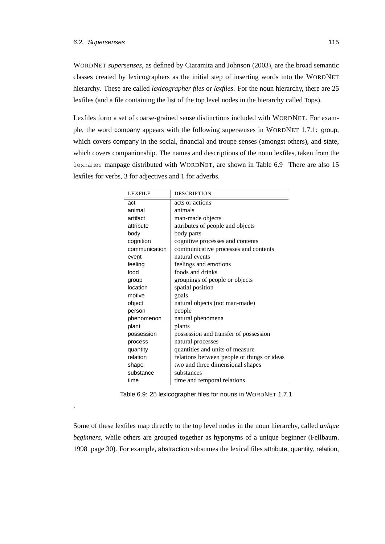.

WORDNET *supersenses*, as defined by [Ciaramita and Johnson](#page-161-0) [\(2003\)](#page-161-0), are the broad semantic classes created by lexicographers as the initial step of inserting words into the WORDNET hierarchy. These are called *lexicographer files* or *lexfiles*. For the noun hierarchy, there are 25 lexfiles (and a file containing the list of the top level nodes in the hierarchy called Tops).

Lexfiles form a set of coarse-grained sense distinctions included with WORDNET. For example, the word company appears with the following supersenses in WORDNET 1.7.1: group, which covers company in the social, financial and troupe senses (amongst others), and state, which covers companionship. The names and descriptions of the noun lexfiles, taken from the lexnames manpage distributed with WORDNET, are shown in Table [6.9.](#page-132-0) There are also 15 lexfiles for verbs, 3 for adjectives and 1 for adverbs.

| <b>LEXFILE</b> | <b>DESCRIPTION</b>                          |
|----------------|---------------------------------------------|
| act            | acts or actions                             |
| animal         | animals                                     |
| artifact       | man-made objects                            |
| attribute      | attributes of people and objects            |
| body           | body parts                                  |
| cognition      | cognitive processes and contents            |
| communication  | communicative processes and contents        |
| event          | natural events                              |
| feeling        | feelings and emotions                       |
| food           | foods and drinks                            |
| group          | groupings of people or objects              |
| location       | spatial position                            |
| motive         | goals                                       |
| object         | natural objects (not man-made)              |
| person         | people                                      |
| phenomenon     | natural phenomena                           |
| plant          | plants                                      |
| possession     | possession and transfer of possession       |
| process        | natural processes                           |
| quantity       | quantities and units of measure             |
| relation       | relations between people or things or ideas |
| shape          | two and three dimensional shapes            |
| substance      | substances                                  |
| time           | time and temporal relations                 |

<span id="page-132-0"></span>Table 6.9: 25 lexicographer files for nouns in WORDNET 1.7.1

Some of these lexfiles map directly to the top level nodes in the noun hierarchy, called *unique beginners*, while others are grouped together as hyponyms of a unique beginner [\(Fellbaum,](#page-164-0) [1998,](#page-164-0) page 30). For example, abstraction subsumes the lexical files attribute, quantity, relation,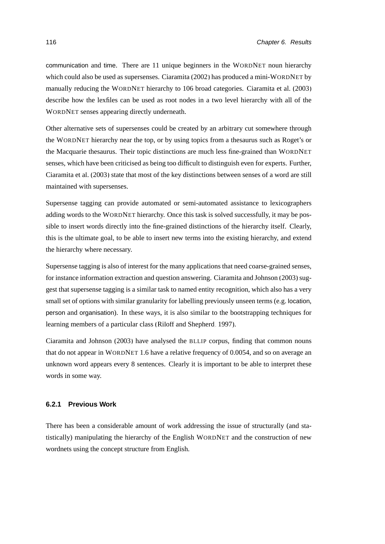communication and time. There are 11 unique beginners in the WORDNET noun hierarchy which could also be used as supersenses. [Ciaramita \(2002\)](#page-161-1) has produced a mini-WORDNET by manually reducing the WORDNET hierarchy to 106 broad categories. [Ciaramita et al. \(2003\)](#page-161-2) describe how the lexfiles can be used as root nodes in a two level hierarchy with all of the WORDNET senses appearing directly underneath.

Other alternative sets of supersenses could be created by an arbitrary cut somewhere through the WORDNET hierarchy near the top, or by using topics from a thesaurus such as Roget's or the Macquarie thesaurus. Their topic distinctions are much less fine-grained than WORDNET senses, which have been criticised as being too difficult to distinguish even for experts. Further, [Ciaramita et al.](#page-161-2) [\(2003\)](#page-161-2) state that most of the key distinctions between senses of a word are still maintained with supersenses.

Supersense tagging can provide automated or semi-automated assistance to lexicographers adding words to the WORDNET hierarchy. Once this task is solved successfully, it may be possible to insert words directly into the fine-grained distinctions of the hierarchy itself. Clearly, this is the ultimate goal, to be able to insert new terms into the existing hierarchy, and extend the hierarchy where necessary.

Supersense tagging is also of interest for the many applications that need coarse-grained senses, for instance information extraction and question answering. [Ciaramita and Johnson \(2003\)](#page-161-0) suggest that supersense tagging is a similar task to named entity recognition, which also has a very small set of options with similar granularity for labelling previously unseen terms (e.g. location, person and organisation). In these ways, it is also similar to the bootstrapping techniques for learning members of a particular class [\(Riloff and Shepherd, 1997\)](#page-172-1).

[Ciaramita and Johnson \(2003\)](#page-161-0) have analysed the BLLIP corpus, finding that common nouns that do not appear in WORDNET 1.6 have a relative frequency of 0.0054, and so on average an unknown word appears every 8 sentences. Clearly it is important to be able to interpret these words in some way.

### **6.2.1 Previous Work**

There has been a considerable amount of work addressing the issue of structurally (and statistically) manipulating the hierarchy of the English WORDNET and the construction of new wordnets using the concept structure from English.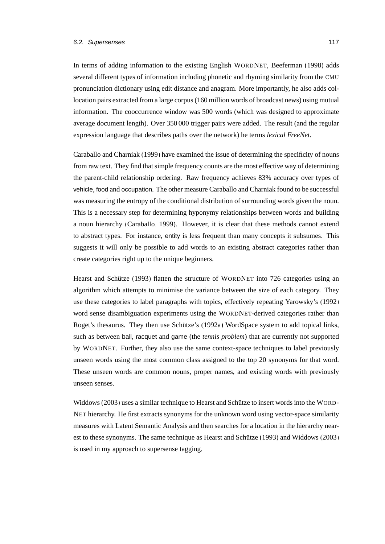## 6.2. Supersenses 117

In terms of adding information to the existing English WORDNET, [Beeferman \(1998\)](#page-159-1) adds several different types of information including phonetic and rhyming similarity from the CMU pronunciation dictionary using edit distance and anagram. More importantly, he also adds collocation pairs extracted from a large corpus (160 million words of broadcast news) using mutual information. The cooccurrence window was 500 words (which was designed to approximate average document length). Over 350 000 trigger pairs were added. The result (and the regular expression language that describes paths over the network) he terms *lexical FreeNet*.

[Caraballo and Charniak \(1999\)](#page-161-3) have examined the issue of determining the specificity of nouns from raw text. They find that simple frequency counts are the most effective way of determining the parent-child relationship ordering. Raw frequency achieves 83% accuracy over types of vehicle, food and occupation. The other measure [Caraballo and Charniak](#page-161-3) found to be successful was measuring the entropy of the conditional distribution of surrounding words given the noun. This is a necessary step for determining hyponymy relationships between words and building a noun hierarchy [\(Caraballo, 1999\)](#page-160-1). However, it is clear that these methods cannot extend to abstract types. For instance, entity is less frequent than many concepts it subsumes. This suggests it will only be possible to add words to an existing abstract categories rather than create categories right up to the unique beginners.

Hearst and Schütze (1993) flatten the structure of WORDNET into 726 categories using an algorithm which attempts to minimise the variance between the size of each category. They use these categories to label paragraphs with topics, effectively repeating Yarowsky's [\(1992\)](#page-176-1) word sense disambiguation experiments using the WORDNET-derived categories rather than Roget's thesaurus. They then use Schütze's [\(1992a\)](#page-173-0) WordSpace system to add topical links, such as between ball, racquet and game (the *tennis problem*) that are currently not supported by WORDNET. Further, they also use the same context-space techniques to label previously unseen words using the most common class assigned to the top 20 synonyms for that word. These unseen words are common nouns, proper names, and existing words with previously unseen senses.

[Widdows \(2003\)](#page-176-2) uses a similar technique to Hearst and Schütze to insert words into the WORD-NET hierarchy. He first extracts synonyms for the unknown word using vector-space similarity measures with Latent Semantic Analysis and then searches for a location in the hierarchy near-est to these synonyms. The same technique as Hearst and Schütze (1993) and [Widdows \(2003\)](#page-176-2) is used in my approach to supersense tagging.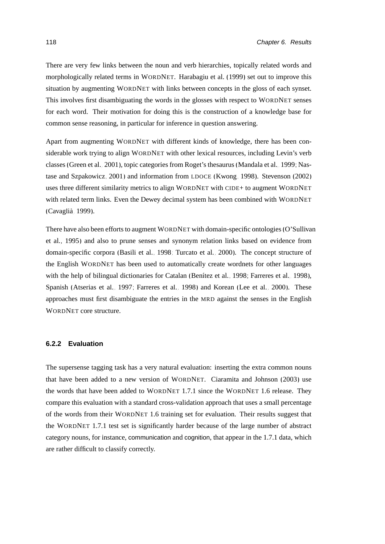There are very few links between the noun and verb hierarchies, topically related words and morphologically related terms in WORDNET. [Harabagiu et al. \(1999\)](#page-165-2) set out to improve this situation by augmenting WORDNET with links between concepts in the gloss of each synset. This involves first disambiguating the words in the glosses with respect to WORDNET senses for each word. Their motivation for doing this is the construction of a knowledge base for common sense reasoning, in particular for inference in question answering.

Apart from augmenting WORDNET with different kinds of knowledge, there has been considerable work trying to align WORDNET with other lexical resources, including Levin's verb classes [\(Green et al., 2001\)](#page-165-3), topic categories from Roget's thesaurus [\(Mandala et al., 1999;](#page-170-0) [Nas](#page-171-1)[tase and Szpakowicz, 2001\)](#page-171-1) and information from LDOCE [\(Kwong, 1998\)](#page-167-2). [Stevenson \(2002\)](#page-174-0) uses three different similarity metrics to align WORDNET with CIDE+ to augment WORDNET with related term links. Even the Dewey decimal system has been combined with WORDNET [\(Cavaglia, 1999\)](#page-161-4). `

There have also been efforts to augment WORDNET with domain-specific ontologies [\(O'Sullivan](#page-171-2) [et al., 1995\)](#page-171-2) and also to prune senses and synonym relation links based on evidence from domain-specific corpora [\(Basili et al., 1998;](#page-159-2) [Turcato et al., 2000\)](#page-175-0). The concept structure of the English WORDNET has been used to automatically create wordnets for other languages with the help of bilingual dictionaries for Catalan (Benítez et al., 1998; [Farreres et al., 1998\)](#page-164-1), Spanish [\(Atserias et al., 1997;](#page-158-0) [Farreres et al., 1998\)](#page-164-1) and Korean [\(Lee et al., 2000\)](#page-168-1). These approaches must first disambiguate the entries in the MRD against the senses in the English WORDNET core structure.

## **6.2.2 Evaluation**

The supersense tagging task has a very natural evaluation: inserting the extra common nouns that have been added to a new version of WORDNET. [Ciaramita and Johnson](#page-161-0) [\(2003\)](#page-161-0) use the words that have been added to WORDNET 1.7.1 since the WORDNET 1.6 release. They compare this evaluation with a standard cross-validation approach that uses a small percentage of the words from their WORDNET 1.6 training set for evaluation. Their results suggest that the WORDNET 1.7.1 test set is significantly harder because of the large number of abstract category nouns, for instance, communication and cognition, that appear in the 1.7.1 data, which are rather difficult to classify correctly.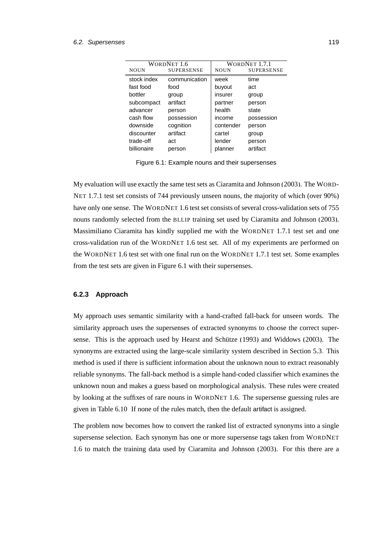|             | WORDNET 1.6       | WORDNET 1.7.1 |                   |  |
|-------------|-------------------|---------------|-------------------|--|
| <b>NOUN</b> | <b>SUPERSENSE</b> | <b>NOUN</b>   | <b>SUPERSENSE</b> |  |
| stock index | communication     | week          | time              |  |
| fast food   | food              | buyout        | act               |  |
| bottler     | group             | insurer       | group             |  |
| subcompact  | artifact          | partner       | person            |  |
| advancer    | person            | health        | state             |  |
| cash flow   | possession        | income        | possession        |  |
| downside    | cognition         | contender     | person            |  |
| discounter  | artifact          | cartel        | group             |  |
| trade-off   | act               | lender        | person            |  |
| billionaire | person            | planner       | artifact          |  |

<span id="page-136-0"></span>Figure 6.1: Example nouns and their supersenses

My evaluation will use exactly the same test sets as [Ciaramita and Johnson \(2003\)](#page-161-0). The WORD-NET 1.7.1 test set consists of 744 previously unseen nouns, the majority of which (over 90%) have only one sense. The WORDNET 1.6 test set consists of several cross-validation sets of 755 nouns randomly selected from the BLLIP training set used by [Ciaramita and Johnson \(2003\)](#page-161-0). Massimiliano Ciaramita has kindly supplied me with the WORDNET 1.7.1 test set and one cross-validation run of the WORDNET 1.6 test set. All of my experiments are performed on the WORDNET 1.6 test set with one final run on the WORDNET 1.7.1 test set. Some examples from the test sets are given in Figure [6.1](#page-136-0) with their supersenses.

#### **6.2.3 Approach**

My approach uses semantic similarity with a hand-crafted fall-back for unseen words. The similarity approach uses the supersenses of extracted synonyms to choose the correct supersense. This is the approach used by Hearst and Schütze  $(1993)$  and Widdows  $(2003)$ . The synonyms are extracted using the large-scale similarity system described in Section [5.3.](#page-119-0) This method is used if there is sufficient information about the unknown noun to extract reasonably reliable synonyms. The fall-back method is a simple hand-coded classifier which examines the unknown noun and makes a guess based on morphological analysis. These rules were created by looking at the suffixes of rare nouns in WORDNET 1.6. The supersense guessing rules are given in Table [6.10.](#page-137-0) If none of the rules match, then the default artifact is assigned.

The problem now becomes how to convert the ranked list of extracted synonyms into a single supersense selection. Each synonym has one or more supersense tags taken from WORDNET 1.6 to match the training data used by [Ciaramita and Johnson](#page-161-0) [\(2003\)](#page-161-0). For this there are a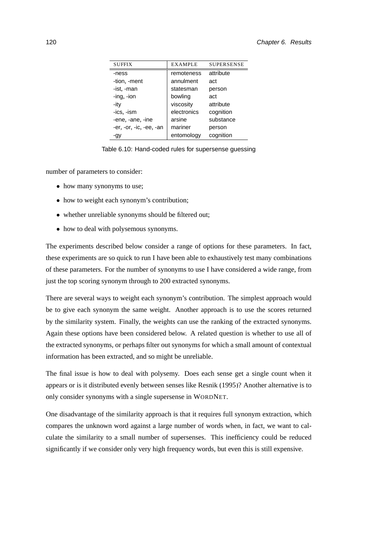| <b>SUFFIX</b>           | <b>EXAMPLE</b> | <b>SUPERSENSE</b> |
|-------------------------|----------------|-------------------|
| -ness                   | remoteness     | attribute         |
| -tion, -ment            | annulment      | act               |
| -ist, -man              | statesman      | person            |
| $-$ ing, $-$ ion        | bowling        | act               |
| -ity                    | viscosity      | attribute         |
| -ics, -ism              | electronics    | cognition         |
| -ene, -ane, -ine        | arsine         | substance         |
| -er, -or, -ic, -ee, -an | mariner        | person            |
| -gy                     | entomology     | cognition         |

<span id="page-137-0"></span>Table 6.10: Hand-coded rules for supersense guessing

number of parameters to consider:

- how many synonyms to use;
- how to weight each synonym's contribution;
- whether unreliable synonyms should be filtered out;
- how to deal with polysemous synonyms.

The experiments described below consider a range of options for these parameters. In fact, these experiments are so quick to run I have been able to exhaustively test many combinations of these parameters. For the number of synonyms to use I have considered a wide range, from just the top scoring synonym through to 200 extracted synonyms.

There are several ways to weight each synonym's contribution. The simplest approach would be to give each synonym the same weight. Another approach is to use the scores returned by the similarity system. Finally, the weights can use the ranking of the extracted synonyms. Again these options have been considered below. A related question is whether to use all of the extracted synonyms, or perhaps filter out synonyms for which a small amount of contextual information has been extracted, and so might be unreliable.

The final issue is how to deal with polysemy. Does each sense get a single count when it appears or is it distributed evenly between senses like [Resnik \(1995\)](#page-172-2)? Another alternative is to only consider synonyms with a single supersense in WORDNET.

One disadvantage of the similarity approach is that it requires full synonym extraction, which compares the unknown word against a large number of words when, in fact, we want to calculate the similarity to a small number of supersenses. This inefficiency could be reduced significantly if we consider only very high frequency words, but even this is still expensive.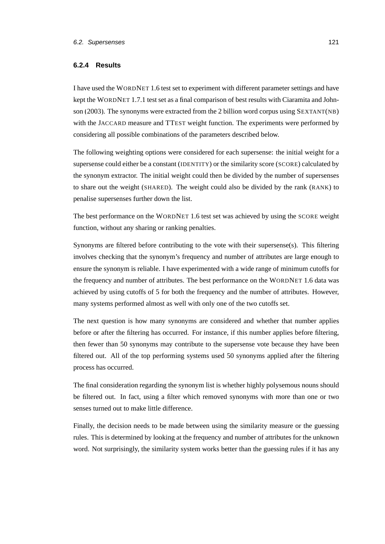#### **6.2.4 Results**

I have used the WORDNET 1.6 test set to experiment with different parameter settings and have kept the WORDNET 1.7.1 test set as a final comparison of best results with [Ciaramita and John](#page-161-0)[son](#page-161-0) [\(2003\)](#page-161-0). The synonyms were extracted from the 2 billion word corpus using SEXTANT(NB) with the JACCARD measure and TTEST weight function. The experiments were performed by considering all possible combinations of the parameters described below.

The following weighting options were considered for each supersense: the initial weight for a supersense could either be a constant (IDENTITY) or the similarity score (SCORE) calculated by the synonym extractor. The initial weight could then be divided by the number of supersenses to share out the weight (SHARED). The weight could also be divided by the rank (RANK) to penalise supersenses further down the list.

The best performance on the WORDNET 1.6 test set was achieved by using the SCORE weight function, without any sharing or ranking penalties.

Synonyms are filtered before contributing to the vote with their supersense(s). This filtering involves checking that the synonym's frequency and number of attributes are large enough to ensure the synonym is reliable. I have experimented with a wide range of minimum cutoffs for the frequency and number of attributes. The best performance on the WORDNET 1.6 data was achieved by using cutoffs of 5 for both the frequency and the number of attributes. However, many systems performed almost as well with only one of the two cutoffs set.

The next question is how many synonyms are considered and whether that number applies before or after the filtering has occurred. For instance, if this number applies before filtering, then fewer than 50 synonyms may contribute to the supersense vote because they have been filtered out. All of the top performing systems used 50 synonyms applied after the filtering process has occurred.

The final consideration regarding the synonym list is whether highly polysemous nouns should be filtered out. In fact, using a filter which removed synonyms with more than one or two senses turned out to make little difference.

Finally, the decision needs to be made between using the similarity measure or the guessing rules. This is determined by looking at the frequency and number of attributes for the unknown word. Not surprisingly, the similarity system works better than the guessing rules if it has any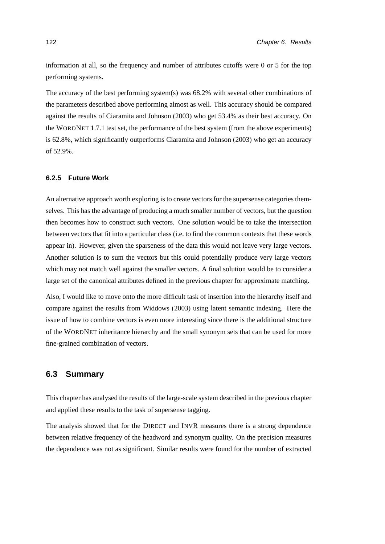information at all, so the frequency and number of attributes cutoffs were 0 or 5 for the top performing systems.

The accuracy of the best performing system(s) was 68.2% with several other combinations of the parameters described above performing almost as well. This accuracy should be compared against the results of [Ciaramita and Johnson \(2003\)](#page-161-0) who get 53.4% as their best accuracy. On the WORDNET 1.7.1 test set, the performance of the best system (from the above experiments) is 62.8%, which significantly outperforms [Ciaramita and Johnson \(2003\)](#page-161-0) who get an accuracy of 52.9%.

## **6.2.5 Future Work**

An alternative approach worth exploring is to create vectors for the supersense categories themselves. This has the advantage of producing a much smaller number of vectors, but the question then becomes how to construct such vectors. One solution would be to take the intersection between vectors that fit into a particular class (i.e. to find the common contexts that these words appear in). However, given the sparseness of the data this would not leave very large vectors. Another solution is to sum the vectors but this could potentially produce very large vectors which may not match well against the smaller vectors. A final solution would be to consider a large set of the canonical attributes defined in the previous chapter for approximate matching.

Also, I would like to move onto the more difficult task of insertion into the hierarchy itself and compare against the results from [Widdows \(2003\)](#page-176-2) using latent semantic indexing. Here the issue of how to combine vectors is even more interesting since there is the additional structure of the WORDNET inheritance hierarchy and the small synonym sets that can be used for more fine-grained combination of vectors.

## **6.3 Summary**

This chapter has analysed the results of the large-scale system described in the previous chapter and applied these results to the task of supersense tagging.

The analysis showed that for the DIRECT and INVR measures there is a strong dependence between relative frequency of the headword and synonym quality. On the precision measures the dependence was not as significant. Similar results were found for the number of extracted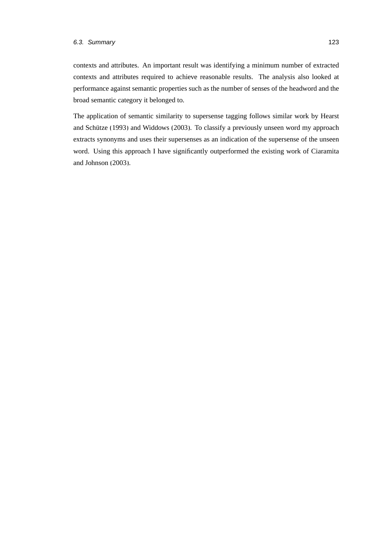contexts and attributes. An important result was identifying a minimum number of extracted contexts and attributes required to achieve reasonable results. The analysis also looked at performance against semantic properties such as the number of senses of the headword and the broad semantic category it belonged to.

The application of semantic similarity to supersense tagging follows similar work by [Hearst](#page-166-0) and Schütze (1993) and [Widdows](#page-176-2) [\(2003\)](#page-176-2). To classify a previously unseen word my approach extracts synonyms and uses their supersenses as an indication of the supersense of the unseen word. Using this approach I have significantly outperformed the existing work of [Ciaramita](#page-161-0) [and Johnson \(2003\)](#page-161-0).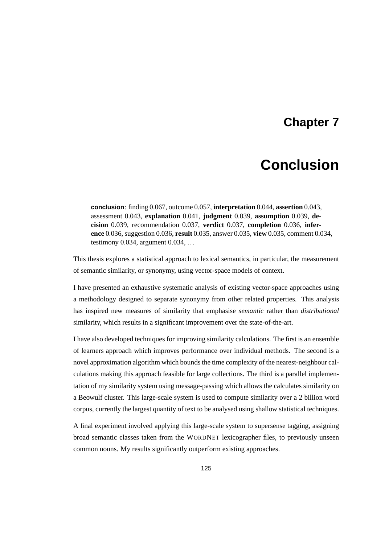## **Chapter 7**

# **Conclusion**

**conclusion**: finding 0.067, outcome 0.057, **interpretation** 0.044, **assertion** 0.043, assessment 0.043, **explanation** 0.041, **judgment** 0.039, **assumption** 0.039, **decision** 0.039, recommendation 0.037, **verdict** 0.037, **completion** 0.036, **inference** 0.036, suggestion 0.036, **result** 0.035, answer 0.035, **view** 0.035, comment 0.034, testimony 0.034, argument 0.034, ...

This thesis explores a statistical approach to lexical semantics, in particular, the measurement of semantic similarity, or synonymy, using vector-space models of context.

I have presented an exhaustive systematic analysis of existing vector-space approaches using a methodology designed to separate synonymy from other related properties. This analysis has inspired new measures of similarity that emphasise *semantic* rather than *distributional* similarity, which results in a significant improvement over the state-of-the-art.

I have also developed techniques for improving similarity calculations. The first is an ensemble of learners approach which improves performance over individual methods. The second is a novel approximation algorithm which bounds the time complexity of the nearest-neighbour calculations making this approach feasible for large collections. The third is a parallel implementation of my similarity system using message-passing which allows the calculates similarity on a Beowulf cluster. This large-scale system is used to compute similarity over a 2 billion word corpus, currently the largest quantity of text to be analysed using shallow statistical techniques.

A final experiment involved applying this large-scale system to supersense tagging, assigning broad semantic classes taken from the WORDNET lexicographer files, to previously unseen common nouns. My results significantly outperform existing approaches.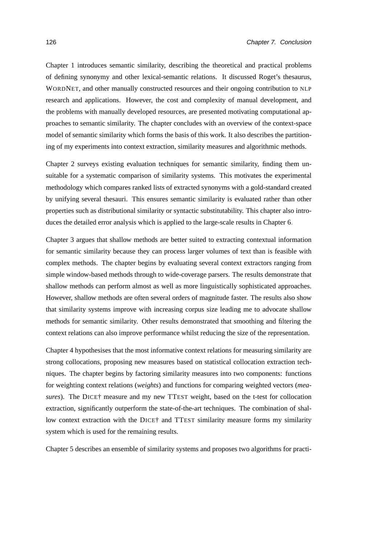Chapter [1](#page-18-0) introduces semantic similarity, describing the theoretical and practical problems of defining synonymy and other lexical-semantic relations. It discussed Roget's thesaurus, WORDNET, and other manually constructed resources and their ongoing contribution to NLP research and applications. However, the cost and complexity of manual development, and the problems with manually developed resources, are presented motivating computational approaches to semantic similarity. The chapter concludes with an overview of the context-space model of semantic similarity which forms the basis of this work. It also describes the partitioning of my experiments into context extraction, similarity measures and algorithmic methods.

Chapter [2](#page-36-0) surveys existing evaluation techniques for semantic similarity, finding them unsuitable for a systematic comparison of similarity systems. This motivates the experimental methodology which compares ranked lists of extracted synonyms with a gold-standard created by unifying several thesauri. This ensures semantic similarity is evaluated rather than other properties such as distributional similarity or syntactic substitutability. This chapter also introduces the detailed error analysis which is applied to the large-scale results in Chapter [6.](#page-126-0)

Chapter [3](#page-58-0) argues that shallow methods are better suited to extracting contextual information for semantic similarity because they can process larger volumes of text than is feasible with complex methods. The chapter begins by evaluating several context extractors ranging from simple window-based methods through to wide-coverage parsers. The results demonstrate that shallow methods can perform almost as well as more linguistically sophisticated approaches. However, shallow methods are often several orders of magnitude faster. The results also show that similarity systems improve with increasing corpus size leading me to advocate shallow methods for semantic similarity. Other results demonstrated that smoothing and filtering the context relations can also improve performance whilst reducing the size of the representation.

Chapter [4](#page-86-0) hypothesises that the most informative context relations for measuring similarity are strong collocations, proposing new measures based on statistical collocation extraction techniques. The chapter begins by factoring similarity measures into two components: functions for weighting context relations (*weights*) and functions for comparing weighted vectors (*measures*). The DICE† measure and my new TTEST weight, based on the t-test for collocation extraction, significantly outperform the state-of-the-art techniques. The combination of shallow context extraction with the DICE† and TTEST similarity measure forms my similarity system which is used for the remaining results.

Chapter [5](#page-104-1) describes an ensemble of similarity systems and proposes two algorithms for practi-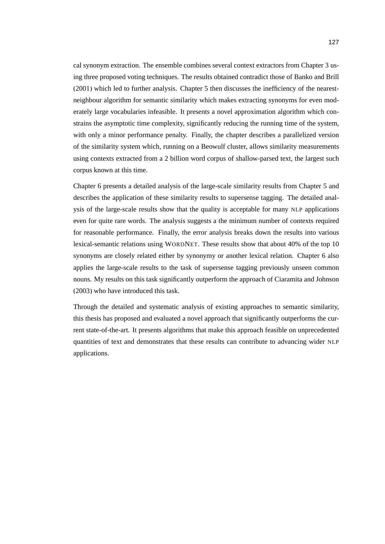cal synonym extraction. The ensemble combines several context extractors from Chapter [3](#page-58-0) using three proposed voting techniques. The results obtained contradict those of [Banko and Brill](#page-159-0) [\(2001\)](#page-159-0) which led to further analysis. Chapter [5](#page-104-0) then discusses the inefficiency of the nearestneighbour algorithm for semantic similarity which makes extracting synonyms for even moderately large vocabularies infeasible. It presents a novel approximation algorithm which constrains the asymptotic time complexity, significantly reducing the running time of the system, with only a minor performance penalty. Finally, the chapter describes a parallelized version of the similarity system which, running on a Beowulf cluster, allows similarity measurements using contexts extracted from a 2 billion word corpus of shallow-parsed text, the largest such corpus known at this time.

Chapter [6](#page-126-0) presents a detailed analysis of the large-scale similarity results from Chapter [5](#page-104-0) and describes the application of these similarity results to supersense tagging. The detailed analysis of the large-scale results show that the quality is acceptable for many NLP applications even for quite rare words. The analysis suggests a the minimum number of contexts required for reasonable performance. Finally, the error analysis breaks down the results into various lexical-semantic relations using WORDNET. These results show that about 40% of the top 10 synonyms are closely related either by synonymy or another lexical relation. Chapter [6](#page-126-0) also applies the large-scale results to the task of supersense tagging previously unseen common nouns. My results on this task significantly outperform the approach of [Ciaramita and Johnson](#page-161-0) [\(2003\)](#page-161-0) who have introduced this task.

Through the detailed and systematic analysis of existing approaches to semantic similarity, this thesis has proposed and evaluated a novel approach that significantly outperforms the current state-of-the-art. It presents algorithms that make this approach feasible on unprecedented quantities of text and demonstrates that these results can contribute to advancing wider NLP applications.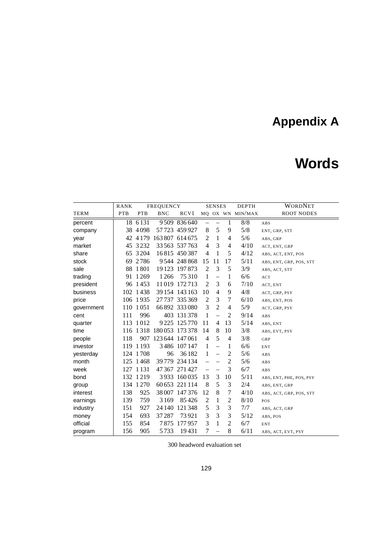# **Appendix A**

# **Words**

|            | RANK       |             | <b>FREQUENCY</b>       |                     |                          | <b>SENSES</b>            |                | <b>DEPTH</b>     | <b>WORDNET</b>          |
|------------|------------|-------------|------------------------|---------------------|--------------------------|--------------------------|----------------|------------------|-------------------------|
| TERM       | <b>PTB</b> | <b>PTB</b>  | <b>BNC</b>             | RCV <sub>1</sub>    |                          |                          |                | MQ OX WN MIN/MAX | <b>ROOT NODES</b>       |
| percent    |            | 18 6 131    |                        | 9509 836640         | $\overline{\phantom{m}}$ |                          | 1              | 8/8              | ABS                     |
| company    |            | 38 4 0 98   |                        | 57 723 459 927      | 8                        | 5                        | 9              | 5/8              | ENT, GRP, STT           |
| year       |            | 42 4 1 7 9  |                        | 163 807 614 675     | 2                        | 1                        | $\overline{4}$ | 5/6              | ABS, GRP                |
| market     |            | 45 3232     |                        | 33 563 537 763      | $\overline{4}$           | 3                        | $\overline{4}$ | 4/10             | ACT, ENT, GRP           |
| share      |            | 65 3 2 04   |                        | 16815 450387        | $\overline{4}$           | 1                        | 5              | 4/12             | ABS, ACT, ENT, POS      |
| stock      |            | 69 2786     |                        | 9544 248 868        | 15                       | 11                       | 17             | 5/11             | ABS, ENT, GRP, POS, STT |
| sale       |            | 88 1 801    |                        | 19 123 197 873      | $\overline{2}$           | 3                        | 5              | 3/9              | ABS, ACT, STT           |
| trading    |            | 91 1 2 6 9  | 1 2 6 6                | 75310               | 1                        | $\overline{\phantom{0}}$ | 1              | 6/6              | ACT                     |
| president  |            | 96 1453     |                        | 11019 172713        | $\overline{2}$           | 3                        | 6              | 7/10             | ACT, ENT                |
| business   |            | 102 1438    |                        | 39 154 143 163      | 10                       | $\overline{4}$           | 9              | 4/8              | ACT, GRP, PSY           |
| price      |            | 106 1935    |                        | 27737 335369        | $\overline{2}$           | 3                        | 7              | 6/10             | ABS, ENT, POS           |
| government |            | 110 1051    |                        | 66 892 333 080      | 3                        | $\overline{2}$           | $\overline{4}$ | 5/9              | ACT, GRP, PSY           |
| cent       | 111        | 996         |                        | 403 131 378         | 1                        | $\qquad \qquad -$        | $\overline{2}$ | 9/14             | ABS                     |
| quarter    |            | 113 1012    |                        | 9 2 2 5 1 2 5 7 7 0 | 11                       | 4                        | 13             | 5/14             | ABS, ENT                |
| time       |            |             | 116 1318 180053 173378 |                     | 14                       | 8                        | 10             | 3/8              | ABS, EVT, PSY           |
| people     | 118        | 907         | 123 644 147 061        |                     | $\overline{4}$           | 5                        | $\overline{4}$ | 3/8              | GRP                     |
| investor   |            | 119 1 193   |                        | 3486 107 147        | 1                        | $\overline{\phantom{0}}$ | 1              | 6/6              | <b>ENT</b>              |
| yesterday  |            | 124 1708    | 96                     | 36182               | 1                        | $\overline{\phantom{0}}$ | $\mathfrak{2}$ | 5/6              | ABS                     |
| month      |            | 125 1468    |                        | 39 779 234 134      |                          |                          | $\overline{2}$ | 5/6              | ABS                     |
| week       |            | 127 1 1 3 1 |                        | 47 367 271 427      |                          |                          | 3              | 6/7              | ABS                     |
| bond       |            | 132 1219    |                        | 3933 160035         | 13                       | 3                        | 10             | 5/11             | ABS, ENT, PHE, POS, PSY |
| group      |            | 134 1270    |                        | 60 653 221 114      | 8                        | 5                        | 3              | 2/4              | ABS, ENT, GRP           |
| interest   | 138        | 925         |                        | 38 007 147 376      | 12                       | 8                        | 7              | 4/10             | ABS, ACT, GRP, POS, STT |
| earnings   | 139        | 759         | 3169                   | 85426               | $\overline{c}$           | 1                        | $\overline{c}$ | 8/10             | POS                     |
| industry   | 151        | 927         |                        | 24 140 121 348      | 5                        | 3                        | 3              | 7/7              | ABS, ACT, GRP           |
| money      | 154        | 693         | 37 287                 | 73921               | 3                        | 3                        | $\mathfrak{Z}$ | 5/12             | ABS, POS                |
| official   | 155        | 854         |                        | 7875 177957         | 3                        | 1                        | $\overline{c}$ | 6/7              | <b>ENT</b>              |
| program    | 156        | 905         | 5733                   | 19431               | 7                        | $\overline{\phantom{0}}$ | 8              | 6/11             | ABS, ACT, EVT, PSY      |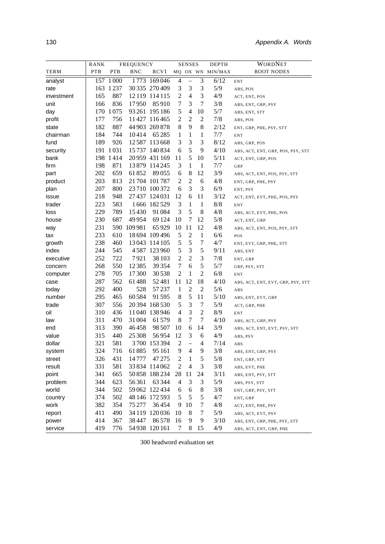|            | <b>RANK</b> | FREQUENCY |             | <b>SENSES</b>  |                |                | <b>DEPTH</b>     | WORDNET          |                                   |
|------------|-------------|-----------|-------------|----------------|----------------|----------------|------------------|------------------|-----------------------------------|
| TERM       | PTB         | PTB       | <b>BNC</b>  | RCV1           |                |                |                  | MQ OX WN MIN/MAX | <b>ROOT NODES</b>                 |
| analyst    |             | 157 1000  |             | 1773 169046    | 4              | $\overline{a}$ | $\overline{3}$   | 6/12             | <b>ENT</b>                        |
| rate       |             | 163 1237  |             | 30 335 270 409 | 3              | 3              | 3                | 5/9              | ABS, POS                          |
| investment | 165         | 887       |             | 12 119 114 115 | $\overline{c}$ | $\overline{4}$ | 3                | 4/9              | ACT, ENT, POS                     |
| unit       | 166         | 836       | 17950       | 85910          | 7              | 3              | $\tau$           | 3/8              | ABS, ENT, GRP, PSY                |
| day        |             | 170 1075  |             | 93 261 195 186 | $\mathfrak s$  | 4              | 10               | 5/7              | ABS, ENT, STT                     |
| profit     | 177         | 756       |             | 11427 116465   | $\overline{c}$ | $\overline{c}$ | $\overline{2}$   | 7/8              | ABS, POS                          |
| state      | 182         | 887       |             | 44 903 269 878 | 8              | 9              | 8                | 2/12             | ENT, GRP, PHE, PSY, STT           |
| chairman   | 184         | 744       | 10414       | 65 2 85        | 1              | $\mathbf{1}$   | $\mathbf{1}$     | 7/7              | <b>ENT</b>                        |
| fund       | 189         | 926       |             | 12587 113668   | 3              | 3              | 3                | 8/12             | ABS, GRP, POS                     |
| security   |             | 191 1031  |             | 15 737 140 834 | 6              | 5              | 9                | 4/10             | ABS, ACT, ENT, GRP, POS, PSY, STT |
| bank       |             | 198 1414  |             | 20959 431 169  | 11             | 5              | 10               | 5/11             | ACT, ENT, GRP, POS                |
| firm       | 198         | 871       |             | 13 879 114 245 | 3              | $\mathbf{1}$   | $\mathbf{1}$     | 7/7              | GRP                               |
| part       | 202         | 659       | 61852       | 89055          | 6              | 8              | 12               | 3/9              | ABS, ACT, ENT, POS, PSY, STT      |
| product    | 203         | 813       |             | 21 704 101 787 | $\overline{c}$ | $\overline{c}$ | 6                | 4/8              | ENT, GRP, PHE, PSY                |
| plan       | 207         | 800       |             | 23710 100372   | 6              | 3              | 3                | 6/9              | ENT, PSY                          |
| issue      | 218         | 948       |             | 27 437 124 031 | 12             | 6              | 11               | 3/12             | ACT, ENT, EVT, PHE, POS, PSY      |
| trader     | 223         | 583       |             | 1666 182529    | 3              | $\mathbf{1}$   | $\mathbf{1}$     | 8/8              | <b>ENT</b>                        |
| loss       | 229         | 789       | 15430       | 91084          | 3              | 5              | 8                | 4/8              | ABS, ACT, EVT, PHE, POS           |
| house      | 230         | 687       | 49954       | 69124          | 10             | 7              | 12               | 5/8              | ACT, ENT, GRP                     |
| way        | 231         |           | 590 109 981 | 65929          | 10             | 11             | 12               | 4/8              | ABS, ACT, ENT, POS, PSY, STT      |
| tax        | 233         | 610       |             | 18 694 109 496 | 5              | $\overline{c}$ | $1\,$            | 6/6              | POS                               |
| growth     | 238         | 460       |             | 13043 114 105  | 5              | 5              | $\boldsymbol{7}$ | 4/7              | ENT, EVT, GRP, PHE, STT           |
| index      | 244         | 545       |             | 4587 123960    | 5              | 3              | 5                | 9/11             | ABS, ENT                          |
| executive  | 252         | 722       | 7921        | 38 103         | $\overline{c}$ | $\overline{c}$ | 3                | 7/8              | ENT, GRP                          |
| concern    | 268         | 550       | 12385       | 39 3 54        | $\tau$         | 6              | 5                | 5/7              | GRP, PSY, STT                     |
| computer   | 278         | 705       | 17300       | 30538          | $\overline{2}$ | 1              | $\overline{2}$   | 6/8              | <b>ENT</b>                        |
| case       | 287         | 562       | 61488       | 52481          | 11             | 12             | 18               | 4/10             | ABS, ACT, ENT, EVT, GRP, PSY, STT |
| today      | 292         | 400       | 528         | 57237          | 1              | $\overline{c}$ | $\overline{2}$   | 5/6              | ABS                               |
| number     | 295         | 465       | 60584       | 91 5 95        | 8              | 5              | 11               | 5/10             | ABS, ENT, EVT, GRP                |
| trade      | 307         | 556       |             | 20394 168530   | 5              | 3              | 7                | 5/9              | ACT, GRP, PHE                     |
| oil        | 310         | 436       |             | 11 040 138 946 | $\overline{4}$ | 3              | $\overline{2}$   | 8/9              | <b>ENT</b>                        |
| law        | 311         | 470       | 31 004      | 61 579         | 8              | 7              | 7                | 4/10             | ABS, ACT, GRP, PSY                |
| end        | 313         | 390       | 46458       | 98 5 07        | 10             | 6              | 14               | 3/9              | ABS, ACT, ENT, EVT, PSY, STT      |
| value      | 315         | 440       | 25 308      | 56954          | 12             | 3              | 6                | 4/9              | ABS, PSY                          |
| dollar     | 321         | 581       |             | 3700 153394    | $\overline{c}$ | $\equiv$       | 4                | 7/14             | ABS                               |
| system     | 324         | 716       | 61885       | 95 161         | 9              | 4              | 9                | 3/8              | ABS, ENT, GRP, PSY                |
| street     | 326         | 431       | 14777       | 47 275         | $\overline{c}$ | 1              | 5                | 5/8              | ENT, GRP, STT                     |
| result     | 331         | 581       |             | 33 834 114 062 | $\overline{c}$ | 4              | 3                | 3/8              | ABS, EVT, PHE                     |
| point      | 341         | 665       |             | 50 858 188 234 | 28             | 11             | 24               | 3/11             | ABS, ENT, PSY, STT                |
| problem    | 344         | 623       | 56361       | 63 344         | 4              | 3              | 3                | 5/9              | ABS, PSY, STT                     |
| world      | 344         | 502       |             | 59 062 122 434 | 6              | 6              | 8                | 3/8              | ENT, GRP, PSY, STT                |
| country    | 374         | 502       |             | 48 146 172 593 | 5              | 5              | 5                | 4/7              | ENT, GRP                          |
| work       | 382         | 354       | 75 277      | 36454          | 9              | 10             | 7                | 4/8              | ACT, ENT, PHE, PSY                |
| report     | 411         | 490       |             | 34 119 120 036 | 10             | 8              | 7                | 5/9              | ABS, ACT, EVT, PSY                |
| power      | 414         | 367       | 38447       | 86578          | 16             | 9              | 9                | 3/10             | ABS, ENT, GRP, PHE, PSY, STT      |
| service    | 419         | 776       |             | 54 938 120 161 | 7              | 8              | 15               | 4/9              | ABS, ACT, ENT, GRP, PHE           |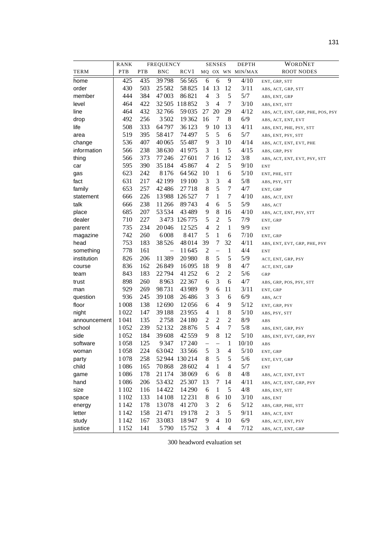|              | RANK       |            | FREQUENCY  |                  |                          | <b>SENSES</b>            |                          | <b>DEPTH</b>     | WORDNET                           |
|--------------|------------|------------|------------|------------------|--------------------------|--------------------------|--------------------------|------------------|-----------------------------------|
| TERM         | <b>PTB</b> | <b>PTB</b> | <b>BNC</b> | RCV <sub>1</sub> |                          |                          |                          | MQ OX WN MIN/MAX | <b>ROOT NODES</b>                 |
| home         | 425        | 435        | 39798      | 56565            | 6                        | 6                        | 9                        | 4/10             | ENT, GRP, STT                     |
| order        | 430        | 503        | 25582      | 58825            | 14                       | 13                       | 12                       | 3/11             | ABS, ACT, GRP, STT                |
| member       | 444        | 384        | 47003      | 86821            | $\overline{4}$           | 3                        | 5                        | 5/7              | ABS, ENT, GRP                     |
| level        | 464        | 422        | 32505      | 118852           | 3                        | $\overline{4}$           | $\tau$                   | 3/10             | ABS, ENT, STT                     |
| line         | 464        | 432        | 32766      | 59035            | 27                       | 20                       | 29                       | 4/12             | ABS, ACT, ENT, GRP, PHE, POS, PSY |
| drop         | 492        | 256        | 3502       | 19362            | 16                       | 7                        | 8                        | 6/9              | ABS, ACT, ENT, EVT                |
| life         | 508        | 333        | 64797      | 36123            | 9                        | 10                       | 13                       | 4/11             | ABS, ENT, PHE, PSY, STT           |
| area         | 519        | 395        | 58417      | 74 497           | 5                        | $\mathfrak{S}$           | 6                        | 5/7              | ABS, ENT, PSY, STT                |
| change       | 536        | 407        | 40065      | 55487            | 9                        | 3                        | 10                       | 4/14             | ABS, ACT, ENT, EVT, PHE           |
| information  | 566        | 238        | 38 6 30    | 41975            | 3                        | 1                        | 5                        | 4/15             | ABS, GRP, PSY                     |
| thing        | 566        | 373        | 77246      | 27 601           | 7                        | 16                       | 12                       | 3/8              | ABS, ACT, ENT, EVT, PSY, STT      |
| car          | 595        | 390        | 35184      | 45867            | $\overline{4}$           | $\mathfrak{2}$           | 5                        | 9/10             | <b>ENT</b>                        |
| gas          | 623        | 242        | 8176       | 64562            | 10                       | $\mathbf{1}$             | 6                        | 5/10             | ENT, PHE, STT                     |
| fact         | 631        | 217        | 42199      | 19 100           | 3                        | 3                        | $\overline{4}$           | 5/8              | ABS, PSY, STT                     |
| family       | 653        | 257        | 42486      | 27718            | 8                        | 5                        | 7                        | $4/7$            | ENT, GRP                          |
| statement    | 666        | 226        |            | 13988 126527     | 7                        | 1                        | 7                        | 4/10             | ABS, ACT, ENT                     |
| talk         | 666        | 238        | 11266      | 89743            | 4                        | 6                        | 5                        | 5/9              | ABS, ACT                          |
| place        | 685        | 207        | 53534      | 43489            | 9                        | 8                        | 16                       | 4/10             | ABS, ACT, ENT, PSY, STT           |
| dealer       | 710        | 227        |            | 3473 126775      | 5                        | $\overline{c}$           | $\mathfrak s$            | 7/9              | ENT, GRP                          |
| parent       | 735        | 234        | 20046      | 12525            | $\overline{4}$           | 2                        | 1                        | 9/9              | <b>ENT</b>                        |
| magazine     | 742        | 260        | 6008       | 8417             | 5                        | 1                        | 6                        | 7/10             | ENT, GRP                          |
| head         | 753        | 183        | 38526      | 48014            | 39                       | 7                        | 32                       | 4/11             | ABS, ENT, EVT, GRP, PHE, PSY      |
| something    | 778        | 161        |            | 11645            | $\overline{2}$           | $\qquad \qquad -$        | 1                        | 4/4              | <b>ENT</b>                        |
| institution  | 826        | 206        | 11389      | 20980            | 8                        | 5                        | 5                        | 5/9              | ACT, ENT, GRP, PSY                |
| course       | 836        | 162        | 26849      | 16095            | 18                       | 9                        | 8                        | 4/7              | ACT, ENT, GRP                     |
| team         | 843        | 183        | 22794      | 41 25 2          | 6                        | $\overline{c}$           | 2                        | 5/6              | GRP                               |
| trust        | 898        | 260        | 8963       | 22 3 6 7         | 6                        | 3                        | 6                        | 4/7              | ABS, GRP, POS, PSY, STT           |
| man          | 929        | 269        | 98731      | 43989            | 9                        | 6                        | 11                       | 3/11             | ENT, GRP                          |
| question     | 936        | 245        | 39 108     | 26486            | 3                        | 3                        | 6                        | 6/9              | ABS, ACT                          |
| floor        | 1008       | 138        | 12690      | 12056            | 6                        | $\overline{4}$           | 9                        | $5/12$           | ENT, GRP, PSY                     |
| night        | 1022       | 147        | 39188      | 23955            | 4                        | 1                        | 8                        | 5/10             | ABS, PSY, STT                     |
| announcement | 1041       | 135        | 2758       | 24 180           | 2                        | $\overline{c}$           | 2                        | 8/9              | ABS                               |
| school       | 1052       | 239        | 52132      | 28876            | 5                        | 4                        | 7                        | 5/8              | ABS, ENT, GRP, PSY                |
| side         | 1052       | 184        | 39608      | 42559            | 9                        | 8                        | 12                       | 5/10             | ABS, ENT, EVT, GRP, PSY           |
| software     | 1058       | 125        | 9347       | 17240            | $\overline{\phantom{0}}$ | $\overline{\phantom{0}}$ | 1                        | 10/10            | ABS                               |
| woman        | 1058       | 224        | 63042      | 33566            | 5                        | 3                        | $\overline{\mathcal{A}}$ | 5/10             | ENT, GRP                          |
| party        | 1078       | 258        | 52944      | 130214           | 8                        | 5                        | 5                        | 5/6              | ENT, EVT, GRP                     |
| child        | 1086       | 165        | 70868      | 28 602           | 4                        | 1                        | 4                        | 5/7              | <b>ENT</b>                        |
| game         | 1086       | 178        | 21 174     | 38069            | 6                        | 6                        | 8                        | 4/8              | ABS, ACT, ENT, EVT                |
| hand         | 1086       | 206        | 53432      | 25 307           | 13                       | 7                        | 14                       | 4/11             | ABS, ACT, ENT, GRP, PSY           |
| size         | 1 1 0 2    | 116        | 14422      | 14 2 9 0         | 6                        | 1                        | 5                        | 4/8              | ABS, ENT, STT                     |
| space        | 1 1 0 2    | 133        | 14 108     | 12231            | 8                        | 6                        | 10                       | 3/10             | ABS, ENT                          |
| energy       | 1 1 4 2    | 178        | 13078      | 41 270           | 3                        | $\overline{c}$           | 6                        | 5/12             | ABS, GRP, PHE, STT                |
| letter       | 1 1 4 2    | 158        | 21471      | 19178            | $\overline{c}$           | 3                        | 5                        | 9/11             | ABS, ACT, ENT                     |
| study        | 1 1 4 2    | 167        | 33083      | 18947            | 9                        | 4                        | 10                       | 6/9              | ABS, ACT, ENT, PSY                |
| justice      | 1152       | 141        | 5790       | 15752            | 3                        | 4                        | 4                        | 7/12             | ABS, ACT, ENT, GRP                |
|              |            |            |            |                  |                          |                          |                          |                  |                                   |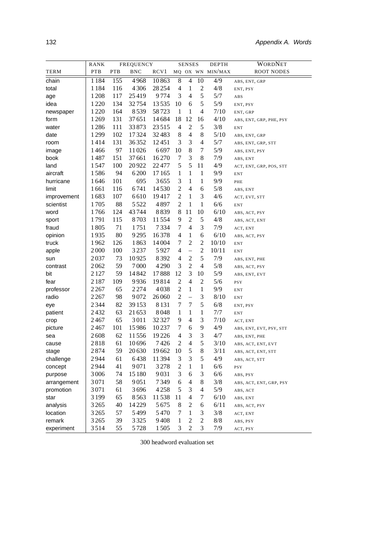|             | <b>RANK</b> | FREQUENCY  |            |         | <b>SENSES</b>    |                          |                          | <b>DEPTH</b>     | <b>WORDNET</b>          |
|-------------|-------------|------------|------------|---------|------------------|--------------------------|--------------------------|------------------|-------------------------|
| TERM        | <b>PTB</b>  | <b>PTB</b> | <b>BNC</b> | RCV1    |                  |                          |                          | MQ OX WN MIN/MAX | <b>ROOT NODES</b>       |
| chain       | 1184        | 155        | 4968       | 10863   | 8                | $\overline{4}$           | 10                       | 4/9              | ABS, ENT, GRP           |
| total       | 1184        | 116        | 4306       | 28 2 54 | 4                | $\mathbf{1}$             | $\mathfrak{2}$           | 4/8              | ENT, PSY                |
| age         | 1208        | 117        | 25419      | 9774    | 3                | $\overline{4}$           | 5                        | 5/7              | ABS                     |
| idea        | 1220        | 134        | 32754      | 13535   | 10               | 6                        | 5                        | 5/9              | ENT, PSY                |
| newspaper   | 1220        | 164        | 8539       | 58723   | 1                | 1                        | 4                        | 7/10             | ENT, GRP                |
| form        | 1269        | 131        | 37651      | 14684   | 18               | 12                       | 16                       | 4/10             | ABS, ENT, GRP, PHE, PSY |
| water       | 1286        | 111        | 33873      | 23515   | 4                | $\boldsymbol{2}$         | $\mathfrak s$            | 3/8              | <b>ENT</b>              |
| date        | 1299        | 102        | 17324      | 32483   | 8                | $\overline{4}$           | $8\,$                    | 5/10             | ABS, ENT, GRP           |
| room        | 1414        | 131        | 36352      | 12451   | 3                | $\mathfrak{Z}$           | $\overline{4}$           | 5/7              | ABS, ENT, GRP, STT      |
| image       | 1466        | 97         | 11026      | 6697    | 10               | 8                        | 7                        | 5/9              | ABS, ENT, PSY           |
| book        | 1487        | 151        | 37661      | 16270   | 7                | 3                        | $\,$ 8 $\,$              | 7/9              | ABS, ENT                |
| land        | 1547        | 100        | 20922      | 22477   | 5                | 5                        | 11                       | 4/9              | ACT, ENT, GRP, POS, STT |
| aircraft    | 1586        | 94         | 6200       | 17165   | $\mathbf{1}$     | $\mathbf{1}$             | $\mathbf{1}$             | 9/9              | <b>ENT</b>              |
| hurricane   | 1646        | 101        | 695        | 3655    | 3                | 1                        | 1                        | 9/9              | PHE                     |
| limit       | 1661        | 116        | 6741       | 14530   | $\boldsymbol{2}$ | $\overline{4}$           | 6                        | 5/8              | ABS, ENT                |
| improvement | 1683        | 107        | 6610       | 19417   | $\overline{c}$   | $\mathbf{1}$             | $\mathfrak{Z}$           | 4/6              | ACT, EVT, STT           |
| scientist   | 1705        | 88         | 5522       | 4897    | $\overline{c}$   | $\mathbf{1}$             | $\mathbf{1}$             | 6/6              | <b>ENT</b>              |
| word        | 1766        | 124        | 43 744     | 8839    | 8                | 11                       | 10                       | 6/10             | ABS, ACT, PSY           |
| sport       | 1791        | 115        | 8703       | 11554   | 9                | $\sqrt{2}$               | $\mathfrak s$            | 4/8              | ABS, ACT, ENT           |
| fraud       | 1805        | 71         | 1751       | 7334    | 7                | $\overline{4}$           | 3                        | 7/9              | ACT, ENT                |
| opinion     | 1935        | 80         | 9295       | 16378   | 4                | $\mathbf{1}$             | 6                        | 6/10             | ABS, ACT, PSY           |
| truck       | 1962        | 126        | 1863       | 14004   | 7                | $\sqrt{2}$               | $\overline{c}$           | 10/10            | ENT                     |
| apple       | 2000        | 100        | 3237       | 5927    | 4                | $\qquad \qquad -$        | $\sqrt{2}$               | 10/11            | <b>ENT</b>              |
| sun         | 2037        | 73         | 10925      | 8392    | 4                | $\boldsymbol{2}$         | 5                        | 7/9              | ABS, ENT, PHE           |
| contrast    | 2062        | 59         | 7000       | 4 2 9 0 | 3                | $\overline{2}$           | $\overline{4}$           | 5/8              | ABS, ACT, PSY           |
| bit         | 2 1 2 7     | 59         | 14842      | 17888   | 12               | $\mathfrak{Z}$           | 10                       | 5/9              | ABS, ENT, EVT           |
| fear        | 2 1 8 7     | 109        | 9936       | 19814   | $\overline{c}$   | $\overline{4}$           | $\mathfrak{2}$           | 5/6              | <b>PSY</b>              |
| professor   | 2 2 6 7     | 65         | 2274       | 4038    | $\overline{c}$   | $\mathbf{1}$             | $\mathbf{1}$             | 9/9              | ENT                     |
| radio       | 2 2 6 7     | 98         | 9072       | 26060   | $\mathfrak{2}$   | $\overline{\phantom{0}}$ | 3                        | 8/10             | <b>ENT</b>              |
| eye         | 2344        | 82         | 39 1 53    | 8131    | 7                | $\tau$                   | 5                        | 6/8              | ENT, PSY                |
| patient     | 2432        | 63         | 21653      | 8048    | 1                | $\mathbf{1}$             | $\mathbf 1$              | 7/7              | ENT                     |
| crop        | 2467        | 65         | 3011       | 32327   | 9                | $\overline{4}$           | 3                        | 7/10             | ACT, ENT                |
| picture     | 2467        | 101        | 15986      | 10237   | 7                | 6                        | 9                        | 4/9              | ABS, ENT, EVT, PSY, STT |
| sea         | 2608        | 62         | 11556      | 19226   | 4                | $\mathfrak{Z}$           | $\mathfrak{Z}$           | 4/7              | ABS, ENT, PHE           |
| cause       | 2818        | 61         | 10696      | 7426    | $\overline{2}$   | $\overline{4}$           | 5                        | 3/10             | ABS, ACT, ENT, EVT      |
| stage       | 2874        | 59         | 20 630     | 19662   | 10               | $\sqrt{5}$               | 8                        | 3/11             | ABS, ACT, ENT, STT      |
| challenge   | 2944        | 61         | 6438       | 11394   | 3                | 3                        | 5                        | 4/9              | ABS, ACT, STT           |
| concept     | 2944        | 41         | 9071       | 3278    | $\overline{c}$   | $\mathbf{1}$             | $\mathbf{1}$             | 6/6              | <b>PSY</b>              |
| purpose     | 3006        | 74         | 15 180     | 9031    | 3                | 6                        | 3                        | 6/6              | ABS, PSY                |
| arrangement | 3071        | 58         | 9051       | 7349    | 6                | $\overline{4}$           | $8\,$                    | 3/8              | ABS, ACT, ENT, GRP, PSY |
| promotion   | 3071        | 61         | 3696       | 4258    | 5                | 3                        | $\overline{\mathcal{L}}$ | 5/9              | ABS, ACT                |
| star        | 3199        | 65         | 8563       | 11538   | 11               | $\overline{4}$           | 7                        | 6/10             | ABS, ENT                |
| analysis    | 3265        | 40         | 14229      | 5675    | 8                | $\overline{c}$           | 6                        | 6/11             | ABS, ACT, PSY           |
| location    | 3265        | 57         | 5499       | 5470    | 7                | $\mathbf{1}$             | 3                        | 3/8              | ACT, ENT                |
| remark      | 3265        | 39         | 3325       | 9408    | 1                | $\overline{c}$           | $\overline{c}$           | 8/8              | ABS, PSY                |
| experiment  | 3514        | 55         | 5728       | 1505    | 3                | $\overline{c}$           | 3                        | 7/9              | ACT, PSY                |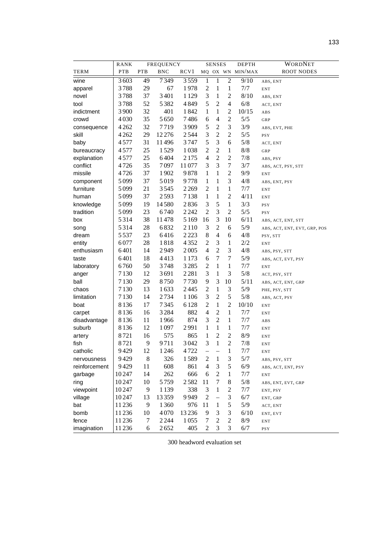|               | RANK    |            | <b>FREQUENCY</b> |                  |                          | <b>SENSES</b>            |                  | <b>DEPTH</b>     | WORDNET                      |
|---------------|---------|------------|------------------|------------------|--------------------------|--------------------------|------------------|------------------|------------------------------|
| TERM          | PTB     | <b>PTB</b> | <b>BNC</b>       | RCV <sub>1</sub> |                          |                          |                  | MQ OX WN MIN/MAX | ROOT NODES                   |
| wine          | 3603    | 49         | 7349             | 3559             | 1                        | $\mathbf{1}$             | $\mathfrak 2$    | 9/10             | ABS, ENT                     |
| apparel       | 3788    | 29         | 67               | 1978             | $\overline{c}$           | 1                        | 1                | 7/7              | <b>ENT</b>                   |
| novel         | 3788    | 37         | 3401             | 1 1 2 9          | 3                        | 1                        | $\overline{c}$   | 8/10             | ABS, ENT                     |
| tool          | 3788    | 52         | 5382             | 4849             | 5                        | $\overline{2}$           | 4                | 6/8              | ACT, ENT                     |
| indictment    | 3900    | 32         | 401              | 1842             | 1                        | 1                        | $\mathbf{2}$     | 10/15            | ABS                          |
| crowd         | 4030    | 35         | 5650             | 7486             | 6                        | 4                        | $\mathbf{2}$     | 5/5              | GRP                          |
| consequence   | 4 2 6 2 | 32         | 7719             | 3909             | 5                        | $\overline{2}$           | 3                | 3/9              | ABS, EVT, PHE                |
| skill         | 4 2 6 2 | 29         | 12276            | 2544             | 3                        | $\overline{2}$           | $\overline{2}$   | $5/5$            | <b>PSY</b>                   |
| baby          | 4577    | 31         | 11496            | 3747             | 5                        | 3                        | 6                | 5/8              | ACT, ENT                     |
| bureaucracy   | 4577    | 25         | 1529             | 1038             | $\overline{c}$           | $\overline{c}$           | $\mathbf{1}$     | 8/8              | GRP                          |
| explanation   | 4577    | 25         | 6404             | 2175             | 4                        | $\overline{c}$           | $\mathbf{2}$     | 7/8              | ABS, PSY                     |
| conflict      | 4726    | 35         | 7097             | 11077            | 3                        | 3                        | $\boldsymbol{7}$ | 3/7              | ABS, ACT, PSY, STT           |
| missile       | 4726    | 37         | 1902             | 9878             | 1                        | $\mathbf{1}$             | $\mathbf{2}$     | 9/9              | <b>ENT</b>                   |
| component     | 5099    | 37         | 5019             | 9778             | 1                        | $\mathbf{1}$             | 3                | 4/8              | ABS, ENT, PSY                |
| furniture     | 5099    | 21         | 3545             | 2269             | $\overline{2}$           | $\mathbf{1}$             | $\mathbf{1}$     | 7/7              | <b>ENT</b>                   |
| human         | 5099    | 37         | 2593             | 7138             | 1                        | $\mathbf{1}$             | $\overline{2}$   | 4/11             | <b>ENT</b>                   |
| knowledge     | 5099    | 19         | 14580            | 2836             | 3                        | 5                        | $\mathbf{1}$     | 3/3              | <b>PSY</b>                   |
| tradition     | 5099    | 23         | 6740             | 2242             | $\overline{2}$           | $\mathfrak{Z}$           | $\overline{2}$   | $5/5$            | PSY                          |
| box           | 5314    | 38         | 11478            | 5169             | 16                       | 3                        | 10               | 6/11             | ABS, ACT, ENT, STT           |
| song          | 5314    | 28         | 6832             | 2 1 1 0          | $\mathfrak{Z}$           | $\overline{2}$           | 6                | 5/9              | ABS, ACT, ENT, EVT, GRP, POS |
| dream         | 5537    | 23         | 6416             | 2223             | $\,8$                    | $\overline{4}$           | 6                | 4/8              | PSY, STT                     |
| entity        | 6077    | 28         | 1818             | 4352             | $\mathfrak 2$            | $\mathfrak{Z}$           | $\mathbf{1}$     | 2/2              | <b>ENT</b>                   |
| enthusiasm    | 6401    | 14         | 2949             | 2005             | $\overline{4}$           | $\overline{2}$           | 3                | 4/8              | ABS, PSY, STT                |
| taste         | 6401    | 18         | 4413             | 1 1 7 3          | 6                        | $\tau$                   | $\boldsymbol{7}$ | 5/9              | ABS, ACT, EVT, PSY           |
| laboratory    | 6760    | 50         | 3748             | 3285             | $\mathfrak 2$            | $\mathbf{1}$             | $\mathbf{1}$     | 7/7              | <b>ENT</b>                   |
| anger         | 7130    | 12         | 3691             | 2281             | 3                        | $\mathbf{1}$             | 3                | 5/8              | ACT, PSY, STT                |
| ball          | 7130    | 29         | 8750             | 7730             | 9                        | 3                        | 10               | 5/11             | ABS, ACT, ENT, GRP           |
| chaos         | 7130    | 13         | 1633             | 2445             | $\mathfrak 2$            | $\mathbf{1}$             | 3                | 5/9              | PHE, PSY, STT                |
| limitation    | 7130    | 14         | 2734             | 1106             | 3                        | $\sqrt{2}$               | 5                | 5/8              | ABS, ACT, PSY                |
| boat          | 8136    | 17         | 7345             | 6128             | $\mathfrak 2$            | $\mathbf{1}$             | $\overline{2}$   | 10/10            | <b>ENT</b>                   |
| carpet        | 8136    | 16         | 3284             | 882              | $\overline{4}$           | $\mathfrak{2}$           | $\mathbf{1}$     | 7/7              | <b>ENT</b>                   |
| disadvantage  | 8136    | 11         | 1966             | 874              | 3                        | $\overline{c}$           | $\mathbf{1}$     | 7/7              | ABS                          |
| suburb        | 8136    | 12         | 1097             | 2991             | 1                        | $\mathbf{1}$             | $\mathbf{1}$     | 7/7              | <b>ENT</b>                   |
| artery        | 8721    | 16         | 575              | 865              | $\mathbf{1}$             | $\overline{c}$           | $\overline{c}$   | 8/9              | <b>ENT</b>                   |
| fish          | 8721    | 9          | 9711             | 3042             | 3                        | 1                        | $\overline{2}$   | 7/8              | <b>ENT</b>                   |
| catholic      | 9429    | 12         | 1246             | 4722             | $\overline{\phantom{0}}$ | $\overline{\phantom{0}}$ | 1                | 7/7              | <b>ENT</b>                   |
| nervousness   | 9429    | 8          | 326              | 1589             | $\overline{c}$           | $\mathbf{1}$             | 3                | 5/7              | ABS, PSY, STT                |
| reinforcement | 9429    | 11         | 608              | 861              | 4                        | $\mathfrak{Z}$           | 5                | 6/9              | ABS, ACT, ENT, PSY           |
| garbage       | 10247   | 14         | 262              | 666              | 6                        | $\boldsymbol{2}$         | 1                | 7/7              | <b>ENT</b>                   |
| ring          | 10247   | 10         | 5759             | 2582             | 11                       | $\tau$                   | 8                | $5/8$            | ABS, ENT, EVT, GRP           |
| viewpoint     | 10247   | 9          | 1139             | 338              | 3                        | 1                        | $\mathfrak 2$    | 7/7              | ENT, PSY                     |
| village       | 10247   | 13         | 13359            | 9949             | $\mathfrak 2$            | $\frac{1}{2}$            | $\mathfrak{Z}$   | $6/7$            | ENT, GRP                     |
| bat           | 11236   | 9          | 1360             | 976              | 11                       | $\mathbf{1}$             | 5                | 5/9              | ACT, ENT                     |
| bomb          | 11236   | 10         | 4070             | 13236            | 9                        | $\mathfrak{Z}$           | $\mathfrak{Z}$   | 6/10             | ENT, EVT                     |
| fence         | 11236   | 7          | 2244             | 1055             | 7                        | $\boldsymbol{2}$         | $\overline{2}$   | $8/9$            | ENT                          |
| imagination   | 11236   | 6          | 2652             | 405              | 2                        | 3                        | 3                | 6/7              | <b>PSY</b>                   |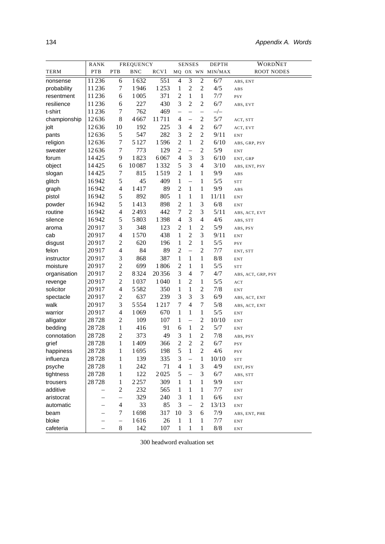|              | <b>RANK</b>              | FREQUENCY                |            | <b>SENSES</b>    |                          |                          | <b>DEPTH</b>             | WORDNET          |                                 |
|--------------|--------------------------|--------------------------|------------|------------------|--------------------------|--------------------------|--------------------------|------------------|---------------------------------|
| TERM         | PTB                      | <b>PTB</b>               | <b>BNC</b> | RCV <sub>1</sub> |                          |                          |                          | MQ OX WN MIN/MAX | <b>ROOT NODES</b>               |
| nonsense     | 11236                    | 6                        | 1632       | 551              | $\overline{4}$           | $\overline{3}$           | $\overline{2}$           | 6/7              | ABS, ENT                        |
| probability  | 11236                    | 7                        | 1946       | 1253             | 1                        | $\overline{c}$           | $\overline{c}$           | 4/5              | ABS                             |
| resentment   | 11236                    | 6                        | 1005       | 371              | $\overline{c}$           | $\mathbf{1}$             | $\mathbf{1}$             | 7/7              | <b>PSY</b>                      |
| resilience   | 11236                    | 6                        | 227        | 430              | 3                        | $\mathfrak 2$            | $\overline{2}$           | 6/7              | ABS, EVT                        |
| t-shirt      | 11236                    | 7                        | 762        | 469              | $\overline{\phantom{0}}$ | $\overline{\phantom{0}}$ | $\overline{\phantom{0}}$ | $-/-$            |                                 |
| championship | 12636                    | 8                        | 4667       | 11711            | 4                        | $\qquad \qquad -$        | $\overline{2}$           | 5/7              | ACT, STT                        |
| jolt         | 12636                    | 10                       | 192        | 225              | 3                        | 4                        | $\overline{c}$           | 6/7              | ACT, EVT                        |
| pants        | 12636                    | 5                        | 547        | 282              | 3                        | $\overline{c}$           | $\overline{c}$           | 9/11             | <b>ENT</b>                      |
| religion     | 12636                    | 7                        | 5 1 2 7    | 1596             | $\overline{2}$           | $\mathbf{1}$             | $\overline{c}$           | 6/10             | ABS, GRP, PSY                   |
| sweater      | 12636                    | 7                        | 773        | 129              | $\overline{2}$           | $\overline{\phantom{0}}$ | $\overline{2}$           | 5/9              | <b>ENT</b>                      |
| forum        | 14425                    | 9                        | 1823       | 6067             | $\overline{4}$           | 3                        | 3                        | 6/10             | ENT, GRP                        |
| object       | 14425                    | 6                        | 10087      | 1332             | 5                        | 3                        | $\overline{4}$           | 3/10             | ABS, ENT, PSY                   |
| slogan       | 14425                    | $\boldsymbol{7}$         | 815        | 1519             | $\overline{2}$           | $\mathbf{1}$             | 1                        | 9/9              | ABS                             |
| glitch       | 16942                    | 5                        | 45         | 409              | 1                        | $\overline{\phantom{0}}$ | 1                        | 5/5              | <b>STT</b>                      |
| graph        | 16942                    | 4                        | 1417       | 89               | $\overline{c}$           | $\mathbf{1}$             | 1                        | 9/9              | ABS                             |
| pistol       | 16942                    | 5                        | 892        | 805              | 1                        | 1                        | 1                        | 11/11            | <b>ENT</b>                      |
| powder       | 16942                    | 5                        | 1413       | 898              | $\overline{c}$           | 1                        | 3                        | 6/8              | <b>ENT</b>                      |
| routine      | 16942                    | 4                        | 2493       | 442              | 7                        | $\mathfrak 2$            | 3                        | 5/11             | ABS, ACT, EVT                   |
| silence      | 16942                    | 5                        | 5803       | 1398             | $\overline{4}$           | $\mathfrak{Z}$           | $\overline{4}$           | 4/6              | ABS, STT                        |
| aroma        | 20917                    | 3                        | 348        | 123              | $\overline{c}$           | 1                        | $\overline{c}$           | 5/9              | ABS, PSY                        |
| cab          | 20917                    | 4                        | 1570       | 438              | 1                        | $\mathfrak{2}$           | 3                        | 9/11             | <b>ENT</b>                      |
| disgust      | 20917                    | $\overline{c}$           | 620        | 196              | 1                        | $\mathfrak 2$            | 1                        | 5/5              | <b>PSY</b>                      |
| felon        | 20917                    | 4                        | 84         | 89               | $\overline{c}$           | $\equiv$                 | $\overline{2}$           | 7/7              | ENT, STT                        |
| instructor   | 20917                    | 3                        | 868        | 387              | 1                        | $\mathbf{1}$             | $\mathbf{1}$             | 8/8              | <b>ENT</b>                      |
| moisture     | 20917                    | $\mathfrak{2}$           | 699        | 1806             | $\overline{2}$           | 1                        | 1                        | 5/5              | <b>STT</b>                      |
| organisation | 20917                    | $\overline{2}$           | 8324       | 20356            | 3                        | 4                        | 7                        | 4/7              | ABS, ACT, GRP, PSY              |
| revenge      | 20917                    | 2                        | 1037       | 1040             | 1                        | $\overline{c}$           | 1                        | 5/5              | ACT                             |
| solicitor    | 20917                    | 4                        | 5582       | 350              | 1                        | 1                        | $\overline{c}$           | 7/8              | <b>ENT</b>                      |
| spectacle    | 20917                    | $\overline{c}$           | 637        | 239              | 3                        | 3                        | 3                        | 6/9              | ABS, ACT, ENT                   |
| walk         | 20917                    | 3                        | 5554       | 1217             | 7                        | 4                        | 7                        | 5/8              | ABS, ACT, ENT                   |
| warrior      | 20917                    | 4                        | 1069       | 670              | 1                        | 1                        | 1                        | 5/5              | <b>ENT</b>                      |
| alligator    | 28728                    | $\overline{c}$           | 109        | 107              | 1                        | $\overline{\phantom{0}}$ | $\mathfrak{2}$           | 10/10            | <b>ENT</b>                      |
| bedding      | 28728                    | $\mathbf{1}$             | 416        | 91               | 6                        | $\mathbf{1}$             | $\mathfrak{2}$           | 5/7              | <b>ENT</b>                      |
| connotation  | 28728                    | $\overline{c}$           | 373        | 49               | 3                        | 1                        | $\overline{c}$           | 7/8              | ABS, PSY                        |
| grief        | 28728                    | $\mathbf{1}$             | 1409       | 366              | $\overline{2}$           | $\mathfrak{2}$           | $\overline{2}$           | 6/7              | <b>PSY</b>                      |
| happiness    | 28728                    | $\mathbf{1}$             | 1695       | 198              | 5                        | $\mathbf{1}$             | $\overline{2}$           | 4/6              | <b>PSY</b>                      |
| influenza    | 28728                    | 1                        | 139        | 335              | 3                        | $\overline{\phantom{0}}$ | $\mathbf{1}$             | 10/10            | ${\hbox{\footnotesize\rm STT}}$ |
| psyche       | 28728                    | $\mathbf{1}$             | 242        | 71               | $\overline{4}$           | $\mathbf{1}$             | 3                        | 4/9              | ENT, PSY                        |
| tightness    | 28728                    | 1                        | 122        | 2025             | 5                        | $\overline{\phantom{0}}$ | 3                        | 6/7              | ABS, STT                        |
| trousers     | 28728                    | $\mathbf{1}$             | 2257       | 309              | 1                        | $\mathbf{1}$             | $\mathbf{1}$             | 9/9              | <b>ENT</b>                      |
| additive     | $\overline{\phantom{0}}$ | $\overline{c}$           | 232        | 565              | 1                        | $\mathbf{1}$             | $\mathbf{1}$             | 7/7              | ${\rm ENT}$                     |
| aristocrat   | $\overline{\phantom{0}}$ | $\overline{\phantom{0}}$ | 329        | 240              | 3                        | $\mathbf{1}$             | $\mathbf{1}$             | 6/6              | ${\rm ENT}$                     |
| automatic    | —                        | 4                        | 33         | 85               | 3                        | $\qquad \qquad -$        | $\mathbf{2}$             | 13/13            | ${\rm ENT}$                     |
| beam         |                          | 7                        | 1698       | 317              | 10                       | 3                        | 6                        | 7/9              | ABS, ENT, PHE                   |
| bloke        |                          | -                        | 1616       | 26               | $\mathbf{1}$             | $\mathbf{1}$             | $\mathbf{1}$             | 7/7              | <b>ENT</b>                      |
| cafeteria    |                          | $8\,$                    | 142        | 107              | 1                        | 1                        | 1                        | 8/8              | <b>ENT</b>                      |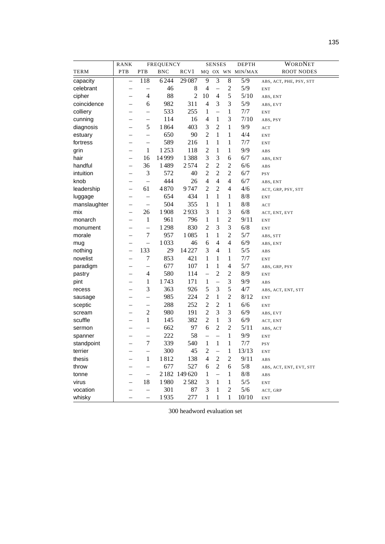|              | RANK                     | FREQUENCY                |            | <b>SENSES</b> |                          |                          | <b>DEPTH</b>     | WORDNET          |                         |
|--------------|--------------------------|--------------------------|------------|---------------|--------------------------|--------------------------|------------------|------------------|-------------------------|
| <b>TERM</b>  | <b>PTB</b>               | PTB                      | <b>BNC</b> | RCV1          |                          |                          |                  | MQ OX WN MIN/MAX | <b>ROOT NODES</b>       |
| capacity     | $\overline{\phantom{0}}$ | 118                      | 6244       | 29087         | 9                        | $\overline{3}$           | $\,$ 8 $\,$      | 5/9              | ABS, ACT, PHE, PSY, STT |
| celebrant    |                          | $\overline{\phantom{0}}$ | 46         | 8             | 4                        | -                        | $\overline{c}$   | 5/9              | <b>ENT</b>              |
| cipher       |                          | 4                        | 88         | 2             | 10                       | 4                        | 5                | $5/10$           | ABS, ENT                |
| coincidence  |                          | 6                        | 982        | 311           | $\overline{4}$           | 3                        | 3                | 5/9              | ABS, EVT                |
| colliery     |                          | $\overline{\phantom{0}}$ | 533        | 255           | 1                        | $\overline{\phantom{0}}$ | $\mathbf{1}$     | 7/7              | <b>ENT</b>              |
| cunning      |                          | $\overline{\phantom{0}}$ | 114        | 16            | 4                        | 1                        | 3                | 7/10             | ABS, PSY                |
| diagnosis    |                          | 5                        | 1864       | 403           | 3                        | 2                        | $\mathbf{1}$     | 9/9              | ACT                     |
| estuary      |                          | $\overline{\phantom{0}}$ | 650        | 90            | $\overline{2}$           | 1                        | $\mathbf{1}$     | 4/4              | <b>ENT</b>              |
| fortress     |                          | $\overline{\phantom{0}}$ | 589        | 216           | 1                        | $\mathbf{1}$             | $\mathbf{1}$     | 7/7              | <b>ENT</b>              |
| grin         | $\overline{\phantom{a}}$ | 1                        | 1253       | 118           | $\overline{2}$           | $\mathbf{1}$             | $\mathbf{1}$     | 9/9              | ABS                     |
| hair         | $\overline{\phantom{0}}$ | 16                       | 14999      | 1388          | 3                        | 3                        | 6                | 6/7              | ABS, ENT                |
| handful      | -                        | 36                       | 1489       | 2574          | $\overline{2}$           | $\overline{2}$           | $\mathfrak{2}$   | 6/6              | ABS                     |
| intuition    |                          | 3                        | 572        | 40            | $\overline{2}$           | $\overline{2}$           | $\overline{2}$   | 6/7              | <b>PSY</b>              |
| knob         | -                        | $\overline{\phantom{0}}$ | 444        | 26            | $\overline{4}$           | $\overline{\mathcal{A}}$ | $\overline{4}$   | 6/7              | ABS, ENT                |
| leadership   |                          | 61                       | 4870       | 9747          | $\overline{c}$           | $\overline{c}$           | 4                | 4/6              | ACT, GRP, PSY, STT      |
| luggage      |                          | $\overline{\phantom{0}}$ | 654        | 434           | 1                        | 1                        | $\mathbf{1}$     | 8/8              | <b>ENT</b>              |
| manslaughter |                          | $\overline{\phantom{0}}$ | 504        | 355           | 1                        | 1                        | $\mathbf{1}$     | 8/8              | ACT                     |
| mix          | $\overline{\phantom{0}}$ | 26                       | 1908       | 2933          | 3                        | $\mathbf{1}$             | 3                | 6/8              | ACT, ENT, EVT           |
| monarch      |                          | 1                        | 961        | 796           | 1                        | 1                        | $\sqrt{2}$       | 9/11             | <b>ENT</b>              |
| monument     |                          | $\overline{\phantom{0}}$ | 1298       | 830           | $\overline{2}$           | 3                        | 3                | 6/8              | <b>ENT</b>              |
| morale       |                          | $\boldsymbol{7}$         | 957        | 1085          | 1                        | $\mathbf{1}$             | $\overline{2}$   | 5/7              | ABS, STT                |
| mug          |                          | $\overline{\phantom{0}}$ | 1033       | 46            | 6                        | $\overline{\mathcal{L}}$ | $\overline{4}$   | 6/9              | ABS, ENT                |
| nothing      |                          | 133                      | 29         | 14227         | 3                        | $\overline{\mathcal{L}}$ | $\mathbf{1}$     | 5/5              | ABS                     |
| novelist     |                          | 7                        | 853        | 421           | 1                        | 1                        | 1                | 7/7              | <b>ENT</b>              |
| paradigm     |                          | $\overline{\phantom{0}}$ | 677        | 107           | 1                        | $\mathbf{1}$             | $\overline{4}$   | 5/7              | ABS, GRP, PSY           |
| pastry       |                          | $\overline{4}$           | 580        | 114           | $\overline{\phantom{0}}$ | $\overline{c}$           | $\mathfrak 2$    | 8/9              | <b>ENT</b>              |
| pint         |                          | 1                        | 1743       | 171           | 1                        | $\overline{a}$           | 3                | 9/9              | ABS                     |
| recess       |                          | 3                        | 363        | 926           | 5                        | 3                        | 5                | 4/7              | ABS, ACT, ENT, STT      |
| sausage      |                          | $\overline{\phantom{0}}$ | 985        | 224           | $\overline{2}$           | $\mathbf{1}$             | $\overline{2}$   | 8/12             | <b>ENT</b>              |
| sceptic      |                          | $\qquad \qquad -$        | 288        | 252           | $\overline{c}$           | $\overline{c}$           | $\mathbf{1}$     | 6/6              | <b>ENT</b>              |
| scream       |                          | $\boldsymbol{2}$         | 980        | 191           | $\overline{2}$           | 3                        | 3                | 6/9              | ABS, EVT                |
| scuffle      |                          | $\mathbf{1}$             | 145        | 382           | $\mathbf{2}$             | $\mathbf{1}$             | 3                | 6/9              | ACT, ENT                |
| sermon       |                          | $\overline{\phantom{0}}$ | 662        | 97            | 6                        | $\overline{2}$           | $\mathbf{2}$     | 5/11             | ABS, ACT                |
| spanner      | -                        | $\overline{\phantom{0}}$ | 222        | 58            | $\overline{\phantom{0}}$ | $\overline{\phantom{0}}$ | $\mathbf{1}$     | 9/9              | <b>ENT</b>              |
| standpoint   | $\overline{\phantom{0}}$ | 7                        | 339        | 540           | 1                        | $\mathbf{1}$             | $\mathbf{1}$     | 7/7              | <b>PSY</b>              |
| terrier      |                          |                          | 300        | 45            | $\overline{c}$           | $\overline{\phantom{0}}$ | $\mathbf{1}$     | 13/13            | ENT                     |
| thesis       |                          | $\,1$                    | 1812       | 138           | $\overline{4}$           | $\overline{c}$           | $\mathfrak 2$    | 9/11             | ABS                     |
| throw        |                          | $\overline{\phantom{0}}$ | 677        | 527           | 6                        | $\overline{2}$           | $\boldsymbol{6}$ | 5/8              | ABS, ACT, ENT, EVT, STT |
| tonne        |                          | $\qquad \qquad -$        |            | 2 182 149 620 | 1                        | $\overline{\phantom{0}}$ | 1                | 8/8              | ABS                     |
| virus        |                          | 18                       | 1980       | 2582          | 3                        | $\mathbf{1}$             | $\mathbf{1}$     | 5/5              | <b>ENT</b>              |
| vocation     |                          | $\qquad \qquad -$        | 301        | 87            | 3                        | $\mathbf{1}$             | $\sqrt{2}$       | 5/6              | ACT, GRP                |
| whisky       |                          | $\overline{\phantom{0}}$ | 1935       | 277           | 1                        | 1                        | $\mathbf{1}$     | 10/10            | ENT                     |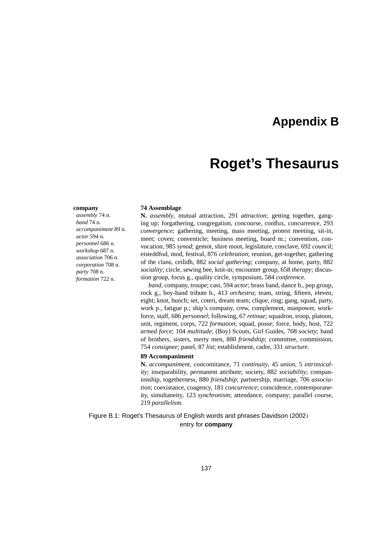### **Appendix B**

### **Roget's Thesaurus**

#### **company**

*assembly* 74 n. *band* 74 n. *accompaniment* 89 n. *actor* 594 n. *personnel* 686 n. *workshop* 687 n. *association* 706 n. *corporation* 708 n. *party* 708 n. *formation* 722 n.

#### **74 Assemblage**

**N.** *assembly*, mutual attraction, 291 *attraction*; getting together, ganging up; forgathering, congregation, concourse, conflux, concurrence, 293 *convergence*; gathering, meeting, mass meeting, protest meeting, sit-in, meet; coven; conventicle; business meeting, board m.; convention, convocation, 985 *synod*; gemot, shire moot, legislature, conclave, 692 *council*; eisteddfod, mod, festival, 876 *celebration*; reunion, get-together, gathering of the clans, ceilidh, 882 *social gathering*; company, at home, party, 882 *sociality*; circle, sewing bee, knit-in; encounter group, 658 *therapy*; discussion group, focus g., quality circle, symposium, 584 *conference*.

*band*, company, troupe; cast, 594 *actor*; brass band, dance b., pop group, rock g., boy-band tribute b., 413 *orchestra*; team, string, fifteen, eleven, eight; knot, bunch; set, coteri, dream team; clique, ring; gang, squad, party, work p., fatigue p.; ship's company, crew, complement, manpower, workforce, staff, 686 *personnel*; following, 67 *retinue*; squadron, troop, platoon, unit, regiment, corps, 722 *formation*; squad, posse; force, body, host, 722 *armed force*; 104 *multitude*; (Boy) Scouts, Girl Guides, 708 *society*; band of brothers, sisters, merry men, 880 *friendship*; committee, commission, 754 *consignee*; panel, 87 *list*; establishment, cadre, 331 *structure*.

#### **89 Accompaniment**

**N.** *accompaniment*, concomitance, 71 *continuity*, 45 *union*, 5 *intrinsicality*; inseparability, permanent attribute; society, 882 *sociability*; companionship, togetherness, 880 *friendship*; partnership, marriage, 706 *association*; coexistance, coagency, 181 *concurrence*; coincidence, contemporaneity, simultaneity, 123 *synchronism*; attendance, company; parallel course, 219 *parallelism*.

Figure B.1: Roget's Thesaurus of English words and phrases [Davidson \(2002\)](#page-163-0) entry for **company**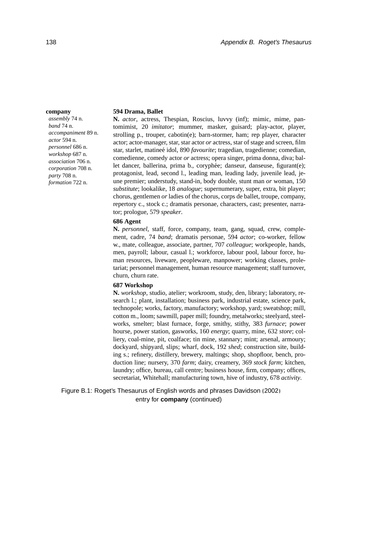#### **company**

*assembly* 74 n. *band* 74 n. *accompaniment* 89 n. *actor* 594 n. *personnel* 686 n. *workshop* 687 n. *association* 706 n. *corporation* 708 n. *party* 708 n. *formation* 722 n.

#### **594 Drama, Ballet**

**N.** *actor*, actress, Thespian, Roscius, luvvy (inf); mimic, mime, pantomimist, 20 *imitator*; mummer, masker, guisard; play-actor, player, strolling p., trouper, cabotin(e); barn-stormer, ham; rep player, character actor; actor-manager, star, star actor *or* actress, star of stage and screen, film star, starlet, matineé idol, 890 *favourite*; tragedian, tragedienne; comedian, comedienne, comedy actor *or* actress; opera singer, prima donna, diva; ballet dancer, ballerina, prima b., coryphée; danseur, danseuse, figurant(e); protagonist, lead, second l., leading man, leading lady, juvenile lead, jeune premier; understudy, stand-in, body double, stunt man *or* woman, 150 *substitute*; lookalike, 18 *analogue*; supernumerary, super, extra, bit player; chorus, gentlemen *or* ladies of the chorus, corps de ballet, troupe, company, repertory c., stock c.; dramatis personae, characters, cast; presenter, narrator; prologue, 579 *speaker*.

#### **686 Agent**

**N.** *personnel*, staff, force, company, team, gang, squad, crew, complement, cadre, 74 *band*; dramatis personae, 594 *actor*; co-worker, fellow w., mate, colleague, associate, partner, 707 *colleague*; workpeople, hands, men, payroll; labour, casual l.; workforce, labour pool, labour force, human resources, liveware, peopleware, manpower; working classes, proletariat; personnel management, human resource management; staff turnover, churn, churn rate.

#### **687 Workshop**

**N.** *workshop*, studio, atelier; workroom, study, den, library; laboratory, research l.; plant, installation; business park, industrial estate, science park, technopole; works, factory, manufactory; workshop, yard; sweatshop; mill, cotton m., loom; sawmill, paper mill; foundry, metalworks; steelyard, steelworks, smelter; blast furnace, forge, smithy, stithy, 383 *furnace*; power hourse, power station, gasworks, 160 *energy*; quarry, mine, 632 *store*; colliery, coal-mine, pit, coalface; tin mine, stannary; mint; arsenal, armoury; dockyard, shipyard, slips; wharf, dock, 192 *shed*; construction site, building s.; refinery, distillery, brewery, maltings; shop, shopfloor, bench, production line; nursery, 370 *farm*; dairy, creamery, 369 *stock farm*; kitchen, laundry; office, bureau, call centre; business house, firm, company; offices, secretariat, Whitehall; manufacturing town, hive of industry, 678 *activity*.

Figure B.1: Roget's Thesaurus of English words and phrases [Davidson \(2002\)](#page-163-0) entry for **company** (continued)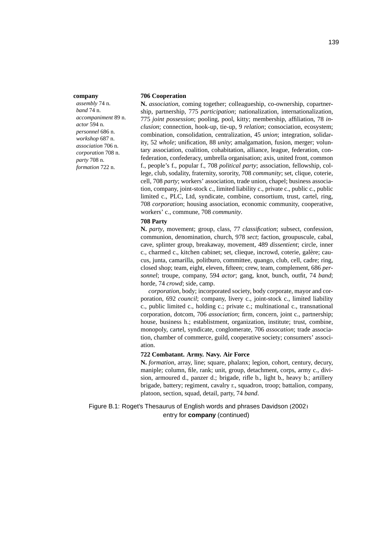#### **company**

*assembly* 74 n. *band* 74 n. *accompaniment* 89 n. *actor* 594 n. *personnel* 686 n. *workshop* 687 n. *association* 706 n. *corporation* 708 n. *party* 708 n. *formation* 722 n.

#### **706 Cooperation**

**N.** *association*, coming together; colleagueship, co-ownership, copartnership, partnership, 775 *participation*; nationalization, internationalization, 775 *joint possession*; pooling, pool, kitty; membership, affiliation, 78 *inclusion*; connection, hook-up, tie-up, 9 *relation*; consociation, ecosystem; combination, consolidation, centralization, 45 *union*; integration, solidarity, 52 *whole*; unification, 88 *unity*; amalgamation, fusion, merger; voluntary association, coalition, cohabitation, alliance, league, federation, confederation, confederacy, umbrella organisation; axis, united front, common f., people's f., popular f., 708 *political party*; association, fellowship, college, club, sodality, fraternity, sorority, 708 *community*; set, clique, coterie, cell, 708 *party*; workers' association, trade union, chapel; business association, company, joint-stock c., limited liability c., private c., public c., public limited c., PLC, Ltd, syndicate, combine, consortium, trust, cartel, ring, 708 *corporation*; housing association, economic community, cooperative, workers' c., commune, 708 *community*.

#### **708 Party**

**N.** *party*, movement; group, class, 77 *classification*; subsect, confession, communion, denomination, church, 978 *sect*; faction, groupuscule, cabal, cave, splinter group, breakaway, movement, 489 *dissentient*; circle, inner c., charmed c., kitchen cabinet; set, clieque, incrowd, coterie, galère; caucus, junta, camarilla, politburo, committee, quango, club, cell, cadre; ring, closed shop; team, eight, eleven, fifteen; crew, team, complement, 686 *personnel*; troupe, company, 594 *actor*; gang, knot, bunch, outfit, 74 *band*; horde, 74 *crowd*; side, camp.

*corporation*, body; incorporated society, body corporate, mayor and corporation, 692 *council*; company, livery c., joint-stock c., limited liability c., public limited c., holding c.; private c.; multinational c., transnational corporation, dotcom, 706 *association*; firm, concern, joint c., partnership; house, business h.; establistment, organization, institute; trust, combine, monopoly, cartel, syndicate, conglomerate, 706 *assocation*; trade association, chamber of commerce, guild, cooperative society; consumers' association.

#### **722 Combatant. Army. Navy. Air Force**

**N.** *formation*, array, line; square, phalanx; legion, cohort, century, decury, maniple; column, file, rank; unit, group, detachment, corps, army c., division, armoured d., panzer d.; brigade, rifle b., light b., heavy b.; artillery brigade, battery; regiment, cavalry r., squadron, troop; battalion, company, platoon, section, squad, detail, party, 74 *band*.

Figure B.1: Roget's Thesaurus of English words and phrases [Davidson \(2002\)](#page-163-0) entry for **company** (continued)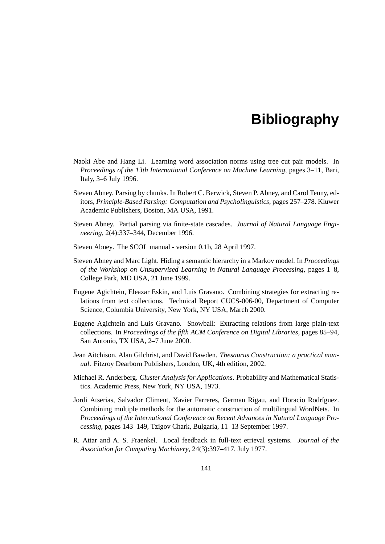- Naoki Abe and Hang Li. Learning word association norms using tree cut pair models. In *Proceedings of the 13th International Conference on Machine Learning*, pages 3–11, Bari, Italy, 3–6 July 1996.
- Steven Abney. Parsing by chunks. In Robert C. Berwick, Steven P. Abney, and Carol Tenny, editors, *Principle-Based Parsing: Computation and Psycholinguistics*, pages 257–278. Kluwer Academic Publishers, Boston, MA USA, 1991.
- Steven Abney. Partial parsing via finite-state cascades. *Journal of Natural Language Engineering*, 2(4):337–344, December 1996.
- Steven Abney. The SCOL manual version 0.1b, 28 April 1997.
- Steven Abney and Marc Light. Hiding a semantic hierarchy in a Markov model. In *Proceedings of the Workshop on Unsupervised Learning in Natural Language Processing*, pages 1–8, College Park, MD USA, 21 June 1999.
- Eugene Agichtein, Eleazar Eskin, and Luis Gravano. Combining strategies for extracting relations from text collections. Technical Report CUCS-006-00, Department of Computer Science, Columbia University, New York, NY USA, March 2000.
- Eugene Agichtein and Luis Gravano. Snowball: Extracting relations from large plain-text collections. In *Proceedings of the fifth ACM Conference on Digital Libraries*, pages 85–94, San Antonio, TX USA, 2–7 June 2000.
- Jean Aitchison, Alan Gilchrist, and David Bawden. *Thesaurus Construction: a practical manual*. Fitzroy Dearborn Publishers, London, UK, 4th edition, 2002.
- Michael R. Anderberg. *Cluster Analysis for Applications*. Probability and Mathematical Statistics. Academic Press, New York, NY USA, 1973.
- Jordi Atserias, Salvador Climent, Xavier Farreres, German Rigau, and Horacio Rodríguez. Combining multiple methods for the automatic construction of multilingual WordNets. In *Proceedings of the International Conference on Recent Advances in Natural Language Processing*, pages 143–149, Tzigov Chark, Bulgaria, 11–13 September 1997.
- R. Attar and A. S. Fraenkel. Local feedback in full-text etrieval systems. *Journal of the Association for Computing Machinery*, 24(3):397–417, July 1977.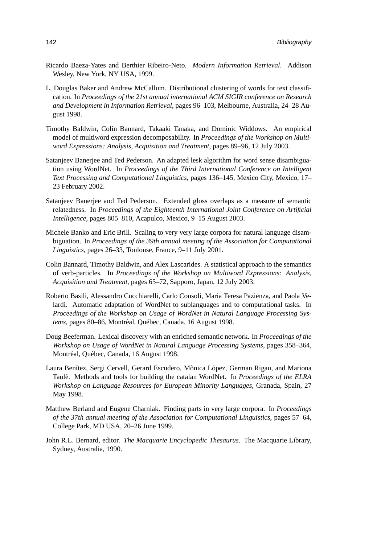- Ricardo Baeza-Yates and Berthier Ribeiro-Neto. *Modern Information Retrieval*. Addison Wesley, New York, NY USA, 1999.
- L. Douglas Baker and Andrew McCallum. Distributional clustering of words for text classification. In *Proceedings of the 21st annual international ACM SIGIR conference on Research and Development in Information Retrieval*, pages 96–103, Melbourne, Australia, 24–28 August 1998.
- Timothy Baldwin, Colin Bannard, Takaaki Tanaka, and Dominic Widdows. An empirical model of multiword expression decomposability. In *Proceedings of the Workshop on Multiword Expressions: Analysis, Acquisition and Treatment*, pages 89–96, 12 July 2003.
- Satanjeev Banerjee and Ted Pederson. An adapted lesk algorithm for word sense disambiguation using WordNet. In *Proceedings of the Third International Conference on Intelligent Text Processing and Computational Linguistics*, pages 136–145, Mexico City, Mexico, 17– 23 February 2002.
- Satanjeev Banerjee and Ted Pederson. Extended gloss overlaps as a measure of semantic relatedness. In *Proceedings of the Eighteenth International Joint Conference on Artificial Intelligence*, pages 805–810, Acapulco, Mexico, 9–15 August 2003.
- <span id="page-159-0"></span>Michele Banko and Eric Brill. Scaling to very very large corpora for natural language disambiguation. In *Proceedings of the 39th annual meeting of the Association for Computational Linguistics*, pages 26–33, Toulouse, France, 9–11 July 2001.
- Colin Bannard, Timothy Baldwin, and Alex Lascarides. A statistical approach to the semantics of verb-particles. In *Proceedings of the Workshop on Multiword Expressions: Analysis, Acquisition and Treatment*, pages 65–72, Sapporo, Japan, 12 July 2003.
- Roberto Basili, Alessandro Cucchiarelli, Carlo Consoli, Maria Teresa Pazienza, and Paola Velardi. Automatic adaptation of WordNet to sublanguages and to computational tasks. In *Proceedings of the Workshop on Usage of WordNet in Natural Language Processing Systems*, pages 80–86, Montréal, Québec, Canada, 16 August 1998.
- Doug Beeferman. Lexical discovery with an enriched semantic network. In *Proceedings of the Workshop on Usage of WordNet in Natural Language Processing Systems*, pages 358–364, Montréal, Québec, Canada, 16 August 1998.
- Laura Benítez, Sergi Cervell, Gerard Escudero, Mònica López, German Rigau, and Mariona Taule. Methods and tools for building the catalan WordNet. In ´ *Proceedings of the ELRA Workshop on Language Resources for European Minority Languages*, Granada, Spain, 27 May 1998.
- Matthew Berland and Eugene Charniak. Finding parts in very large corpora. In *Proceedings of the 37th annual meeting of the Association for Computational Linguistics*, pages 57–64, College Park, MD USA, 20–26 June 1999.
- John R.L. Bernard, editor. *The Macquarie Encyclopedic Thesaurus*. The Macquarie Library, Sydney, Australia, 1990.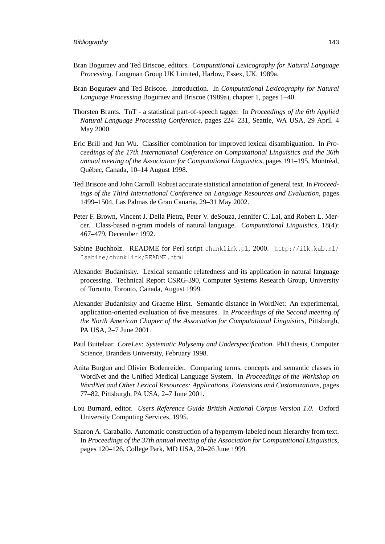- <span id="page-160-0"></span>Bran Boguraev and Ted Briscoe, editors. *Computational Lexicography for Natural Language Processing*. Longman Group UK Limited, Harlow, Essex, UK, 1989a.
- Bran Boguraev and Ted Briscoe. Introduction. In *Computational Lexicography for Natural Language Processing* [Boguraev and Briscoe \(1989a\)](#page-160-0), chapter 1, pages 1–40.
- Thorsten Brants. TnT a statistical part-of-speech tagger. In *Proceedings of the 6th Applied Natural Language Processing Conference*, pages 224–231, Seattle, WA USA, 29 April–4 May 2000.
- Eric Brill and Jun Wu. Classifier combination for improved lexical disambiguation. In *Proceedings of the 17th International Conference on Computational Linguistics and the 36th annual meeting of the Association for Computational Linguistics*, pages 191–195, Montreal, ´ Quebec, Canada, 10–14 August 1998. ´
- Ted Briscoe and John Carroll. Robust accurate statistical annotation of general text. In *Proceedings of the Third International Conference on Language Resources and Evaluation*, pages 1499–1504, Las Palmas de Gran Canaria, 29–31 May 2002.
- Peter F. Brown, Vincent J. Della Pietra, Peter V. deSouza, Jennifer C. Lai, and Robert L. Mercer. Class-based n-gram models of natural language. *Computational Linguistics*, 18(4): 467–479, December 1992.
- Sabine Buchholz. README for Perl script chunklink.pl, 2000. [http://ilk.kub.nl/](http://ilk.kub.nl/~sabine/chunklink/README.html) [˜sabine/chunklink/README.html](http://ilk.kub.nl/~sabine/chunklink/README.html).
- Alexander Budanitsky. Lexical semantic relatedness and its application in natural language processing. Technical Report CSRG-390, Computer Systems Research Group, University of Toronto, Toronto, Canada, August 1999.
- Alexander Budanitsky and Graeme Hirst. Semantic distance in WordNet: An experimental, application-oriented evaluation of five measures. In *Proceedings of the Second meeting of the North American Chapter of the Association for Computational Linguistics*, Pittsburgh, PA USA, 2–7 June 2001.
- Paul Buitelaar. *CoreLex: Systematic Polysemy and Underspecification*. PhD thesis, Computer Science, Brandeis University, February 1998.
- Anita Burgun and Olivier Bodenreider. Comparing terms, concepts and semantic classes in WordNet and the Unified Medical Language System. In *Proceedings of the Workshop on WordNet and Other Lexical Resources: Applications, Extensions and Customizations*, pages 77–82, Pittsburgh, PA USA, 2–7 June 2001.
- Lou Burnard, editor. *Users Reference Guide British National Corpus Version 1.0*. Oxford University Computing Services, 1995.
- Sharon A. Caraballo. Automatic construction of a hypernym-labeled noun hierarchy from text. In *Proceedings of the 37th annual meeting of the Association for Computational Linguistics*, pages 120–126, College Park, MD USA, 20–26 June 1999.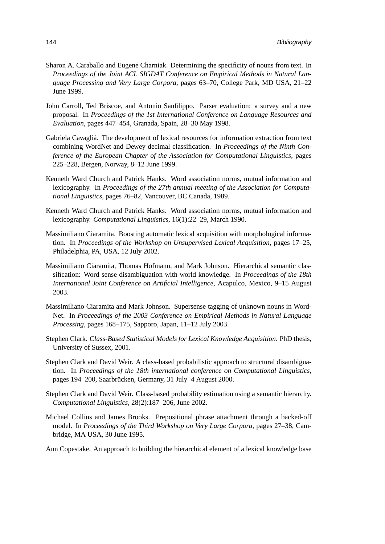- Sharon A. Caraballo and Eugene Charniak. Determining the specificity of nouns from text. In *Proceedings of the Joint ACL SIGDAT Conference on Empirical Methods in Natural Language Processing and Very Large Corpora*, pages 63–70, College Park, MD USA, 21–22 June 1999.
- John Carroll, Ted Briscoe, and Antonio Sanfilippo. Parser evaluation: a survey and a new proposal. In *Proceedings of the 1st International Conference on Language Resources and Evaluation*, pages 447–454, Granada, Spain, 28–30 May 1998.
- Gabriela Cavaglia. The development of lexical resources for information extraction from text ` combining WordNet and Dewey decimal classification. In *Proceedings of the Ninth Conference of the European Chapter of the Association for Computational Linguistics*, pages 225–228, Bergen, Norway, 8–12 June 1999.
- Kenneth Ward Church and Patrick Hanks. Word association norms, mutual information and lexicography. In *Proceedings of the 27th annual meeting of the Association for Computational Linguistics*, pages 76–82, Vancouver, BC Canada, 1989.
- Kenneth Ward Church and Patrick Hanks. Word association norms, mutual information and lexicography. *Computational Linguistics*, 16(1):22–29, March 1990.
- Massimiliano Ciaramita. Boosting automatic lexical acquisition with morphological information. In *Proceedings of the Workshop on Unsupervised Lexical Acquisition*, pages 17–25, Philadelphia, PA, USA, 12 July 2002.
- Massimiliano Ciaramita, Thomas Hofmann, and Mark Johnson. Hierarchical semantic classification: Word sense disambiguation with world knowledge. In *Proceedings of the 18th International Joint Conference on Artificial Intelligence*, Acapulco, Mexico, 9–15 August 2003.
- <span id="page-161-0"></span>Massimiliano Ciaramita and Mark Johnson. Supersense tagging of unknown nouns in Word-Net. In *Proceedings of the 2003 Conference on Empirical Methods in Natural Language Processing*, pages 168–175, Sapporo, Japan, 11–12 July 2003.
- Stephen Clark. *Class-Based Statistical Models for Lexical Knowledge Acquisition*. PhD thesis, University of Sussex, 2001.
- Stephen Clark and David Weir. A class-based probabilistic approach to structural disambiguation. In *Proceedings of the 18th international conference on Computational Linguistics*, pages 194–200, Saarbrücken, Germany, 31 July–4 August 2000.
- Stephen Clark and David Weir. Class-based probability estimation using a semantic hierarchy. *Computational Linguistics*, 28(2):187–206, June 2002.
- Michael Collins and James Brooks. Prepositional phrase attachment through a backed-off model. In *Proceedings of the Third Workshop on Very Large Corpora*, pages 27–38, Cambridge, MA USA, 30 June 1995.
- Ann Copestake. An approach to building the hierarchical element of a lexical knowledge base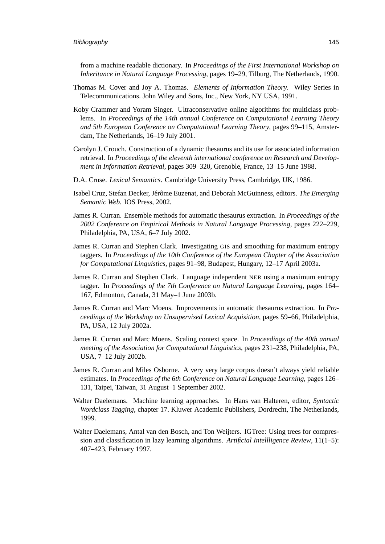from a machine readable dictionary. In *Proceedings of the First International Workshop on Inheritance in Natural Language Processing*, pages 19–29, Tilburg, The Netherlands, 1990.

- Thomas M. Cover and Joy A. Thomas. *Elements of Information Theory*. Wiley Series in Telecommunications. John Wiley and Sons, Inc., New York, NY USA, 1991.
- Koby Crammer and Yoram Singer. Ultraconservative online algorithms for multiclass problems. In *Proceedings of the 14th annual Conference on Computational Learning Theory and 5th European Conference on Computational Learning Theory*, pages 99–115, Amsterdam, The Netherlands, 16–19 July 2001.
- Carolyn J. Crouch. Construction of a dynamic thesaurus and its use for associated information retrieval. In *Proceedings of the eleventh international conference on Research and Development in Information Retrieval*, pages 309–320, Grenoble, France, 13–15 June 1988.
- D.A. Cruse. *Lexical Semantics*. Cambridge University Press, Cambridge, UK, 1986.
- Isabel Cruz, Stefan Decker, Jérôme Euzenat, and Deborah McGuinness, editors. *The Emerging Semantic Web*. IOS Press, 2002.
- James R. Curran. Ensemble methods for automatic thesaurus extraction. In *Proceedings of the 2002 Conference on Empirical Methods in Natural Language Processing*, pages 222–229, Philadelphia, PA, USA, 6–7 July 2002.
- James R. Curran and Stephen Clark. Investigating GIS and smoothing for maximum entropy taggers. In *Proceedings of the 10th Conference of the European Chapter of the Association for Computational Linguistics*, pages 91–98, Budapest, Hungary, 12–17 April 2003a.
- James R. Curran and Stephen Clark. Language independent NER using a maximum entropy tagger. In *Proceedings of the 7th Conference on Natural Language Learning*, pages 164– 167, Edmonton, Canada, 31 May–1 June 2003b.
- James R. Curran and Marc Moens. Improvements in automatic thesaurus extraction. In *Proceedings of the Workshop on Unsupervised Lexical Acquisition*, pages 59–66, Philadelphia, PA, USA, 12 July 2002a.
- James R. Curran and Marc Moens. Scaling context space. In *Proceedings of the 40th annual meeting of the Association for Computational Linguistics*, pages 231–238, Philadelphia, PA, USA, 7–12 July 2002b.
- James R. Curran and Miles Osborne. A very very large corpus doesn't always yield reliable estimates. In *Proceedings of the 6th Conference on Natural Language Learning*, pages 126– 131, Taipei, Taiwan, 31 August–1 September 2002.
- Walter Daelemans. Machine learning approaches. In Hans van Halteren, editor, *Syntactic Wordclass Tagging*, chapter 17. Kluwer Academic Publishers, Dordrecht, The Netherlands, 1999.
- Walter Daelemans, Antal van den Bosch, and Ton Weijters. IGTree: Using trees for compression and classification in lazy learning algorithms. *Artificial Intellligence Review*, 11(1–5): 407–423, February 1997.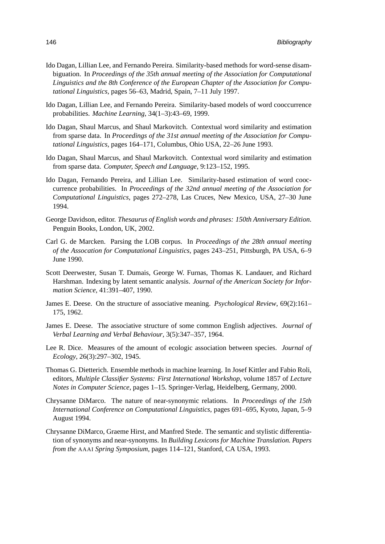- Ido Dagan, Lillian Lee, and Fernando Pereira. Similarity-based methods for word-sense disambiguation. In *Proceedings of the 35th annual meeting of the Association for Computational Linguistics and the 8th Conference of the European Chapter of the Association for Computational Linguistics*, pages 56–63, Madrid, Spain, 7–11 July 1997.
- Ido Dagan, Lillian Lee, and Fernando Pereira. Similarity-based models of word cooccurrence probabilities. *Machine Learning*, 34(1–3):43–69, 1999.
- Ido Dagan, Shaul Marcus, and Shaul Markovitch. Contextual word similarity and estimation from sparse data. In *Proceedings of the 31st annual meeting of the Association for Computational Linguistics*, pages 164–171, Columbus, Ohio USA, 22–26 June 1993.
- Ido Dagan, Shaul Marcus, and Shaul Markovitch. Contextual word similarity and estimation from sparse data. *Computer, Speech and Language*, 9:123–152, 1995.
- Ido Dagan, Fernando Pereira, and Lillian Lee. Similarity-based estimation of word cooccurrence probabilities. In *Proceedings of the 32nd annual meeting of the Association for Computational Linguistics*, pages 272–278, Las Cruces, New Mexico, USA, 27–30 June 1994.
- <span id="page-163-0"></span>George Davidson, editor. *Thesaurus of English words and phrases: 150th Anniversary Edition*. Penguin Books, London, UK, 2002.
- Carl G. de Marcken. Parsing the LOB corpus. In *Proceedings of the 28th annual meeting of the Assocation for Computational Linguistics*, pages 243–251, Pittsburgh, PA USA, 6–9 June 1990.
- Scott Deerwester, Susan T. Dumais, George W. Furnas, Thomas K. Landauer, and Richard Harshman. Indexing by latent semantic analysis. *Journal of the American Society for Information Science*, 41:391–407, 1990.
- James E. Deese. On the structure of associative meaning. *Psychological Review*, 69(2):161– 175, 1962.
- James E. Deese. The associative structure of some common English adjectives. *Journal of Verbal Learning and Verbal Behaviour*, 3(5):347–357, 1964.
- Lee R. Dice. Measures of the amount of ecologic association between species. *Journal of Ecology*, 26(3):297–302, 1945.
- Thomas G. Dietterich. Ensemble methods in machine learning. In Josef Kittler and Fabio Roli, editors, *Multiple Classifier Systems: First International Workshop*, volume 1857 of *Lecture Notes in Computer Science*, pages 1–15. Springer-Verlag, Heidelberg, Germany, 2000.
- Chrysanne DiMarco. The nature of near-synonymic relations. In *Proceedings of the 15th International Conference on Computational Linguistics*, pages 691–695, Kyoto, Japan, 5–9 August 1994.
- Chrysanne DiMarco, Graeme Hirst, and Manfred Stede. The semantic and stylistic differentiation of synonyms and near-synonyms. In *Building Lexicons for Machine Translation. Papers from the* AAAI *Spring Symposium*, pages 114–121, Stanford, CA USA, 1993.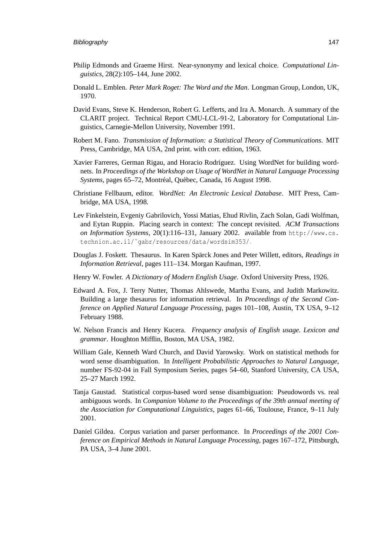- Philip Edmonds and Graeme Hirst. Near-synonymy and lexical choice. *Computational Linguistics*, 28(2):105–144, June 2002.
- Donald L. Emblen. *Peter Mark Roget: The Word and the Man*. Longman Group, London, UK, 1970.
- David Evans, Steve K. Henderson, Robert G. Lefferts, and Ira A. Monarch. A summary of the CLARIT project. Technical Report CMU-LCL-91-2, Laboratory for Computational Linguistics, Carnegie-Mellon University, November 1991.
- Robert M. Fano. *Transmission of Information: a Statistical Theory of Communications*. MIT Press, Cambridge, MA USA, 2nd print. with corr. edition, 1963.
- Xavier Farreres, German Rigau, and Horacio Rodríguez. Using WordNet for building wordnets. In *Proceedings of the Workshop on Usage of WordNet in Natural Language Processing Systems*, pages 65–72, Montréal, Québec, Canada, 16 August 1998.
- <span id="page-164-0"></span>Christiane Fellbaum, editor. *WordNet: An Electronic Lexical Database*. MIT Press, Cambridge, MA USA, 1998.
- Lev Finkelstein, Evgeniy Gabrilovich, Yossi Matias, Ehud Rivlin, Zach Solan, Gadi Wolfman, and Eytan Ruppin. Placing search in context: The concept revisited. *ACM Transactions on Information Systems*, 20(1):116–131, January 2002. available from [http://www.cs.](http://www.cs.technion.ac.il/~gabr/resources/data/wordsim353/) [technion.ac.il/˜gabr/resources/data/wordsim353/](http://www.cs.technion.ac.il/~gabr/resources/data/wordsim353/).
- Douglas J. Foskett. Thesaurus. In Karen Spärck Jones and Peter Willett, editors, *Readings in Information Retrieval*, pages 111–134. Morgan Kaufman, 1997.
- Henry W. Fowler. *A Dictionary of Modern English Usage*. Oxford University Press, 1926.
- Edward A. Fox, J. Terry Nutter, Thomas Ahlswede, Martha Evans, and Judith Markowitz. Building a large thesaurus for information retrieval. In *Proceedings of the Second Conference on Applied Natural Language Processing*, pages 101–108, Austin, TX USA, 9–12 February 1988.
- W. Nelson Francis and Henry Kucera. *Frequency analysis of English usage. Lexicon and grammar*. Houghton Mifflin, Boston, MA USA, 1982.
- William Gale, Kenneth Ward Church, and David Yarowsky. Work on statistical methods for word sense disambiguation. In *Intelligent Probabilistic Approaches to Natural Language*, number FS-92-04 in Fall Symposium Series, pages 54–60, Stanford University, CA USA, 25–27 March 1992.
- Tanja Gaustad. Statistical corpus-based word sense disambiguation: Pseudowords vs. real ambiguous words. In *Companion Volume to the Proceedings of the 39th annual meeting of the Association for Computational Linguistics*, pages 61–66, Toulouse, France, 9–11 July 2001.
- Daniel Gildea. Corpus variation and parser performance. In *Proceedings of the 2001 Conference on Empirical Methods in Natural Language Processing*, pages 167–172, Pittsburgh, PA USA, 3–4 June 2001.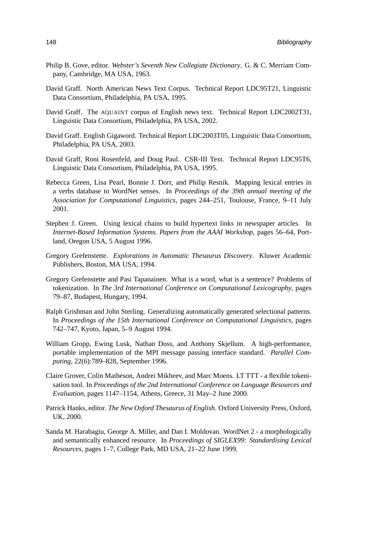- Philip B. Gove, editor. *Webster's Seventh New Collegiate Dictionary*. G. & C. Merriam Company, Cambridge, MA USA, 1963.
- David Graff. North American News Text Corpus. Technical Report LDC95T21, Linguistic Data Consortium, Philadelphia, PA USA, 1995.
- David Graff. The AQUAINT corpus of English news text. Technical Report LDC2002T31, Linguistic Data Consortium, Philadelphia, PA USA, 2002.
- David Graff. English Gigaword. Technical Report LDC2003T05, Linguistic Data Consortium, Philadelphia, PA USA, 2003.
- David Graff, Roni Rosenfeld, and Doug Paul. CSR-III Text. Technical Report LDC95T6, Linguistic Data Consortium, Philadelphia, PA USA, 1995.
- Rebecca Green, Lisa Pearl, Bonnie J. Dorr, and Philip Resnik. Mapping lexical entries in a verbs database to WordNet senses. In *Proceedings of the 39th annual meeting of the Association for Computational Linguistics*, pages 244–251, Toulouse, France, 9–11 July 2001.
- Stephen J. Green. Using lexical chains to build hypertext links in newspaper articles. In *Internet-Based Information Systems. Papers from the AAAI Workshop*, pages 56–64, Portland, Oregon USA, 5 August 1996.
- Gregory Grefenstette. *Explorations in Automatic Thesaurus Discovery*. Kluwer Academic Publishers, Boston, MA USA, 1994.
- Gregory Grefenstette and Pasi Tapanainen. What is a word, what is a sentence? Problems of tokenization. In *The 3rd International Conference on Computational Lexicography*, pages 79–87, Budapest, Hungary, 1994.
- Ralph Grishman and John Sterling. Generalizing automatically generated selectional patterns. In *Proceedings of the 15th International Conference on Computational Linguistics*, pages 742–747, Kyoto, Japan, 5–9 August 1994.
- William Gropp, Ewing Lusk, Nathan Doss, and Anthony Skjellum. A high-performance, portable implementation of the MPI message passing interface standard. *Parallel Computing*, 22(6):789–828, September 1996.
- Claire Grover, Colin Matheson, Andrei Mikheev, and Marc Moens. LT TTT a flexible tokenisation tool. In *Proceedings of the 2nd International Conference on Language Resources and Evaluation*, pages 1147–1154, Athens, Greece, 31 May–2 June 2000.
- Patrick Hanks, editor. *The New Oxford Thesaurus of English*. Oxford University Press, Oxford, UK, 2000.
- Sanda M. Harabagiu, George A. Miller, and Dan I. Moldovan. WordNet 2 a morphologically and semantically enhanced resource. In *Proceedings of SIGLEX99: Standardising Lexical Resources*, pages 1–7, College Park, MD USA, 21–22 June 1999.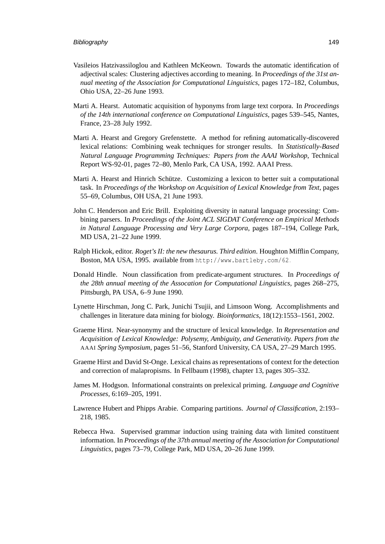- Vasileios Hatzivassiloglou and Kathleen McKeown. Towards the automatic identification of adjectival scales: Clustering adjectives according to meaning. In *Proceedings of the 31st annual meeting of the Association for Computational Linguistics*, pages 172–182, Columbus, Ohio USA, 22–26 June 1993.
- Marti A. Hearst. Automatic acquisition of hyponyms from large text corpora. In *Proceedings of the 14th international conference on Computational Linguistics*, pages 539–545, Nantes, France, 23–28 July 1992.
- Marti A. Hearst and Gregory Grefenstette. A method for refining automatically-discovered lexical relations: Combining weak techniques for stronger results. In *Statistically-Based Natural Language Programming Techniques: Papers from the AAAI Workshop*, Technical Report WS-92-01, pages 72–80, Menlo Park, CA USA, 1992. AAAI Press.
- Marti A. Hearst and Hinrich Schütze. Customizing a lexicon to better suit a computational task. In *Proceedings of the Workshop on Acquisition of Lexical Knowledge from Text*, pages 55–69, Columbus, OH USA, 21 June 1993.
- John C. Henderson and Eric Brill. Exploiting diversity in natural language processing: Combining parsers. In *Proceedings of the Joint ACL SIGDAT Conference on Empirical Methods in Natural Language Processing and Very Large Corpora*, pages 187–194, College Park, MD USA, 21–22 June 1999.
- Ralph Hickok, editor. *Roget's II: the new thesaurus. Third edition*. Houghton Mifflin Company, Boston, MA USA, 1995. available from <http://www.bartleby.com/62>.
- Donald Hindle. Noun classification from predicate-argument structures. In *Proceedings of the 28th annual meeting of the Assocation for Computational Linguistics*, pages 268–275, Pittsburgh, PA USA, 6–9 June 1990.
- Lynette Hirschman, Jong C. Park, Junichi Tsujii, and Limsoon Wong. Accomplishments and challenges in literature data mining for biology. *Bioinformatics*, 18(12):1553–1561, 2002.
- Graeme Hirst. Near-synonymy and the structure of lexical knowledge. In *Representation and Acquisition of Lexical Knowledge: Polysemy, Ambiguity, and Generativity. Papers from the* AAAI *Spring Symposium*, pages 51–56, Stanford University, CA USA, 27–29 March 1995.
- Graeme Hirst and David St-Onge. Lexical chains as representations of context for the detection and correction of malapropisms. In [Fellbaum](#page-164-0) [\(1998\)](#page-164-0), chapter 13, pages 305–332.
- James M. Hodgson. Informational constraints on prelexical priming. *Language and Cognitive Processes*, 6:169–205, 1991.
- Lawrence Hubert and Phipps Arabie. Comparing partitions. *Journal of Classification*, 2:193– 218, 1985.
- Rebecca Hwa. Supervised grammar induction using training data with limited constituent information. In *Proceedings of the 37th annual meeting of the Association for Computational Linguistics*, pages 73–79, College Park, MD USA, 20–26 June 1999.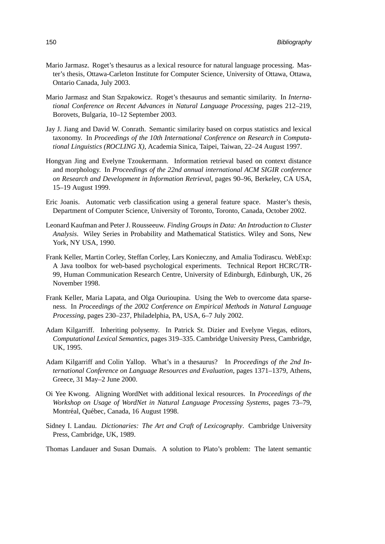- Mario Jarmasz. Roget's thesaurus as a lexical resource for natural language processing. Master's thesis, Ottawa-Carleton Institute for Computer Science, University of Ottawa, Ottawa, Ontario Canada, July 2003.
- Mario Jarmasz and Stan Szpakowicz. Roget's thesaurus and semantic similarity. In *International Conference on Recent Advances in Natural Language Processing*, pages 212–219, Borovets, Bulgaria, 10–12 September 2003.
- Jay J. Jiang and David W. Conrath. Semantic similarity based on corpus statistics and lexical taxonomy. In *Proceedings of the 10th International Conference on Research in Computational Linguistics (ROCLING X)*, Academia Sinica, Taipei, Taiwan, 22–24 August 1997.
- Hongyan Jing and Evelyne Tzoukermann. Information retrieval based on context distance and morphology. In *Proceedings of the 22nd annual international ACM SIGIR conference on Research and Development in Information Retrieval*, pages 90–96, Berkeley, CA USA, 15–19 August 1999.
- Eric Joanis. Automatic verb classification using a general feature space. Master's thesis, Department of Computer Science, University of Toronto, Toronto, Canada, October 2002.
- Leonard Kaufman and Peter J. Rousseeuw. *Finding Groups in Data: An Introduction to Cluster Analysis*. Wiley Series in Probability and Mathematical Statistics. Wiley and Sons, New York, NY USA, 1990.
- Frank Keller, Martin Corley, Steffan Corley, Lars Konieczny, and Amalia Todirascu. WebExp: A Java toolbox for web-based psychological experiments. Technical Report HCRC/TR-99, Human Communication Research Centre, University of Edinburgh, Edinburgh, UK, 26 November 1998.
- Frank Keller, Maria Lapata, and Olga Ourioupina. Using the Web to overcome data sparseness. In *Proceedings of the 2002 Conference on Empirical Methods in Natural Language Processing*, pages 230–237, Philadelphia, PA, USA, 6–7 July 2002.
- Adam Kilgarriff. Inheriting polysemy. In Patrick St. Dizier and Evelyne Viegas, editors, *Computational Lexical Semantics*, pages 319–335. Cambridge University Press, Cambridge, UK, 1995.
- Adam Kilgarriff and Colin Yallop. What's in a thesaurus? In *Proceedings of the 2nd International Conference on Language Resources and Evaluation*, pages 1371–1379, Athens, Greece, 31 May–2 June 2000.
- Oi Yee Kwong. Aligning WordNet with additional lexical resources. In *Proceedings of the Workshop on Usage of WordNet in Natural Language Processing Systems*, pages 73–79, Montréal, Québec, Canada, 16 August 1998.
- Sidney I. Landau. *Dictionaries: The Art and Craft of Lexicography*. Cambridge University Press, Cambridge, UK, 1989.
- Thomas Landauer and Susan Dumais. A solution to Plato's problem: The latent semantic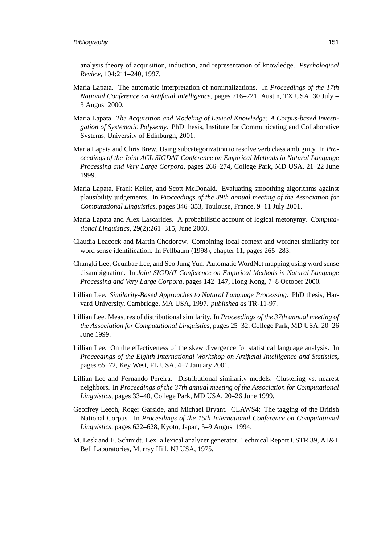analysis theory of acquisition, induction, and representation of knowledge. *Psychological Review*, 104:211–240, 1997.

- Maria Lapata. The automatic interpretation of nominalizations. In *Proceedings of the 17th National Conference on Artificial Intelligence*, pages 716–721, Austin, TX USA, 30 July – 3 August 2000.
- Maria Lapata. *The Acquisition and Modeling of Lexical Knowledge: A Corpus-based Investigation of Systematic Polysemy*. PhD thesis, Institute for Communicating and Collaborative Systems, University of Edinburgh, 2001.
- Maria Lapata and Chris Brew. Using subcategorization to resolve verb class ambiguity. In *Proceedings of the Joint ACL SIGDAT Conference on Empirical Methods in Natural Language Processing and Very Large Corpora*, pages 266–274, College Park, MD USA, 21–22 June 1999.
- Maria Lapata, Frank Keller, and Scott McDonald. Evaluating smoothing algorithms against plausibility judgements. In *Proceedings of the 39th annual meeting of the Association for Computational Linguistics*, pages 346–353, Toulouse, France, 9–11 July 2001.
- Maria Lapata and Alex Lascarides. A probabilistic account of logical metonymy. *Computational Linguistics*, 29(2):261–315, June 2003.
- Claudia Leacock and Martin Chodorow. Combining local context and wordnet similarity for word sense identification. In [Fellbaum \(1998\)](#page-164-0), chapter 11, pages 265–283.
- Changki Lee, Geunbae Lee, and Seo Jung Yun. Automatic WordNet mapping using word sense disambiguation. In *Joint SIGDAT Conference on Empirical Methods in Natural Language Processing and Very Large Corpora*, pages 142–147, Hong Kong, 7–8 October 2000.
- Lillian Lee. *Similarity-Based Approaches to Natural Language Processing*. PhD thesis, Harvard University, Cambridge, MA USA, 1997. *published as* TR-11-97.
- Lillian Lee. Measures of distributional similarity. In *Proceedings of the 37th annual meeting of the Association for Computational Linguistics*, pages 25–32, College Park, MD USA, 20–26 June 1999.
- Lillian Lee. On the effectiveness of the skew divergence for statistical language analysis. In *Proceedings of the Eighth International Workshop on Artificial Intelligence and Statistics*, pages 65–72, Key West, FL USA, 4–7 January 2001.
- Lillian Lee and Fernando Pereira. Distributional similarity models: Clustering vs. nearest neighbors. In *Proceedings of the 37th annual meeting of the Association for Computational Linguistics*, pages 33–40, College Park, MD USA, 20–26 June 1999.
- Geoffrey Leech, Roger Garside, and Michael Bryant. CLAWS4: The tagging of the British National Corpus. In *Proceedings of the 15th International Conference on Computational Linguistics*, pages 622–628, Kyoto, Japan, 5–9 August 1994.
- M. Lesk and E. Schmidt. Lex–a lexical analyzer generator. Technical Report CSTR 39, AT&T Bell Laboratories, Murray Hill, NJ USA, 1975.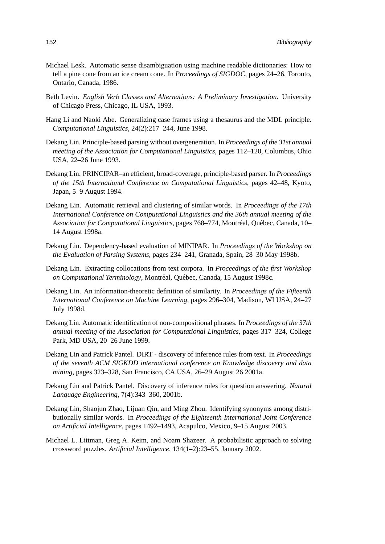- Michael Lesk. Automatic sense disambiguation using machine readable dictionaries: How to tell a pine cone from an ice cream cone. In *Proceedings of SIGDOC*, pages 24–26, Toronto, Ontario, Canada, 1986.
- Beth Levin. *English Verb Classes and Alternations: A Preliminary Investigation*. University of Chicago Press, Chicago, IL USA, 1993.
- Hang Li and Naoki Abe. Generalizing case frames using a thesaurus and the MDL principle. *Computational Linguistics*, 24(2):217–244, June 1998.
- Dekang Lin. Principle-based parsing without overgeneration. In *Proceedings of the 31st annual meeting of the Association for Computational Linguistics*, pages 112–120, Columbus, Ohio USA, 22–26 June 1993.
- Dekang Lin. PRINCIPAR–an efficient, broad-coverage, principle-based parser. In *Proceedings of the 15th International Conference on Computational Linguistics*, pages 42–48, Kyoto, Japan, 5–9 August 1994.
- Dekang Lin. Automatic retrieval and clustering of similar words. In *Proceedings of the 17th International Conference on Computational Linguistics and the 36th annual meeting of the Association for Computational Linguistics*, pages 768–774, Montréal, Québec, Canada, 10– 14 August 1998a.
- Dekang Lin. Dependency-based evaluation of MINIPAR. In *Proceedings of the Workshop on the Evaluation of Parsing Systems*, pages 234–241, Granada, Spain, 28–30 May 1998b.
- Dekang Lin. Extracting collocations from text corpora. In *Proceedings of the first Workshop on Computational Terminology*, Montréal, Québec, Canada, 15 August 1998c.
- Dekang Lin. An information-theoretic definition of similarity. In *Proceedings of the Fifteenth International Conference on Machine Learning*, pages 296–304, Madison, WI USA, 24–27 July 1998d.
- Dekang Lin. Automatic identification of non-compositional phrases. In *Proceedings of the 37th annual meeting of the Association for Computational Linguistics*, pages 317–324, College Park, MD USA, 20–26 June 1999.
- Dekang Lin and Patrick Pantel. DIRT discovery of inference rules from text. In *Proceedings of the seventh ACM SIGKDD international conference on Knowledge discovery and data mining*, pages 323–328, San Francisco, CA USA, 26–29 August 26 2001a.
- Dekang Lin and Patrick Pantel. Discovery of inference rules for question answering. *Natural Language Engineering*, 7(4):343–360, 2001b.
- Dekang Lin, Shaojun Zhao, Lijuan Qin, and Ming Zhou. Identifying synonyms among distributionally similar words. In *Proceedings of the Eighteenth International Joint Conference on Artificial Intelligence*, pages 1492–1493, Acapulco, Mexico, 9–15 August 2003.
- Michael L. Littman, Greg A. Keim, and Noam Shazeer. A probabilistic approach to solving crossword puzzles. *Artificial Intelligence*, 134(1–2):23–55, January 2002.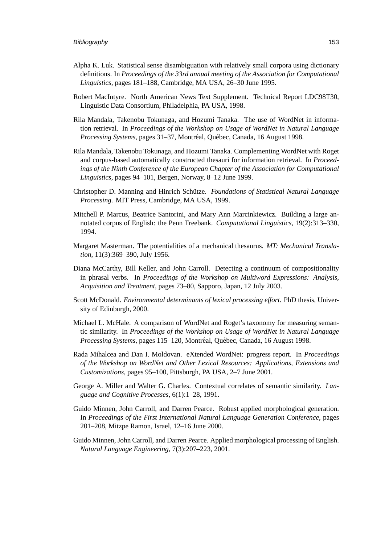- Alpha K. Luk. Statistical sense disambiguation with relatively small corpora using dictionary definitions. In *Proceedings of the 33rd annual meeting of the Association for Computational Linguistics*, pages 181–188, Cambridge, MA USA, 26–30 June 1995.
- Robert MacIntyre. North American News Text Supplement. Technical Report LDC98T30, Linguistic Data Consortium, Philadelphia, PA USA, 1998.
- Rila Mandala, Takenobu Tokunaga, and Hozumi Tanaka. The use of WordNet in information retrieval. In *Proceedings of the Workshop on Usage of WordNet in Natural Language Processing Systems*, pages 31-37, Montréal, Québec, Canada, 16 August 1998.
- Rila Mandala, Takenobu Tokunaga, and Hozumi Tanaka. Complementing WordNet with Roget and corpus-based automatically constructed thesauri for information retrieval. In *Proceedings of the Ninth Conference of the European Chapter of the Association for Computational Linguistics*, pages 94–101, Bergen, Norway, 8–12 June 1999.
- Christopher D. Manning and Hinrich Schutze. ¨ *Foundations of Statistical Natural Language Processing*. MIT Press, Cambridge, MA USA, 1999.
- Mitchell P. Marcus, Beatrice Santorini, and Mary Ann Marcinkiewicz. Building a large annotated corpus of English: the Penn Treebank. *Computational Linguistics*, 19(2):313–330, 1994.
- Margaret Masterman. The potentialities of a mechanical thesaurus. *MT: Mechanical Translation*, 11(3):369–390, July 1956.
- Diana McCarthy, Bill Keller, and John Carroll. Detecting a continuum of compositionality in phrasal verbs. In *Proceedings of the Workshop on Multiword Expressions: Analysis, Acquisition and Treatment*, pages 73–80, Sapporo, Japan, 12 July 2003.
- Scott McDonald. *Environmental determinants of lexical processing effort*. PhD thesis, University of Edinburgh, 2000.
- Michael L. McHale. A comparison of WordNet and Roget's taxonomy for measuring semantic similarity. In *Proceedings of the Workshop on Usage of WordNet in Natural Language Processing Systems*, pages 115–120, Montréal, Québec, Canada, 16 August 1998.
- Rada Mihalcea and Dan I. Moldovan. eXtended WordNet: progress report. In *Proceedings of the Workshop on WordNet and Other Lexical Resources: Applications, Extensions and Customizations*, pages 95–100, Pittsburgh, PA USA, 2–7 June 2001.
- George A. Miller and Walter G. Charles. Contextual correlates of semantic similarity. *Language and Cognitive Processes*, 6(1):1–28, 1991.
- Guido Minnen, John Carroll, and Darren Pearce. Robust applied morphological generation. In *Proceedings of the First International Natural Language Generation Conference*, pages 201–208, Mitzpe Ramon, Israel, 12–16 June 2000.
- Guido Minnen, John Carroll, and Darren Pearce. Applied morphological processing of English. *Natural Language Engineering*, 7(3):207–223, 2001.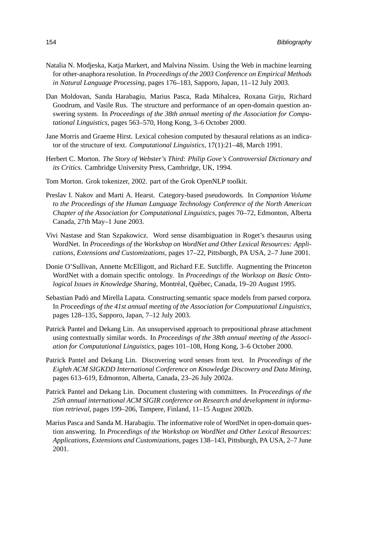- Natalia N. Modjeska, Katja Markert, and Malvina Nissim. Using the Web in machine learning for other-anaphora resolution. In *Proceedings of the 2003 Conference on Empirical Methods in Natural Language Processing*, pages 176–183, Sapporo, Japan, 11–12 July 2003.
- Dan Moldovan, Sanda Harabagiu, Marius Pasca, Rada Mihalcea, Roxana Girju, Richard Goodrum, and Vasile Rus. The structure and performance of an open-domain question answering system. In *Proceedings of the 38th annual meeting of the Association for Computational Linguistics*, pages 563–570, Hong Kong, 3–6 October 2000.
- Jane Morris and Graeme Hirst. Lexical cohesion computed by thesaural relations as an indicator of the structure of text. *Computational Linguistics*, 17(1):21–48, March 1991.
- Herbert C. Morton. *The Story of Webster's Third: Philip Gove's Controversial Dictionary and its Critics*. Cambridge University Press, Cambridge, UK, 1994.
- Tom Morton. Grok tokenizer, 2002. part of the Grok OpenNLP toolkit.
- Preslav I. Nakov and Marti A. Hearst. Category-based pseudowords. In *Companion Volume to the Proceedings of the Human Language Technology Conference of the North American Chapter of the Association for Computational Linguistics*, pages 70–72, Edmonton, Alberta Canada, 27th May–1 June 2003.
- Vivi Nastase and Stan Szpakowicz. Word sense disambiguation in Roget's thesaurus using WordNet. In *Proceedings of the Workshop on WordNet and Other Lexical Resources: Applications, Extensions and Customizations*, pages 17–22, Pittsburgh, PA USA, 2–7 June 2001.
- Donie O'Sullivan, Annette McElligott, and Richard F.E. Sutcliffe. Augmenting the Princeton WordNet with a domain specific ontology. In *Proceedings of the Worksop on Basic Ontological Issues in Knowledge Sharing*, Montréal, Québec, Canada, 19–20 August 1995.
- Sebastian Padó and Mirella Lapata. Constructing semantic space models from parsed corpora. In *Proceedings of the 41st annual meeting of the Association for Computational Linguistics*, pages 128–135, Sapporo, Japan, 7–12 July 2003.
- Patrick Pantel and Dekang Lin. An unsupervised approach to prepositional phrase attachment using contextually similar words. In *Proceedings of the 38th annual meeting of the Association for Computational Linguistics*, pages 101–108, Hong Kong, 3–6 October 2000.
- Patrick Pantel and Dekang Lin. Discovering word senses from text. In *Proceedings of the Eighth ACM SIGKDD International Conference on Knowledge Discovery and Data Mining*, pages 613–619, Edmonton, Alberta, Canada, 23–26 July 2002a.
- Patrick Pantel and Dekang Lin. Document clustering with committees. In *Proceedings of the 25th annual international ACM SIGIR conference on Research and development in information retrieval*, pages 199–206, Tampere, Finland, 11–15 August 2002b.
- Marius Pasca and Sanda M. Harabagiu. The informative role of WordNet in open-domain question answering. In *Proceedings of the Workshop on WordNet and Other Lexical Resources: Applications, Extensions and Customizations*, pages 138–143, Pittsburgh, PA USA, 2–7 June 2001.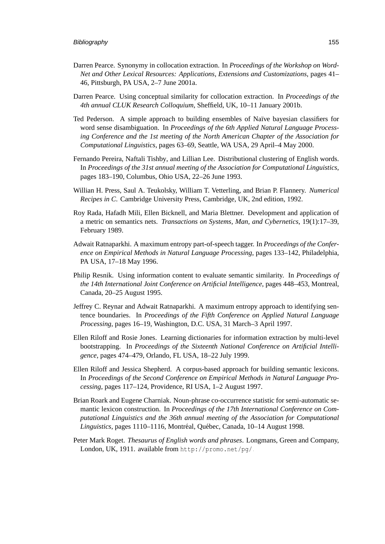- Darren Pearce. Synonymy in collocation extraction. In *Proceedings of the Workshop on Word-Net and Other Lexical Resources: Applications, Extensions and Customizations*, pages 41– 46, Pittsburgh, PA USA, 2–7 June 2001a.
- Darren Pearce. Using conceptual similarity for collocation extraction. In *Proceedings of the 4th annual CLUK Research Colloquium*, Sheffield, UK, 10–11 January 2001b.
- Ted Pederson. A simple approach to building ensembles of Naïve bayesian classifiers for word sense disambiguation. In *Proceedings of the 6th Applied Natural Language Processing Conference and the 1st meeting of the North American Chapter of the Association for Computational Linguistics*, pages 63–69, Seattle, WA USA, 29 April–4 May 2000.
- Fernando Pereira, Naftali Tishby, and Lillian Lee. Distributional clustering of English words. In *Proceedings of the 31st annual meeting of the Association for Computational Linguistics*, pages 183–190, Columbus, Ohio USA, 22–26 June 1993.
- Willian H. Press, Saul A. Teukolsky, William T. Vetterling, and Brian P. Flannery. *Numerical Recipes in C*. Cambridge University Press, Cambridge, UK, 2nd edition, 1992.
- Roy Rada, Hafadh Mili, Ellen Bicknell, and Maria Blettner. Development and application of a metric on semantics nets. *Transactions on Systems, Man, and Cybernetics*, 19(1):17–39, February 1989.
- Adwait Ratnaparkhi. A maximum entropy part-of-speech tagger. In *Proceedings of the Conference on Empirical Methods in Natural Language Processing*, pages 133–142, Philadelphia, PA USA, 17–18 May 1996.
- Philip Resnik. Using information content to evaluate semantic similarity. In *Proceedings of the 14th International Joint Conference on Artificial Intelligence*, pages 448–453, Montreal, Canada, 20–25 August 1995.
- Jeffrey C. Reynar and Adwait Ratnaparkhi. A maximum entropy approach to identifying sentence boundaries. In *Proceedings of the Fifth Conference on Applied Natural Language Processing*, pages 16–19, Washington, D.C. USA, 31 March–3 April 1997.
- Ellen Riloff and Rosie Jones. Learning dictionaries for information extraction by multi-level bootstrapping. In *Proceedings of the Sixteenth National Conference on Artificial Intelligence*, pages 474–479, Orlando, FL USA, 18–22 July 1999.
- Ellen Riloff and Jessica Shepherd. A corpus-based approach for building semantic lexicons. In *Proceedings of the Second Conference on Empirical Methods in Natural Language Processing*, pages 117–124, Providence, RI USA, 1–2 August 1997.
- Brian Roark and Eugene Charniak. Noun-phrase co-occurrence statistic for semi-automatic semantic lexicon construction. In *Proceedings of the 17th International Conference on Computational Linguistics and the 36th annual meeting of the Association for Computational* Linguistics, pages 1110–1116, Montréal, Québec, Canada, 10–14 August 1998.
- Peter Mark Roget. *Thesaurus of English words and phrases*. Longmans, Green and Company, London, UK, 1911. available from <http://promo.net/pg/>.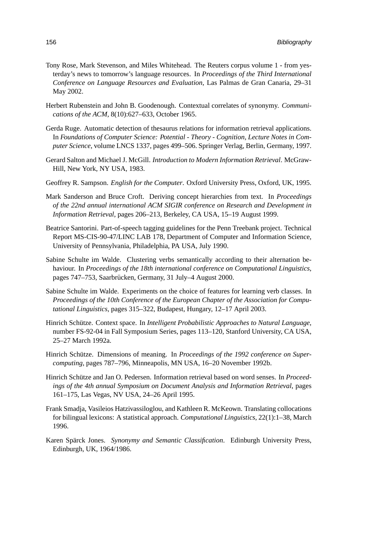- Tony Rose, Mark Stevenson, and Miles Whitehead. The Reuters corpus volume 1 from yesterday's news to tomorrow's language resources. In *Proceedings of the Third International Conference on Language Resources and Evaluation*, Las Palmas de Gran Canaria, 29–31 May 2002.
- Herbert Rubenstein and John B. Goodenough. Contextual correlates of synonymy. *Communications of the ACM*, 8(10):627–633, October 1965.
- Gerda Ruge. Automatic detection of thesaurus relations for information retrieval applications. In *Foundations of Computer Science: Potential - Theory - Cognition, Lecture Notes in Computer Science*, volume LNCS 1337, pages 499–506. Springer Verlag, Berlin, Germany, 1997.
- Gerard Salton and Michael J. McGill. *Introduction to Modern Information Retrieval*. McGraw-Hill, New York, NY USA, 1983.
- Geoffrey R. Sampson. *English for the Computer*. Oxford University Press, Oxford, UK, 1995.
- Mark Sanderson and Bruce Croft. Deriving concept hierarchies from text. In *Proceedings of the 22nd annual international ACM SIGIR conference on Research and Development in Information Retrieval*, pages 206–213, Berkeley, CA USA, 15–19 August 1999.
- Beatrice Santorini. Part-of-speech tagging guidelines for the Penn Treebank project. Technical Report MS-CIS-90-47/LINC LAB 178, Department of Computer and Information Science, University of Pennsylvania, Philadelphia, PA USA, July 1990.
- Sabine Schulte im Walde. Clustering verbs semantically according to their alternation behaviour. In *Proceedings of the 18th international conference on Computational Linguistics*, pages 747–753, Saarbrücken, Germany, 31 July–4 August 2000.
- Sabine Schulte im Walde. Experiments on the choice of features for learning verb classes. In *Proceedings of the 10th Conference of the European Chapter of the Association for Computational Linguistics*, pages 315–322, Budapest, Hungary, 12–17 April 2003.
- Hinrich Schütze. Context space. In *Intelligent Probabilistic Approaches to Natural Language*, number FS-92-04 in Fall Symposium Series, pages 113–120, Stanford University, CA USA, 25–27 March 1992a.
- Hinrich Schütze. Dimensions of meaning. In Proceedings of the 1992 conference on Super*computing*, pages 787–796, Minneapolis, MN USA, 16–20 November 1992b.
- Hinrich Schütze and Jan O. Pedersen. Information retrieval based on word senses. In Proceed*ings of the 4th annual Symposium on Document Analysis and Information Retrieval*, pages 161–175, Las Vegas, NV USA, 24–26 April 1995.
- Frank Smadja, Vasileios Hatzivassiloglou, and Kathleen R. McKeown. Translating collocations for bilingual lexicons: A statistical approach. *Computational Linguistics*, 22(1):1–38, March 1996.
- Karen Spärck Jones. Synonymy and Semantic Classification. Edinburgh University Press, Edinburgh, UK, 1964/1986.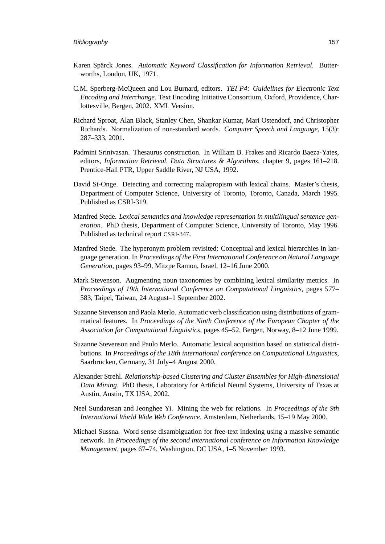- Karen Spärck Jones. Automatic Keyword Classification for Information Retrieval. Butterworths, London, UK, 1971.
- C.M. Sperberg-McQueen and Lou Burnard, editors. *TEI P4: Guidelines for Electronic Text Encoding and Interchange*. Text Encoding Initiative Consortium, Oxford, Providence, Charlottesville, Bergen, 2002. XML Version.
- Richard Sproat, Alan Black, Stanley Chen, Shankar Kumar, Mari Ostendorf, and Christopher Richards. Normalization of non-standard words. *Computer Speech and Language*, 15(3): 287–333, 2001.
- Padmini Srinivasan. Thesaurus construction. In William B. Frakes and Ricardo Baeza-Yates, editors, *Information Retrieval. Data Structures & Algorithms*, chapter 9, pages 161–218. Prentice-Hall PTR, Upper Saddle River, NJ USA, 1992.
- David St-Onge. Detecting and correcting malapropism with lexical chains. Master's thesis, Department of Computer Science, University of Toronto, Toronto, Canada, March 1995. Published as CSRI-319.
- Manfred Stede. *Lexical semantics and knowledge representation in multilingual sentence generation*. PhD thesis, Department of Computer Science, University of Toronto, May 1996. Published as technical report CSRI-347.
- Manfred Stede. The hyperonym problem revisited: Conceptual and lexical hierarchies in language generation. In *Proceedings of the First International Conference on Natural Language Generation*, pages 93–99, Mitzpe Ramon, Israel, 12–16 June 2000.
- Mark Stevenson. Augmenting noun taxonomies by combining lexical similarity metrics. In *Proceedings of 19th International Conference on Computational Linguistics*, pages 577– 583, Taipei, Taiwan, 24 August–1 September 2002.
- Suzanne Stevenson and Paola Merlo. Automatic verb classification using distributions of grammatical features. In *Proceedings of the Ninth Conference of the European Chapter of the Association for Computational Linguistics*, pages 45–52, Bergen, Norway, 8–12 June 1999.
- Suzanne Stevenson and Paulo Merlo. Automatic lexical acquisition based on statistical distributions. In *Proceedings of the 18th international conference on Computational Linguistics*, Saarbrücken, Germany, 31 July–4 August 2000.
- Alexander Strehl. *Relationship-based Clustering and Cluster Ensembles for High-dimensional Data Mining*. PhD thesis, Laboratory for Artificial Neural Systems, University of Texas at Austin, Austin, TX USA, 2002.
- Neel Sundaresan and Jeonghee Yi. Mining the web for relations. In *Proceedings of the 9th International World Wide Web Conference*, Amsterdam, Netherlands, 15–19 May 2000.
- Michael Sussna. Word sense disambiguation for free-text indexing using a massive semantic network. In *Proceedings of the second international conference on Information Knowledge Management*, pages 67–74, Washington, DC USA, 1–5 November 1993.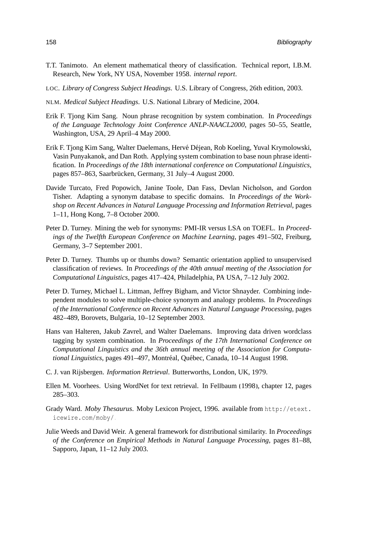- T.T. Tanimoto. An element mathematical theory of classification. Technical report, I.B.M. Research, New York, NY USA, November 1958. *internal report*.
- LOC. *Library of Congress Subject Headings*. U.S. Library of Congress, 26th edition, 2003.
- NLM. *Medical Subject Headings*. U.S. National Library of Medicine, 2004.
- Erik F. Tjong Kim Sang. Noun phrase recognition by system combination. In *Proceedings of the Language Technology Joint Conference ANLP-NAACL2000*, pages 50–55, Seattle, Washington, USA, 29 April–4 May 2000.
- Erik F. Tjong Kim Sang, Walter Daelemans, Hervé Déjean, Rob Koeling, Yuval Krymolowski, Vasin Punyakanok, and Dan Roth. Applying system combination to base noun phrase identification. In *Proceedings of the 18th international conference on Computational Linguistics*, pages 857–863, Saarbrücken, Germany, 31 July–4 August 2000.
- Davide Turcato, Fred Popowich, Janine Toole, Dan Fass, Devlan Nicholson, and Gordon Tisher. Adapting a synonym database to specific domains. In *Proceedings of the Workshop on Recent Advances in Natural Language Processing and Information Retrieval*, pages 1–11, Hong Kong, 7–8 October 2000.
- Peter D. Turney. Mining the web for synonyms: PMI-IR versus LSA on TOEFL. In *Proceedings of the Twelfth European Conference on Machine Learning*, pages 491–502, Freiburg, Germany, 3–7 September 2001.
- Peter D. Turney. Thumbs up or thumbs down? Semantic orientation applied to unsupervised classification of reviews. In *Proceedings of the 40th annual meeting of the Association for Computational Linguistics*, pages 417–424, Philadelphia, PA USA, 7–12 July 2002.
- Peter D. Turney, Michael L. Littman, Jeffrey Bigham, and Victor Shnayder. Combining independent modules to solve multiple-choice synonym and analogy problems. In *Proceedings of the International Conference on Recent Advances in Natural Language Processing*, pages 482–489, Borovets, Bulgaria, 10–12 September 2003.
- Hans van Halteren, Jakub Zavrel, and Walter Daelemans. Improving data driven wordclass tagging by system combination. In *Proceedings of the 17th International Conference on Computational Linguistics and the 36th annual meeting of the Association for Computational Linguistics*, pages 491–497, Montréal, Québec, Canada, 10–14 August 1998.
- C. J. van Rijsbergen. *Information Retrieval*. Butterworths, London, UK, 1979.
- Ellen M. Voorhees. Using WordNet for text retrieval. In [Fellbaum \(1998\)](#page-164-0), chapter 12, pages 285–303.
- Grady Ward. *Moby Thesaurus*. Moby Lexicon Project, 1996. available from [http://etext.](http://etext.icewire.com/moby/) [icewire.com/moby/](http://etext.icewire.com/moby/).
- Julie Weeds and David Weir. A general framework for distributional similarity. In *Proceedings of the Conference on Empirical Methods in Natural Language Processing*, pages 81–88, Sapporo, Japan, 11–12 July 2003.